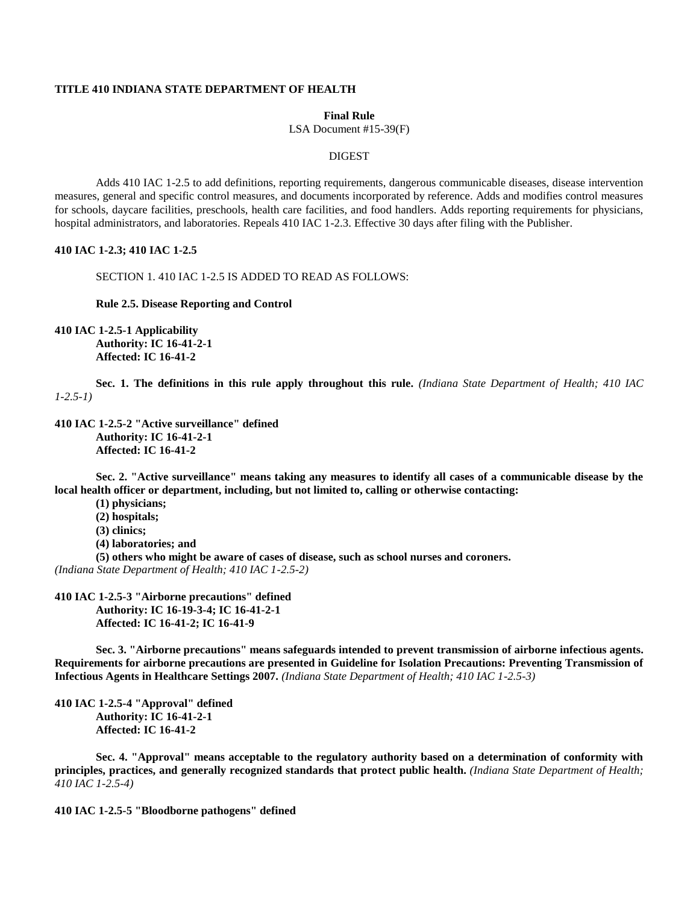## **TITLE 410 INDIANA STATE DEPARTMENT OF HEALTH**

#### **Final Rule**

LSA Document #15-39(F)

#### DIGEST

Adds 410 IAC 1-2.5 to add definitions, reporting requirements, dangerous communicable diseases, disease intervention measures, general and specific control measures, and documents incorporated by reference. Adds and modifies control measures for schools, daycare facilities, preschools, health care facilities, and food handlers. Adds reporting requirements for physicians, hospital administrators, and laboratories. Repeals 410 IAC 1-2.3. Effective 30 days after filing with the Publisher.

## **410 IAC 1-2.3; 410 IAC 1-2.5**

SECTION 1. 410 IAC 1-2.5 IS ADDED TO READ AS FOLLOWS:

**Rule 2.5. Disease Reporting and Control**

**410 IAC 1-2.5-1 Applicability**

**Authority: IC 16-41-2-1 Affected: IC 16-41-2**

**Sec. 1. The definitions in this rule apply throughout this rule.** *(Indiana State Department of Health; 410 IAC 1-2.5-1)*

#### **410 IAC 1-2.5-2 "Active surveillance" defined Authority: IC 16-41-2-1 Affected: IC 16-41-2**

**Sec. 2. "Active surveillance" means taking any measures to identify all cases of a communicable disease by the local health officer or department, including, but not limited to, calling or otherwise contacting:**

- **(1) physicians;**
- **(2) hospitals;**
- **(3) clinics;**

**(4) laboratories; and**

**(5) others who might be aware of cases of disease, such as school nurses and coroners.** *(Indiana State Department of Health; 410 IAC 1-2.5-2)*

# **410 IAC 1-2.5-3 "Airborne precautions" defined Authority: IC 16-19-3-4; IC 16-41-2-1 Affected: IC 16-41-2; IC 16-41-9**

**Sec. 3. "Airborne precautions" means safeguards intended to prevent transmission of airborne infectious agents. Requirements for airborne precautions are presented in Guideline for Isolation Precautions: Preventing Transmission of Infectious Agents in Healthcare Settings 2007.** *(Indiana State Department of Health; 410 IAC 1-2.5-3)*

**410 IAC 1-2.5-4 "Approval" defined Authority: IC 16-41-2-1 Affected: IC 16-41-2**

**Sec. 4. "Approval" means acceptable to the regulatory authority based on a determination of conformity with principles, practices, and generally recognized standards that protect public health.** *(Indiana State Department of Health; 410 IAC 1-2.5-4)*

**410 IAC 1-2.5-5 "Bloodborne pathogens" defined**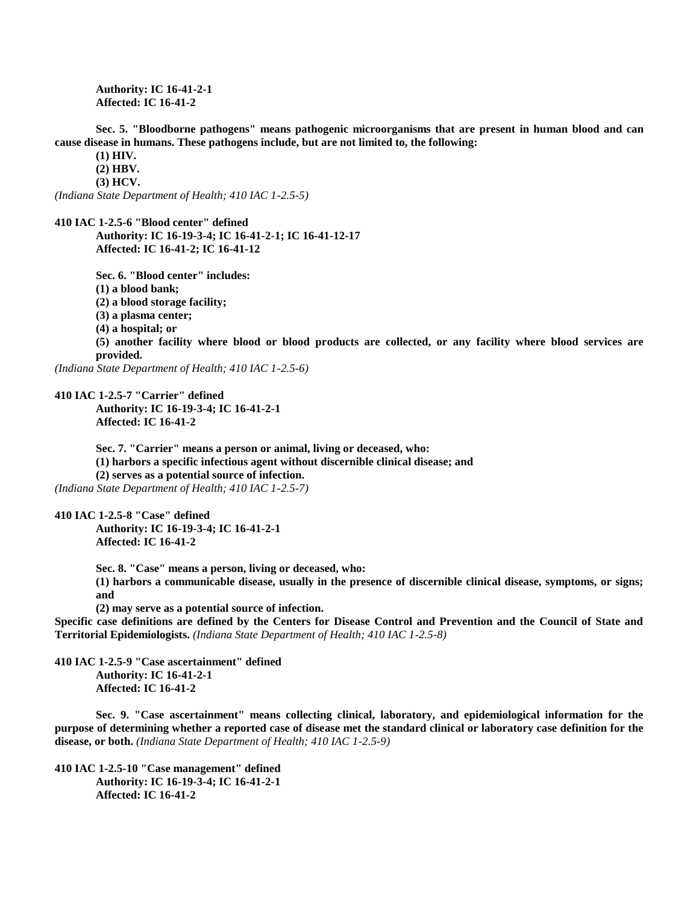**Authority: IC 16-41-2-1 Affected: IC 16-41-2**

**Sec. 5. "Bloodborne pathogens" means pathogenic microorganisms that are present in human blood and can cause disease in humans. These pathogens include, but are not limited to, the following:**

**(1) HIV.**

**(2) HBV.**

**(3) HCV.**

*(Indiana State Department of Health; 410 IAC 1-2.5-5)*

**410 IAC 1-2.5-6 "Blood center" defined**

**Authority: IC 16-19-3-4; IC 16-41-2-1; IC 16-41-12-17 Affected: IC 16-41-2; IC 16-41-12**

**Sec. 6. "Blood center" includes: (1) a blood bank; (2) a blood storage facility;**

**(3) a plasma center;**

**(4) a hospital; or**

**(5) another facility where blood or blood products are collected, or any facility where blood services are provided.**

*(Indiana State Department of Health; 410 IAC 1-2.5-6)*

**410 IAC 1-2.5-7 "Carrier" defined Authority: IC 16-19-3-4; IC 16-41-2-1 Affected: IC 16-41-2**

> **Sec. 7. "Carrier" means a person or animal, living or deceased, who: (1) harbors a specific infectious agent without discernible clinical disease; and (2) serves as a potential source of infection.**

*(Indiana State Department of Health; 410 IAC 1-2.5-7)*

**410 IAC 1-2.5-8 "Case" defined Authority: IC 16-19-3-4; IC 16-41-2-1 Affected: IC 16-41-2**

> **Sec. 8. "Case" means a person, living or deceased, who: (1) harbors a communicable disease, usually in the presence of discernible clinical disease, symptoms, or signs; and**

**(2) may serve as a potential source of infection.**

**Specific case definitions are defined by the Centers for Disease Control and Prevention and the Council of State and Territorial Epidemiologists.** *(Indiana State Department of Health; 410 IAC 1-2.5-8)*

**410 IAC 1-2.5-9 "Case ascertainment" defined Authority: IC 16-41-2-1 Affected: IC 16-41-2**

**Sec. 9. "Case ascertainment" means collecting clinical, laboratory, and epidemiological information for the purpose of determining whether a reported case of disease met the standard clinical or laboratory case definition for the disease, or both.** *(Indiana State Department of Health; 410 IAC 1-2.5-9)*

**410 IAC 1-2.5-10 "Case management" defined Authority: IC 16-19-3-4; IC 16-41-2-1 Affected: IC 16-41-2**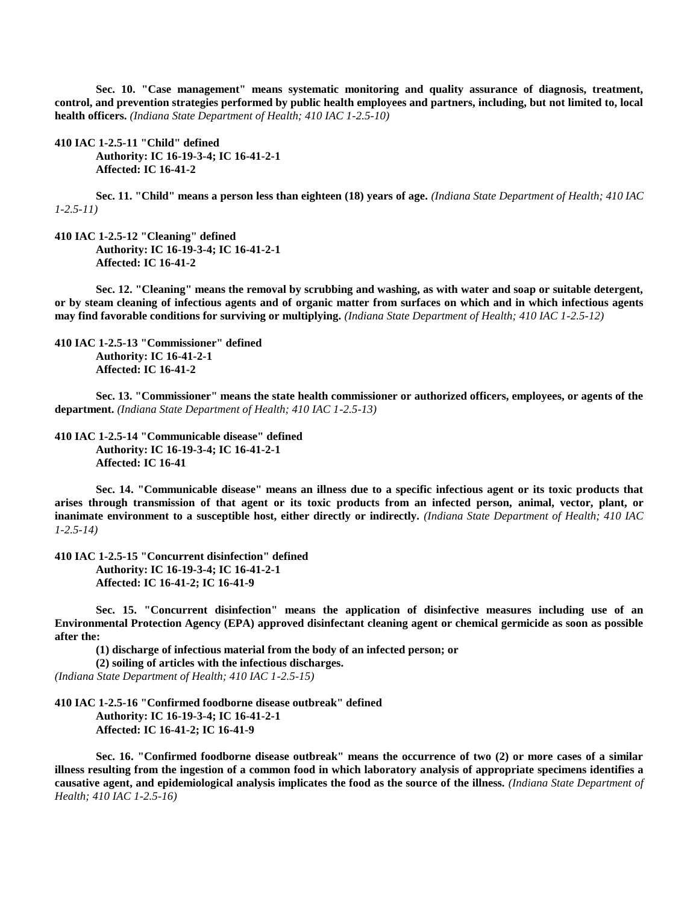**Sec. 10. "Case management" means systematic monitoring and quality assurance of diagnosis, treatment, control, and prevention strategies performed by public health employees and partners, including, but not limited to, local health officers.** *(Indiana State Department of Health; 410 IAC 1-2.5-10)*

**410 IAC 1-2.5-11 "Child" defined Authority: IC 16-19-3-4; IC 16-41-2-1 Affected: IC 16-41-2**

**Sec. 11. "Child" means a person less than eighteen (18) years of age.** *(Indiana State Department of Health; 410 IAC 1-2.5-11)*

**410 IAC 1-2.5-12 "Cleaning" defined Authority: IC 16-19-3-4; IC 16-41-2-1 Affected: IC 16-41-2**

**Sec. 12. "Cleaning" means the removal by scrubbing and washing, as with water and soap or suitable detergent, or by steam cleaning of infectious agents and of organic matter from surfaces on which and in which infectious agents may find favorable conditions for surviving or multiplying.** *(Indiana State Department of Health; 410 IAC 1-2.5-12)*

**410 IAC 1-2.5-13 "Commissioner" defined Authority: IC 16-41-2-1 Affected: IC 16-41-2**

**Sec. 13. "Commissioner" means the state health commissioner or authorized officers, employees, or agents of the department.** *(Indiana State Department of Health; 410 IAC 1-2.5-13)*

**410 IAC 1-2.5-14 "Communicable disease" defined Authority: IC 16-19-3-4; IC 16-41-2-1 Affected: IC 16-41**

**Sec. 14. "Communicable disease" means an illness due to a specific infectious agent or its toxic products that arises through transmission of that agent or its toxic products from an infected person, animal, vector, plant, or inanimate environment to a susceptible host, either directly or indirectly.** *(Indiana State Department of Health; 410 IAC 1-2.5-14)*

**410 IAC 1-2.5-15 "Concurrent disinfection" defined Authority: IC 16-19-3-4; IC 16-41-2-1 Affected: IC 16-41-2; IC 16-41-9**

**Sec. 15. "Concurrent disinfection" means the application of disinfective measures including use of an Environmental Protection Agency (EPA) approved disinfectant cleaning agent or chemical germicide as soon as possible after the:**

**(1) discharge of infectious material from the body of an infected person; or**

**(2) soiling of articles with the infectious discharges.** *(Indiana State Department of Health; 410 IAC 1-2.5-15)*

**410 IAC 1-2.5-16 "Confirmed foodborne disease outbreak" defined Authority: IC 16-19-3-4; IC 16-41-2-1 Affected: IC 16-41-2; IC 16-41-9**

**Sec. 16. "Confirmed foodborne disease outbreak" means the occurrence of two (2) or more cases of a similar illness resulting from the ingestion of a common food in which laboratory analysis of appropriate specimens identifies a causative agent, and epidemiological analysis implicates the food as the source of the illness.** *(Indiana State Department of Health; 410 IAC 1-2.5-16)*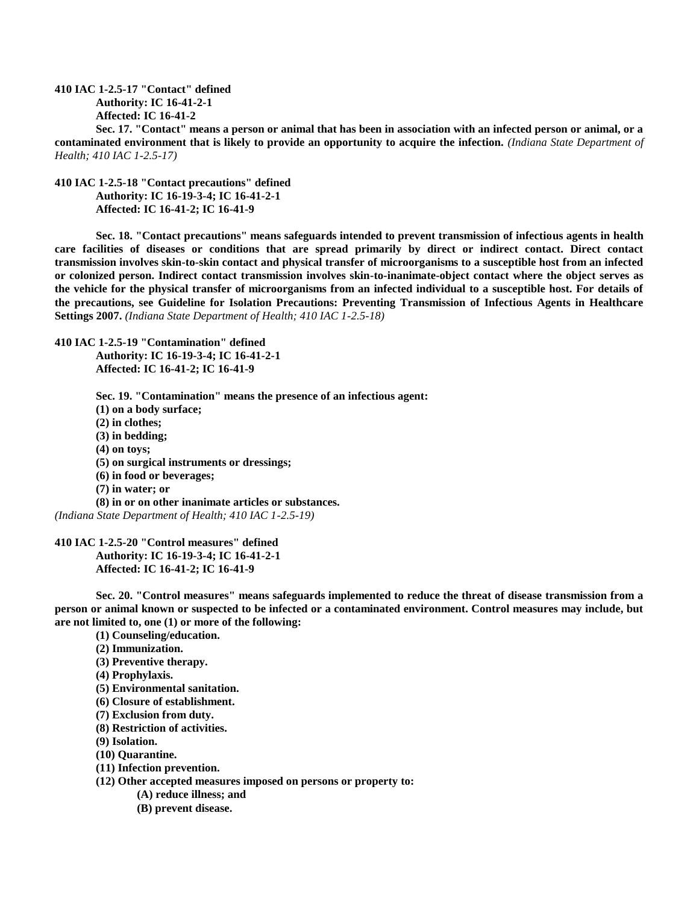**410 IAC 1-2.5-17 "Contact" defined Authority: IC 16-41-2-1 Affected: IC 16-41-2**

**Sec. 17. "Contact" means a person or animal that has been in association with an infected person or animal, or a contaminated environment that is likely to provide an opportunity to acquire the infection.** *(Indiana State Department of Health; 410 IAC 1-2.5-17)*

**410 IAC 1-2.5-18 "Contact precautions" defined Authority: IC 16-19-3-4; IC 16-41-2-1 Affected: IC 16-41-2; IC 16-41-9**

**Sec. 18. "Contact precautions" means safeguards intended to prevent transmission of infectious agents in health care facilities of diseases or conditions that are spread primarily by direct or indirect contact. Direct contact transmission involves skin-to-skin contact and physical transfer of microorganisms to a susceptible host from an infected or colonized person. Indirect contact transmission involves skin-to-inanimate-object contact where the object serves as the vehicle for the physical transfer of microorganisms from an infected individual to a susceptible host. For details of the precautions, see Guideline for Isolation Precautions: Preventing Transmission of Infectious Agents in Healthcare Settings 2007.** *(Indiana State Department of Health; 410 IAC 1-2.5-18)*

**410 IAC 1-2.5-19 "Contamination" defined Authority: IC 16-19-3-4; IC 16-41-2-1 Affected: IC 16-41-2; IC 16-41-9**

**Sec. 19. "Contamination" means the presence of an infectious agent: (1) on a body surface; (2) in clothes; (3) in bedding; (4) on toys; (5) on surgical instruments or dressings; (6) in food or beverages; (7) in water; or (8) in or on other inanimate articles or substances.** *(Indiana State Department of Health; 410 IAC 1-2.5-19)*

**410 IAC 1-2.5-20 "Control measures" defined Authority: IC 16-19-3-4; IC 16-41-2-1 Affected: IC 16-41-2; IC 16-41-9**

**Sec. 20. "Control measures" means safeguards implemented to reduce the threat of disease transmission from a person or animal known or suspected to be infected or a contaminated environment. Control measures may include, but are not limited to, one (1) or more of the following:**

**(1) Counseling/education.**

**(2) Immunization.**

**(3) Preventive therapy.**

- **(4) Prophylaxis.**
- **(5) Environmental sanitation.**
- **(6) Closure of establishment.**
- **(7) Exclusion from duty.**
- **(8) Restriction of activities.**
- **(9) Isolation.**
- **(10) Quarantine.**
- **(11) Infection prevention.**
- **(12) Other accepted measures imposed on persons or property to:**
	- **(A) reduce illness; and**
	- **(B) prevent disease.**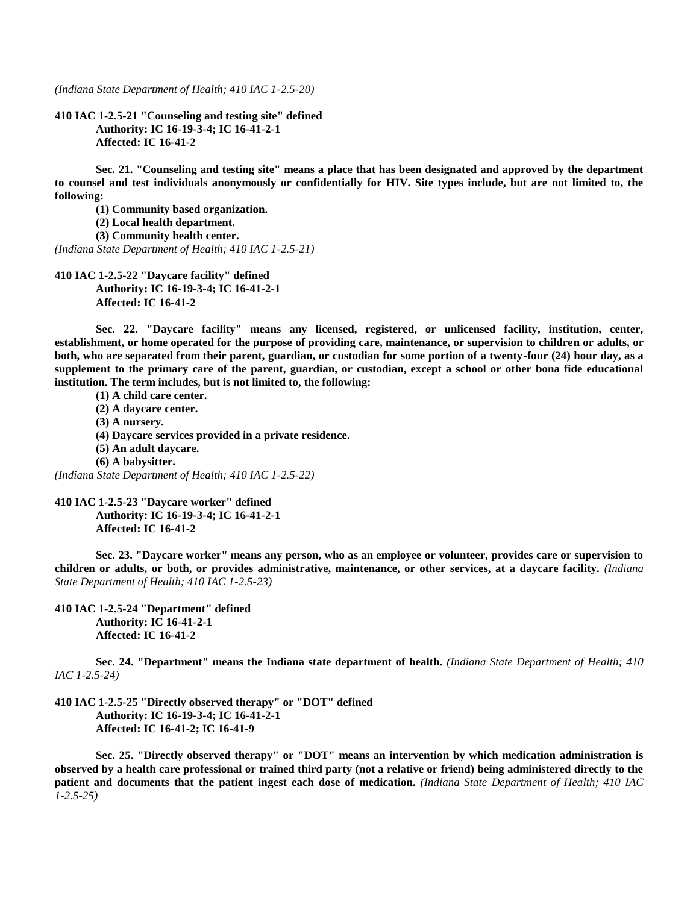*(Indiana State Department of Health; 410 IAC 1-2.5-20)*

**410 IAC 1-2.5-21 "Counseling and testing site" defined Authority: IC 16-19-3-4; IC 16-41-2-1 Affected: IC 16-41-2**

**Sec. 21. "Counseling and testing site" means a place that has been designated and approved by the department to counsel and test individuals anonymously or confidentially for HIV. Site types include, but are not limited to, the following:**

**(1) Community based organization.**

**(2) Local health department.**

**(3) Community health center.**

*(Indiana State Department of Health; 410 IAC 1-2.5-21)*

**410 IAC 1-2.5-22 "Daycare facility" defined Authority: IC 16-19-3-4; IC 16-41-2-1 Affected: IC 16-41-2**

**Sec. 22. "Daycare facility" means any licensed, registered, or unlicensed facility, institution, center, establishment, or home operated for the purpose of providing care, maintenance, or supervision to children or adults, or both, who are separated from their parent, guardian, or custodian for some portion of a twenty-four (24) hour day, as a supplement to the primary care of the parent, guardian, or custodian, except a school or other bona fide educational institution. The term includes, but is not limited to, the following:**

**(1) A child care center. (2) A daycare center. (3) A nursery. (4) Daycare services provided in a private residence. (5) An adult daycare.**

**(6) A babysitter.**

*(Indiana State Department of Health; 410 IAC 1-2.5-22)*

**410 IAC 1-2.5-23 "Daycare worker" defined Authority: IC 16-19-3-4; IC 16-41-2-1 Affected: IC 16-41-2**

**Sec. 23. "Daycare worker" means any person, who as an employee or volunteer, provides care or supervision to children or adults, or both, or provides administrative, maintenance, or other services, at a daycare facility.** *(Indiana State Department of Health; 410 IAC 1-2.5-23)*

**410 IAC 1-2.5-24 "Department" defined Authority: IC 16-41-2-1 Affected: IC 16-41-2**

**Sec. 24. "Department" means the Indiana state department of health.** *(Indiana State Department of Health; 410 IAC 1-2.5-24)*

**410 IAC 1-2.5-25 "Directly observed therapy" or "DOT" defined Authority: IC 16-19-3-4; IC 16-41-2-1 Affected: IC 16-41-2; IC 16-41-9**

**Sec. 25. "Directly observed therapy" or "DOT" means an intervention by which medication administration is observed by a health care professional or trained third party (not a relative or friend) being administered directly to the patient and documents that the patient ingest each dose of medication.** *(Indiana State Department of Health; 410 IAC 1-2.5-25)*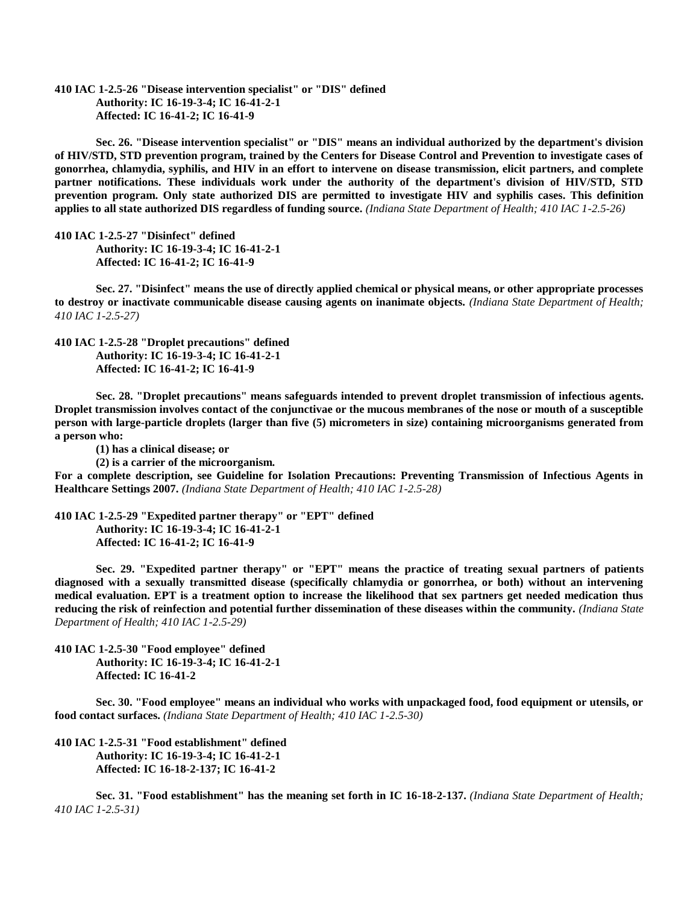**410 IAC 1-2.5-26 "Disease intervention specialist" or "DIS" defined Authority: IC 16-19-3-4; IC 16-41-2-1 Affected: IC 16-41-2; IC 16-41-9**

**Sec. 26. "Disease intervention specialist" or "DIS" means an individual authorized by the department's division of HIV/STD, STD prevention program, trained by the Centers for Disease Control and Prevention to investigate cases of gonorrhea, chlamydia, syphilis, and HIV in an effort to intervene on disease transmission, elicit partners, and complete partner notifications. These individuals work under the authority of the department's division of HIV/STD, STD prevention program. Only state authorized DIS are permitted to investigate HIV and syphilis cases. This definition applies to all state authorized DIS regardless of funding source.** *(Indiana State Department of Health; 410 IAC 1-2.5-26)*

**410 IAC 1-2.5-27 "Disinfect" defined Authority: IC 16-19-3-4; IC 16-41-2-1 Affected: IC 16-41-2; IC 16-41-9**

**Sec. 27. "Disinfect" means the use of directly applied chemical or physical means, or other appropriate processes to destroy or inactivate communicable disease causing agents on inanimate objects.** *(Indiana State Department of Health; 410 IAC 1-2.5-27)*

**410 IAC 1-2.5-28 "Droplet precautions" defined Authority: IC 16-19-3-4; IC 16-41-2-1 Affected: IC 16-41-2; IC 16-41-9**

**Sec. 28. "Droplet precautions" means safeguards intended to prevent droplet transmission of infectious agents. Droplet transmission involves contact of the conjunctivae or the mucous membranes of the nose or mouth of a susceptible person with large-particle droplets (larger than five (5) micrometers in size) containing microorganisms generated from a person who:**

**(1) has a clinical disease; or**

**(2) is a carrier of the microorganism.**

**For a complete description, see Guideline for Isolation Precautions: Preventing Transmission of Infectious Agents in Healthcare Settings 2007.** *(Indiana State Department of Health; 410 IAC 1-2.5-28)*

**410 IAC 1-2.5-29 "Expedited partner therapy" or "EPT" defined Authority: IC 16-19-3-4; IC 16-41-2-1 Affected: IC 16-41-2; IC 16-41-9**

**Sec. 29. "Expedited partner therapy" or "EPT" means the practice of treating sexual partners of patients diagnosed with a sexually transmitted disease (specifically chlamydia or gonorrhea, or both) without an intervening medical evaluation. EPT is a treatment option to increase the likelihood that sex partners get needed medication thus reducing the risk of reinfection and potential further dissemination of these diseases within the community.** *(Indiana State Department of Health; 410 IAC 1-2.5-29)*

**410 IAC 1-2.5-30 "Food employee" defined Authority: IC 16-19-3-4; IC 16-41-2-1 Affected: IC 16-41-2**

**Sec. 30. "Food employee" means an individual who works with unpackaged food, food equipment or utensils, or food contact surfaces.** *(Indiana State Department of Health; 410 IAC 1-2.5-30)*

**410 IAC 1-2.5-31 "Food establishment" defined Authority: IC 16-19-3-4; IC 16-41-2-1 Affected: IC 16-18-2-137; IC 16-41-2**

**Sec. 31. "Food establishment" has the meaning set forth in IC 16-18-2-137.** *(Indiana State Department of Health; 410 IAC 1-2.5-31)*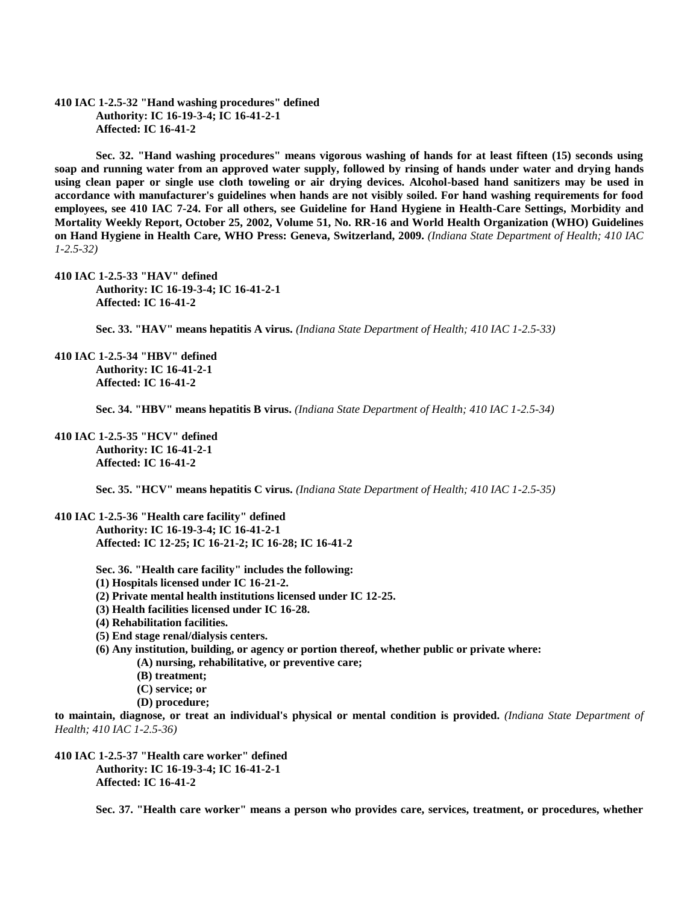**410 IAC 1-2.5-32 "Hand washing procedures" defined Authority: IC 16-19-3-4; IC 16-41-2-1 Affected: IC 16-41-2**

**Sec. 32. "Hand washing procedures" means vigorous washing of hands for at least fifteen (15) seconds using soap and running water from an approved water supply, followed by rinsing of hands under water and drying hands using clean paper or single use cloth toweling or air drying devices. Alcohol-based hand sanitizers may be used in accordance with manufacturer's guidelines when hands are not visibly soiled. For hand washing requirements for food employees, see 410 IAC 7-24. For all others, see Guideline for Hand Hygiene in Health-Care Settings, Morbidity and Mortality Weekly Report, October 25, 2002, Volume 51, No. RR-16 and World Health Organization (WHO) Guidelines on Hand Hygiene in Health Care, WHO Press: Geneva, Switzerland, 2009.** *(Indiana State Department of Health; 410 IAC 1-2.5-32)*

**410 IAC 1-2.5-33 "HAV" defined Authority: IC 16-19-3-4; IC 16-41-2-1 Affected: IC 16-41-2**

**Sec. 33. "HAV" means hepatitis A virus.** *(Indiana State Department of Health; 410 IAC 1-2.5-33)*

**410 IAC 1-2.5-34 "HBV" defined Authority: IC 16-41-2-1 Affected: IC 16-41-2**

**Sec. 34. "HBV" means hepatitis B virus.** *(Indiana State Department of Health; 410 IAC 1-2.5-34)*

**410 IAC 1-2.5-35 "HCV" defined Authority: IC 16-41-2-1 Affected: IC 16-41-2**

**Sec. 35. "HCV" means hepatitis C virus.** *(Indiana State Department of Health; 410 IAC 1-2.5-35)*

**410 IAC 1-2.5-36 "Health care facility" defined Authority: IC 16-19-3-4; IC 16-41-2-1 Affected: IC 12-25; IC 16-21-2; IC 16-28; IC 16-41-2**

**Sec. 36. "Health care facility" includes the following:**

- **(1) Hospitals licensed under IC 16-21-2.**
- **(2) Private mental health institutions licensed under IC 12-25.**
- **(3) Health facilities licensed under IC 16-28.**
- **(4) Rehabilitation facilities.**
- **(5) End stage renal/dialysis centers.**
- **(6) Any institution, building, or agency or portion thereof, whether public or private where:**
	- **(A) nursing, rehabilitative, or preventive care;**
	- **(B) treatment;**
	- **(C) service; or**
	- **(D) procedure;**

**to maintain, diagnose, or treat an individual's physical or mental condition is provided.** *(Indiana State Department of Health; 410 IAC 1-2.5-36)*

**410 IAC 1-2.5-37 "Health care worker" defined Authority: IC 16-19-3-4; IC 16-41-2-1 Affected: IC 16-41-2**

**Sec. 37. "Health care worker" means a person who provides care, services, treatment, or procedures, whether**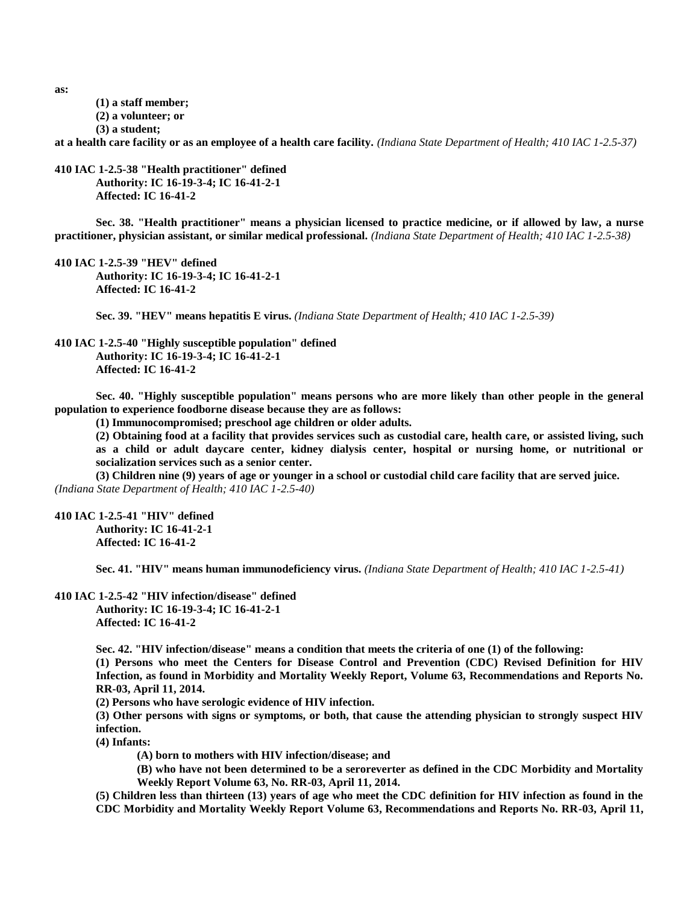**as:**

- **(1) a staff member;**
- **(2) a volunteer; or**
- **(3) a student;**

**at a health care facility or as an employee of a health care facility.** *(Indiana State Department of Health; 410 IAC 1-2.5-37)*

**410 IAC 1-2.5-38 "Health practitioner" defined Authority: IC 16-19-3-4; IC 16-41-2-1 Affected: IC 16-41-2**

**Sec. 38. "Health practitioner" means a physician licensed to practice medicine, or if allowed by law, a nurse practitioner, physician assistant, or similar medical professional.** *(Indiana State Department of Health; 410 IAC 1-2.5-38)*

**410 IAC 1-2.5-39 "HEV" defined Authority: IC 16-19-3-4; IC 16-41-2-1 Affected: IC 16-41-2**

**Sec. 39. "HEV" means hepatitis E virus.** *(Indiana State Department of Health; 410 IAC 1-2.5-39)*

**410 IAC 1-2.5-40 "Highly susceptible population" defined Authority: IC 16-19-3-4; IC 16-41-2-1 Affected: IC 16-41-2**

**Sec. 40. "Highly susceptible population" means persons who are more likely than other people in the general population to experience foodborne disease because they are as follows:**

**(1) Immunocompromised; preschool age children or older adults.**

**(2) Obtaining food at a facility that provides services such as custodial care, health care, or assisted living, such as a child or adult daycare center, kidney dialysis center, hospital or nursing home, or nutritional or socialization services such as a senior center.**

**(3) Children nine (9) years of age or younger in a school or custodial child care facility that are served juice.** *(Indiana State Department of Health; 410 IAC 1-2.5-40)*

**410 IAC 1-2.5-41 "HIV" defined Authority: IC 16-41-2-1 Affected: IC 16-41-2**

**Sec. 41. "HIV" means human immunodeficiency virus.** *(Indiana State Department of Health; 410 IAC 1-2.5-41)*

**410 IAC 1-2.5-42 "HIV infection/disease" defined Authority: IC 16-19-3-4; IC 16-41-2-1 Affected: IC 16-41-2**

> **Sec. 42. "HIV infection/disease" means a condition that meets the criteria of one (1) of the following: (1) Persons who meet the Centers for Disease Control and Prevention (CDC) Revised Definition for HIV Infection, as found in Morbidity and Mortality Weekly Report, Volume 63, Recommendations and Reports No. RR-03, April 11, 2014.**

**(2) Persons who have serologic evidence of HIV infection.**

**(3) Other persons with signs or symptoms, or both, that cause the attending physician to strongly suspect HIV infection.**

**(4) Infants:**

**(A) born to mothers with HIV infection/disease; and**

**(B) who have not been determined to be a seroreverter as defined in the CDC Morbidity and Mortality Weekly Report Volume 63, No. RR-03, April 11, 2014.**

**(5) Children less than thirteen (13) years of age who meet the CDC definition for HIV infection as found in the CDC Morbidity and Mortality Weekly Report Volume 63, Recommendations and Reports No. RR-03, April 11,**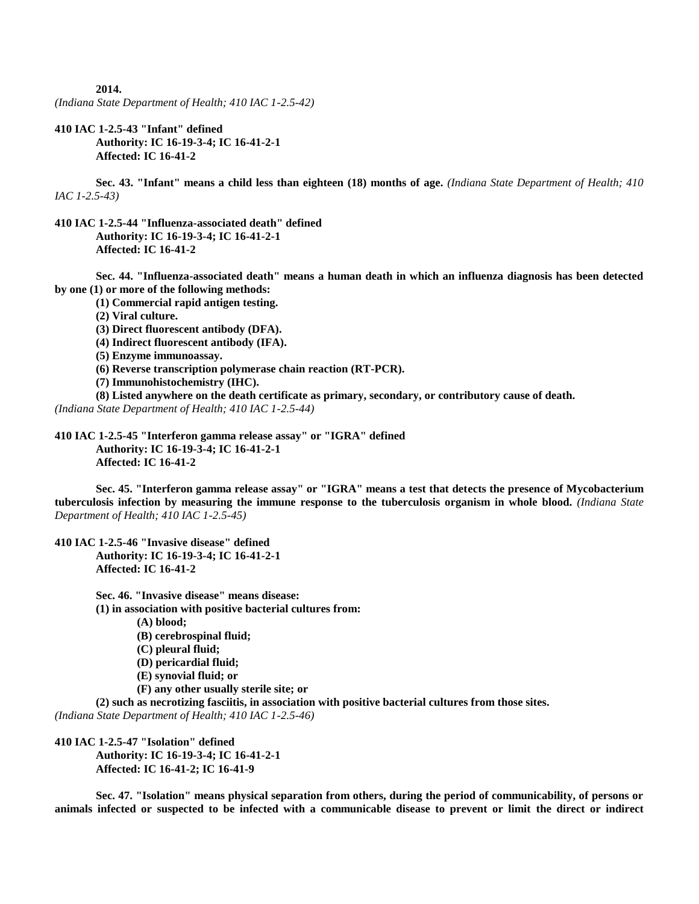**2014.**

*(Indiana State Department of Health; 410 IAC 1-2.5-42)*

**410 IAC 1-2.5-43 "Infant" defined Authority: IC 16-19-3-4; IC 16-41-2-1 Affected: IC 16-41-2**

**Sec. 43. "Infant" means a child less than eighteen (18) months of age.** *(Indiana State Department of Health; 410 IAC 1-2.5-43)*

**410 IAC 1-2.5-44 "Influenza-associated death" defined Authority: IC 16-19-3-4; IC 16-41-2-1 Affected: IC 16-41-2**

**Sec. 44. "Influenza-associated death" means a human death in which an influenza diagnosis has been detected by one (1) or more of the following methods:**

**(1) Commercial rapid antigen testing.**

**(2) Viral culture.**

**(3) Direct fluorescent antibody (DFA).**

**(4) Indirect fluorescent antibody (IFA).**

**(5) Enzyme immunoassay.**

**(6) Reverse transcription polymerase chain reaction (RT-PCR).**

**(7) Immunohistochemistry (IHC).**

**(8) Listed anywhere on the death certificate as primary, secondary, or contributory cause of death.**

*(Indiana State Department of Health; 410 IAC 1-2.5-44)*

**410 IAC 1-2.5-45 "Interferon gamma release assay" or "IGRA" defined Authority: IC 16-19-3-4; IC 16-41-2-1 Affected: IC 16-41-2**

**Sec. 45. "Interferon gamma release assay" or "IGRA" means a test that detects the presence of Mycobacterium tuberculosis infection by measuring the immune response to the tuberculosis organism in whole blood.** *(Indiana State Department of Health; 410 IAC 1-2.5-45)*

**410 IAC 1-2.5-46 "Invasive disease" defined**

**Authority: IC 16-19-3-4; IC 16-41-2-1 Affected: IC 16-41-2**

**Sec. 46. "Invasive disease" means disease: (1) in association with positive bacterial cultures from:**

**(A) blood;**

**(B) cerebrospinal fluid;**

**(C) pleural fluid;**

**(D) pericardial fluid;**

**(E) synovial fluid; or**

**(F) any other usually sterile site; or**

**(2) such as necrotizing fasciitis, in association with positive bacterial cultures from those sites.**

*(Indiana State Department of Health; 410 IAC 1-2.5-46)*

**410 IAC 1-2.5-47 "Isolation" defined**

**Authority: IC 16-19-3-4; IC 16-41-2-1 Affected: IC 16-41-2; IC 16-41-9**

**Sec. 47. "Isolation" means physical separation from others, during the period of communicability, of persons or animals infected or suspected to be infected with a communicable disease to prevent or limit the direct or indirect**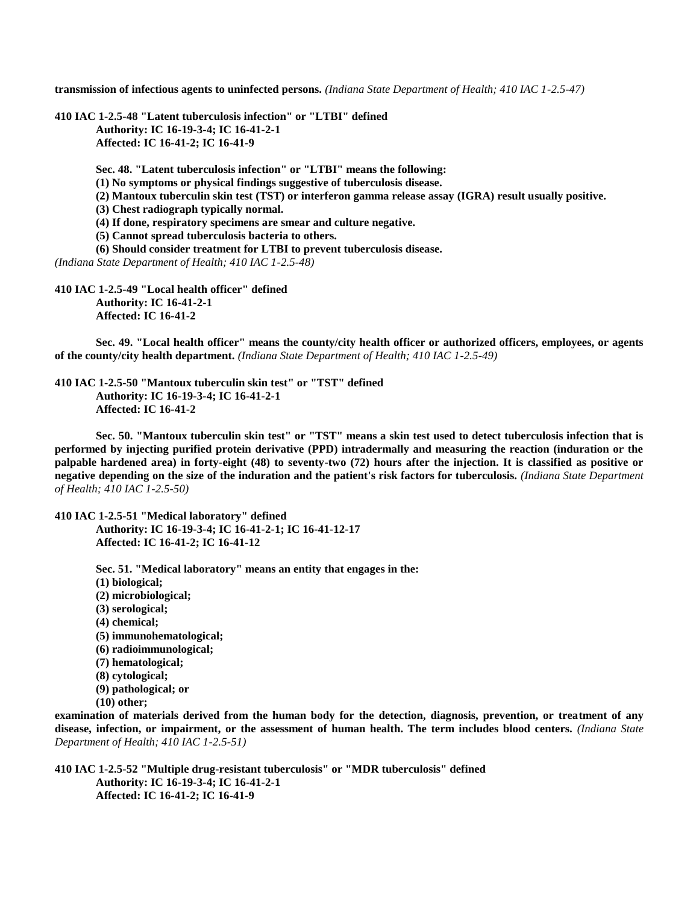**transmission of infectious agents to uninfected persons.** *(Indiana State Department of Health; 410 IAC 1-2.5-47)*

**410 IAC 1-2.5-48 "Latent tuberculosis infection" or "LTBI" defined Authority: IC 16-19-3-4; IC 16-41-2-1 Affected: IC 16-41-2; IC 16-41-9**

**Sec. 48. "Latent tuberculosis infection" or "LTBI" means the following:**

**(1) No symptoms or physical findings suggestive of tuberculosis disease.**

**(2) Mantoux tuberculin skin test (TST) or interferon gamma release assay (IGRA) result usually positive.**

**(3) Chest radiograph typically normal.**

**(4) If done, respiratory specimens are smear and culture negative.**

**(5) Cannot spread tuberculosis bacteria to others.**

**(6) Should consider treatment for LTBI to prevent tuberculosis disease.**

*(Indiana State Department of Health; 410 IAC 1-2.5-48)*

**410 IAC 1-2.5-49 "Local health officer" defined Authority: IC 16-41-2-1 Affected: IC 16-41-2**

**Sec. 49. "Local health officer" means the county/city health officer or authorized officers, employees, or agents of the county/city health department.** *(Indiana State Department of Health; 410 IAC 1-2.5-49)*

**410 IAC 1-2.5-50 "Mantoux tuberculin skin test" or "TST" defined Authority: IC 16-19-3-4; IC 16-41-2-1 Affected: IC 16-41-2**

**Sec. 50. "Mantoux tuberculin skin test" or "TST" means a skin test used to detect tuberculosis infection that is performed by injecting purified protein derivative (PPD) intradermally and measuring the reaction (induration or the palpable hardened area) in forty-eight (48) to seventy-two (72) hours after the injection. It is classified as positive or negative depending on the size of the induration and the patient's risk factors for tuberculosis.** *(Indiana State Department of Health; 410 IAC 1-2.5-50)*

**410 IAC 1-2.5-51 "Medical laboratory" defined Authority: IC 16-19-3-4; IC 16-41-2-1; IC 16-41-12-17 Affected: IC 16-41-2; IC 16-41-12**

> **Sec. 51. "Medical laboratory" means an entity that engages in the: (1) biological; (2) microbiological; (3) serological; (4) chemical; (5) immunohematological; (6) radioimmunological; (7) hematological; (8) cytological; (9) pathological; or (10) other;**

**examination of materials derived from the human body for the detection, diagnosis, prevention, or treatment of any disease, infection, or impairment, or the assessment of human health. The term includes blood centers.** *(Indiana State Department of Health; 410 IAC 1-2.5-51)*

**410 IAC 1-2.5-52 "Multiple drug-resistant tuberculosis" or "MDR tuberculosis" defined Authority: IC 16-19-3-4; IC 16-41-2-1 Affected: IC 16-41-2; IC 16-41-9**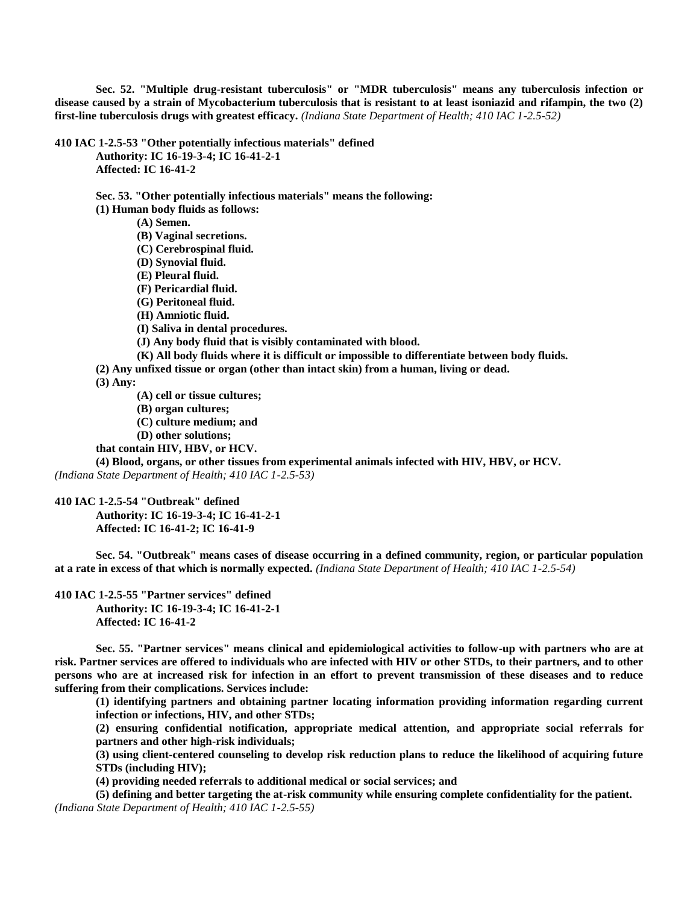**Sec. 52. "Multiple drug-resistant tuberculosis" or "MDR tuberculosis" means any tuberculosis infection or disease caused by a strain of Mycobacterium tuberculosis that is resistant to at least isoniazid and rifampin, the two (2) first-line tuberculosis drugs with greatest efficacy.** *(Indiana State Department of Health; 410 IAC 1-2.5-52)*

**410 IAC 1-2.5-53 "Other potentially infectious materials" defined**

**Authority: IC 16-19-3-4; IC 16-41-2-1 Affected: IC 16-41-2**

**Sec. 53. "Other potentially infectious materials" means the following:**

**(1) Human body fluids as follows:**

**(A) Semen.**

**(B) Vaginal secretions.**

**(C) Cerebrospinal fluid.**

**(D) Synovial fluid.**

**(E) Pleural fluid.**

**(F) Pericardial fluid.**

**(G) Peritoneal fluid.**

**(H) Amniotic fluid.**

**(I) Saliva in dental procedures.**

**(J) Any body fluid that is visibly contaminated with blood.**

**(K) All body fluids where it is difficult or impossible to differentiate between body fluids.**

**(2) Any unfixed tissue or organ (other than intact skin) from a human, living or dead.**

**(3) Any:**

**(A) cell or tissue cultures;**

**(B) organ cultures;**

**(C) culture medium; and**

**(D) other solutions;**

**that contain HIV, HBV, or HCV.**

**(4) Blood, organs, or other tissues from experimental animals infected with HIV, HBV, or HCV.** *(Indiana State Department of Health; 410 IAC 1-2.5-53)*

**410 IAC 1-2.5-54 "Outbreak" defined**

**Authority: IC 16-19-3-4; IC 16-41-2-1 Affected: IC 16-41-2; IC 16-41-9**

**Sec. 54. "Outbreak" means cases of disease occurring in a defined community, region, or particular population at a rate in excess of that which is normally expected.** *(Indiana State Department of Health; 410 IAC 1-2.5-54)*

**410 IAC 1-2.5-55 "Partner services" defined Authority: IC 16-19-3-4; IC 16-41-2-1 Affected: IC 16-41-2**

**Sec. 55. "Partner services" means clinical and epidemiological activities to follow-up with partners who are at risk. Partner services are offered to individuals who are infected with HIV or other STDs, to their partners, and to other persons who are at increased risk for infection in an effort to prevent transmission of these diseases and to reduce suffering from their complications. Services include:**

**(1) identifying partners and obtaining partner locating information providing information regarding current infection or infections, HIV, and other STDs;**

**(2) ensuring confidential notification, appropriate medical attention, and appropriate social referrals for partners and other high-risk individuals;**

**(3) using client-centered counseling to develop risk reduction plans to reduce the likelihood of acquiring future STDs (including HIV);**

**(4) providing needed referrals to additional medical or social services; and**

**(5) defining and better targeting the at-risk community while ensuring complete confidentiality for the patient.** *(Indiana State Department of Health; 410 IAC 1-2.5-55)*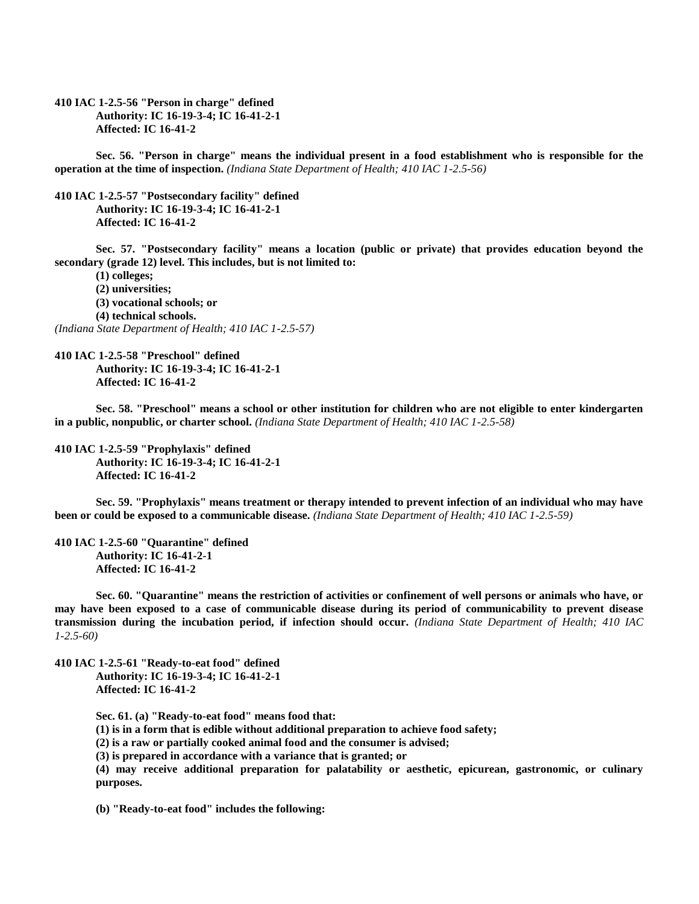**410 IAC 1-2.5-56 "Person in charge" defined Authority: IC 16-19-3-4; IC 16-41-2-1 Affected: IC 16-41-2**

**Sec. 56. "Person in charge" means the individual present in a food establishment who is responsible for the operation at the time of inspection.** *(Indiana State Department of Health; 410 IAC 1-2.5-56)*

**410 IAC 1-2.5-57 "Postsecondary facility" defined Authority: IC 16-19-3-4; IC 16-41-2-1 Affected: IC 16-41-2**

**Sec. 57. "Postsecondary facility" means a location (public or private) that provides education beyond the secondary (grade 12) level. This includes, but is not limited to:**

**(1) colleges; (2) universities; (3) vocational schools; or (4) technical schools.** *(Indiana State Department of Health; 410 IAC 1-2.5-57)*

**410 IAC 1-2.5-58 "Preschool" defined Authority: IC 16-19-3-4; IC 16-41-2-1 Affected: IC 16-41-2**

**Sec. 58. "Preschool" means a school or other institution for children who are not eligible to enter kindergarten in a public, nonpublic, or charter school.** *(Indiana State Department of Health; 410 IAC 1-2.5-58)*

**410 IAC 1-2.5-59 "Prophylaxis" defined Authority: IC 16-19-3-4; IC 16-41-2-1 Affected: IC 16-41-2**

**Sec. 59. "Prophylaxis" means treatment or therapy intended to prevent infection of an individual who may have been or could be exposed to a communicable disease.** *(Indiana State Department of Health; 410 IAC 1-2.5-59)*

**410 IAC 1-2.5-60 "Quarantine" defined Authority: IC 16-41-2-1 Affected: IC 16-41-2**

**Sec. 60. "Quarantine" means the restriction of activities or confinement of well persons or animals who have, or may have been exposed to a case of communicable disease during its period of communicability to prevent disease transmission during the incubation period, if infection should occur.** *(Indiana State Department of Health; 410 IAC 1-2.5-60)*

**410 IAC 1-2.5-61 "Ready-to-eat food" defined Authority: IC 16-19-3-4; IC 16-41-2-1 Affected: IC 16-41-2**

**Sec. 61. (a) "Ready-to-eat food" means food that:**

**(1) is in a form that is edible without additional preparation to achieve food safety;**

**(2) is a raw or partially cooked animal food and the consumer is advised;**

**(3) is prepared in accordance with a variance that is granted; or**

**(4) may receive additional preparation for palatability or aesthetic, epicurean, gastronomic, or culinary purposes.**

**(b) "Ready-to-eat food" includes the following:**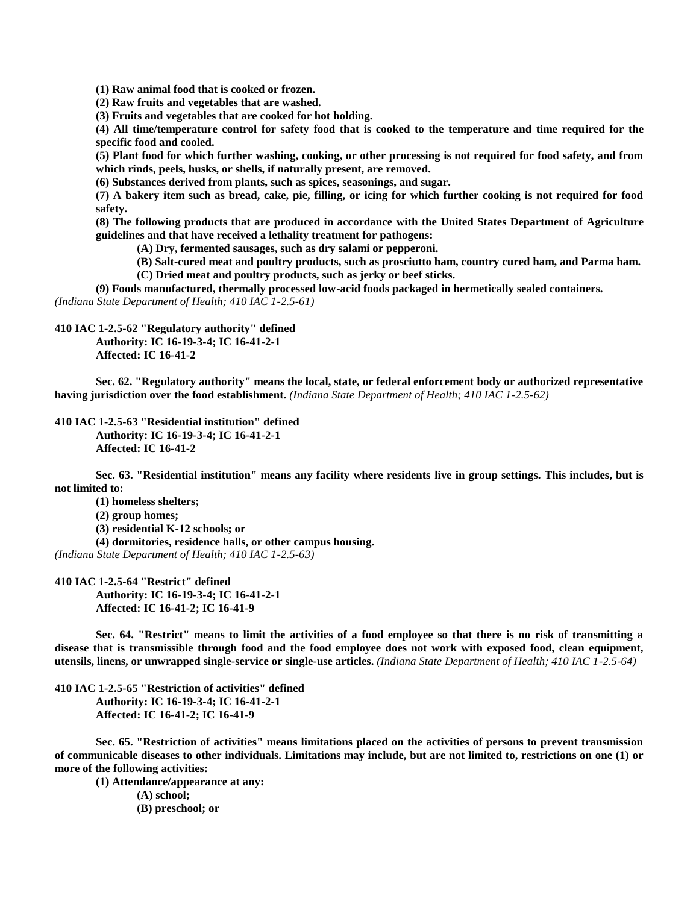**(1) Raw animal food that is cooked or frozen.**

**(2) Raw fruits and vegetables that are washed.**

**(3) Fruits and vegetables that are cooked for hot holding.**

**(4) All time/temperature control for safety food that is cooked to the temperature and time required for the specific food and cooled.**

**(5) Plant food for which further washing, cooking, or other processing is not required for food safety, and from which rinds, peels, husks, or shells, if naturally present, are removed.**

**(6) Substances derived from plants, such as spices, seasonings, and sugar.**

**(7) A bakery item such as bread, cake, pie, filling, or icing for which further cooking is not required for food safety.**

**(8) The following products that are produced in accordance with the United States Department of Agriculture guidelines and that have received a lethality treatment for pathogens:**

**(A) Dry, fermented sausages, such as dry salami or pepperoni.**

**(B) Salt-cured meat and poultry products, such as prosciutto ham, country cured ham, and Parma ham. (C) Dried meat and poultry products, such as jerky or beef sticks.**

**(9) Foods manufactured, thermally processed low-acid foods packaged in hermetically sealed containers.** *(Indiana State Department of Health; 410 IAC 1-2.5-61)*

# **410 IAC 1-2.5-62 "Regulatory authority" defined Authority: IC 16-19-3-4; IC 16-41-2-1 Affected: IC 16-41-2**

**Sec. 62. "Regulatory authority" means the local, state, or federal enforcement body or authorized representative having jurisdiction over the food establishment.** *(Indiana State Department of Health; 410 IAC 1-2.5-62)*

### **410 IAC 1-2.5-63 "Residential institution" defined Authority: IC 16-19-3-4; IC 16-41-2-1 Affected: IC 16-41-2**

**Sec. 63. "Residential institution" means any facility where residents live in group settings. This includes, but is not limited to:**

- **(1) homeless shelters;**
- **(2) group homes;**

**(3) residential K-12 schools; or**

**(4) dormitories, residence halls, or other campus housing.**

*(Indiana State Department of Health; 410 IAC 1-2.5-63)*

#### **410 IAC 1-2.5-64 "Restrict" defined**

**Authority: IC 16-19-3-4; IC 16-41-2-1 Affected: IC 16-41-2; IC 16-41-9**

**Sec. 64. "Restrict" means to limit the activities of a food employee so that there is no risk of transmitting a disease that is transmissible through food and the food employee does not work with exposed food, clean equipment, utensils, linens, or unwrapped single-service or single-use articles.** *(Indiana State Department of Health; 410 IAC 1-2.5-64)*

**410 IAC 1-2.5-65 "Restriction of activities" defined Authority: IC 16-19-3-4; IC 16-41-2-1 Affected: IC 16-41-2; IC 16-41-9**

**Sec. 65. "Restriction of activities" means limitations placed on the activities of persons to prevent transmission of communicable diseases to other individuals. Limitations may include, but are not limited to, restrictions on one (1) or more of the following activities:**

**(1) Attendance/appearance at any:**

**(A) school; (B) preschool; or**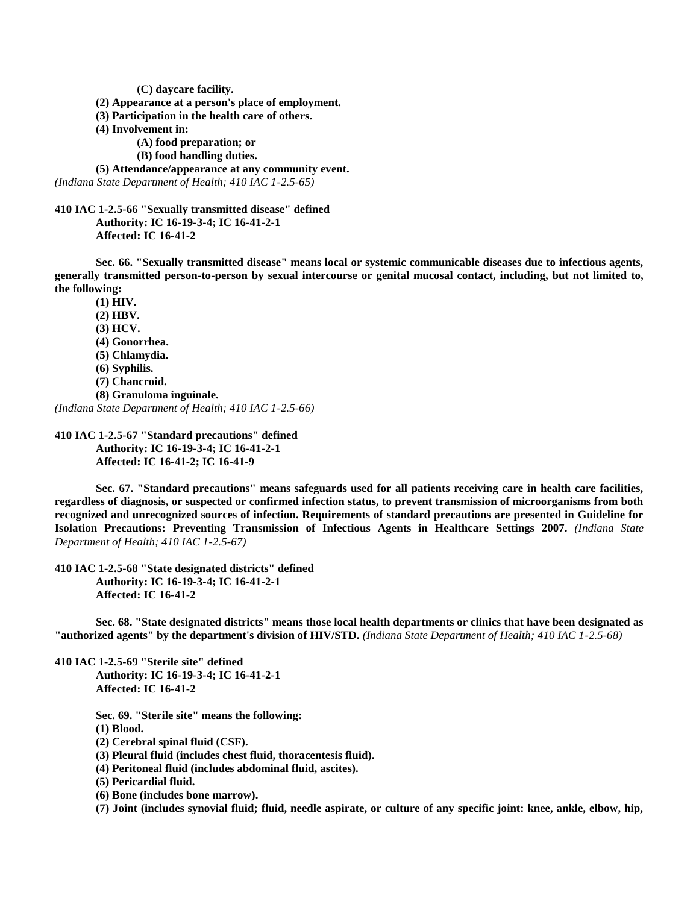**(C) daycare facility.**

**(2) Appearance at a person's place of employment.**

**(3) Participation in the health care of others.**

**(4) Involvement in:**

**(A) food preparation; or**

**(B) food handling duties.**

**(5) Attendance/appearance at any community event.** *(Indiana State Department of Health; 410 IAC 1-2.5-65)*

**410 IAC 1-2.5-66 "Sexually transmitted disease" defined Authority: IC 16-19-3-4; IC 16-41-2-1 Affected: IC 16-41-2**

**Sec. 66. "Sexually transmitted disease" means local or systemic communicable diseases due to infectious agents, generally transmitted person-to-person by sexual intercourse or genital mucosal contact, including, but not limited to, the following:**

**(1) HIV. (2) HBV. (3) HCV. (4) Gonorrhea. (5) Chlamydia. (6) Syphilis. (7) Chancroid. (8) Granuloma inguinale.** *(Indiana State Department of Health; 410 IAC 1-2.5-66)*

**410 IAC 1-2.5-67 "Standard precautions" defined Authority: IC 16-19-3-4; IC 16-41-2-1 Affected: IC 16-41-2; IC 16-41-9**

**Sec. 67. "Standard precautions" means safeguards used for all patients receiving care in health care facilities, regardless of diagnosis, or suspected or confirmed infection status, to prevent transmission of microorganisms from both recognized and unrecognized sources of infection. Requirements of standard precautions are presented in Guideline for Isolation Precautions: Preventing Transmission of Infectious Agents in Healthcare Settings 2007.** *(Indiana State Department of Health; 410 IAC 1-2.5-67)*

**410 IAC 1-2.5-68 "State designated districts" defined Authority: IC 16-19-3-4; IC 16-41-2-1 Affected: IC 16-41-2**

**Sec. 68. "State designated districts" means those local health departments or clinics that have been designated as "authorized agents" by the department's division of HIV/STD.** *(Indiana State Department of Health; 410 IAC 1-2.5-68)*

**410 IAC 1-2.5-69 "Sterile site" defined Authority: IC 16-19-3-4; IC 16-41-2-1 Affected: IC 16-41-2**

**Sec. 69. "Sterile site" means the following:**

**(1) Blood.**

**(2) Cerebral spinal fluid (CSF).**

**(3) Pleural fluid (includes chest fluid, thoracentesis fluid).**

**(4) Peritoneal fluid (includes abdominal fluid, ascites).**

**(5) Pericardial fluid.**

**(6) Bone (includes bone marrow).**

**(7) Joint (includes synovial fluid; fluid, needle aspirate, or culture of any specific joint: knee, ankle, elbow, hip,**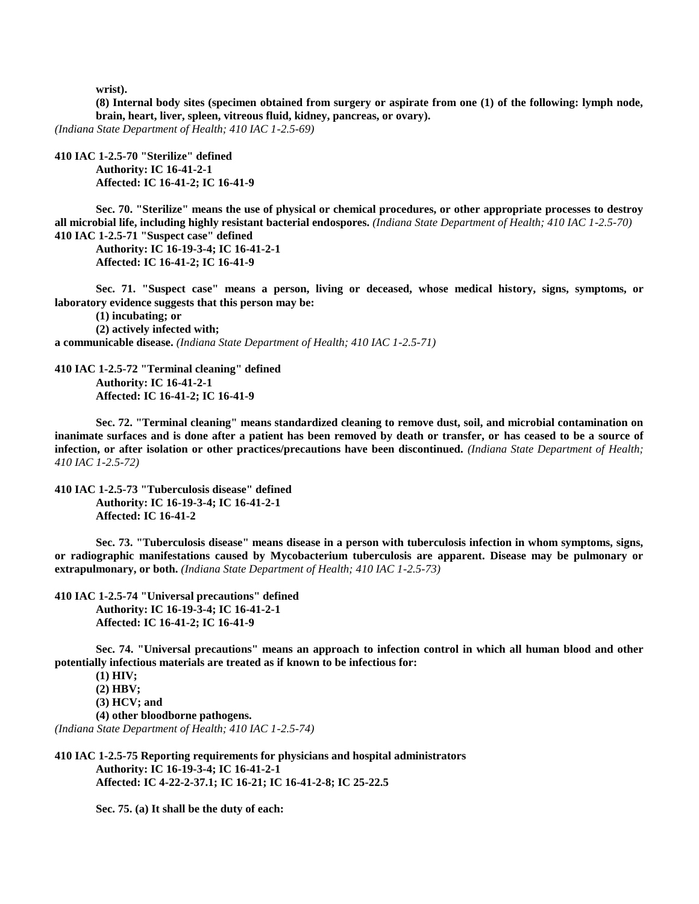**wrist).**

**(8) Internal body sites (specimen obtained from surgery or aspirate from one (1) of the following: lymph node, brain, heart, liver, spleen, vitreous fluid, kidney, pancreas, or ovary).**

*(Indiana State Department of Health; 410 IAC 1-2.5-69)*

**410 IAC 1-2.5-70 "Sterilize" defined Authority: IC 16-41-2-1 Affected: IC 16-41-2; IC 16-41-9**

**Sec. 70. "Sterilize" means the use of physical or chemical procedures, or other appropriate processes to destroy all microbial life, including highly resistant bacterial endospores.** *(Indiana State Department of Health; 410 IAC 1-2.5-70)* **410 IAC 1-2.5-71 "Suspect case" defined**

**Authority: IC 16-19-3-4; IC 16-41-2-1 Affected: IC 16-41-2; IC 16-41-9**

**Sec. 71. "Suspect case" means a person, living or deceased, whose medical history, signs, symptoms, or laboratory evidence suggests that this person may be:**

**(1) incubating; or (2) actively infected with; a communicable disease.** *(Indiana State Department of Health; 410 IAC 1-2.5-71)*

**410 IAC 1-2.5-72 "Terminal cleaning" defined Authority: IC 16-41-2-1 Affected: IC 16-41-2; IC 16-41-9**

**Sec. 72. "Terminal cleaning" means standardized cleaning to remove dust, soil, and microbial contamination on inanimate surfaces and is done after a patient has been removed by death or transfer, or has ceased to be a source of infection, or after isolation or other practices/precautions have been discontinued.** *(Indiana State Department of Health; 410 IAC 1-2.5-72)*

**410 IAC 1-2.5-73 "Tuberculosis disease" defined Authority: IC 16-19-3-4; IC 16-41-2-1 Affected: IC 16-41-2**

**Sec. 73. "Tuberculosis disease" means disease in a person with tuberculosis infection in whom symptoms, signs, or radiographic manifestations caused by Mycobacterium tuberculosis are apparent. Disease may be pulmonary or extrapulmonary, or both.** *(Indiana State Department of Health; 410 IAC 1-2.5-73)*

**410 IAC 1-2.5-74 "Universal precautions" defined Authority: IC 16-19-3-4; IC 16-41-2-1 Affected: IC 16-41-2; IC 16-41-9**

**Sec. 74. "Universal precautions" means an approach to infection control in which all human blood and other potentially infectious materials are treated as if known to be infectious for:**

**(1) HIV; (2) HBV; (3) HCV; and (4) other bloodborne pathogens.** *(Indiana State Department of Health; 410 IAC 1-2.5-74)*

**410 IAC 1-2.5-75 Reporting requirements for physicians and hospital administrators Authority: IC 16-19-3-4; IC 16-41-2-1 Affected: IC 4-22-2-37.1; IC 16-21; IC 16-41-2-8; IC 25-22.5**

**Sec. 75. (a) It shall be the duty of each:**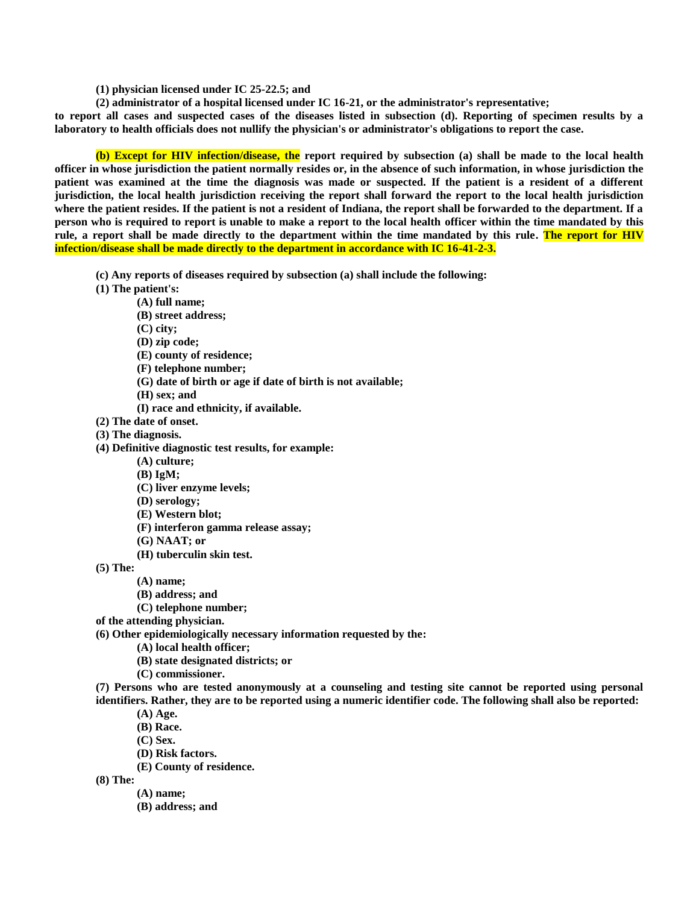- **(1) physician licensed under IC 25-22.5; and**
- **(2) administrator of a hospital licensed under IC 16-21, or the administrator's representative;**

**to report all cases and suspected cases of the diseases listed in subsection (d). Reporting of specimen results by a laboratory to health officials does not nullify the physician's or administrator's obligations to report the case.**

**(b) Except for HIV infection/disease, the report required by subsection (a) shall be made to the local health officer in whose jurisdiction the patient normally resides or, in the absence of such information, in whose jurisdiction the patient was examined at the time the diagnosis was made or suspected. If the patient is a resident of a different jurisdiction, the local health jurisdiction receiving the report shall forward the report to the local health jurisdiction where the patient resides. If the patient is not a resident of Indiana, the report shall be forwarded to the department. If a person who is required to report is unable to make a report to the local health officer within the time mandated by this rule, a report shall be made directly to the department within the time mandated by this rule. The report for HIV infection/disease shall be made directly to the department in accordance with IC 16-41-2-3.** 

- **(c) Any reports of diseases required by subsection (a) shall include the following:**
- **(1) The patient's:**
	- **(A) full name;**
	- **(B) street address;**
	- **(C) city;**
	- **(D) zip code;**
	- **(E) county of residence;**
	- **(F) telephone number;**
	- **(G) date of birth or age if date of birth is not available;**
	- **(H) sex; and**
	- **(I) race and ethnicity, if available.**
- **(2) The date of onset.**
- **(3) The diagnosis.**
- **(4) Definitive diagnostic test results, for example:**
	- **(A) culture;**
	- **(B) IgM;**
	- **(C) liver enzyme levels;**
	- **(D) serology;**
	- **(E) Western blot;**
	- **(F) interferon gamma release assay;**
	- **(G) NAAT; or**
	- **(H) tuberculin skin test.**

**(5) The:**

- **(A) name;**
- **(B) address; and**
- **(C) telephone number;**
- **of the attending physician.**
- **(6) Other epidemiologically necessary information requested by the:**
	- **(A) local health officer;**
	- **(B) state designated districts; or**
	- **(C) commissioner.**
- **(7) Persons who are tested anonymously at a counseling and testing site cannot be reported using personal identifiers. Rather, they are to be reported using a numeric identifier code. The following shall also be reported:**
	- **(A) Age.**
	- **(B) Race.**
	- **(C) Sex.**
	- **(D) Risk factors.**
	- **(E) County of residence.**

**(8) The:**

- **(A) name;**
- **(B) address; and**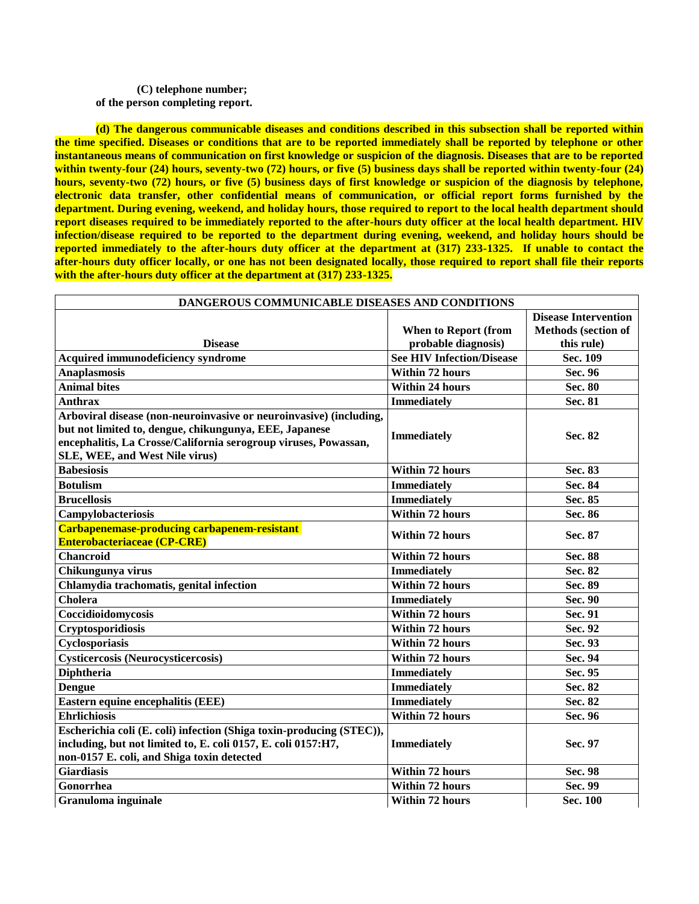## **(C) telephone number; of the person completing report.**

**(d) The dangerous communicable diseases and conditions described in this subsection shall be reported within the time specified. Diseases or conditions that are to be reported immediately shall be reported by telephone or other instantaneous means of communication on first knowledge or suspicion of the diagnosis. Diseases that are to be reported within twenty-four (24) hours, seventy-two (72) hours, or five (5) business days shall be reported within twenty-four (24) hours, seventy-two (72) hours, or five (5) business days of first knowledge or suspicion of the diagnosis by telephone, electronic data transfer, other confidential means of communication, or official report forms furnished by the department. During evening, weekend, and holiday hours, those required to report to the local health department should report diseases required to be immediately reported to the after-hours duty officer at the local health department. HIV infection/disease required to be reported to the department during evening, weekend, and holiday hours should be reported immediately to the after-hours duty officer at the department at (317) 233-1325. If unable to contact the after-hours duty officer locally, or one has not been designated locally, those required to report shall file their reports with the after-hours duty officer at the department at (317) 233-1325.**

| DANGEROUS COMMUNICABLE DISEASES AND CONDITIONS                                                                                                                                      |                                                                                        |                                                                                     |
|-------------------------------------------------------------------------------------------------------------------------------------------------------------------------------------|----------------------------------------------------------------------------------------|-------------------------------------------------------------------------------------|
| <b>Disease</b><br><b>Acquired immunodeficiency syndrome</b>                                                                                                                         | <b>When to Report (from</b><br>probable diagnosis)<br><b>See HIV Infection/Disease</b> | <b>Disease Intervention</b><br><b>Methods</b> (section of<br>this rule)<br>Sec. 109 |
| <b>Anaplasmosis</b>                                                                                                                                                                 | <b>Within 72 hours</b>                                                                 | Sec. 96                                                                             |
| <b>Animal bites</b>                                                                                                                                                                 | <b>Within 24 hours</b>                                                                 | Sec. 80                                                                             |
| <b>Anthrax</b>                                                                                                                                                                      | <b>Immediately</b>                                                                     | Sec. 81                                                                             |
| Arboviral disease (non-neuroinvasive or neuroinvasive) (including,                                                                                                                  |                                                                                        |                                                                                     |
| but not limited to, dengue, chikungunya, EEE, Japanese<br>encephalitis, La Crosse/California serogroup viruses, Powassan,<br>SLE, WEE, and West Nile virus)                         | <b>Immediately</b>                                                                     | Sec. 82                                                                             |
| <b>Babesiosis</b>                                                                                                                                                                   | <b>Within 72 hours</b>                                                                 | Sec. 83                                                                             |
| <b>Botulism</b>                                                                                                                                                                     | <b>Immediately</b>                                                                     | Sec. 84                                                                             |
| <b>Brucellosis</b>                                                                                                                                                                  | <b>Immediately</b>                                                                     | Sec. 85                                                                             |
| Campylobacteriosis                                                                                                                                                                  | Within 72 hours                                                                        | Sec. 86                                                                             |
| Carbapenemase-producing carbapenem-resistant<br><b>Enterobacteriaceae (CP-CRE)</b>                                                                                                  | <b>Within 72 hours</b>                                                                 | Sec. 87                                                                             |
| <b>Chancroid</b>                                                                                                                                                                    | <b>Within 72 hours</b>                                                                 | Sec. 88                                                                             |
| Chikungunya virus                                                                                                                                                                   | <b>Immediately</b>                                                                     | Sec. 82                                                                             |
| Chlamydia trachomatis, genital infection                                                                                                                                            | Within 72 hours                                                                        | Sec. 89                                                                             |
| Cholera                                                                                                                                                                             | <b>Immediately</b>                                                                     | Sec. 90                                                                             |
| Coccidioidomycosis                                                                                                                                                                  | <b>Within 72 hours</b>                                                                 | Sec. 91                                                                             |
| Cryptosporidiosis                                                                                                                                                                   | <b>Within 72 hours</b>                                                                 | Sec. 92                                                                             |
| Cyclosporiasis                                                                                                                                                                      | Within 72 hours                                                                        | Sec. 93                                                                             |
| <b>Cysticercosis (Neurocysticercosis)</b>                                                                                                                                           | <b>Within 72 hours</b>                                                                 | Sec. 94                                                                             |
| <b>Diphtheria</b>                                                                                                                                                                   | <b>Immediately</b>                                                                     | Sec. 95                                                                             |
| <b>Dengue</b>                                                                                                                                                                       | <b>Immediately</b>                                                                     | Sec. 82                                                                             |
| Eastern equine encephalitis (EEE)                                                                                                                                                   | <b>Immediately</b>                                                                     | Sec. 82                                                                             |
| <b>Ehrlichiosis</b>                                                                                                                                                                 | <b>Within 72 hours</b>                                                                 | Sec. 96                                                                             |
| Escherichia coli (E. coli) infection (Shiga toxin-producing (STEC)),<br>including, but not limited to, E. coli 0157, E. coli 0157:H7,<br>non-0157 E. coli, and Shiga toxin detected | <b>Immediately</b>                                                                     | Sec. 97                                                                             |
| <b>Giardiasis</b>                                                                                                                                                                   | <b>Within 72 hours</b>                                                                 | Sec. 98                                                                             |
| Gonorrhea                                                                                                                                                                           | <b>Within 72 hours</b>                                                                 | Sec. 99                                                                             |
| Granuloma inguinale                                                                                                                                                                 | <b>Within 72 hours</b>                                                                 | Sec. 100                                                                            |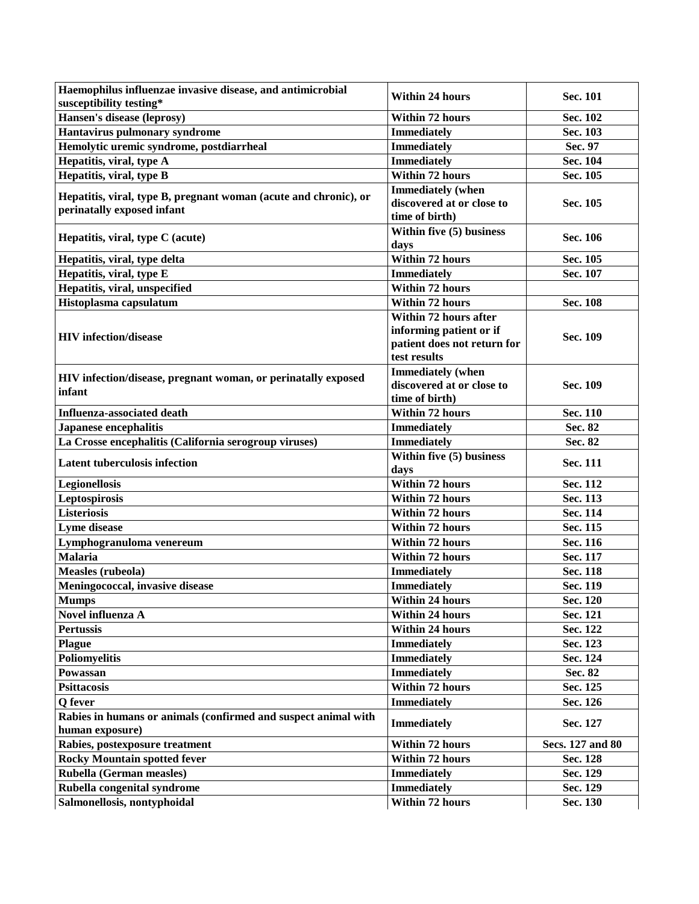| Haemophilus influenzae invasive disease, and antimicrobial<br>susceptibility testing* | <b>Within 24 hours</b>           | Sec. 101         |
|---------------------------------------------------------------------------------------|----------------------------------|------------------|
| <b>Hansen's disease (leprosy)</b>                                                     | <b>Within 72 hours</b>           | Sec. 102         |
| Hantavirus pulmonary syndrome                                                         | <b>Immediately</b>               | Sec. 103         |
| Hemolytic uremic syndrome, postdiarrheal                                              | <b>Immediately</b>               | Sec. 97          |
| Hepatitis, viral, type A                                                              | <b>Immediately</b>               | Sec. 104         |
| Hepatitis, viral, type B                                                              | <b>Within 72 hours</b>           | Sec. 105         |
|                                                                                       | <b>Immediately</b> (when         |                  |
| Hepatitis, viral, type B, pregnant woman (acute and chronic), or                      | discovered at or close to        | Sec. 105         |
| perinatally exposed infant                                                            | time of birth)                   |                  |
|                                                                                       | Within five (5) business         |                  |
| Hepatitis, viral, type C (acute)                                                      | days                             | Sec. 106         |
| Hepatitis, viral, type delta                                                          | Within 72 hours                  | Sec. 105         |
| Hepatitis, viral, type E                                                              | <b>Immediately</b>               | Sec. 107         |
| Hepatitis, viral, unspecified                                                         | <b>Within 72 hours</b>           |                  |
| Histoplasma capsulatum                                                                | <b>Within 72 hours</b>           | Sec. 108         |
|                                                                                       | Within 72 hours after            |                  |
|                                                                                       | informing patient or if          |                  |
| <b>HIV</b> infection/disease                                                          | patient does not return for      | Sec. 109         |
|                                                                                       | test results                     |                  |
| HIV infection/disease, pregnant woman, or perinatally exposed                         | <b>Immediately</b> (when         |                  |
| infant                                                                                | discovered at or close to        | Sec. 109         |
|                                                                                       | time of birth)                   |                  |
| <b>Influenza-associated death</b>                                                     | <b>Within 72 hours</b>           | Sec. 110         |
| <b>Japanese encephalitis</b>                                                          | <b>Immediately</b>               | Sec. 82          |
| La Crosse encephalitis (California serogroup viruses)                                 | <b>Immediately</b>               | Sec. 82          |
| <b>Latent tuberculosis infection</b>                                                  | Within five (5) business<br>days | Sec. 111         |
| Legionellosis                                                                         | Within 72 hours                  | Sec. 112         |
| Leptospirosis                                                                         | <b>Within 72 hours</b>           | Sec. 113         |
| <b>Listeriosis</b>                                                                    | <b>Within 72 hours</b>           | Sec. 114         |
| Lyme disease                                                                          | <b>Within 72 hours</b>           | Sec. 115         |
| Lymphogranuloma venereum                                                              | Within 72 hours                  | Sec. 116         |
| <b>Malaria</b>                                                                        | <b>Within 72 hours</b>           | Sec. 117         |
| Measles (rubeola)                                                                     | <b>Immediately</b>               | Sec. 118         |
| Meningococcal, invasive disease                                                       | <b>Immediately</b>               | Sec. 119         |
| <b>Mumps</b>                                                                          | Within 24 hours                  | Sec. 120         |
| Novel influenza A                                                                     | <b>Within 24 hours</b>           | Sec. 121         |
| <b>Pertussis</b>                                                                      | <b>Within 24 hours</b>           | Sec. 122         |
| <b>Plague</b>                                                                         | <b>Immediately</b>               | Sec. 123         |
| <b>Poliomyelitis</b>                                                                  | <b>Immediately</b>               | Sec. 124         |
| Powassan                                                                              | <b>Immediately</b>               | Sec. 82          |
| <b>Psittacosis</b>                                                                    | Within 72 hours                  | Sec. 125         |
| Q fever                                                                               | <b>Immediately</b>               | Sec. 126         |
| Rabies in humans or animals (confirmed and suspect animal with                        | <b>Immediately</b>               | Sec. 127         |
| human exposure)                                                                       |                                  |                  |
| Rabies, postexposure treatment                                                        | Within 72 hours                  | Secs. 127 and 80 |
| <b>Rocky Mountain spotted fever</b>                                                   | Within 72 hours                  | Sec. 128         |
| Rubella (German measles)                                                              | <b>Immediately</b>               | Sec. 129         |
| Rubella congenital syndrome                                                           | <b>Immediately</b>               | Sec. 129         |
| Salmonellosis, nontyphoidal                                                           | Within 72 hours                  | Sec. 130         |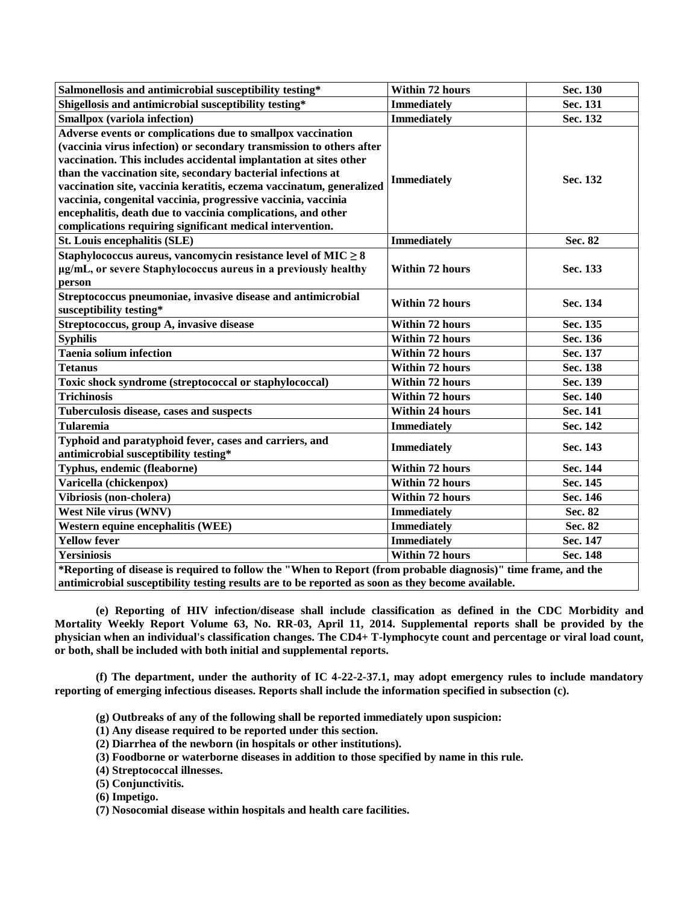| Salmonellosis and antimicrobial susceptibility testing*                                                        | <b>Within 72 hours</b>                                        | Sec. 130 |
|----------------------------------------------------------------------------------------------------------------|---------------------------------------------------------------|----------|
| Shigellosis and antimicrobial susceptibility testing*                                                          | <b>Immediately</b>                                            | Sec. 131 |
| Smallpox (variola infection)                                                                                   | <b>Immediately</b>                                            | Sec. 132 |
| Adverse events or complications due to smallpox vaccination                                                    |                                                               |          |
| (vaccinia virus infection) or secondary transmission to others after                                           |                                                               |          |
| vaccination. This includes accidental implantation at sites other                                              |                                                               |          |
| than the vaccination site, secondary bacterial infections at<br><b>Immediately</b>                             |                                                               | Sec. 132 |
| vaccination site, vaccinia keratitis, eczema vaccinatum, generalized                                           | vaccinia, congenital vaccinia, progressive vaccinia, vaccinia |          |
|                                                                                                                |                                                               |          |
| encephalitis, death due to vaccinia complications, and other                                                   |                                                               |          |
| complications requiring significant medical intervention.                                                      |                                                               |          |
| St. Louis encephalitis (SLE)                                                                                   | <b>Immediately</b>                                            | Sec. 82  |
| Staphylococcus aureus, vancomycin resistance level of $MIC \geq 8$                                             |                                                               |          |
| µg/mL, or severe Staphylococcus aureus in a previously healthy                                                 | <b>Within 72 hours</b>                                        | Sec. 133 |
| person                                                                                                         |                                                               |          |
| Streptococcus pneumoniae, invasive disease and antimicrobial                                                   | <b>Within 72 hours</b>                                        | Sec. 134 |
| susceptibility testing*                                                                                        |                                                               |          |
| Streptococcus, group A, invasive disease                                                                       | <b>Within 72 hours</b>                                        | Sec. 135 |
| <b>Syphilis</b>                                                                                                | <b>Within 72 hours</b>                                        | Sec. 136 |
| <b>Taenia solium infection</b>                                                                                 | <b>Within 72 hours</b>                                        | Sec. 137 |
| <b>Tetanus</b>                                                                                                 | <b>Within 72 hours</b>                                        | Sec. 138 |
| Toxic shock syndrome (streptococcal or staphylococcal)                                                         | <b>Within 72 hours</b>                                        | Sec. 139 |
| <b>Trichinosis</b>                                                                                             | <b>Within 72 hours</b>                                        | Sec. 140 |
| Tuberculosis disease, cases and suspects                                                                       | <b>Within 24 hours</b>                                        | Sec. 141 |
| <b>Tularemia</b>                                                                                               | <b>Immediately</b>                                            | Sec. 142 |
| Typhoid and paratyphoid fever, cases and carriers, and                                                         | <b>Immediately</b>                                            | Sec. 143 |
| antimicrobial susceptibility testing*                                                                          |                                                               |          |
| Typhus, endemic (fleaborne)                                                                                    | Within 72 hours                                               | Sec. 144 |
| Varicella (chickenpox)                                                                                         | <b>Within 72 hours</b>                                        | Sec. 145 |
| Vibriosis (non-cholera)                                                                                        | <b>Within 72 hours</b>                                        | Sec. 146 |
| <b>West Nile virus (WNV)</b>                                                                                   | <b>Immediately</b>                                            | Sec. 82  |
| Western equine encephalitis (WEE)                                                                              | <b>Immediately</b>                                            | Sec. 82  |
| <b>Yellow fever</b>                                                                                            | <b>Immediately</b>                                            | Sec. 147 |
| <b>Yersiniosis</b>                                                                                             | <b>Within 72 hours</b>                                        | Sec. 148 |
| *Reporting of disease is required to follow the "When to Report (from probable diagnosis)" time frame, and the |                                                               |          |
| antimicrobial susceptibility testing results are to be reported as soon as they become available.              |                                                               |          |

**(e) Reporting of HIV infection/disease shall include classification as defined in the CDC Morbidity and Mortality Weekly Report Volume 63, No. RR-03, April 11, 2014. Supplemental reports shall be provided by the physician when an individual's classification changes. The CD4+ T-lymphocyte count and percentage or viral load count, or both, shall be included with both initial and supplemental reports.**

**(f) The department, under the authority of IC 4-22-2-37.1, may adopt emergency rules to include mandatory reporting of emerging infectious diseases. Reports shall include the information specified in subsection (c).**

- **(g) Outbreaks of any of the following shall be reported immediately upon suspicion:**
- **(1) Any disease required to be reported under this section.**
- **(2) Diarrhea of the newborn (in hospitals or other institutions).**
- **(3) Foodborne or waterborne diseases in addition to those specified by name in this rule.**
- **(4) Streptococcal illnesses.**
- **(5) Conjunctivitis.**
- **(6) Impetigo.**
- **(7) Nosocomial disease within hospitals and health care facilities.**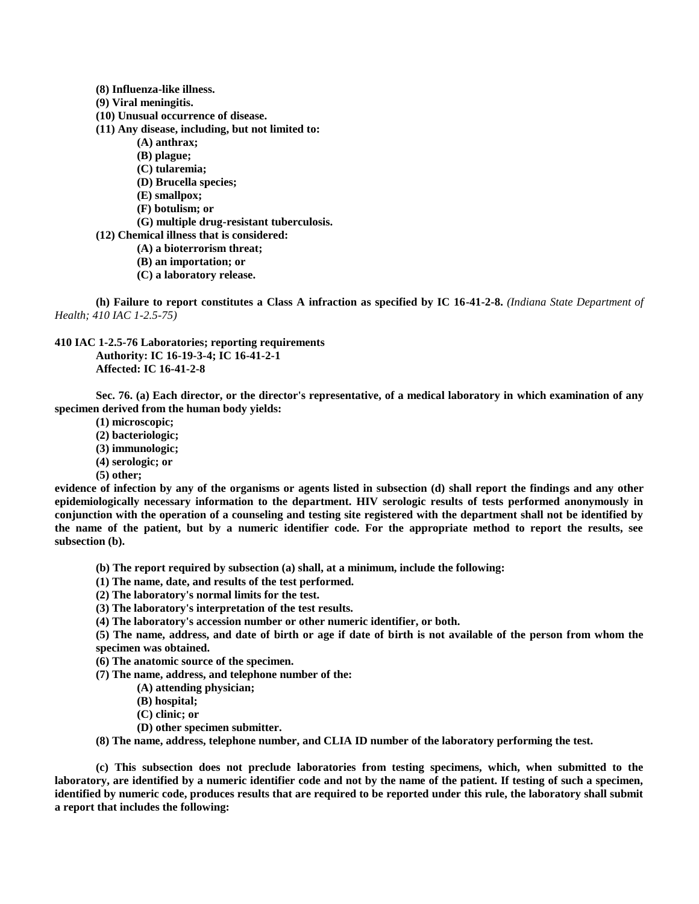- **(8) Influenza-like illness.**
- **(9) Viral meningitis.**
- **(10) Unusual occurrence of disease.**
- **(11) Any disease, including, but not limited to:**
	- **(A) anthrax;**
	- **(B) plague;**
	- **(C) tularemia;**
	- **(D) Brucella species;**
	- **(E) smallpox;**
	- **(F) botulism; or**
	- **(G) multiple drug-resistant tuberculosis.**
- **(12) Chemical illness that is considered:**
	- **(A) a bioterrorism threat;**
	- **(B) an importation; or**
	- **(C) a laboratory release.**

**(h) Failure to report constitutes a Class A infraction as specified by IC 16-41-2-8.** *(Indiana State Department of Health; 410 IAC 1-2.5-75)*

**410 IAC 1-2.5-76 Laboratories; reporting requirements**

**Authority: IC 16-19-3-4; IC 16-41-2-1 Affected: IC 16-41-2-8**

**Sec. 76. (a) Each director, or the director's representative, of a medical laboratory in which examination of any specimen derived from the human body yields:**

- **(1) microscopic;**
- **(2) bacteriologic;**
- **(3) immunologic;**
- **(4) serologic; or**
- **(5) other;**

**evidence of infection by any of the organisms or agents listed in subsection (d) shall report the findings and any other epidemiologically necessary information to the department. HIV serologic results of tests performed anonymously in conjunction with the operation of a counseling and testing site registered with the department shall not be identified by the name of the patient, but by a numeric identifier code. For the appropriate method to report the results, see subsection (b).**

- **(b) The report required by subsection (a) shall, at a minimum, include the following:**
- **(1) The name, date, and results of the test performed.**
- **(2) The laboratory's normal limits for the test.**
- **(3) The laboratory's interpretation of the test results.**
- **(4) The laboratory's accession number or other numeric identifier, or both.**

**(5) The name, address, and date of birth or age if date of birth is not available of the person from whom the specimen was obtained.**

- **(6) The anatomic source of the specimen.**
- **(7) The name, address, and telephone number of the:**
	- **(A) attending physician;**
	- **(B) hospital;**
	- **(C) clinic; or**
	- **(D) other specimen submitter.**
- **(8) The name, address, telephone number, and CLIA ID number of the laboratory performing the test.**

**(c) This subsection does not preclude laboratories from testing specimens, which, when submitted to the laboratory, are identified by a numeric identifier code and not by the name of the patient. If testing of such a specimen, identified by numeric code, produces results that are required to be reported under this rule, the laboratory shall submit a report that includes the following:**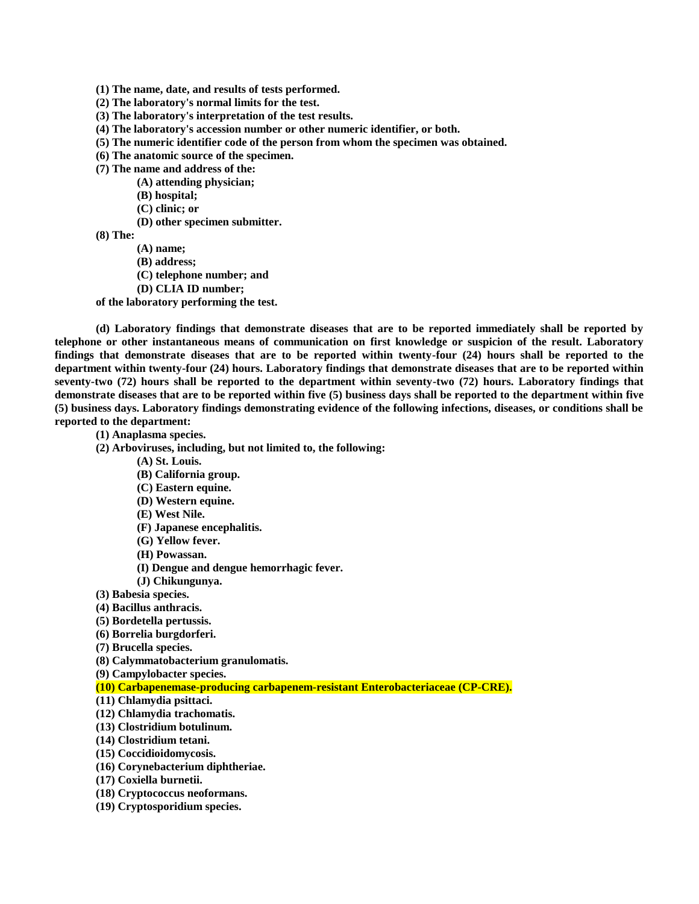- **(1) The name, date, and results of tests performed.**
- **(2) The laboratory's normal limits for the test.**
- **(3) The laboratory's interpretation of the test results.**
- **(4) The laboratory's accession number or other numeric identifier, or both.**
- **(5) The numeric identifier code of the person from whom the specimen was obtained.**
- **(6) The anatomic source of the specimen.**
- **(7) The name and address of the:**
	- **(A) attending physician;**
	- **(B) hospital;**
	- **(C) clinic; or**
	- **(D) other specimen submitter.**
- **(8) The:**
	- **(A) name;**
	- **(B) address;**
	- **(C) telephone number; and**
	- **(D) CLIA ID number;**

**of the laboratory performing the test.**

**(d) Laboratory findings that demonstrate diseases that are to be reported immediately shall be reported by telephone or other instantaneous means of communication on first knowledge or suspicion of the result. Laboratory findings that demonstrate diseases that are to be reported within twenty-four (24) hours shall be reported to the department within twenty-four (24) hours. Laboratory findings that demonstrate diseases that are to be reported within seventy-two (72) hours shall be reported to the department within seventy-two (72) hours. Laboratory findings that demonstrate diseases that are to be reported within five (5) business days shall be reported to the department within five (5) business days. Laboratory findings demonstrating evidence of the following infections, diseases, or conditions shall be reported to the department:**

**(1) Anaplasma species.**

- **(2) Arboviruses, including, but not limited to, the following:**
	- **(A) St. Louis.**
	- **(B) California group.**
	- **(C) Eastern equine.**
	- **(D) Western equine.**
	- **(E) West Nile.**
	- **(F) Japanese encephalitis.**
	- **(G) Yellow fever.**
	- **(H) Powassan.**
	- **(I) Dengue and dengue hemorrhagic fever.**
	- **(J) Chikungunya.**
- **(3) Babesia species.**
- **(4) Bacillus anthracis.**
- **(5) Bordetella pertussis.**
- **(6) Borrelia burgdorferi.**
- **(7) Brucella species.**
- **(8) Calymmatobacterium granulomatis.**
- **(9) Campylobacter species.**
- **(10) Carbapenemase-producing carbapenem-resistant Enterobacteriaceae (CP-CRE).**
- **(11) Chlamydia psittaci.**
- **(12) Chlamydia trachomatis.**
- **(13) Clostridium botulinum.**
- **(14) Clostridium tetani.**
- **(15) Coccidioidomycosis.**
- **(16) Corynebacterium diphtheriae.**
- **(17) Coxiella burnetii.**
- **(18) Cryptococcus neoformans.**
- **(19) Cryptosporidium species.**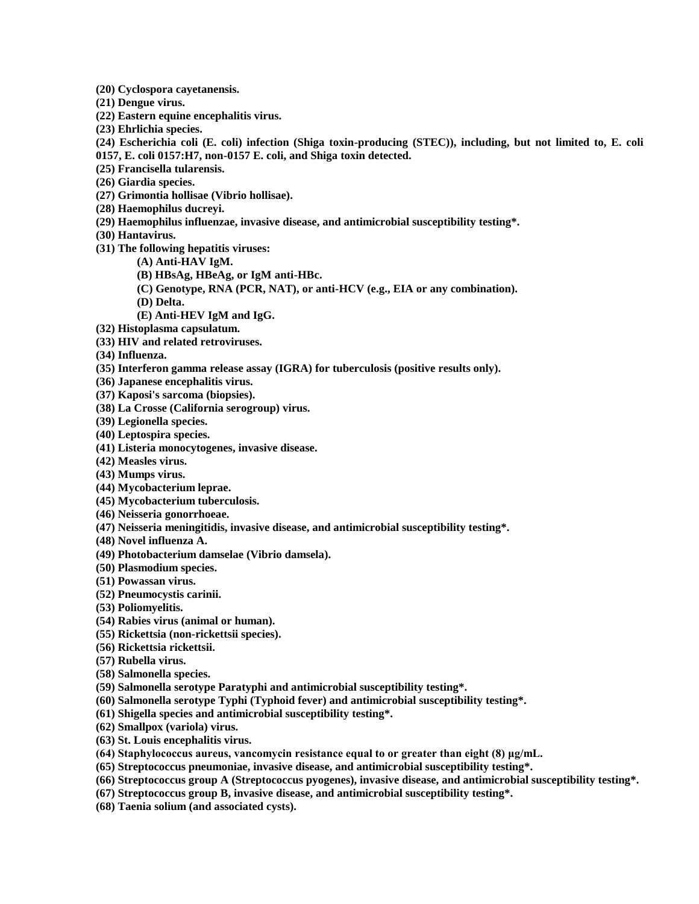**(20) Cyclospora cayetanensis.**

- **(21) Dengue virus.**
- **(22) Eastern equine encephalitis virus.**
- **(23) Ehrlichia species.**

**(24) Escherichia coli (E. coli) infection (Shiga toxin-producing (STEC)), including, but not limited to, E. coli 0157, E. coli 0157:H7, non-0157 E. coli, and Shiga toxin detected.**

- **(25) Francisella tularensis.**
- **(26) Giardia species.**
- **(27) Grimontia hollisae (Vibrio hollisae).**
- **(28) Haemophilus ducreyi.**
- **(29) Haemophilus influenzae, invasive disease, and antimicrobial susceptibility testing\*.**
- **(30) Hantavirus.**
- **(31) The following hepatitis viruses:**
	- **(A) Anti-HAV IgM.**
	- **(B) HBsAg, HBeAg, or IgM anti-HBc.**
	- **(C) Genotype, RNA (PCR, NAT), or anti-HCV (e.g., EIA or any combination).**
	- **(D) Delta.**
	- **(E) Anti-HEV IgM and IgG.**
- **(32) Histoplasma capsulatum.**
- **(33) HIV and related retroviruses.**
- **(34) Influenza.**
- **(35) Interferon gamma release assay (IGRA) for tuberculosis (positive results only).**
- **(36) Japanese encephalitis virus.**
- **(37) Kaposi's sarcoma (biopsies).**
- **(38) La Crosse (California serogroup) virus.**
- **(39) Legionella species.**
- **(40) Leptospira species.**
- **(41) Listeria monocytogenes, invasive disease.**
- **(42) Measles virus.**
- **(43) Mumps virus.**
- **(44) Mycobacterium leprae.**
- **(45) Mycobacterium tuberculosis.**
- **(46) Neisseria gonorrhoeae.**
- **(47) Neisseria meningitidis, invasive disease, and antimicrobial susceptibility testing\*.**
- **(48) Novel influenza A.**
- **(49) Photobacterium damselae (Vibrio damsela).**
- **(50) Plasmodium species.**
- **(51) Powassan virus.**
- **(52) Pneumocystis carinii.**
- **(53) Poliomyelitis.**
- **(54) Rabies virus (animal or human).**
- **(55) Rickettsia (non-rickettsii species).**
- **(56) Rickettsia rickettsii.**
- **(57) Rubella virus.**
- **(58) Salmonella species.**
- **(59) Salmonella serotype Paratyphi and antimicrobial susceptibility testing\*.**
- **(60) Salmonella serotype Typhi (Typhoid fever) and antimicrobial susceptibility testing\*.**
- **(61) Shigella species and antimicrobial susceptibility testing\*.**
- **(62) Smallpox (variola) virus.**
- **(63) St. Louis encephalitis virus.**
- **(64) Staphylococcus aureus, vancomycin resistance equal to or greater than eight (8) μg/mL.**
- **(65) Streptococcus pneumoniae, invasive disease, and antimicrobial susceptibility testing\*.**
- **(66) Streptococcus group A (Streptococcus pyogenes), invasive disease, and antimicrobial susceptibility testing\*.**
- **(67) Streptococcus group B, invasive disease, and antimicrobial susceptibility testing\*.**
- **(68) Taenia solium (and associated cysts).**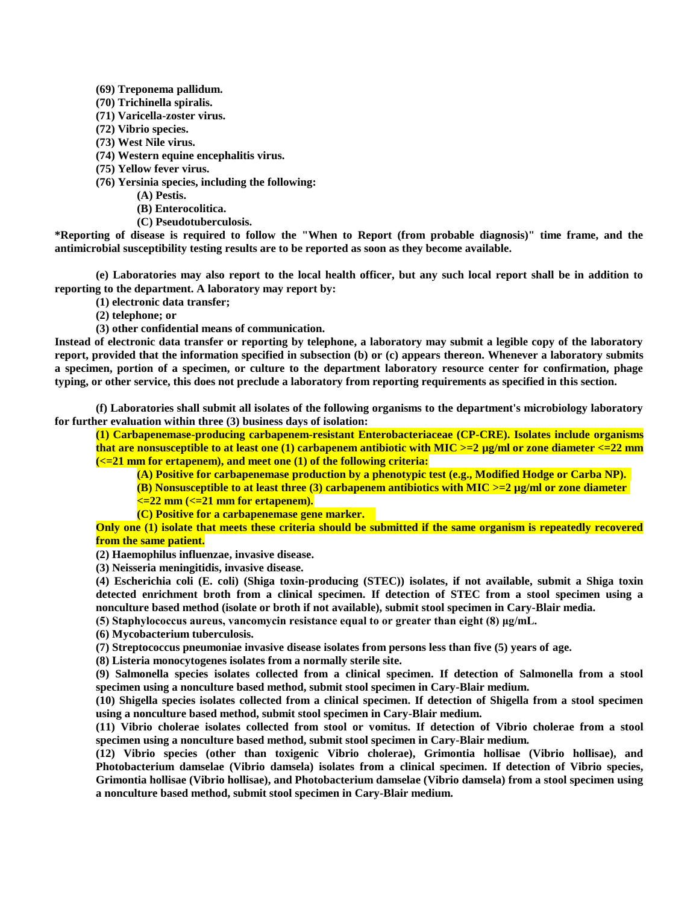- **(69) Treponema pallidum.**
- **(70) Trichinella spiralis.**
- **(71) Varicella-zoster virus.**
- **(72) Vibrio species.**
- **(73) West Nile virus.**
- **(74) Western equine encephalitis virus.**
- **(75) Yellow fever virus.**
- **(76) Yersinia species, including the following:**
	- **(A) Pestis.**
	- **(B) Enterocolitica.**
	- **(C) Pseudotuberculosis.**

**\*Reporting of disease is required to follow the "When to Report (from probable diagnosis)" time frame, and the antimicrobial susceptibility testing results are to be reported as soon as they become available.**

**(e) Laboratories may also report to the local health officer, but any such local report shall be in addition to reporting to the department. A laboratory may report by:**

**(1) electronic data transfer;**

**(2) telephone; or**

**(3) other confidential means of communication.**

**Instead of electronic data transfer or reporting by telephone, a laboratory may submit a legible copy of the laboratory report, provided that the information specified in subsection (b) or (c) appears thereon. Whenever a laboratory submits a specimen, portion of a specimen, or culture to the department laboratory resource center for confirmation, phage typing, or other service, this does not preclude a laboratory from reporting requirements as specified in this section.**

**(f) Laboratories shall submit all isolates of the following organisms to the department's microbiology laboratory for further evaluation within three (3) business days of isolation:**

**(1) Carbapenemase-producing carbapenem-resistant Enterobacteriaceae (CP-CRE). Isolates include organisms that are nonsusceptible to at least one (1) carbapenem antibiotic with MIC >=2 µg/ml or zone diameter <=22 mm (<=21 mm for ertapenem), and meet one (1) of the following criteria:**

**(A) Positive for carbapenemase production by a phenotypic test (e.g., Modified Hodge or Carba NP).** 

**(B) Nonsusceptible to at least three (3) carbapenem antibiotics with MIC >=2 µg/ml or zone diameter** 

**<=22 mm (<=21 mm for ertapenem).**

**(C) Positive for a carbapenemase gene marker.**

**Only one (1) isolate that meets these criteria should be submitted if the same organism is repeatedly recovered from the same patient.**

**(2) Haemophilus influenzae, invasive disease.**

**(3) Neisseria meningitidis, invasive disease.**

**(4) Escherichia coli (E. coli) (Shiga toxin-producing (STEC)) isolates, if not available, submit a Shiga toxin detected enrichment broth from a clinical specimen. If detection of STEC from a stool specimen using a nonculture based method (isolate or broth if not available), submit stool specimen in Cary-Blair media.**

**(5) Staphylococcus aureus, vancomycin resistance equal to or greater than eight (8) μg/mL.**

**(6) Mycobacterium tuberculosis.**

**(7) Streptococcus pneumoniae invasive disease isolates from persons less than five (5) years of age.**

**(8) Listeria monocytogenes isolates from a normally sterile site.**

**(9) Salmonella species isolates collected from a clinical specimen. If detection of Salmonella from a stool specimen using a nonculture based method, submit stool specimen in Cary-Blair medium.**

**(10) Shigella species isolates collected from a clinical specimen. If detection of Shigella from a stool specimen using a nonculture based method, submit stool specimen in Cary-Blair medium.**

**(11) Vibrio cholerae isolates collected from stool or vomitus. If detection of Vibrio cholerae from a stool specimen using a nonculture based method, submit stool specimen in Cary-Blair medium.**

**(12) Vibrio species (other than toxigenic Vibrio cholerae), Grimontia hollisae (Vibrio hollisae), and Photobacterium damselae (Vibrio damsela) isolates from a clinical specimen. If detection of Vibrio species, Grimontia hollisae (Vibrio hollisae), and Photobacterium damselae (Vibrio damsela) from a stool specimen using a nonculture based method, submit stool specimen in Cary-Blair medium.**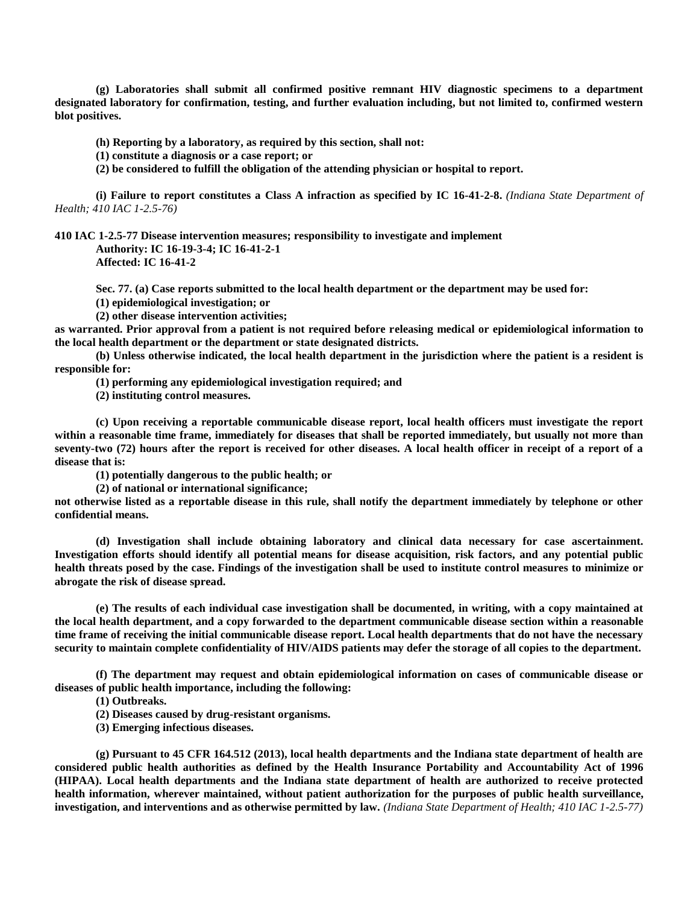**(g) Laboratories shall submit all confirmed positive remnant HIV diagnostic specimens to a department designated laboratory for confirmation, testing, and further evaluation including, but not limited to, confirmed western blot positives.**

**(h) Reporting by a laboratory, as required by this section, shall not:**

**(1) constitute a diagnosis or a case report; or**

**(2) be considered to fulfill the obligation of the attending physician or hospital to report.**

**(i) Failure to report constitutes a Class A infraction as specified by IC 16-41-2-8.** *(Indiana State Department of Health; 410 IAC 1-2.5-76)*

**410 IAC 1-2.5-77 Disease intervention measures; responsibility to investigate and implement**

**Authority: IC 16-19-3-4; IC 16-41-2-1 Affected: IC 16-41-2**

**Sec. 77. (a) Case reports submitted to the local health department or the department may be used for:**

**(1) epidemiological investigation; or**

**(2) other disease intervention activities;**

**as warranted. Prior approval from a patient is not required before releasing medical or epidemiological information to the local health department or the department or state designated districts.**

**(b) Unless otherwise indicated, the local health department in the jurisdiction where the patient is a resident is responsible for:**

**(1) performing any epidemiological investigation required; and**

**(2) instituting control measures.**

**(c) Upon receiving a reportable communicable disease report, local health officers must investigate the report within a reasonable time frame, immediately for diseases that shall be reported immediately, but usually not more than seventy-two (72) hours after the report is received for other diseases. A local health officer in receipt of a report of a disease that is:**

**(1) potentially dangerous to the public health; or**

**(2) of national or international significance;**

**not otherwise listed as a reportable disease in this rule, shall notify the department immediately by telephone or other confidential means.**

**(d) Investigation shall include obtaining laboratory and clinical data necessary for case ascertainment. Investigation efforts should identify all potential means for disease acquisition, risk factors, and any potential public health threats posed by the case. Findings of the investigation shall be used to institute control measures to minimize or abrogate the risk of disease spread.**

**(e) The results of each individual case investigation shall be documented, in writing, with a copy maintained at the local health department, and a copy forwarded to the department communicable disease section within a reasonable time frame of receiving the initial communicable disease report. Local health departments that do not have the necessary security to maintain complete confidentiality of HIV/AIDS patients may defer the storage of all copies to the department.**

**(f) The department may request and obtain epidemiological information on cases of communicable disease or diseases of public health importance, including the following:**

**(1) Outbreaks.**

**(2) Diseases caused by drug-resistant organisms.**

**(3) Emerging infectious diseases.**

**(g) Pursuant to 45 CFR 164.512 (2013), local health departments and the Indiana state department of health are considered public health authorities as defined by the Health Insurance Portability and Accountability Act of 1996 (HIPAA). Local health departments and the Indiana state department of health are authorized to receive protected health information, wherever maintained, without patient authorization for the purposes of public health surveillance, investigation, and interventions and as otherwise permitted by law.** *(Indiana State Department of Health; 410 IAC 1-2.5-77)*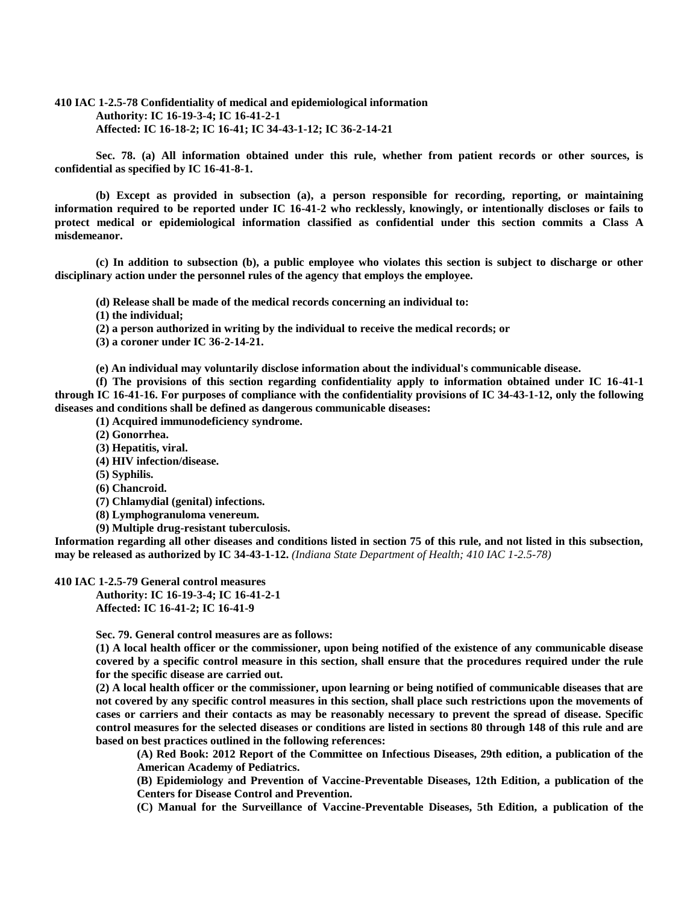**410 IAC 1-2.5-78 Confidentiality of medical and epidemiological information Authority: IC 16-19-3-4; IC 16-41-2-1 Affected: IC 16-18-2; IC 16-41; IC 34-43-1-12; IC 36-2-14-21**

**Sec. 78. (a) All information obtained under this rule, whether from patient records or other sources, is confidential as specified by IC 16-41-8-1.**

**(b) Except as provided in subsection (a), a person responsible for recording, reporting, or maintaining information required to be reported under IC 16-41-2 who recklessly, knowingly, or intentionally discloses or fails to protect medical or epidemiological information classified as confidential under this section commits a Class A misdemeanor.**

**(c) In addition to subsection (b), a public employee who violates this section is subject to discharge or other disciplinary action under the personnel rules of the agency that employs the employee.**

**(d) Release shall be made of the medical records concerning an individual to:**

**(1) the individual;**

**(2) a person authorized in writing by the individual to receive the medical records; or**

**(3) a coroner under IC 36-2-14-21.**

**(e) An individual may voluntarily disclose information about the individual's communicable disease.**

**(f) The provisions of this section regarding confidentiality apply to information obtained under IC 16-41-1 through IC 16-41-16. For purposes of compliance with the confidentiality provisions of IC 34-43-1-12, only the following diseases and conditions shall be defined as dangerous communicable diseases:**

**(1) Acquired immunodeficiency syndrome.**

**(2) Gonorrhea.**

**(3) Hepatitis, viral.**

**(4) HIV infection/disease.**

**(5) Syphilis.**

**(6) Chancroid.**

**(7) Chlamydial (genital) infections.**

**(8) Lymphogranuloma venereum.**

**(9) Multiple drug-resistant tuberculosis.**

**Information regarding all other diseases and conditions listed in section 75 of this rule, and not listed in this subsection, may be released as authorized by IC 34-43-1-12.** *(Indiana State Department of Health; 410 IAC 1-2.5-78)*

**410 IAC 1-2.5-79 General control measures**

**Authority: IC 16-19-3-4; IC 16-41-2-1 Affected: IC 16-41-2; IC 16-41-9**

**Sec. 79. General control measures are as follows:**

**(1) A local health officer or the commissioner, upon being notified of the existence of any communicable disease covered by a specific control measure in this section, shall ensure that the procedures required under the rule for the specific disease are carried out.**

**(2) A local health officer or the commissioner, upon learning or being notified of communicable diseases that are not covered by any specific control measures in this section, shall place such restrictions upon the movements of cases or carriers and their contacts as may be reasonably necessary to prevent the spread of disease. Specific control measures for the selected diseases or conditions are listed in sections 80 through 148 of this rule and are based on best practices outlined in the following references:**

**(A) Red Book: 2012 Report of the Committee on Infectious Diseases, 29th edition, a publication of the American Academy of Pediatrics.**

**(B) Epidemiology and Prevention of Vaccine-Preventable Diseases, 12th Edition, a publication of the Centers for Disease Control and Prevention.**

**(C) Manual for the Surveillance of Vaccine-Preventable Diseases, 5th Edition, a publication of the**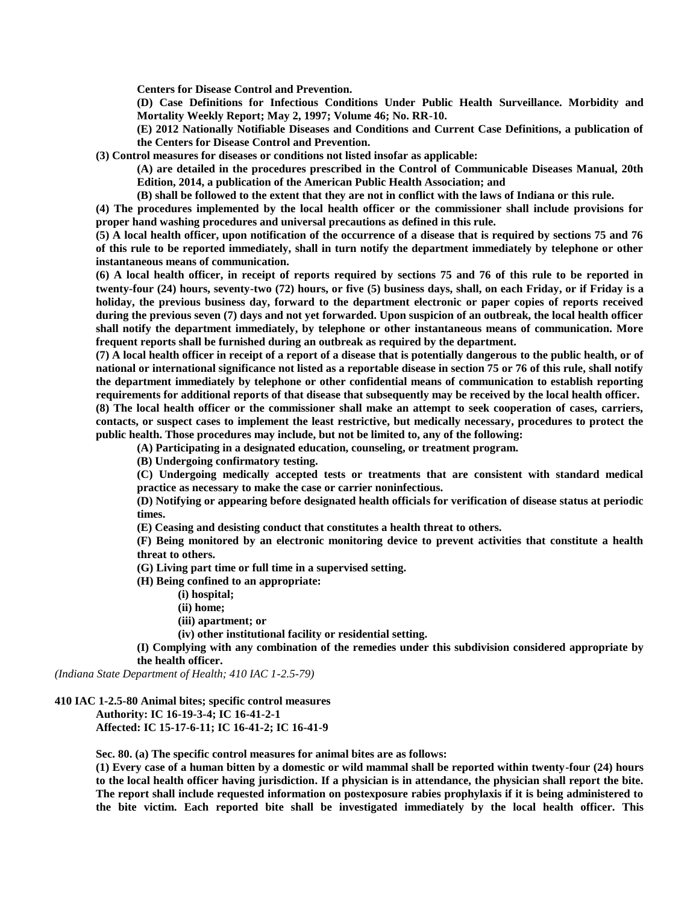**Centers for Disease Control and Prevention.**

**(D) Case Definitions for Infectious Conditions Under Public Health Surveillance. Morbidity and Mortality Weekly Report; May 2, 1997; Volume 46; No. RR-10.**

**(E) 2012 Nationally Notifiable Diseases and Conditions and Current Case Definitions, a publication of the Centers for Disease Control and Prevention.**

**(3) Control measures for diseases or conditions not listed insofar as applicable:**

**(A) are detailed in the procedures prescribed in the Control of Communicable Diseases Manual, 20th Edition, 2014, a publication of the American Public Health Association; and**

**(B) shall be followed to the extent that they are not in conflict with the laws of Indiana or this rule.**

**(4) The procedures implemented by the local health officer or the commissioner shall include provisions for proper hand washing procedures and universal precautions as defined in this rule.**

**(5) A local health officer, upon notification of the occurrence of a disease that is required by sections 75 and 76 of this rule to be reported immediately, shall in turn notify the department immediately by telephone or other instantaneous means of communication.**

**(6) A local health officer, in receipt of reports required by sections 75 and 76 of this rule to be reported in twenty-four (24) hours, seventy-two (72) hours, or five (5) business days, shall, on each Friday, or if Friday is a holiday, the previous business day, forward to the department electronic or paper copies of reports received during the previous seven (7) days and not yet forwarded. Upon suspicion of an outbreak, the local health officer shall notify the department immediately, by telephone or other instantaneous means of communication. More frequent reports shall be furnished during an outbreak as required by the department.**

**(7) A local health officer in receipt of a report of a disease that is potentially dangerous to the public health, or of national or international significance not listed as a reportable disease in section 75 or 76 of this rule, shall notify the department immediately by telephone or other confidential means of communication to establish reporting requirements for additional reports of that disease that subsequently may be received by the local health officer. (8) The local health officer or the commissioner shall make an attempt to seek cooperation of cases, carriers,** 

**contacts, or suspect cases to implement the least restrictive, but medically necessary, procedures to protect the public health. Those procedures may include, but not be limited to, any of the following:**

**(A) Participating in a designated education, counseling, or treatment program.**

**(B) Undergoing confirmatory testing.**

**(C) Undergoing medically accepted tests or treatments that are consistent with standard medical practice as necessary to make the case or carrier noninfectious.**

**(D) Notifying or appearing before designated health officials for verification of disease status at periodic times.**

**(E) Ceasing and desisting conduct that constitutes a health threat to others.**

**(F) Being monitored by an electronic monitoring device to prevent activities that constitute a health threat to others.**

**(G) Living part time or full time in a supervised setting.**

**(H) Being confined to an appropriate:**

**(i) hospital;**

**(ii) home;**

**(iii) apartment; or**

**(iv) other institutional facility or residential setting.**

**(I) Complying with any combination of the remedies under this subdivision considered appropriate by the health officer.**

*(Indiana State Department of Health; 410 IAC 1-2.5-79)*

# **410 IAC 1-2.5-80 Animal bites; specific control measures Authority: IC 16-19-3-4; IC 16-41-2-1 Affected: IC 15-17-6-11; IC 16-41-2; IC 16-41-9**

**Sec. 80. (a) The specific control measures for animal bites are as follows:**

**(1) Every case of a human bitten by a domestic or wild mammal shall be reported within twenty-four (24) hours to the local health officer having jurisdiction. If a physician is in attendance, the physician shall report the bite. The report shall include requested information on postexposure rabies prophylaxis if it is being administered to the bite victim. Each reported bite shall be investigated immediately by the local health officer. This**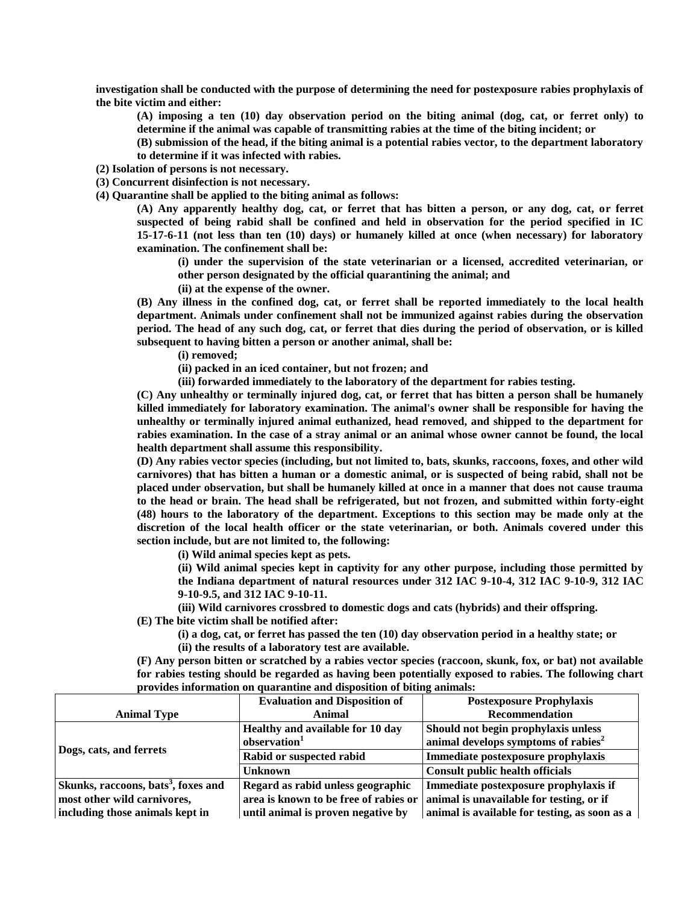**investigation shall be conducted with the purpose of determining the need for postexposure rabies prophylaxis of the bite victim and either:**

**(A) imposing a ten (10) day observation period on the biting animal (dog, cat, or ferret only) to determine if the animal was capable of transmitting rabies at the time of the biting incident; or**

**(B) submission of the head, if the biting animal is a potential rabies vector, to the department laboratory to determine if it was infected with rabies.**

**(2) Isolation of persons is not necessary.**

**(3) Concurrent disinfection is not necessary.**

**(4) Quarantine shall be applied to the biting animal as follows:**

**(A) Any apparently healthy dog, cat, or ferret that has bitten a person, or any dog, cat, or ferret suspected of being rabid shall be confined and held in observation for the period specified in IC 15-17-6-11 (not less than ten (10) days) or humanely killed at once (when necessary) for laboratory examination. The confinement shall be:**

**(i) under the supervision of the state veterinarian or a licensed, accredited veterinarian, or other person designated by the official quarantining the animal; and**

**(ii) at the expense of the owner.**

**(B) Any illness in the confined dog, cat, or ferret shall be reported immediately to the local health department. Animals under confinement shall not be immunized against rabies during the observation period. The head of any such dog, cat, or ferret that dies during the period of observation, or is killed subsequent to having bitten a person or another animal, shall be:**

**(i) removed;**

**(ii) packed in an iced container, but not frozen; and**

**(iii) forwarded immediately to the laboratory of the department for rabies testing.**

**(C) Any unhealthy or terminally injured dog, cat, or ferret that has bitten a person shall be humanely killed immediately for laboratory examination. The animal's owner shall be responsible for having the unhealthy or terminally injured animal euthanized, head removed, and shipped to the department for rabies examination. In the case of a stray animal or an animal whose owner cannot be found, the local health department shall assume this responsibility.**

**(D) Any rabies vector species (including, but not limited to, bats, skunks, raccoons, foxes, and other wild carnivores) that has bitten a human or a domestic animal, or is suspected of being rabid, shall not be placed under observation, but shall be humanely killed at once in a manner that does not cause trauma to the head or brain. The head shall be refrigerated, but not frozen, and submitted within forty-eight (48) hours to the laboratory of the department. Exceptions to this section may be made only at the discretion of the local health officer or the state veterinarian, or both. Animals covered under this section include, but are not limited to, the following:**

**(i) Wild animal species kept as pets.**

**(ii) Wild animal species kept in captivity for any other purpose, including those permitted by the Indiana department of natural resources under 312 IAC 9-10-4, 312 IAC 9-10-9, 312 IAC 9-10-9.5, and 312 IAC 9-10-11.**

**(iii) Wild carnivores crossbred to domestic dogs and cats (hybrids) and their offspring.**

**(E) The bite victim shall be notified after:**

**(i) a dog, cat, or ferret has passed the ten (10) day observation period in a healthy state; or (ii) the results of a laboratory test are available.**

**(F) Any person bitten or scratched by a rabies vector species (raccoon, skunk, fox, or bat) not available for rabies testing should be regarded as having been potentially exposed to rabies. The following chart provides information on quarantine and disposition of biting animals:**

|                                                 | <b>Evaluation and Disposition of</b> | <b>Postexposure Prophylaxis</b>                                                |
|-------------------------------------------------|--------------------------------------|--------------------------------------------------------------------------------|
| <b>Animal Type</b>                              | <b>Animal</b>                        | <b>Recommendation</b>                                                          |
| Dogs, cats, and ferrets                         | Healthy and available for 10 day     | Should not begin prophylaxis unless                                            |
|                                                 | observation <sup>1</sup>             | animal develops symptoms of rabies <sup>2</sup>                                |
|                                                 | Rabid or suspected rabid             | Immediate postexposure prophylaxis                                             |
|                                                 | <b>Unknown</b>                       | <b>Consult public health officials</b>                                         |
| Skunks, raccoons, bats <sup>3</sup> , foxes and | Regard as rabid unless geographic    | Immediate postexposure prophylaxis if                                          |
| most other wild carnivores,                     |                                      | area is known to be free of rabies or animal is unavailable for testing, or if |
| including those animals kept in                 | until animal is proven negative by   | animal is available for testing, as soon as a                                  |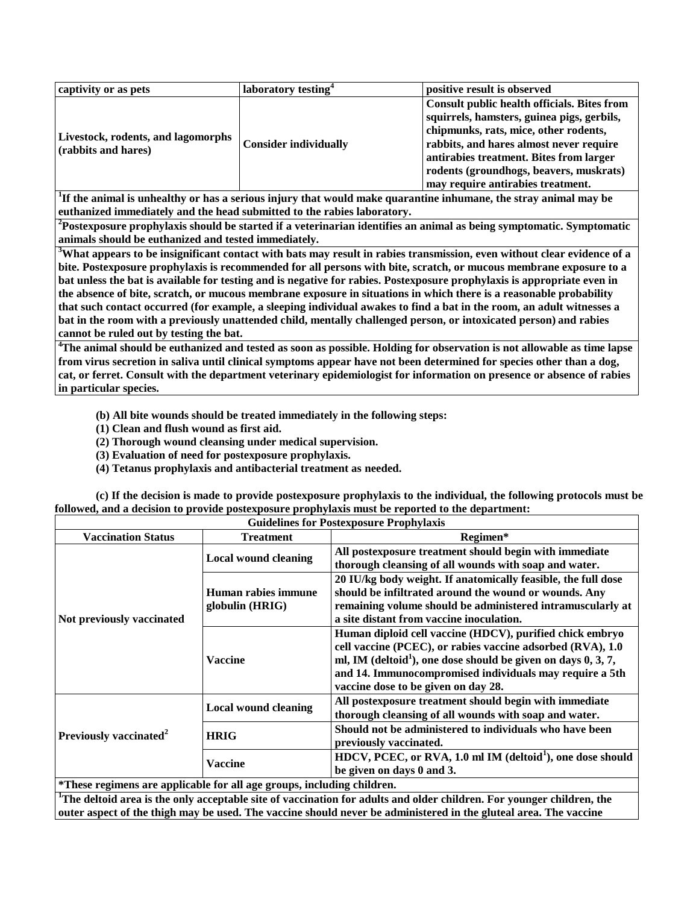| captivity or as pets                                             | laboratory testing <sup>4</sup> | positive result is observed                                                                                                                                                                                                                                                                              |
|------------------------------------------------------------------|---------------------------------|----------------------------------------------------------------------------------------------------------------------------------------------------------------------------------------------------------------------------------------------------------------------------------------------------------|
| <b>Livestock, rodents, and lagomorphs</b><br>(rabbits and hares) | <b>Consider individually</b>    | Consult public health officials. Bites from<br>squirrels, hamsters, guinea pigs, gerbils,<br>chipmunks, rats, mice, other rodents,<br>rabbits, and hares almost never require<br>antirabies treatment. Bites from larger<br>rodents (groundhogs, beavers, muskrats)<br>may require antirabies treatment. |

**1 If the animal is unhealthy or has a serious injury that would make quarantine inhumane, the stray animal may be euthanized immediately and the head submitted to the rabies laboratory.**

**<sup>2</sup>Postexposure prophylaxis should be started if a veterinarian identifies an animal as being symptomatic. Symptomatic animals should be euthanized and tested immediately.**

**<sup>3</sup>What appears to be insignificant contact with bats may result in rabies transmission, even without clear evidence of a bite. Postexposure prophylaxis is recommended for all persons with bite, scratch, or mucous membrane exposure to a bat unless the bat is available for testing and is negative for rabies. Postexposure prophylaxis is appropriate even in the absence of bite, scratch, or mucous membrane exposure in situations in which there is a reasonable probability that such contact occurred (for example, a sleeping individual awakes to find a bat in the room, an adult witnesses a bat in the room with a previously unattended child, mentally challenged person, or intoxicated person) and rabies cannot be ruled out by testing the bat.**

**<sup>4</sup>The animal should be euthanized and tested as soon as possible. Holding for observation is not allowable as time lapse from virus secretion in saliva until clinical symptoms appear have not been determined for species other than a dog, cat, or ferret. Consult with the department veterinary epidemiologist for information on presence or absence of rabies in particular species.**

**(b) All bite wounds should be treated immediately in the following steps:**

**(1) Clean and flush wound as first aid.**

**(2) Thorough wound cleansing under medical supervision.**

- **(3) Evaluation of need for postexposure prophylaxis.**
- **(4) Tetanus prophylaxis and antibacterial treatment as needed.**

**(c) If the decision is made to provide postexposure prophylaxis to the individual, the following protocols must be followed, and a decision to provide postexposure prophylaxis must be reported to the department:**

| <b>Guidelines for Postexposure Prophylaxis</b>                                           |                                                                                                                                                                                                                                                                                                          |                                                                                                                                                                                                                                  |
|------------------------------------------------------------------------------------------|----------------------------------------------------------------------------------------------------------------------------------------------------------------------------------------------------------------------------------------------------------------------------------------------------------|----------------------------------------------------------------------------------------------------------------------------------------------------------------------------------------------------------------------------------|
| <b>Vaccination Status</b>                                                                | <b>Treatment</b>                                                                                                                                                                                                                                                                                         | Regimen*                                                                                                                                                                                                                         |
| <b>Local wound cleaning</b><br>globulin $(HRIG)$<br>Not previously vaccinated<br>Vaccine |                                                                                                                                                                                                                                                                                                          | All postexposure treatment should begin with immediate<br>thorough cleansing of all wounds with soap and water.                                                                                                                  |
|                                                                                          | Human rabies immune                                                                                                                                                                                                                                                                                      | 20 IU/kg body weight. If anatomically feasible, the full dose<br>should be infiltrated around the wound or wounds. Any<br>remaining volume should be administered intramuscularly at<br>a site distant from vaccine inoculation. |
|                                                                                          | Human diploid cell vaccine (HDCV), purified chick embryo<br>cell vaccine (PCEC), or rabies vaccine adsorbed (RVA), 1.0<br>ml, IM (deltoid <sup>1</sup> ), one dose should be given on days $0, 3, 7$ ,<br>and 14. Immunocompromised individuals may require a 5th<br>vaccine dose to be given on day 28. |                                                                                                                                                                                                                                  |
| Previously vaccinated <sup>2</sup><br><b>HRIG</b><br><b>Vaccine</b>                      | <b>Local wound cleaning</b>                                                                                                                                                                                                                                                                              | All postexposure treatment should begin with immediate<br>thorough cleansing of all wounds with soap and water.                                                                                                                  |
|                                                                                          |                                                                                                                                                                                                                                                                                                          | Should not be administered to individuals who have been<br>previously vaccinated.                                                                                                                                                |
|                                                                                          |                                                                                                                                                                                                                                                                                                          | HDCV, PCEC, or RVA, 1.0 ml IM (deltoid <sup>1</sup> ), one dose should<br>be given on days 0 and 3.                                                                                                                              |
| *These regimens are applicable for all age groups, including children.                   |                                                                                                                                                                                                                                                                                                          |                                                                                                                                                                                                                                  |

**<sup>1</sup>The deltoid area is the only acceptable site of vaccination for adults and older children. For younger children, the outer aspect of the thigh may be used. The vaccine should never be administered in the gluteal area. The vaccine**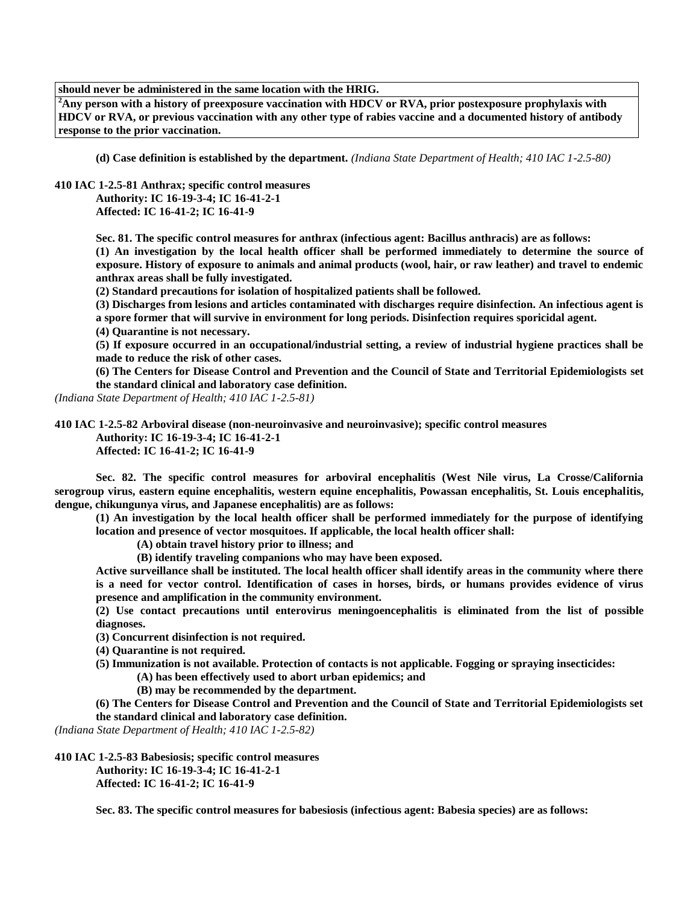**should never be administered in the same location with the HRIG.**

**<sup>2</sup>Any person with a history of preexposure vaccination with HDCV or RVA, prior postexposure prophylaxis with HDCV or RVA, or previous vaccination with any other type of rabies vaccine and a documented history of antibody response to the prior vaccination.**

**(d) Case definition is established by the department.** *(Indiana State Department of Health; 410 IAC 1-2.5-80)*

**410 IAC 1-2.5-81 Anthrax; specific control measures**

**Authority: IC 16-19-3-4; IC 16-41-2-1 Affected: IC 16-41-2; IC 16-41-9**

**Sec. 81. The specific control measures for anthrax (infectious agent: Bacillus anthracis) are as follows:**

**(1) An investigation by the local health officer shall be performed immediately to determine the source of exposure. History of exposure to animals and animal products (wool, hair, or raw leather) and travel to endemic anthrax areas shall be fully investigated.**

**(2) Standard precautions for isolation of hospitalized patients shall be followed.**

**(3) Discharges from lesions and articles contaminated with discharges require disinfection. An infectious agent is a spore former that will survive in environment for long periods. Disinfection requires sporicidal agent.**

**(4) Quarantine is not necessary.**

**(5) If exposure occurred in an occupational/industrial setting, a review of industrial hygiene practices shall be made to reduce the risk of other cases.**

**(6) The Centers for Disease Control and Prevention and the Council of State and Territorial Epidemiologists set the standard clinical and laboratory case definition.**

*(Indiana State Department of Health; 410 IAC 1-2.5-81)*

**410 IAC 1-2.5-82 Arboviral disease (non-neuroinvasive and neuroinvasive); specific control measures Authority: IC 16-19-3-4; IC 16-41-2-1**

**Affected: IC 16-41-2; IC 16-41-9**

**Sec. 82. The specific control measures for arboviral encephalitis (West Nile virus, La Crosse/California serogroup virus, eastern equine encephalitis, western equine encephalitis, Powassan encephalitis, St. Louis encephalitis, dengue, chikungunya virus, and Japanese encephalitis) are as follows:**

**(1) An investigation by the local health officer shall be performed immediately for the purpose of identifying location and presence of vector mosquitoes. If applicable, the local health officer shall:**

**(A) obtain travel history prior to illness; and**

**(B) identify traveling companions who may have been exposed.**

**Active surveillance shall be instituted. The local health officer shall identify areas in the community where there is a need for vector control. Identification of cases in horses, birds, or humans provides evidence of virus presence and amplification in the community environment.**

**(2) Use contact precautions until enterovirus meningoencephalitis is eliminated from the list of possible diagnoses.**

**(3) Concurrent disinfection is not required.**

**(4) Quarantine is not required.**

- **(5) Immunization is not available. Protection of contacts is not applicable. Fogging or spraying insecticides:**
	- **(A) has been effectively used to abort urban epidemics; and**
	- **(B) may be recommended by the department.**

**(6) The Centers for Disease Control and Prevention and the Council of State and Territorial Epidemiologists set the standard clinical and laboratory case definition.**

*(Indiana State Department of Health; 410 IAC 1-2.5-82)*

**410 IAC 1-2.5-83 Babesiosis; specific control measures Authority: IC 16-19-3-4; IC 16-41-2-1 Affected: IC 16-41-2; IC 16-41-9**

**Sec. 83. The specific control measures for babesiosis (infectious agent: Babesia species) are as follows:**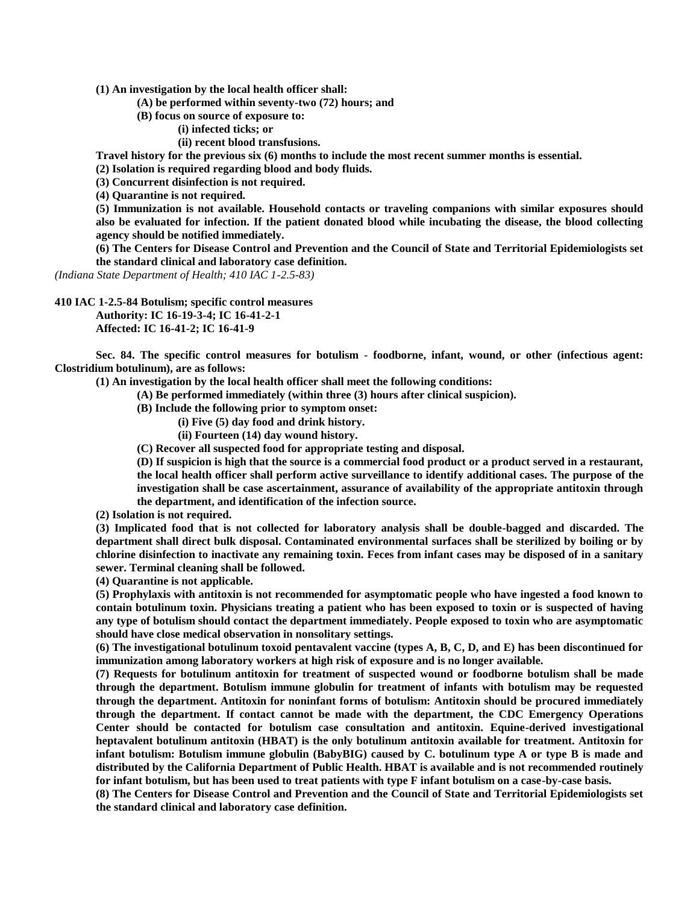**(1) An investigation by the local health officer shall:**

**(A) be performed within seventy-two (72) hours; and**

**(B) focus on source of exposure to:**

**(i) infected ticks; or**

**(ii) recent blood transfusions.**

**Travel history for the previous six (6) months to include the most recent summer months is essential.**

**(2) Isolation is required regarding blood and body fluids.**

**(3) Concurrent disinfection is not required.**

**(4) Quarantine is not required.**

**(5) Immunization is not available. Household contacts or traveling companions with similar exposures should also be evaluated for infection. If the patient donated blood while incubating the disease, the blood collecting agency should be notified immediately.**

**(6) The Centers for Disease Control and Prevention and the Council of State and Territorial Epidemiologists set the standard clinical and laboratory case definition.**

*(Indiana State Department of Health; 410 IAC 1-2.5-83)*

**410 IAC 1-2.5-84 Botulism; specific control measures Authority: IC 16-19-3-4; IC 16-41-2-1 Affected: IC 16-41-2; IC 16-41-9**

**Sec. 84. The specific control measures for botulism - foodborne, infant, wound, or other (infectious agent: Clostridium botulinum), are as follows:**

**(1) An investigation by the local health officer shall meet the following conditions:**

- **(A) Be performed immediately (within three (3) hours after clinical suspicion).**
- **(B) Include the following prior to symptom onset:**
	- **(i) Five (5) day food and drink history.**
		- **(ii) Fourteen (14) day wound history.**
- **(C) Recover all suspected food for appropriate testing and disposal.**

**(D) If suspicion is high that the source is a commercial food product or a product served in a restaurant, the local health officer shall perform active surveillance to identify additional cases. The purpose of the investigation shall be case ascertainment, assurance of availability of the appropriate antitoxin through the department, and identification of the infection source.**

**(2) Isolation is not required.**

**(3) Implicated food that is not collected for laboratory analysis shall be double-bagged and discarded. The department shall direct bulk disposal. Contaminated environmental surfaces shall be sterilized by boiling or by chlorine disinfection to inactivate any remaining toxin. Feces from infant cases may be disposed of in a sanitary sewer. Terminal cleaning shall be followed.**

**(4) Quarantine is not applicable.**

**(5) Prophylaxis with antitoxin is not recommended for asymptomatic people who have ingested a food known to contain botulinum toxin. Physicians treating a patient who has been exposed to toxin or is suspected of having any type of botulism should contact the department immediately. People exposed to toxin who are asymptomatic should have close medical observation in nonsolitary settings.**

**(6) The investigational botulinum toxoid pentavalent vaccine (types A, B, C, D, and E) has been discontinued for immunization among laboratory workers at high risk of exposure and is no longer available.**

**(7) Requests for botulinum antitoxin for treatment of suspected wound or foodborne botulism shall be made through the department. Botulism immune globulin for treatment of infants with botulism may be requested through the department. Antitoxin for noninfant forms of botulism: Antitoxin should be procured immediately through the department. If contact cannot be made with the department, the CDC Emergency Operations Center should be contacted for botulism case consultation and antitoxin. Equine-derived investigational heptavalent botulinum antitoxin (HBAT) is the only botulinum antitoxin available for treatment. Antitoxin for infant botulism: Botulism immune globulin (BabyBIG) caused by C. botulinum type A or type B is made and distributed by the California Department of Public Health. HBAT is available and is not recommended routinely for infant botulism, but has been used to treat patients with type F infant botulism on a case-by-case basis.**

**(8) The Centers for Disease Control and Prevention and the Council of State and Territorial Epidemiologists set the standard clinical and laboratory case definition.**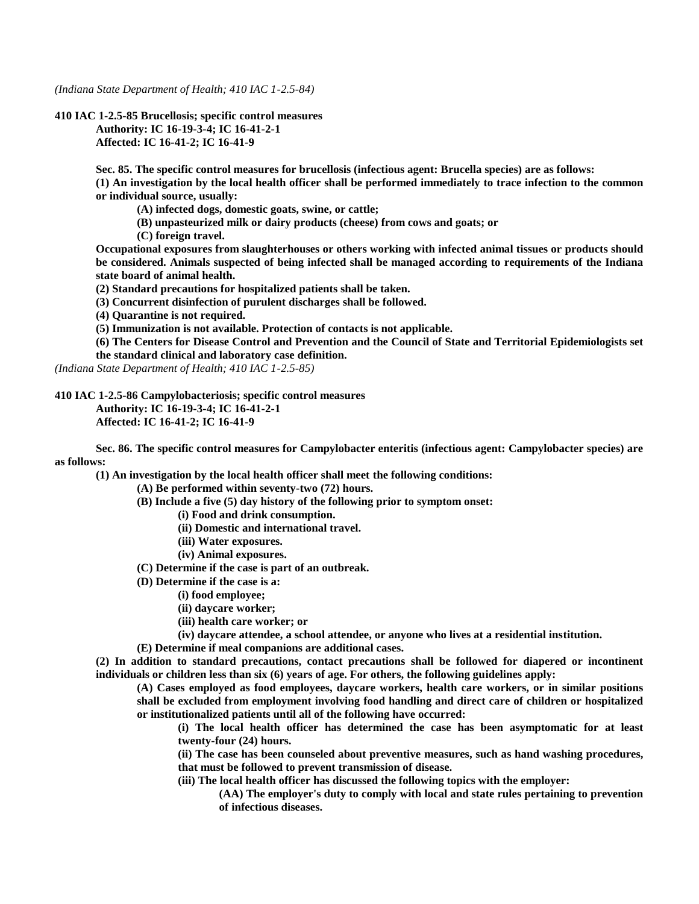*(Indiana State Department of Health; 410 IAC 1-2.5-84)*

**410 IAC 1-2.5-85 Brucellosis; specific control measures Authority: IC 16-19-3-4; IC 16-41-2-1 Affected: IC 16-41-2; IC 16-41-9**

> **Sec. 85. The specific control measures for brucellosis (infectious agent: Brucella species) are as follows: (1) An investigation by the local health officer shall be performed immediately to trace infection to the common or individual source, usually:**

**(A) infected dogs, domestic goats, swine, or cattle;**

**(B) unpasteurized milk or dairy products (cheese) from cows and goats; or**

**(C) foreign travel.**

**Occupational exposures from slaughterhouses or others working with infected animal tissues or products should be considered. Animals suspected of being infected shall be managed according to requirements of the Indiana state board of animal health.**

**(2) Standard precautions for hospitalized patients shall be taken.**

**(3) Concurrent disinfection of purulent discharges shall be followed.**

**(4) Quarantine is not required.**

**(5) Immunization is not available. Protection of contacts is not applicable.**

**(6) The Centers for Disease Control and Prevention and the Council of State and Territorial Epidemiologists set the standard clinical and laboratory case definition.**

*(Indiana State Department of Health; 410 IAC 1-2.5-85)*

**410 IAC 1-2.5-86 Campylobacteriosis; specific control measures**

**Authority: IC 16-19-3-4; IC 16-41-2-1**

**Affected: IC 16-41-2; IC 16-41-9**

**Sec. 86. The specific control measures for Campylobacter enteritis (infectious agent: Campylobacter species) are as follows:**

**(1) An investigation by the local health officer shall meet the following conditions:**

**(A) Be performed within seventy-two (72) hours.**

**(B) Include a five (5) day history of the following prior to symptom onset:**

**(i) Food and drink consumption.**

**(ii) Domestic and international travel.**

- **(iii) Water exposures.**
- **(iv) Animal exposures.**

**(C) Determine if the case is part of an outbreak.**

- **(D) Determine if the case is a:**
	- **(i) food employee;**
		- **(ii) daycare worker;**
		- **(iii) health care worker; or**
	- **(iv) daycare attendee, a school attendee, or anyone who lives at a residential institution.**
- **(E) Determine if meal companions are additional cases.**

**(2) In addition to standard precautions, contact precautions shall be followed for diapered or incontinent individuals or children less than six (6) years of age. For others, the following guidelines apply:**

**(A) Cases employed as food employees, daycare workers, health care workers, or in similar positions shall be excluded from employment involving food handling and direct care of children or hospitalized or institutionalized patients until all of the following have occurred:**

**(i) The local health officer has determined the case has been asymptomatic for at least twenty-four (24) hours.**

**(ii) The case has been counseled about preventive measures, such as hand washing procedures, that must be followed to prevent transmission of disease.**

**(iii) The local health officer has discussed the following topics with the employer:**

**(AA) The employer's duty to comply with local and state rules pertaining to prevention of infectious diseases.**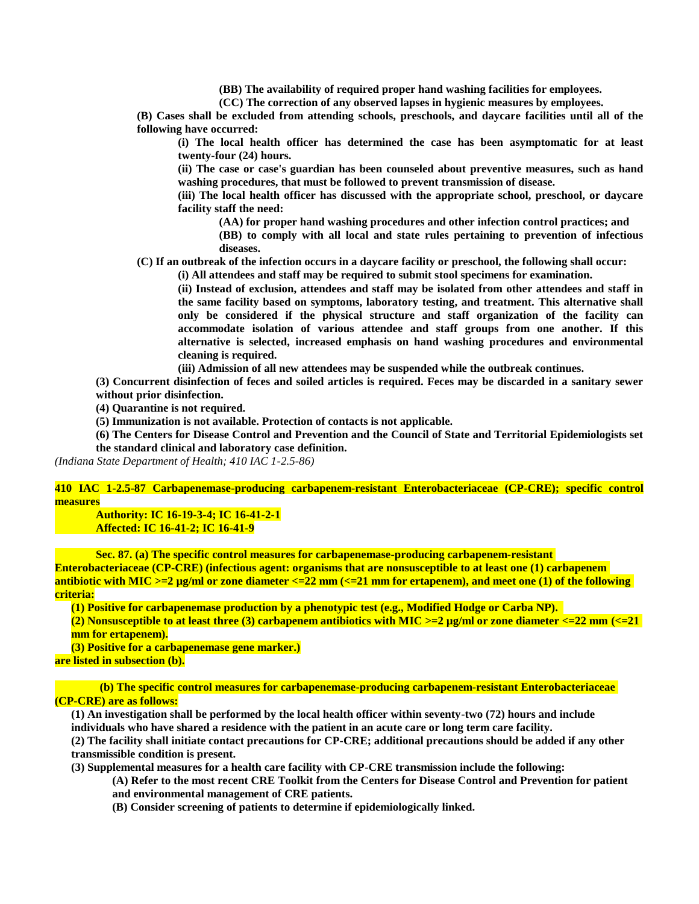**(BB) The availability of required proper hand washing facilities for employees.**

**(CC) The correction of any observed lapses in hygienic measures by employees.**

**(B) Cases shall be excluded from attending schools, preschools, and daycare facilities until all of the following have occurred:**

**(i) The local health officer has determined the case has been asymptomatic for at least twenty-four (24) hours.**

**(ii) The case or case's guardian has been counseled about preventive measures, such as hand washing procedures, that must be followed to prevent transmission of disease.**

**(iii) The local health officer has discussed with the appropriate school, preschool, or daycare facility staff the need:**

**(AA) for proper hand washing procedures and other infection control practices; and**

**(BB) to comply with all local and state rules pertaining to prevention of infectious diseases.**

**(C) If an outbreak of the infection occurs in a daycare facility or preschool, the following shall occur:**

**(i) All attendees and staff may be required to submit stool specimens for examination.**

**(ii) Instead of exclusion, attendees and staff may be isolated from other attendees and staff in the same facility based on symptoms, laboratory testing, and treatment. This alternative shall only be considered if the physical structure and staff organization of the facility can accommodate isolation of various attendee and staff groups from one another. If this alternative is selected, increased emphasis on hand washing procedures and environmental cleaning is required.**

**(iii) Admission of all new attendees may be suspended while the outbreak continues.**

**(3) Concurrent disinfection of feces and soiled articles is required. Feces may be discarded in a sanitary sewer without prior disinfection.**

**(4) Quarantine is not required.**

**(5) Immunization is not available. Protection of contacts is not applicable.**

**(6) The Centers for Disease Control and Prevention and the Council of State and Territorial Epidemiologists set the standard clinical and laboratory case definition.**

*(Indiana State Department of Health; 410 IAC 1-2.5-86)*

**410 IAC 1-2.5-87 Carbapenemase-producing carbapenem-resistant Enterobacteriaceae (CP-CRE); specific control measures**

**Authority: IC 16-19-3-4; IC 16-41-2-1 Affected: IC 16-41-2; IC 16-41-9**

**Sec. 87. (a) The specific control measures for carbapenemase-producing carbapenem-resistant Enterobacteriaceae (CP-CRE) (infectious agent: organisms that are nonsusceptible to at least one (1) carbapenem antibiotic with MIC >=2 µg/ml or zone diameter <=22 mm (<=21 mm for ertapenem), and meet one (1) of the following criteria:**

**(1) Positive for carbapenemase production by a phenotypic test (e.g., Modified Hodge or Carba NP).** 

**(2) Nonsusceptible to at least three (3) carbapenem antibiotics with MIC >=2 µg/ml or zone diameter <=22 mm (<=21 mm for ertapenem).**

**(3) Positive for a carbapenemase gene marker.) are listed in subsection (b).**

**(b) The specific control measures for carbapenemase-producing carbapenem-resistant Enterobacteriaceae (CP-CRE) are as follows:**

**(1) An investigation shall be performed by the local health officer within seventy-two (72) hours and include individuals who have shared a residence with the patient in an acute care or long term care facility.**

**(2) The facility shall initiate contact precautions for CP-CRE; additional precautions should be added if any other transmissible condition is present.**

**(3) Supplemental measures for a health care facility with CP-CRE transmission include the following:**

**(A) Refer to the most recent CRE Toolkit from the Centers for Disease Control and Prevention for patient and environmental management of CRE patients.**

**(B) Consider screening of patients to determine if epidemiologically linked.**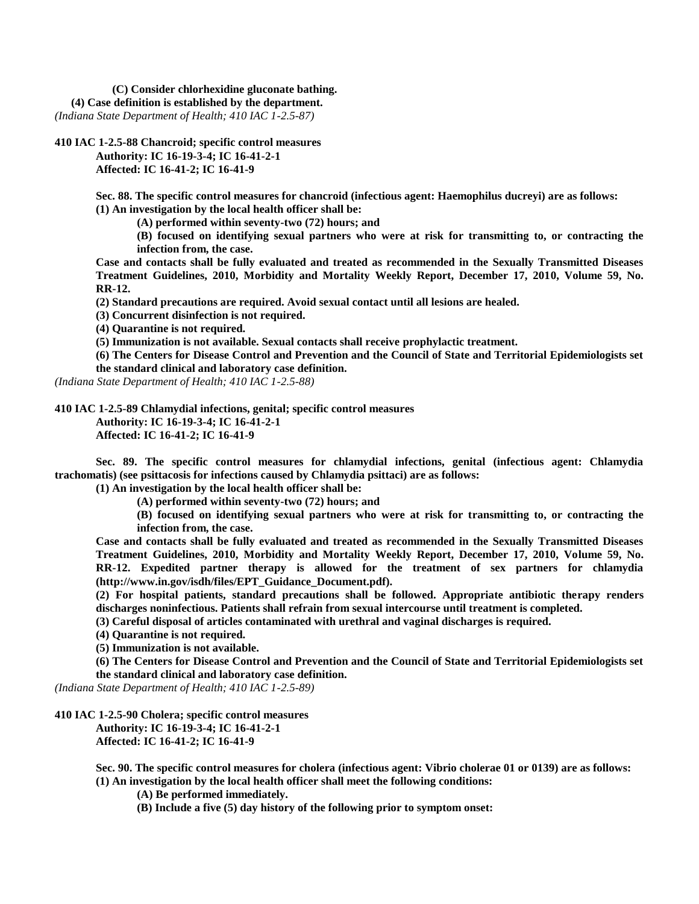**(C) Consider chlorhexidine gluconate bathing. (4) Case definition is established by the department.** *(Indiana State Department of Health; 410 IAC 1-2.5-87)*

**410 IAC 1-2.5-88 Chancroid; specific control measures**

**Authority: IC 16-19-3-4; IC 16-41-2-1 Affected: IC 16-41-2; IC 16-41-9**

**Sec. 88. The specific control measures for chancroid (infectious agent: Haemophilus ducreyi) are as follows: (1) An investigation by the local health officer shall be:**

**(A) performed within seventy-two (72) hours; and**

**(B) focused on identifying sexual partners who were at risk for transmitting to, or contracting the infection from, the case.**

**Case and contacts shall be fully evaluated and treated as recommended in the Sexually Transmitted Diseases Treatment Guidelines, 2010, Morbidity and Mortality Weekly Report, December 17, 2010, Volume 59, No. RR-12.**

**(2) Standard precautions are required. Avoid sexual contact until all lesions are healed.**

**(3) Concurrent disinfection is not required.**

**(4) Quarantine is not required.**

**(5) Immunization is not available. Sexual contacts shall receive prophylactic treatment.**

**(6) The Centers for Disease Control and Prevention and the Council of State and Territorial Epidemiologists set the standard clinical and laboratory case definition.**

*(Indiana State Department of Health; 410 IAC 1-2.5-88)*

**410 IAC 1-2.5-89 Chlamydial infections, genital; specific control measures**

**Authority: IC 16-19-3-4; IC 16-41-2-1**

**Affected: IC 16-41-2; IC 16-41-9**

**Sec. 89. The specific control measures for chlamydial infections, genital (infectious agent: Chlamydia trachomatis) (see psittacosis for infections caused by Chlamydia psittaci) are as follows:**

**(1) An investigation by the local health officer shall be:**

**(A) performed within seventy-two (72) hours; and**

**(B) focused on identifying sexual partners who were at risk for transmitting to, or contracting the infection from, the case.**

**Case and contacts shall be fully evaluated and treated as recommended in the Sexually Transmitted Diseases Treatment Guidelines, 2010, Morbidity and Mortality Weekly Report, December 17, 2010, Volume 59, No. RR-12. Expedited partner therapy is allowed for the treatment of sex partners for chlamydia (http://www.in.gov/isdh/files/EPT\_Guidance\_Document.pdf).**

**(2) For hospital patients, standard precautions shall be followed. Appropriate antibiotic therapy renders discharges noninfectious. Patients shall refrain from sexual intercourse until treatment is completed.**

**(3) Careful disposal of articles contaminated with urethral and vaginal discharges is required.**

**(4) Quarantine is not required.**

**(5) Immunization is not available.**

**(6) The Centers for Disease Control and Prevention and the Council of State and Territorial Epidemiologists set the standard clinical and laboratory case definition.**

*(Indiana State Department of Health; 410 IAC 1-2.5-89)*

**410 IAC 1-2.5-90 Cholera; specific control measures**

**Authority: IC 16-19-3-4; IC 16-41-2-1 Affected: IC 16-41-2; IC 16-41-9**

**Sec. 90. The specific control measures for cholera (infectious agent: Vibrio cholerae 01 or 0139) are as follows: (1) An investigation by the local health officer shall meet the following conditions:**

**(A) Be performed immediately.**

**(B) Include a five (5) day history of the following prior to symptom onset:**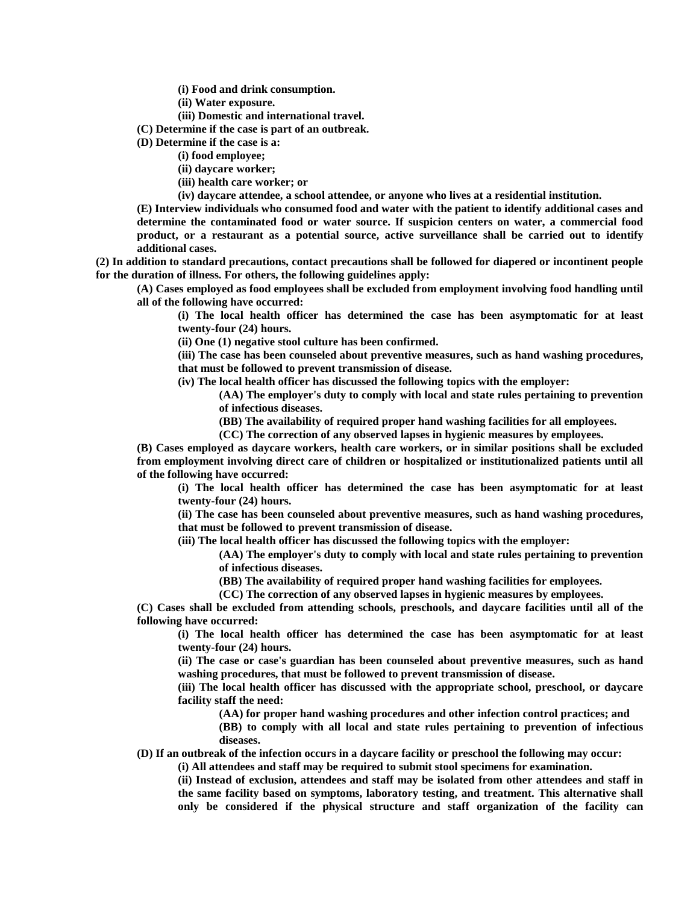**(i) Food and drink consumption.**

**(ii) Water exposure.**

**(iii) Domestic and international travel.**

**(C) Determine if the case is part of an outbreak.**

**(D) Determine if the case is a:**

**(i) food employee;**

**(ii) daycare worker;**

**(iii) health care worker; or**

**(iv) daycare attendee, a school attendee, or anyone who lives at a residential institution.**

**(E) Interview individuals who consumed food and water with the patient to identify additional cases and determine the contaminated food or water source. If suspicion centers on water, a commercial food product, or a restaurant as a potential source, active surveillance shall be carried out to identify additional cases.**

**(2) In addition to standard precautions, contact precautions shall be followed for diapered or incontinent people for the duration of illness. For others, the following guidelines apply:**

**(A) Cases employed as food employees shall be excluded from employment involving food handling until all of the following have occurred:**

**(i) The local health officer has determined the case has been asymptomatic for at least twenty-four (24) hours.**

**(ii) One (1) negative stool culture has been confirmed.**

**(iii) The case has been counseled about preventive measures, such as hand washing procedures, that must be followed to prevent transmission of disease.**

**(iv) The local health officer has discussed the following topics with the employer:**

**(AA) The employer's duty to comply with local and state rules pertaining to prevention of infectious diseases.**

**(BB) The availability of required proper hand washing facilities for all employees.**

**(CC) The correction of any observed lapses in hygienic measures by employees.**

**(B) Cases employed as daycare workers, health care workers, or in similar positions shall be excluded from employment involving direct care of children or hospitalized or institutionalized patients until all of the following have occurred:**

**(i) The local health officer has determined the case has been asymptomatic for at least twenty-four (24) hours.**

**(ii) The case has been counseled about preventive measures, such as hand washing procedures, that must be followed to prevent transmission of disease.**

**(iii) The local health officer has discussed the following topics with the employer:**

**(AA) The employer's duty to comply with local and state rules pertaining to prevention of infectious diseases.**

**(BB) The availability of required proper hand washing facilities for employees.**

**(CC) The correction of any observed lapses in hygienic measures by employees.**

**(C) Cases shall be excluded from attending schools, preschools, and daycare facilities until all of the following have occurred:**

**(i) The local health officer has determined the case has been asymptomatic for at least twenty-four (24) hours.**

**(ii) The case or case's guardian has been counseled about preventive measures, such as hand washing procedures, that must be followed to prevent transmission of disease.**

**(iii) The local health officer has discussed with the appropriate school, preschool, or daycare facility staff the need:**

**(AA) for proper hand washing procedures and other infection control practices; and**

**(BB) to comply with all local and state rules pertaining to prevention of infectious diseases.**

**(D) If an outbreak of the infection occurs in a daycare facility or preschool the following may occur:**

**(i) All attendees and staff may be required to submit stool specimens for examination.**

**(ii) Instead of exclusion, attendees and staff may be isolated from other attendees and staff in the same facility based on symptoms, laboratory testing, and treatment. This alternative shall only be considered if the physical structure and staff organization of the facility can**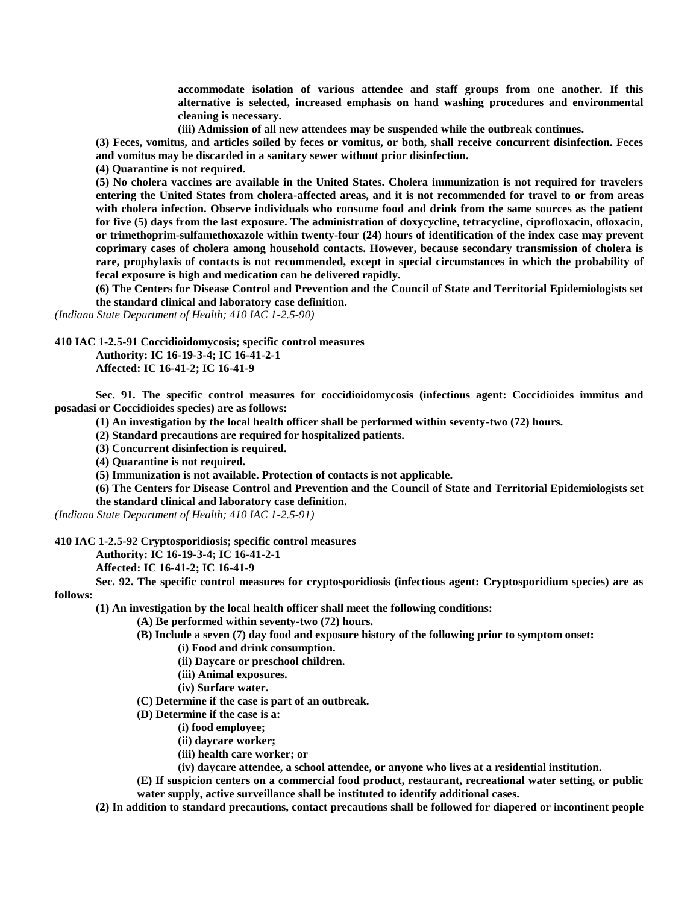**accommodate isolation of various attendee and staff groups from one another. If this alternative is selected, increased emphasis on hand washing procedures and environmental cleaning is necessary.**

**(iii) Admission of all new attendees may be suspended while the outbreak continues.**

**(3) Feces, vomitus, and articles soiled by feces or vomitus, or both, shall receive concurrent disinfection. Feces and vomitus may be discarded in a sanitary sewer without prior disinfection.**

**(4) Quarantine is not required.**

**(5) No cholera vaccines are available in the United States. Cholera immunization is not required for travelers entering the United States from cholera-affected areas, and it is not recommended for travel to or from areas with cholera infection. Observe individuals who consume food and drink from the same sources as the patient for five (5) days from the last exposure. The administration of doxycycline, tetracycline, ciprofloxacin, ofloxacin, or trimethoprim-sulfamethoxazole within twenty-four (24) hours of identification of the index case may prevent coprimary cases of cholera among household contacts. However, because secondary transmission of cholera is rare, prophylaxis of contacts is not recommended, except in special circumstances in which the probability of fecal exposure is high and medication can be delivered rapidly.**

**(6) The Centers for Disease Control and Prevention and the Council of State and Territorial Epidemiologists set the standard clinical and laboratory case definition.**

*(Indiana State Department of Health; 410 IAC 1-2.5-90)*

**410 IAC 1-2.5-91 Coccidioidomycosis; specific control measures**

**Authority: IC 16-19-3-4; IC 16-41-2-1 Affected: IC 16-41-2; IC 16-41-9**

**Sec. 91. The specific control measures for coccidioidomycosis (infectious agent: Coccidioides immitus and posadasi or Coccidioides species) are as follows:**

**(1) An investigation by the local health officer shall be performed within seventy-two (72) hours.**

**(2) Standard precautions are required for hospitalized patients.**

**(3) Concurrent disinfection is required.**

**(4) Quarantine is not required.**

**(5) Immunization is not available. Protection of contacts is not applicable.**

**(6) The Centers for Disease Control and Prevention and the Council of State and Territorial Epidemiologists set** 

**the standard clinical and laboratory case definition.**

*(Indiana State Department of Health; 410 IAC 1-2.5-91)*

**410 IAC 1-2.5-92 Cryptosporidiosis; specific control measures**

**Authority: IC 16-19-3-4; IC 16-41-2-1**

**Affected: IC 16-41-2; IC 16-41-9**

**Sec. 92. The specific control measures for cryptosporidiosis (infectious agent: Cryptosporidium species) are as follows:**

**(1) An investigation by the local health officer shall meet the following conditions:**

**(A) Be performed within seventy-two (72) hours.**

**(B) Include a seven (7) day food and exposure history of the following prior to symptom onset:**

- **(i) Food and drink consumption.**
- **(ii) Daycare or preschool children.**
- **(iii) Animal exposures.**
- **(iv) Surface water.**

**(C) Determine if the case is part of an outbreak.**

- **(D) Determine if the case is a:**
	- **(i) food employee;**
		- **(ii) daycare worker;**
		- **(iii) health care worker; or**
	- **(iv) daycare attendee, a school attendee, or anyone who lives at a residential institution.**

**(E) If suspicion centers on a commercial food product, restaurant, recreational water setting, or public water supply, active surveillance shall be instituted to identify additional cases.**

**(2) In addition to standard precautions, contact precautions shall be followed for diapered or incontinent people**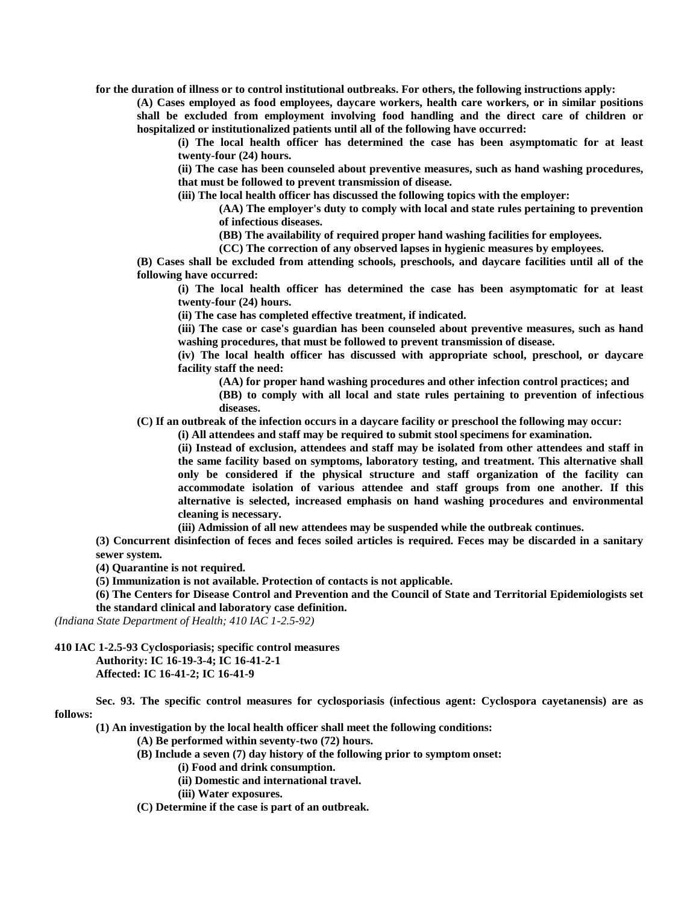**for the duration of illness or to control institutional outbreaks. For others, the following instructions apply:**

**(A) Cases employed as food employees, daycare workers, health care workers, or in similar positions shall be excluded from employment involving food handling and the direct care of children or hospitalized or institutionalized patients until all of the following have occurred:**

**(i) The local health officer has determined the case has been asymptomatic for at least twenty-four (24) hours.**

**(ii) The case has been counseled about preventive measures, such as hand washing procedures, that must be followed to prevent transmission of disease.**

**(iii) The local health officer has discussed the following topics with the employer:**

**(AA) The employer's duty to comply with local and state rules pertaining to prevention of infectious diseases.**

**(BB) The availability of required proper hand washing facilities for employees.**

**(CC) The correction of any observed lapses in hygienic measures by employees.**

**(B) Cases shall be excluded from attending schools, preschools, and daycare facilities until all of the following have occurred:**

**(i) The local health officer has determined the case has been asymptomatic for at least twenty-four (24) hours.**

**(ii) The case has completed effective treatment, if indicated.**

**(iii) The case or case's guardian has been counseled about preventive measures, such as hand washing procedures, that must be followed to prevent transmission of disease.**

**(iv) The local health officer has discussed with appropriate school, preschool, or daycare facility staff the need:**

**(AA) for proper hand washing procedures and other infection control practices; and**

**(BB) to comply with all local and state rules pertaining to prevention of infectious diseases.**

**(C) If an outbreak of the infection occurs in a daycare facility or preschool the following may occur:**

**(i) All attendees and staff may be required to submit stool specimens for examination.**

**(ii) Instead of exclusion, attendees and staff may be isolated from other attendees and staff in the same facility based on symptoms, laboratory testing, and treatment. This alternative shall only be considered if the physical structure and staff organization of the facility can accommodate isolation of various attendee and staff groups from one another. If this alternative is selected, increased emphasis on hand washing procedures and environmental cleaning is necessary.**

**(iii) Admission of all new attendees may be suspended while the outbreak continues.**

**(3) Concurrent disinfection of feces and feces soiled articles is required. Feces may be discarded in a sanitary sewer system.**

**(4) Quarantine is not required.**

**(5) Immunization is not available. Protection of contacts is not applicable.**

**(6) The Centers for Disease Control and Prevention and the Council of State and Territorial Epidemiologists set the standard clinical and laboratory case definition.**

*(Indiana State Department of Health; 410 IAC 1-2.5-92)*

**410 IAC 1-2.5-93 Cyclosporiasis; specific control measures**

**Authority: IC 16-19-3-4; IC 16-41-2-1 Affected: IC 16-41-2; IC 16-41-9**

**Sec. 93. The specific control measures for cyclosporiasis (infectious agent: Cyclospora cayetanensis) are as follows:**

**(1) An investigation by the local health officer shall meet the following conditions:**

**(A) Be performed within seventy-two (72) hours.**

**(B) Include a seven (7) day history of the following prior to symptom onset:**

**(i) Food and drink consumption.**

**(ii) Domestic and international travel.**

**(iii) Water exposures.**

**(C) Determine if the case is part of an outbreak.**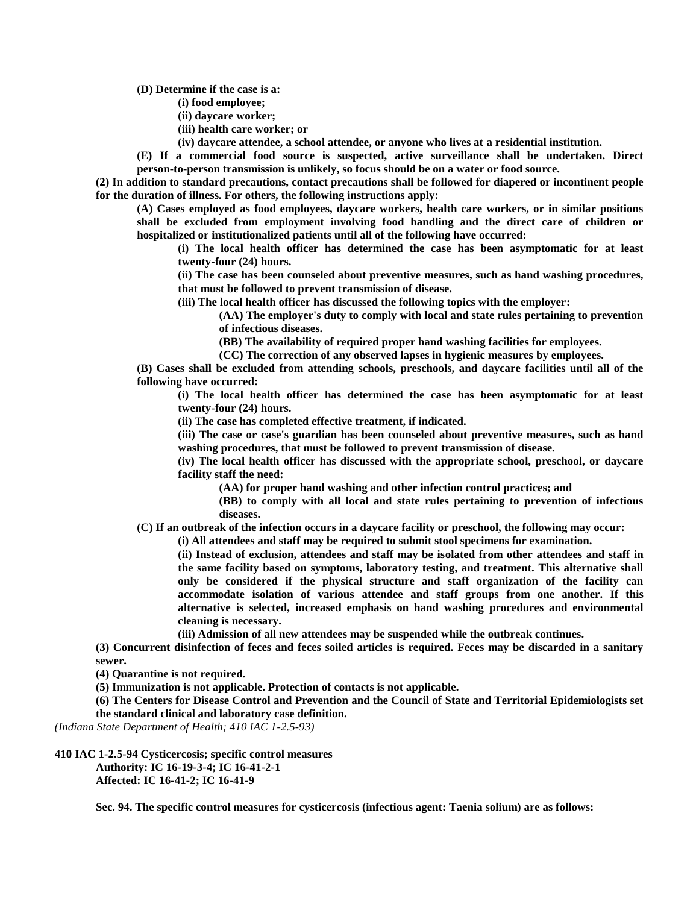**(D) Determine if the case is a:**

**(i) food employee;**

- **(ii) daycare worker;**
- **(iii) health care worker; or**
- **(iv) daycare attendee, a school attendee, or anyone who lives at a residential institution.**

**(E) If a commercial food source is suspected, active surveillance shall be undertaken. Direct person-to-person transmission is unlikely, so focus should be on a water or food source.**

**(2) In addition to standard precautions, contact precautions shall be followed for diapered or incontinent people for the duration of illness. For others, the following instructions apply:**

**(A) Cases employed as food employees, daycare workers, health care workers, or in similar positions shall be excluded from employment involving food handling and the direct care of children or hospitalized or institutionalized patients until all of the following have occurred:**

**(i) The local health officer has determined the case has been asymptomatic for at least twenty-four (24) hours.**

**(ii) The case has been counseled about preventive measures, such as hand washing procedures, that must be followed to prevent transmission of disease.**

**(iii) The local health officer has discussed the following topics with the employer:**

**(AA) The employer's duty to comply with local and state rules pertaining to prevention of infectious diseases.**

**(BB) The availability of required proper hand washing facilities for employees.**

**(CC) The correction of any observed lapses in hygienic measures by employees.**

**(B) Cases shall be excluded from attending schools, preschools, and daycare facilities until all of the following have occurred:**

**(i) The local health officer has determined the case has been asymptomatic for at least twenty-four (24) hours.**

**(ii) The case has completed effective treatment, if indicated.**

**(iii) The case or case's guardian has been counseled about preventive measures, such as hand washing procedures, that must be followed to prevent transmission of disease.**

**(iv) The local health officer has discussed with the appropriate school, preschool, or daycare facility staff the need:**

**(AA) for proper hand washing and other infection control practices; and**

**(BB) to comply with all local and state rules pertaining to prevention of infectious diseases.**

**(C) If an outbreak of the infection occurs in a daycare facility or preschool, the following may occur:**

**(i) All attendees and staff may be required to submit stool specimens for examination.**

**(ii) Instead of exclusion, attendees and staff may be isolated from other attendees and staff in the same facility based on symptoms, laboratory testing, and treatment. This alternative shall only be considered if the physical structure and staff organization of the facility can accommodate isolation of various attendee and staff groups from one another. If this alternative is selected, increased emphasis on hand washing procedures and environmental cleaning is necessary.**

**(iii) Admission of all new attendees may be suspended while the outbreak continues.**

**(3) Concurrent disinfection of feces and feces soiled articles is required. Feces may be discarded in a sanitary sewer.**

**(4) Quarantine is not required.**

**(5) Immunization is not applicable. Protection of contacts is not applicable.**

**(6) The Centers for Disease Control and Prevention and the Council of State and Territorial Epidemiologists set the standard clinical and laboratory case definition.**

*(Indiana State Department of Health; 410 IAC 1-2.5-93)*

**410 IAC 1-2.5-94 Cysticercosis; specific control measures Authority: IC 16-19-3-4; IC 16-41-2-1 Affected: IC 16-41-2; IC 16-41-9**

**Sec. 94. The specific control measures for cysticercosis (infectious agent: Taenia solium) are as follows:**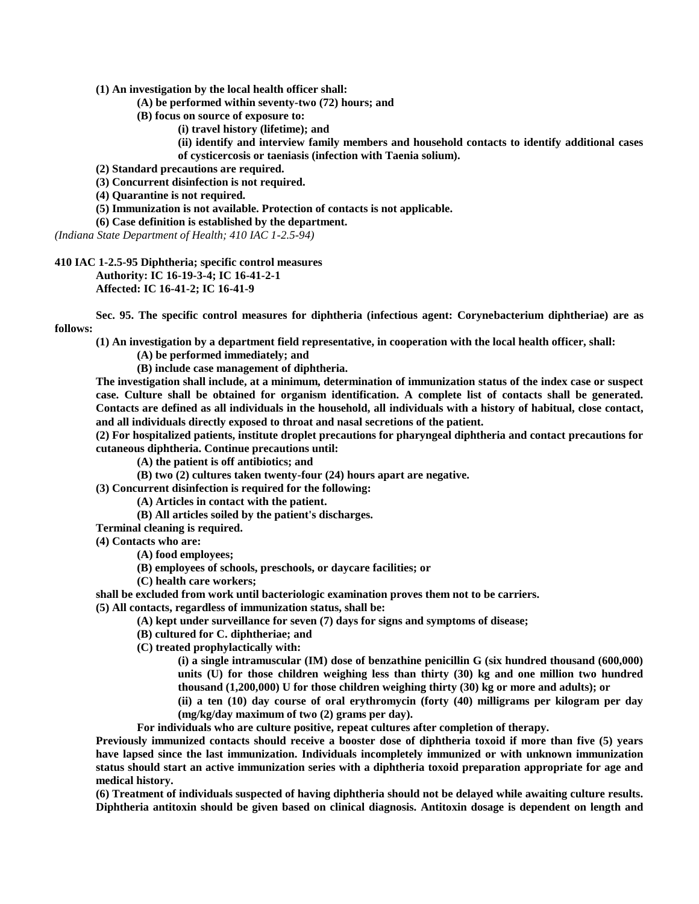**(1) An investigation by the local health officer shall:**

**(A) be performed within seventy-two (72) hours; and**

**(B) focus on source of exposure to:**

**(i) travel history (lifetime); and**

**(ii) identify and interview family members and household contacts to identify additional cases of cysticercosis or taeniasis (infection with Taenia solium).**

**(2) Standard precautions are required.**

**(3) Concurrent disinfection is not required.**

**(4) Quarantine is not required.**

**(5) Immunization is not available. Protection of contacts is not applicable.**

**(6) Case definition is established by the department.**

*(Indiana State Department of Health; 410 IAC 1-2.5-94)*

**410 IAC 1-2.5-95 Diphtheria; specific control measures Authority: IC 16-19-3-4; IC 16-41-2-1 Affected: IC 16-41-2; IC 16-41-9**

**Sec. 95. The specific control measures for diphtheria (infectious agent: Corynebacterium diphtheriae) are as follows:**

**(1) An investigation by a department field representative, in cooperation with the local health officer, shall:**

**(A) be performed immediately; and**

**(B) include case management of diphtheria.**

**The investigation shall include, at a minimum, determination of immunization status of the index case or suspect case. Culture shall be obtained for organism identification. A complete list of contacts shall be generated. Contacts are defined as all individuals in the household, all individuals with a history of habitual, close contact, and all individuals directly exposed to throat and nasal secretions of the patient.**

**(2) For hospitalized patients, institute droplet precautions for pharyngeal diphtheria and contact precautions for cutaneous diphtheria. Continue precautions until:**

**(A) the patient is off antibiotics; and**

**(B) two (2) cultures taken twenty-four (24) hours apart are negative.**

**(3) Concurrent disinfection is required for the following:**

**(A) Articles in contact with the patient.**

**(B) All articles soiled by the patient's discharges.**

**Terminal cleaning is required.**

**(4) Contacts who are:**

**(A) food employees;**

**(B) employees of schools, preschools, or daycare facilities; or**

**(C) health care workers;**

**shall be excluded from work until bacteriologic examination proves them not to be carriers. (5) All contacts, regardless of immunization status, shall be:**

**(A) kept under surveillance for seven (7) days for signs and symptoms of disease;**

**(B) cultured for C. diphtheriae; and**

**(C) treated prophylactically with:**

**(i) a single intramuscular (IM) dose of benzathine penicillin G (six hundred thousand (600,000) units (U) for those children weighing less than thirty (30) kg and one million two hundred thousand (1,200,000) U for those children weighing thirty (30) kg or more and adults); or**

**(ii) a ten (10) day course of oral erythromycin (forty (40) milligrams per kilogram per day (mg/kg/day maximum of two (2) grams per day).**

**For individuals who are culture positive, repeat cultures after completion of therapy.**

**Previously immunized contacts should receive a booster dose of diphtheria toxoid if more than five (5) years have lapsed since the last immunization. Individuals incompletely immunized or with unknown immunization status should start an active immunization series with a diphtheria toxoid preparation appropriate for age and medical history.**

**(6) Treatment of individuals suspected of having diphtheria should not be delayed while awaiting culture results. Diphtheria antitoxin should be given based on clinical diagnosis. Antitoxin dosage is dependent on length and**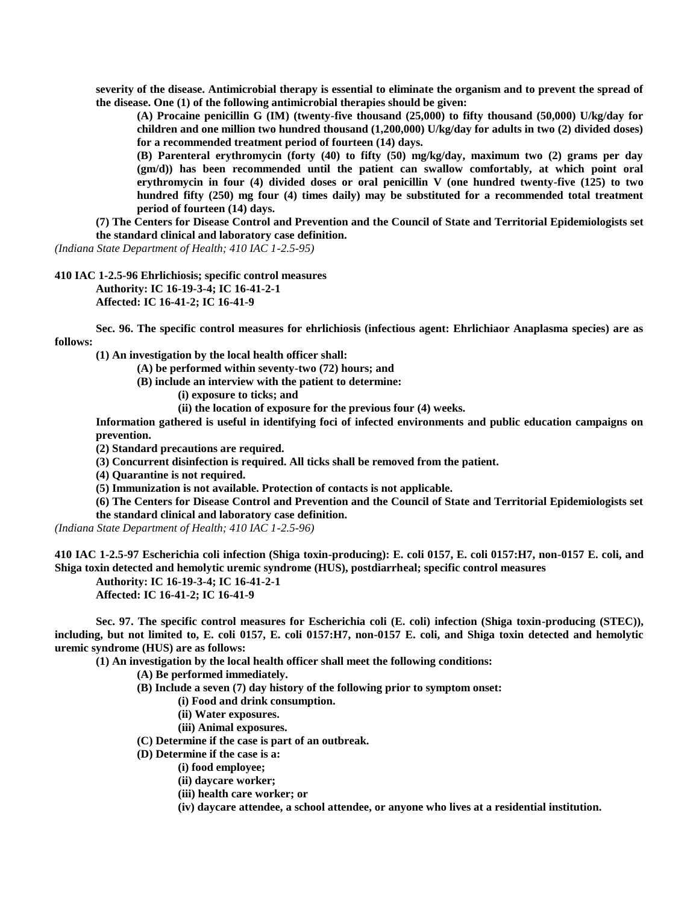**severity of the disease. Antimicrobial therapy is essential to eliminate the organism and to prevent the spread of the disease. One (1) of the following antimicrobial therapies should be given:**

**(A) Procaine penicillin G (IM) (twenty-five thousand (25,000) to fifty thousand (50,000) U/kg/day for children and one million two hundred thousand (1,200,000) U/kg/day for adults in two (2) divided doses) for a recommended treatment period of fourteen (14) days.**

**(B) Parenteral erythromycin (forty (40) to fifty (50) mg/kg/day, maximum two (2) grams per day (gm/d)) has been recommended until the patient can swallow comfortably, at which point oral erythromycin in four (4) divided doses or oral penicillin V (one hundred twenty-five (125) to two hundred fifty (250) mg four (4) times daily) may be substituted for a recommended total treatment period of fourteen (14) days.**

**(7) The Centers for Disease Control and Prevention and the Council of State and Territorial Epidemiologists set the standard clinical and laboratory case definition.**

*(Indiana State Department of Health; 410 IAC 1-2.5-95)*

**410 IAC 1-2.5-96 Ehrlichiosis; specific control measures Authority: IC 16-19-3-4; IC 16-41-2-1**

**Affected: IC 16-41-2; IC 16-41-9**

**Sec. 96. The specific control measures for ehrlichiosis (infectious agent: Ehrlichiaor Anaplasma species) are as follows:**

**(1) An investigation by the local health officer shall:**

**(A) be performed within seventy-two (72) hours; and**

**(B) include an interview with the patient to determine:**

**(i) exposure to ticks; and**

**(ii) the location of exposure for the previous four (4) weeks.**

**Information gathered is useful in identifying foci of infected environments and public education campaigns on prevention.**

**(2) Standard precautions are required.**

**(3) Concurrent disinfection is required. All ticks shall be removed from the patient.**

**(4) Quarantine is not required.**

**(5) Immunization is not available. Protection of contacts is not applicable.**

**(6) The Centers for Disease Control and Prevention and the Council of State and Territorial Epidemiologists set the standard clinical and laboratory case definition.**

*(Indiana State Department of Health; 410 IAC 1-2.5-96)*

**410 IAC 1-2.5-97 Escherichia coli infection (Shiga toxin-producing): E. coli 0157, E. coli 0157:H7, non-0157 E. coli, and Shiga toxin detected and hemolytic uremic syndrome (HUS), postdiarrheal; specific control measures**

**Authority: IC 16-19-3-4; IC 16-41-2-1**

**Affected: IC 16-41-2; IC 16-41-9**

**Sec. 97. The specific control measures for Escherichia coli (E. coli) infection (Shiga toxin-producing (STEC)), including, but not limited to, E. coli 0157, E. coli 0157:H7, non-0157 E. coli, and Shiga toxin detected and hemolytic uremic syndrome (HUS) are as follows:**

**(1) An investigation by the local health officer shall meet the following conditions:**

**(A) Be performed immediately.**

**(B) Include a seven (7) day history of the following prior to symptom onset:**

**(i) Food and drink consumption.**

- **(ii) Water exposures.**
- **(iii) Animal exposures.**
- **(C) Determine if the case is part of an outbreak.**
- **(D) Determine if the case is a:**
	- **(i) food employee;**
		- **(ii) daycare worker;**
	- **(iii) health care worker; or**
	- **(iv) daycare attendee, a school attendee, or anyone who lives at a residential institution.**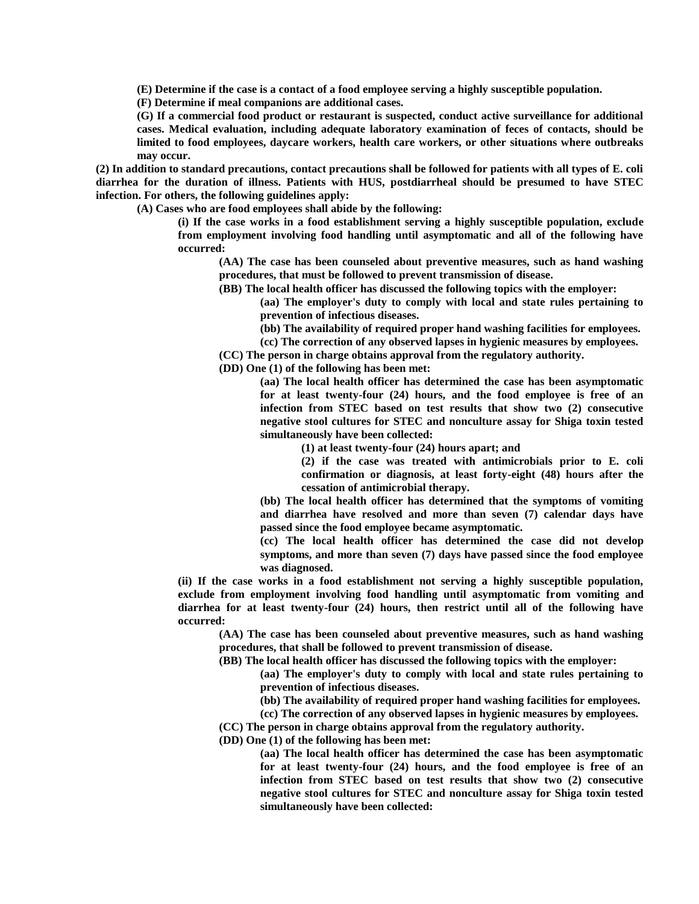**(E) Determine if the case is a contact of a food employee serving a highly susceptible population.**

**(F) Determine if meal companions are additional cases.**

**(G) If a commercial food product or restaurant is suspected, conduct active surveillance for additional cases. Medical evaluation, including adequate laboratory examination of feces of contacts, should be limited to food employees, daycare workers, health care workers, or other situations where outbreaks may occur.**

**(2) In addition to standard precautions, contact precautions shall be followed for patients with all types of E. coli diarrhea for the duration of illness. Patients with HUS, postdiarrheal should be presumed to have STEC infection. For others, the following guidelines apply:**

**(A) Cases who are food employees shall abide by the following:**

**(i) If the case works in a food establishment serving a highly susceptible population, exclude from employment involving food handling until asymptomatic and all of the following have occurred:**

**(AA) The case has been counseled about preventive measures, such as hand washing procedures, that must be followed to prevent transmission of disease.**

**(BB) The local health officer has discussed the following topics with the employer:**

**(aa) The employer's duty to comply with local and state rules pertaining to prevention of infectious diseases.**

**(bb) The availability of required proper hand washing facilities for employees.**

**(cc) The correction of any observed lapses in hygienic measures by employees.**

**(CC) The person in charge obtains approval from the regulatory authority.**

**(DD) One (1) of the following has been met:**

**(aa) The local health officer has determined the case has been asymptomatic for at least twenty-four (24) hours, and the food employee is free of an infection from STEC based on test results that show two (2) consecutive negative stool cultures for STEC and nonculture assay for Shiga toxin tested simultaneously have been collected:**

**(1) at least twenty-four (24) hours apart; and**

**(2) if the case was treated with antimicrobials prior to E. coli confirmation or diagnosis, at least forty-eight (48) hours after the cessation of antimicrobial therapy.**

**(bb) The local health officer has determined that the symptoms of vomiting and diarrhea have resolved and more than seven (7) calendar days have passed since the food employee became asymptomatic.**

**(cc) The local health officer has determined the case did not develop symptoms, and more than seven (7) days have passed since the food employee was diagnosed.**

**(ii) If the case works in a food establishment not serving a highly susceptible population, exclude from employment involving food handling until asymptomatic from vomiting and diarrhea for at least twenty-four (24) hours, then restrict until all of the following have occurred:**

**(AA) The case has been counseled about preventive measures, such as hand washing procedures, that shall be followed to prevent transmission of disease.**

**(BB) The local health officer has discussed the following topics with the employer:**

**(aa) The employer's duty to comply with local and state rules pertaining to prevention of infectious diseases.**

**(bb) The availability of required proper hand washing facilities for employees.**

**(cc) The correction of any observed lapses in hygienic measures by employees.**

**(CC) The person in charge obtains approval from the regulatory authority.**

**(DD) One (1) of the following has been met:**

**(aa) The local health officer has determined the case has been asymptomatic for at least twenty-four (24) hours, and the food employee is free of an infection from STEC based on test results that show two (2) consecutive negative stool cultures for STEC and nonculture assay for Shiga toxin tested simultaneously have been collected:**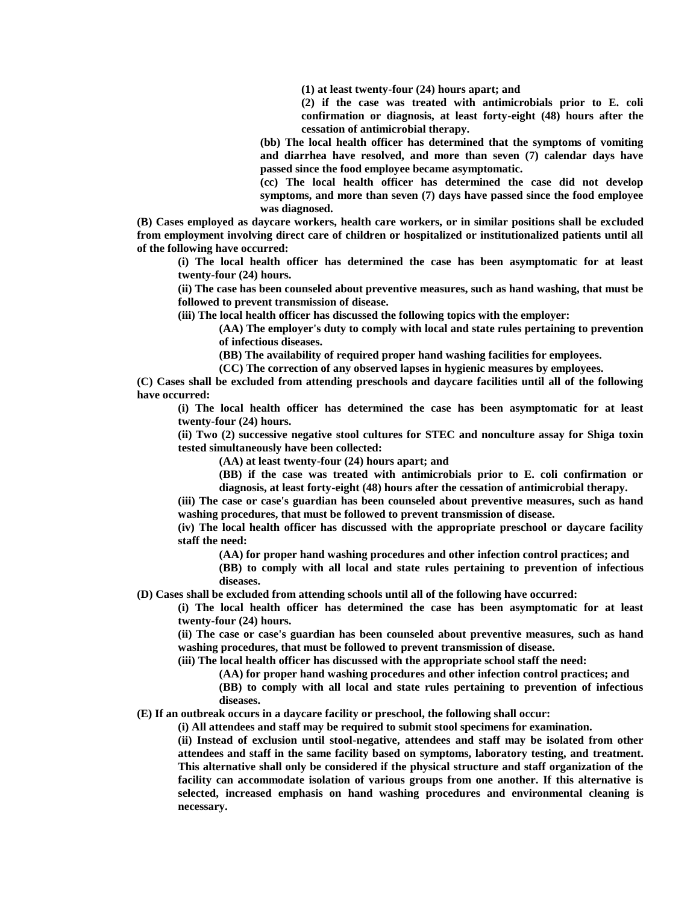**(1) at least twenty-four (24) hours apart; and**

**(2) if the case was treated with antimicrobials prior to E. coli confirmation or diagnosis, at least forty-eight (48) hours after the cessation of antimicrobial therapy.**

**(bb) The local health officer has determined that the symptoms of vomiting and diarrhea have resolved, and more than seven (7) calendar days have passed since the food employee became asymptomatic.**

**(cc) The local health officer has determined the case did not develop symptoms, and more than seven (7) days have passed since the food employee was diagnosed.**

**(B) Cases employed as daycare workers, health care workers, or in similar positions shall be excluded from employment involving direct care of children or hospitalized or institutionalized patients until all of the following have occurred:**

**(i) The local health officer has determined the case has been asymptomatic for at least twenty-four (24) hours.**

**(ii) The case has been counseled about preventive measures, such as hand washing, that must be followed to prevent transmission of disease.**

**(iii) The local health officer has discussed the following topics with the employer:**

**(AA) The employer's duty to comply with local and state rules pertaining to prevention of infectious diseases.**

**(BB) The availability of required proper hand washing facilities for employees.**

**(CC) The correction of any observed lapses in hygienic measures by employees.**

**(C) Cases shall be excluded from attending preschools and daycare facilities until all of the following have occurred:**

**(i) The local health officer has determined the case has been asymptomatic for at least twenty-four (24) hours.**

**(ii) Two (2) successive negative stool cultures for STEC and nonculture assay for Shiga toxin tested simultaneously have been collected:**

**(AA) at least twenty-four (24) hours apart; and**

**(BB) if the case was treated with antimicrobials prior to E. coli confirmation or diagnosis, at least forty-eight (48) hours after the cessation of antimicrobial therapy.**

**(iii) The case or case's guardian has been counseled about preventive measures, such as hand washing procedures, that must be followed to prevent transmission of disease.**

**(iv) The local health officer has discussed with the appropriate preschool or daycare facility staff the need:**

**(AA) for proper hand washing procedures and other infection control practices; and**

**(BB) to comply with all local and state rules pertaining to prevention of infectious diseases.**

**(D) Cases shall be excluded from attending schools until all of the following have occurred:**

**(i) The local health officer has determined the case has been asymptomatic for at least twenty-four (24) hours.**

**(ii) The case or case's guardian has been counseled about preventive measures, such as hand washing procedures, that must be followed to prevent transmission of disease.**

**(iii) The local health officer has discussed with the appropriate school staff the need:**

**(AA) for proper hand washing procedures and other infection control practices; and**

**(BB) to comply with all local and state rules pertaining to prevention of infectious diseases.**

**(E) If an outbreak occurs in a daycare facility or preschool, the following shall occur:**

**(i) All attendees and staff may be required to submit stool specimens for examination.**

**(ii) Instead of exclusion until stool-negative, attendees and staff may be isolated from other attendees and staff in the same facility based on symptoms, laboratory testing, and treatment. This alternative shall only be considered if the physical structure and staff organization of the facility can accommodate isolation of various groups from one another. If this alternative is selected, increased emphasis on hand washing procedures and environmental cleaning is necessary.**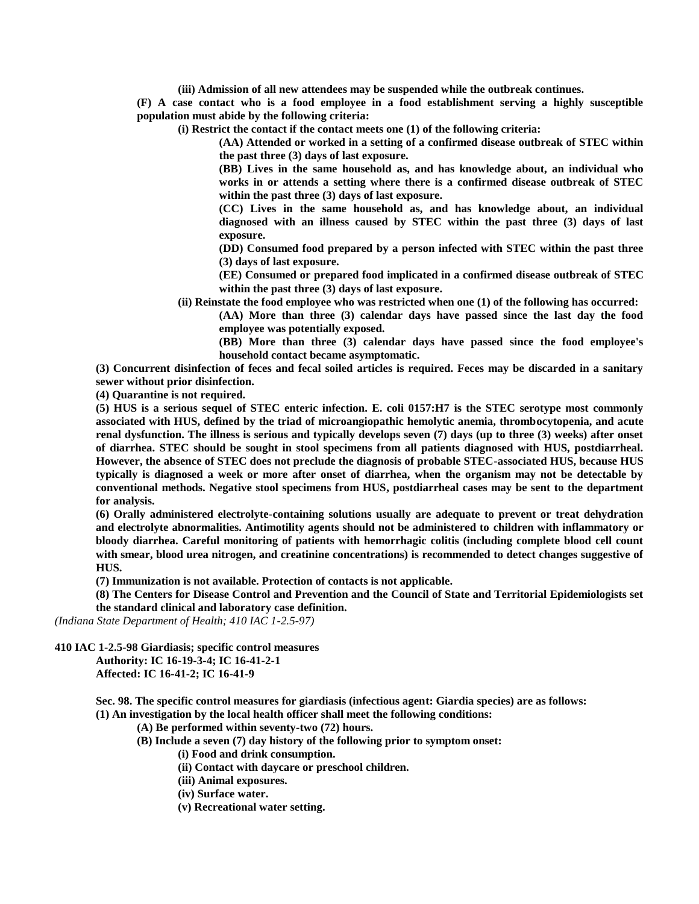**(iii) Admission of all new attendees may be suspended while the outbreak continues.**

**(F) A case contact who is a food employee in a food establishment serving a highly susceptible population must abide by the following criteria:**

**(i) Restrict the contact if the contact meets one (1) of the following criteria:**

**(AA) Attended or worked in a setting of a confirmed disease outbreak of STEC within the past three (3) days of last exposure.**

**(BB) Lives in the same household as, and has knowledge about, an individual who works in or attends a setting where there is a confirmed disease outbreak of STEC within the past three (3) days of last exposure.**

**(CC) Lives in the same household as, and has knowledge about, an individual diagnosed with an illness caused by STEC within the past three (3) days of last exposure.**

**(DD) Consumed food prepared by a person infected with STEC within the past three (3) days of last exposure.**

**(EE) Consumed or prepared food implicated in a confirmed disease outbreak of STEC within the past three (3) days of last exposure.**

**(ii) Reinstate the food employee who was restricted when one (1) of the following has occurred:**

**(AA) More than three (3) calendar days have passed since the last day the food employee was potentially exposed.**

**(BB) More than three (3) calendar days have passed since the food employee's household contact became asymptomatic.**

**(3) Concurrent disinfection of feces and fecal soiled articles is required. Feces may be discarded in a sanitary sewer without prior disinfection.**

**(4) Quarantine is not required.**

**(5) HUS is a serious sequel of STEC enteric infection. E. coli 0157:H7 is the STEC serotype most commonly associated with HUS, defined by the triad of microangiopathic hemolytic anemia, thrombocytopenia, and acute renal dysfunction. The illness is serious and typically develops seven (7) days (up to three (3) weeks) after onset of diarrhea. STEC should be sought in stool specimens from all patients diagnosed with HUS, postdiarrheal. However, the absence of STEC does not preclude the diagnosis of probable STEC-associated HUS, because HUS typically is diagnosed a week or more after onset of diarrhea, when the organism may not be detectable by conventional methods. Negative stool specimens from HUS, postdiarrheal cases may be sent to the department for analysis.**

**(6) Orally administered electrolyte-containing solutions usually are adequate to prevent or treat dehydration and electrolyte abnormalities. Antimotility agents should not be administered to children with inflammatory or bloody diarrhea. Careful monitoring of patients with hemorrhagic colitis (including complete blood cell count with smear, blood urea nitrogen, and creatinine concentrations) is recommended to detect changes suggestive of HUS.**

**(7) Immunization is not available. Protection of contacts is not applicable.**

**(8) The Centers for Disease Control and Prevention and the Council of State and Territorial Epidemiologists set the standard clinical and laboratory case definition.**

*(Indiana State Department of Health; 410 IAC 1-2.5-97)*

**410 IAC 1-2.5-98 Giardiasis; specific control measures**

**Authority: IC 16-19-3-4; IC 16-41-2-1 Affected: IC 16-41-2; IC 16-41-9**

**Sec. 98. The specific control measures for giardiasis (infectious agent: Giardia species) are as follows:**

**(1) An investigation by the local health officer shall meet the following conditions:**

**(A) Be performed within seventy-two (72) hours.**

**(B) Include a seven (7) day history of the following prior to symptom onset:**

**(i) Food and drink consumption.**

**(ii) Contact with daycare or preschool children.**

- **(iii) Animal exposures.**
- **(iv) Surface water.**
- **(v) Recreational water setting.**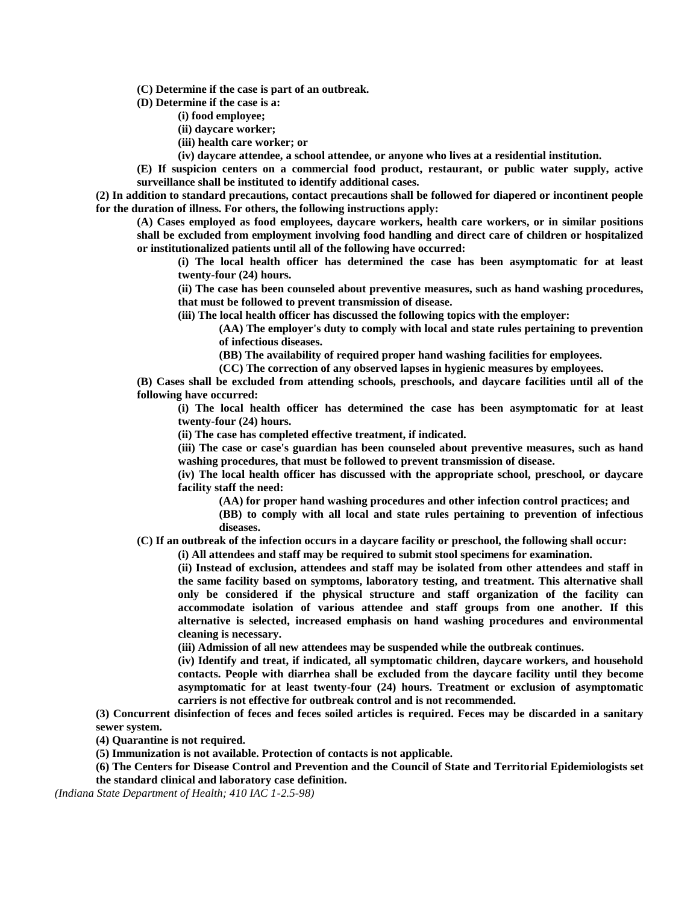**(C) Determine if the case is part of an outbreak.**

**(D) Determine if the case is a:**

- **(i) food employee;**
- **(ii) daycare worker;**
- **(iii) health care worker; or**
- **(iv) daycare attendee, a school attendee, or anyone who lives at a residential institution.**

**(E) If suspicion centers on a commercial food product, restaurant, or public water supply, active surveillance shall be instituted to identify additional cases.**

**(2) In addition to standard precautions, contact precautions shall be followed for diapered or incontinent people for the duration of illness. For others, the following instructions apply:**

**(A) Cases employed as food employees, daycare workers, health care workers, or in similar positions shall be excluded from employment involving food handling and direct care of children or hospitalized or institutionalized patients until all of the following have occurred:**

**(i) The local health officer has determined the case has been asymptomatic for at least twenty-four (24) hours.**

**(ii) The case has been counseled about preventive measures, such as hand washing procedures, that must be followed to prevent transmission of disease.**

**(iii) The local health officer has discussed the following topics with the employer:**

**(AA) The employer's duty to comply with local and state rules pertaining to prevention of infectious diseases.**

**(BB) The availability of required proper hand washing facilities for employees.**

**(CC) The correction of any observed lapses in hygienic measures by employees.**

**(B) Cases shall be excluded from attending schools, preschools, and daycare facilities until all of the following have occurred:**

**(i) The local health officer has determined the case has been asymptomatic for at least twenty-four (24) hours.**

**(ii) The case has completed effective treatment, if indicated.**

**(iii) The case or case's guardian has been counseled about preventive measures, such as hand washing procedures, that must be followed to prevent transmission of disease.**

**(iv) The local health officer has discussed with the appropriate school, preschool, or daycare facility staff the need:**

**(AA) for proper hand washing procedures and other infection control practices; and**

**(BB) to comply with all local and state rules pertaining to prevention of infectious diseases.**

**(C) If an outbreak of the infection occurs in a daycare facility or preschool, the following shall occur:**

**(i) All attendees and staff may be required to submit stool specimens for examination.**

**(ii) Instead of exclusion, attendees and staff may be isolated from other attendees and staff in the same facility based on symptoms, laboratory testing, and treatment. This alternative shall only be considered if the physical structure and staff organization of the facility can accommodate isolation of various attendee and staff groups from one another. If this alternative is selected, increased emphasis on hand washing procedures and environmental cleaning is necessary.**

**(iii) Admission of all new attendees may be suspended while the outbreak continues.**

**(iv) Identify and treat, if indicated, all symptomatic children, daycare workers, and household contacts. People with diarrhea shall be excluded from the daycare facility until they become asymptomatic for at least twenty-four (24) hours. Treatment or exclusion of asymptomatic carriers is not effective for outbreak control and is not recommended.**

**(3) Concurrent disinfection of feces and feces soiled articles is required. Feces may be discarded in a sanitary sewer system.**

**(4) Quarantine is not required.**

**(5) Immunization is not available. Protection of contacts is not applicable.**

**(6) The Centers for Disease Control and Prevention and the Council of State and Territorial Epidemiologists set the standard clinical and laboratory case definition.**

*(Indiana State Department of Health; 410 IAC 1-2.5-98)*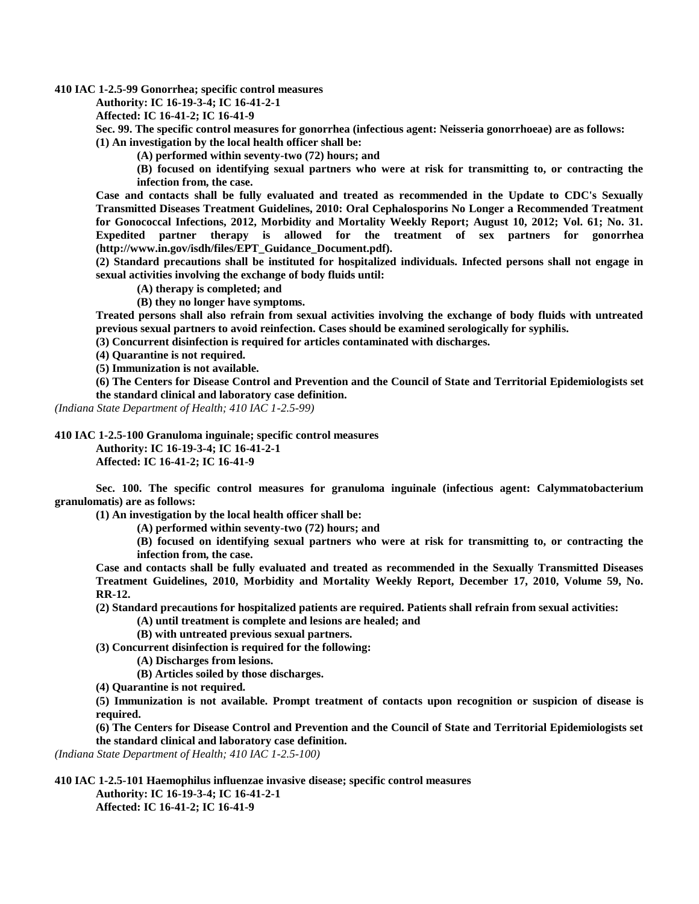**410 IAC 1-2.5-99 Gonorrhea; specific control measures**

**Authority: IC 16-19-3-4; IC 16-41-2-1**

**Affected: IC 16-41-2; IC 16-41-9**

**Sec. 99. The specific control measures for gonorrhea (infectious agent: Neisseria gonorrhoeae) are as follows: (1) An investigation by the local health officer shall be:**

**(A) performed within seventy-two (72) hours; and**

**(B) focused on identifying sexual partners who were at risk for transmitting to, or contracting the infection from, the case.**

**Case and contacts shall be fully evaluated and treated as recommended in the Update to CDC's Sexually Transmitted Diseases Treatment Guidelines, 2010: Oral Cephalosporins No Longer a Recommended Treatment for Gonococcal Infections, 2012, Morbidity and Mortality Weekly Report; August 10, 2012; Vol. 61; No. 31. Expedited partner therapy is allowed for the treatment of sex partners for gonorrhea (http://www.in.gov/isdh/files/EPT\_Guidance\_Document.pdf).**

**(2) Standard precautions shall be instituted for hospitalized individuals. Infected persons shall not engage in sexual activities involving the exchange of body fluids until:**

**(A) therapy is completed; and**

**(B) they no longer have symptoms.**

**Treated persons shall also refrain from sexual activities involving the exchange of body fluids with untreated previous sexual partners to avoid reinfection. Cases should be examined serologically for syphilis.**

**(3) Concurrent disinfection is required for articles contaminated with discharges.**

**(4) Quarantine is not required.**

**(5) Immunization is not available.**

**(6) The Centers for Disease Control and Prevention and the Council of State and Territorial Epidemiologists set the standard clinical and laboratory case definition.**

*(Indiana State Department of Health; 410 IAC 1-2.5-99)*

**410 IAC 1-2.5-100 Granuloma inguinale; specific control measures**

**Authority: IC 16-19-3-4; IC 16-41-2-1**

**Affected: IC 16-41-2; IC 16-41-9**

**Sec. 100. The specific control measures for granuloma inguinale (infectious agent: Calymmatobacterium granulomatis) are as follows:**

**(1) An investigation by the local health officer shall be:**

**(A) performed within seventy-two (72) hours; and**

**(B) focused on identifying sexual partners who were at risk for transmitting to, or contracting the infection from, the case.**

**Case and contacts shall be fully evaluated and treated as recommended in the Sexually Transmitted Diseases Treatment Guidelines, 2010, Morbidity and Mortality Weekly Report, December 17, 2010, Volume 59, No. RR-12.**

**(2) Standard precautions for hospitalized patients are required. Patients shall refrain from sexual activities:**

- **(A) until treatment is complete and lesions are healed; and**
- **(B) with untreated previous sexual partners.**

**(3) Concurrent disinfection is required for the following:**

- **(A) Discharges from lesions.**
- **(B) Articles soiled by those discharges.**
- **(4) Quarantine is not required.**

**(5) Immunization is not available. Prompt treatment of contacts upon recognition or suspicion of disease is required.**

**(6) The Centers for Disease Control and Prevention and the Council of State and Territorial Epidemiologists set the standard clinical and laboratory case definition.**

*(Indiana State Department of Health; 410 IAC 1-2.5-100)*

**410 IAC 1-2.5-101 Haemophilus influenzae invasive disease; specific control measures**

**Authority: IC 16-19-3-4; IC 16-41-2-1 Affected: IC 16-41-2; IC 16-41-9**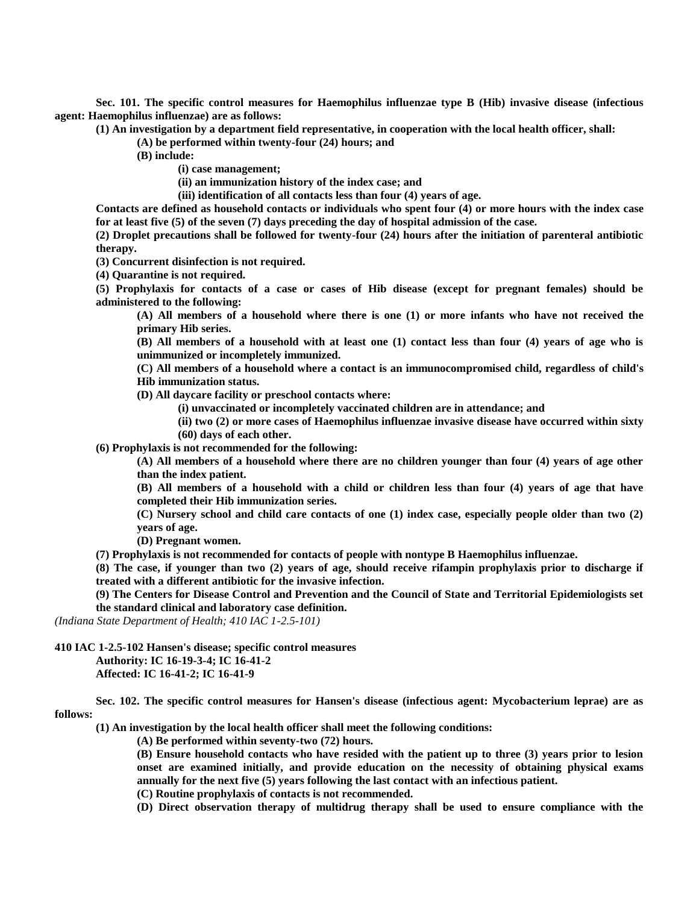**Sec. 101. The specific control measures for Haemophilus influenzae type B (Hib) invasive disease (infectious agent: Haemophilus influenzae) are as follows:**

**(1) An investigation by a department field representative, in cooperation with the local health officer, shall:**

**(A) be performed within twenty-four (24) hours; and**

**(B) include:**

**(i) case management;**

**(ii) an immunization history of the index case; and**

**(iii) identification of all contacts less than four (4) years of age.**

**Contacts are defined as household contacts or individuals who spent four (4) or more hours with the index case for at least five (5) of the seven (7) days preceding the day of hospital admission of the case.**

**(2) Droplet precautions shall be followed for twenty-four (24) hours after the initiation of parenteral antibiotic therapy.**

**(3) Concurrent disinfection is not required.**

**(4) Quarantine is not required.**

**(5) Prophylaxis for contacts of a case or cases of Hib disease (except for pregnant females) should be administered to the following:**

**(A) All members of a household where there is one (1) or more infants who have not received the primary Hib series.**

**(B) All members of a household with at least one (1) contact less than four (4) years of age who is unimmunized or incompletely immunized.**

**(C) All members of a household where a contact is an immunocompromised child, regardless of child's Hib immunization status.**

**(D) All daycare facility or preschool contacts where:**

**(i) unvaccinated or incompletely vaccinated children are in attendance; and**

**(ii) two (2) or more cases of Haemophilus influenzae invasive disease have occurred within sixty (60) days of each other.**

**(6) Prophylaxis is not recommended for the following:**

**(A) All members of a household where there are no children younger than four (4) years of age other than the index patient.**

**(B) All members of a household with a child or children less than four (4) years of age that have completed their Hib immunization series.**

**(C) Nursery school and child care contacts of one (1) index case, especially people older than two (2) years of age.**

**(D) Pregnant women.**

**(7) Prophylaxis is not recommended for contacts of people with nontype B Haemophilus influenzae.**

**(8) The case, if younger than two (2) years of age, should receive rifampin prophylaxis prior to discharge if treated with a different antibiotic for the invasive infection.**

**(9) The Centers for Disease Control and Prevention and the Council of State and Territorial Epidemiologists set the standard clinical and laboratory case definition.**

*(Indiana State Department of Health; 410 IAC 1-2.5-101)*

**410 IAC 1-2.5-102 Hansen's disease; specific control measures**

**Authority: IC 16-19-3-4; IC 16-41-2**

**Affected: IC 16-41-2; IC 16-41-9**

**Sec. 102. The specific control measures for Hansen's disease (infectious agent: Mycobacterium leprae) are as follows:**

**(1) An investigation by the local health officer shall meet the following conditions:**

**(A) Be performed within seventy-two (72) hours.**

**(B) Ensure household contacts who have resided with the patient up to three (3) years prior to lesion onset are examined initially, and provide education on the necessity of obtaining physical exams annually for the next five (5) years following the last contact with an infectious patient.**

**(C) Routine prophylaxis of contacts is not recommended.**

**(D) Direct observation therapy of multidrug therapy shall be used to ensure compliance with the**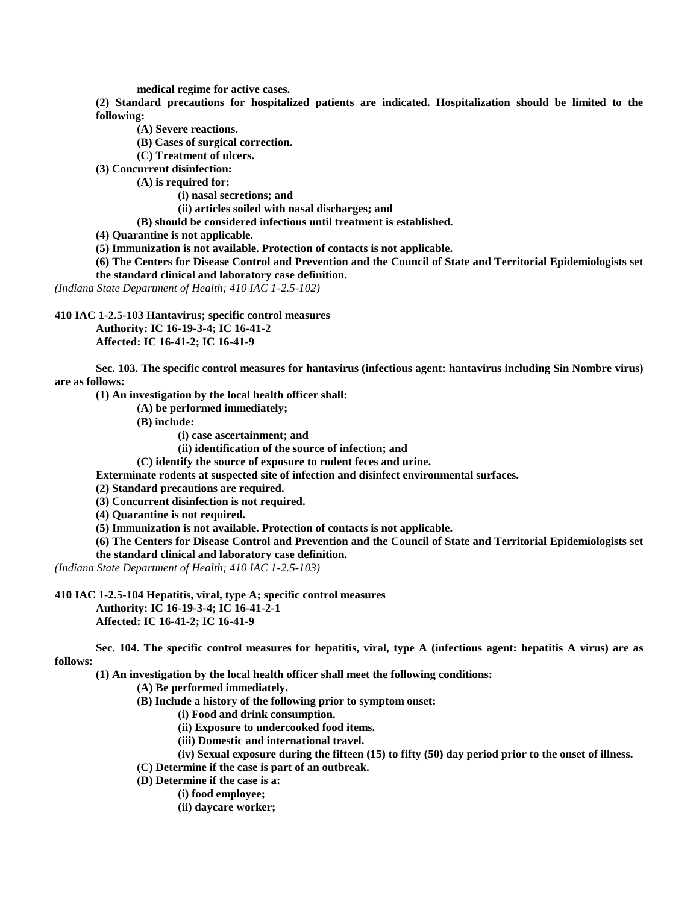**medical regime for active cases.**

**(2) Standard precautions for hospitalized patients are indicated. Hospitalization should be limited to the following:**

**(A) Severe reactions.**

**(B) Cases of surgical correction.**

**(C) Treatment of ulcers.**

**(3) Concurrent disinfection:**

**(A) is required for:**

**(i) nasal secretions; and**

**(ii) articles soiled with nasal discharges; and**

**(B) should be considered infectious until treatment is established.**

**(4) Quarantine is not applicable.**

**(5) Immunization is not available. Protection of contacts is not applicable.**

**(6) The Centers for Disease Control and Prevention and the Council of State and Territorial Epidemiologists set** 

**the standard clinical and laboratory case definition.**

*(Indiana State Department of Health; 410 IAC 1-2.5-102)*

**410 IAC 1-2.5-103 Hantavirus; specific control measures**

**Authority: IC 16-19-3-4; IC 16-41-2 Affected: IC 16-41-2; IC 16-41-9**

**Sec. 103. The specific control measures for hantavirus (infectious agent: hantavirus including Sin Nombre virus) are as follows:**

**(1) An investigation by the local health officer shall:**

**(A) be performed immediately;**

**(B) include:**

**(i) case ascertainment; and**

**(ii) identification of the source of infection; and**

**(C) identify the source of exposure to rodent feces and urine.**

**Exterminate rodents at suspected site of infection and disinfect environmental surfaces.**

**(2) Standard precautions are required.**

**(3) Concurrent disinfection is not required.**

**(4) Quarantine is not required.**

**(5) Immunization is not available. Protection of contacts is not applicable.**

**(6) The Centers for Disease Control and Prevention and the Council of State and Territorial Epidemiologists set the standard clinical and laboratory case definition.**

*(Indiana State Department of Health; 410 IAC 1-2.5-103)*

**410 IAC 1-2.5-104 Hepatitis, viral, type A; specific control measures**

**Authority: IC 16-19-3-4; IC 16-41-2-1 Affected: IC 16-41-2; IC 16-41-9**

**Sec. 104. The specific control measures for hepatitis, viral, type A (infectious agent: hepatitis A virus) are as follows:**

**(1) An investigation by the local health officer shall meet the following conditions:**

**(A) Be performed immediately.**

**(B) Include a history of the following prior to symptom onset:**

**(i) Food and drink consumption.**

**(ii) Exposure to undercooked food items.**

**(iii) Domestic and international travel.**

**(iv) Sexual exposure during the fifteen (15) to fifty (50) day period prior to the onset of illness.**

- **(C) Determine if the case is part of an outbreak.**
- **(D) Determine if the case is a:**

**(i) food employee;**

**(ii) daycare worker;**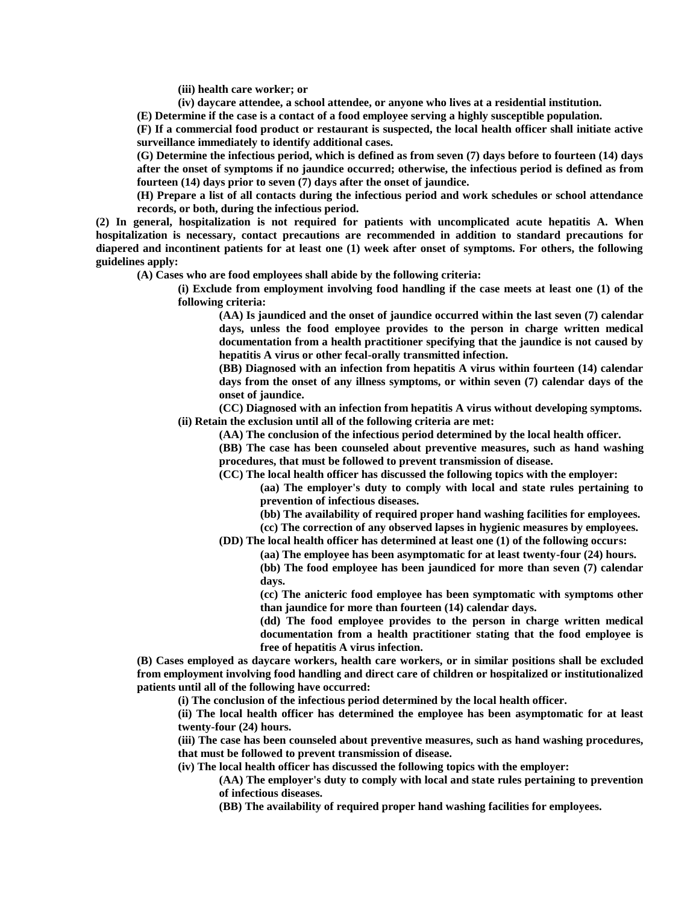**(iii) health care worker; or**

**(iv) daycare attendee, a school attendee, or anyone who lives at a residential institution.**

**(E) Determine if the case is a contact of a food employee serving a highly susceptible population.**

**(F) If a commercial food product or restaurant is suspected, the local health officer shall initiate active surveillance immediately to identify additional cases.**

**(G) Determine the infectious period, which is defined as from seven (7) days before to fourteen (14) days after the onset of symptoms if no jaundice occurred; otherwise, the infectious period is defined as from fourteen (14) days prior to seven (7) days after the onset of jaundice.**

**(H) Prepare a list of all contacts during the infectious period and work schedules or school attendance records, or both, during the infectious period.**

**(2) In general, hospitalization is not required for patients with uncomplicated acute hepatitis A. When hospitalization is necessary, contact precautions are recommended in addition to standard precautions for diapered and incontinent patients for at least one (1) week after onset of symptoms. For others, the following guidelines apply:**

**(A) Cases who are food employees shall abide by the following criteria:**

**(i) Exclude from employment involving food handling if the case meets at least one (1) of the following criteria:**

**(AA) Is jaundiced and the onset of jaundice occurred within the last seven (7) calendar days, unless the food employee provides to the person in charge written medical documentation from a health practitioner specifying that the jaundice is not caused by hepatitis A virus or other fecal-orally transmitted infection.**

**(BB) Diagnosed with an infection from hepatitis A virus within fourteen (14) calendar days from the onset of any illness symptoms, or within seven (7) calendar days of the onset of jaundice.**

**(CC) Diagnosed with an infection from hepatitis A virus without developing symptoms. (ii) Retain the exclusion until all of the following criteria are met:**

**(AA) The conclusion of the infectious period determined by the local health officer.**

**(BB) The case has been counseled about preventive measures, such as hand washing procedures, that must be followed to prevent transmission of disease.**

**(CC) The local health officer has discussed the following topics with the employer:**

**(aa) The employer's duty to comply with local and state rules pertaining to prevention of infectious diseases.**

**(bb) The availability of required proper hand washing facilities for employees.**

**(cc) The correction of any observed lapses in hygienic measures by employees.**

**(DD) The local health officer has determined at least one (1) of the following occurs:**

**(aa) The employee has been asymptomatic for at least twenty-four (24) hours.**

**(bb) The food employee has been jaundiced for more than seven (7) calendar days.**

**(cc) The anicteric food employee has been symptomatic with symptoms other than jaundice for more than fourteen (14) calendar days.**

**(dd) The food employee provides to the person in charge written medical documentation from a health practitioner stating that the food employee is free of hepatitis A virus infection.**

**(B) Cases employed as daycare workers, health care workers, or in similar positions shall be excluded from employment involving food handling and direct care of children or hospitalized or institutionalized patients until all of the following have occurred:**

**(i) The conclusion of the infectious period determined by the local health officer.**

**(ii) The local health officer has determined the employee has been asymptomatic for at least twenty-four (24) hours.**

**(iii) The case has been counseled about preventive measures, such as hand washing procedures, that must be followed to prevent transmission of disease.**

**(iv) The local health officer has discussed the following topics with the employer:**

**(AA) The employer's duty to comply with local and state rules pertaining to prevention of infectious diseases.**

**(BB) The availability of required proper hand washing facilities for employees.**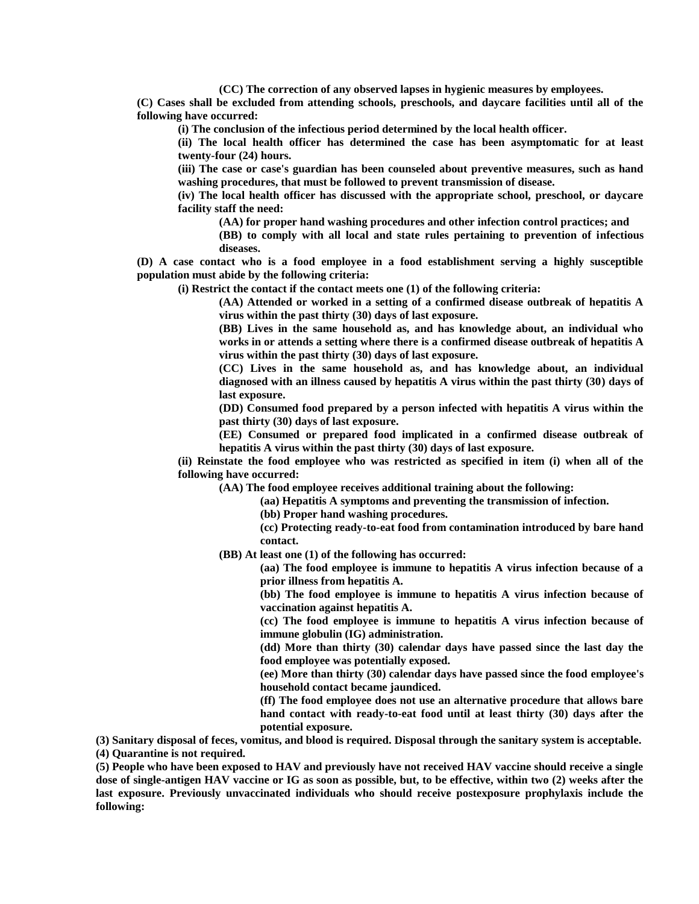**(CC) The correction of any observed lapses in hygienic measures by employees.**

**(C) Cases shall be excluded from attending schools, preschools, and daycare facilities until all of the following have occurred:**

**(i) The conclusion of the infectious period determined by the local health officer.**

**(ii) The local health officer has determined the case has been asymptomatic for at least twenty-four (24) hours.**

**(iii) The case or case's guardian has been counseled about preventive measures, such as hand washing procedures, that must be followed to prevent transmission of disease.**

**(iv) The local health officer has discussed with the appropriate school, preschool, or daycare facility staff the need:**

**(AA) for proper hand washing procedures and other infection control practices; and**

**(BB) to comply with all local and state rules pertaining to prevention of infectious diseases.**

**(D) A case contact who is a food employee in a food establishment serving a highly susceptible population must abide by the following criteria:**

**(i) Restrict the contact if the contact meets one (1) of the following criteria:**

**(AA) Attended or worked in a setting of a confirmed disease outbreak of hepatitis A virus within the past thirty (30) days of last exposure.**

**(BB) Lives in the same household as, and has knowledge about, an individual who works in or attends a setting where there is a confirmed disease outbreak of hepatitis A virus within the past thirty (30) days of last exposure.**

**(CC) Lives in the same household as, and has knowledge about, an individual diagnosed with an illness caused by hepatitis A virus within the past thirty (30) days of last exposure.**

**(DD) Consumed food prepared by a person infected with hepatitis A virus within the past thirty (30) days of last exposure.**

**(EE) Consumed or prepared food implicated in a confirmed disease outbreak of hepatitis A virus within the past thirty (30) days of last exposure.**

**(ii) Reinstate the food employee who was restricted as specified in item (i) when all of the following have occurred:**

**(AA) The food employee receives additional training about the following:**

**(aa) Hepatitis A symptoms and preventing the transmission of infection.**

**(bb) Proper hand washing procedures.**

**(cc) Protecting ready-to-eat food from contamination introduced by bare hand contact.**

**(BB) At least one (1) of the following has occurred:**

**(aa) The food employee is immune to hepatitis A virus infection because of a prior illness from hepatitis A.**

**(bb) The food employee is immune to hepatitis A virus infection because of vaccination against hepatitis A.**

**(cc) The food employee is immune to hepatitis A virus infection because of immune globulin (IG) administration.**

**(dd) More than thirty (30) calendar days have passed since the last day the food employee was potentially exposed.**

**(ee) More than thirty (30) calendar days have passed since the food employee's household contact became jaundiced.**

**(ff) The food employee does not use an alternative procedure that allows bare hand contact with ready-to-eat food until at least thirty (30) days after the potential exposure.**

**(3) Sanitary disposal of feces, vomitus, and blood is required. Disposal through the sanitary system is acceptable. (4) Quarantine is not required.**

**(5) People who have been exposed to HAV and previously have not received HAV vaccine should receive a single dose of single-antigen HAV vaccine or IG as soon as possible, but, to be effective, within two (2) weeks after the last exposure. Previously unvaccinated individuals who should receive postexposure prophylaxis include the following:**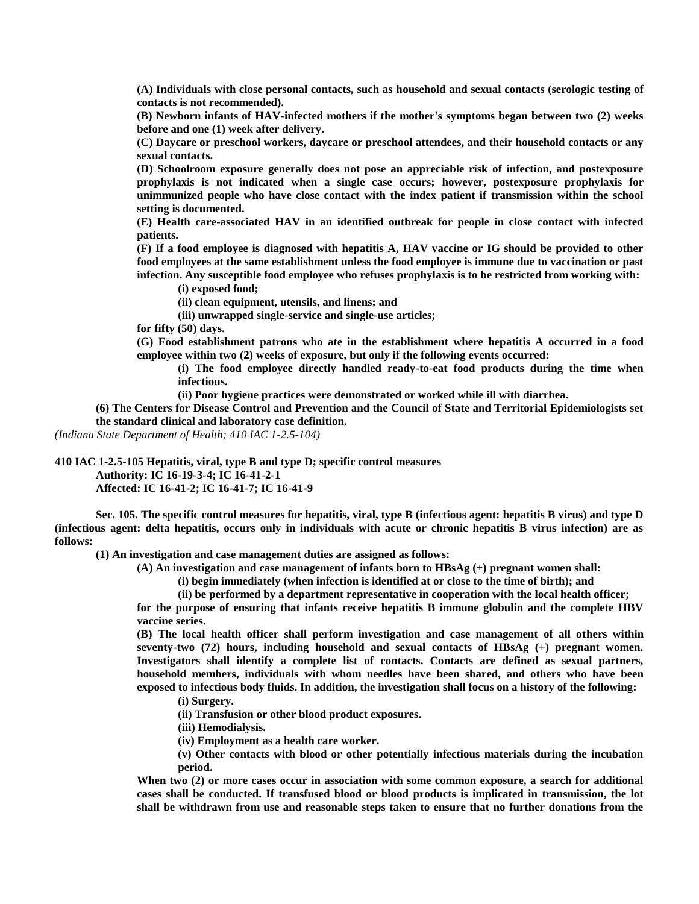**(A) Individuals with close personal contacts, such as household and sexual contacts (serologic testing of contacts is not recommended).**

**(B) Newborn infants of HAV-infected mothers if the mother's symptoms began between two (2) weeks before and one (1) week after delivery.**

**(C) Daycare or preschool workers, daycare or preschool attendees, and their household contacts or any sexual contacts.**

**(D) Schoolroom exposure generally does not pose an appreciable risk of infection, and postexposure prophylaxis is not indicated when a single case occurs; however, postexposure prophylaxis for unimmunized people who have close contact with the index patient if transmission within the school setting is documented.**

**(E) Health care-associated HAV in an identified outbreak for people in close contact with infected patients.**

**(F) If a food employee is diagnosed with hepatitis A, HAV vaccine or IG should be provided to other food employees at the same establishment unless the food employee is immune due to vaccination or past infection. Any susceptible food employee who refuses prophylaxis is to be restricted from working with:**

**(i) exposed food;**

**(ii) clean equipment, utensils, and linens; and**

**(iii) unwrapped single-service and single-use articles;**

**for fifty (50) days.**

**(G) Food establishment patrons who ate in the establishment where hepatitis A occurred in a food employee within two (2) weeks of exposure, but only if the following events occurred:**

**(i) The food employee directly handled ready-to-eat food products during the time when infectious.**

**(ii) Poor hygiene practices were demonstrated or worked while ill with diarrhea.**

**(6) The Centers for Disease Control and Prevention and the Council of State and Territorial Epidemiologists set the standard clinical and laboratory case definition.**

*(Indiana State Department of Health; 410 IAC 1-2.5-104)*

**410 IAC 1-2.5-105 Hepatitis, viral, type B and type D; specific control measures**

**Authority: IC 16-19-3-4; IC 16-41-2-1**

**Affected: IC 16-41-2; IC 16-41-7; IC 16-41-9**

**Sec. 105. The specific control measures for hepatitis, viral, type B (infectious agent: hepatitis B virus) and type D (infectious agent: delta hepatitis, occurs only in individuals with acute or chronic hepatitis B virus infection) are as follows:**

**(1) An investigation and case management duties are assigned as follows:**

**(A) An investigation and case management of infants born to HBsAg (+) pregnant women shall:**

**(i) begin immediately (when infection is identified at or close to the time of birth); and**

**(ii) be performed by a department representative in cooperation with the local health officer;**

**for the purpose of ensuring that infants receive hepatitis B immune globulin and the complete HBV vaccine series.**

**(B) The local health officer shall perform investigation and case management of all others within seventy-two (72) hours, including household and sexual contacts of HBsAg (+) pregnant women. Investigators shall identify a complete list of contacts. Contacts are defined as sexual partners, household members, individuals with whom needles have been shared, and others who have been exposed to infectious body fluids. In addition, the investigation shall focus on a history of the following:**

**(i) Surgery.**

**(ii) Transfusion or other blood product exposures.**

**(iii) Hemodialysis.**

**(iv) Employment as a health care worker.**

**(v) Other contacts with blood or other potentially infectious materials during the incubation period.**

**When two (2) or more cases occur in association with some common exposure, a search for additional cases shall be conducted. If transfused blood or blood products is implicated in transmission, the lot shall be withdrawn from use and reasonable steps taken to ensure that no further donations from the**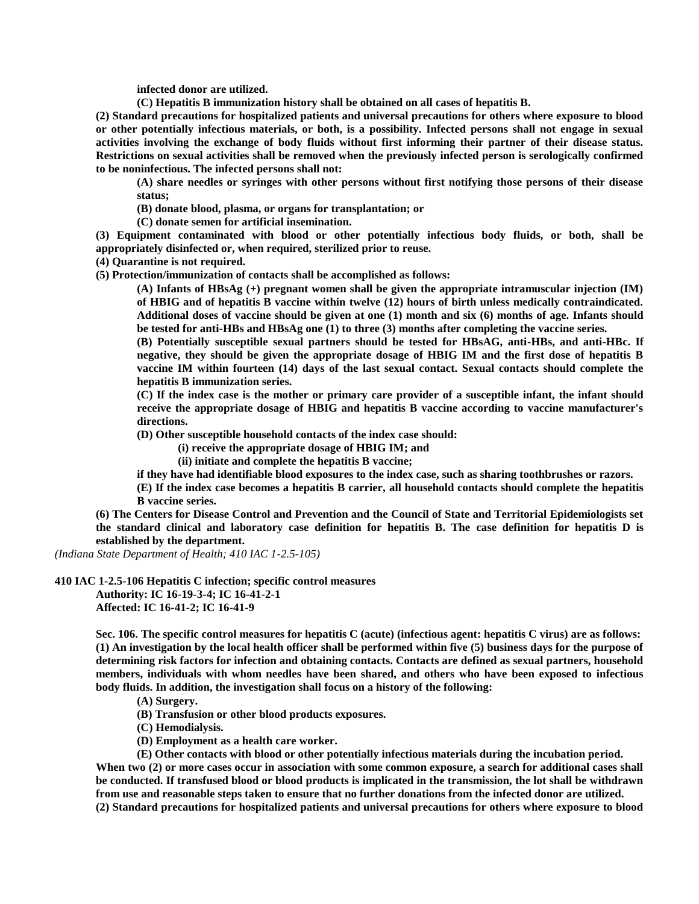**infected donor are utilized.**

**(C) Hepatitis B immunization history shall be obtained on all cases of hepatitis B.**

**(2) Standard precautions for hospitalized patients and universal precautions for others where exposure to blood or other potentially infectious materials, or both, is a possibility. Infected persons shall not engage in sexual activities involving the exchange of body fluids without first informing their partner of their disease status. Restrictions on sexual activities shall be removed when the previously infected person is serologically confirmed to be noninfectious. The infected persons shall not:**

**(A) share needles or syringes with other persons without first notifying those persons of their disease status;**

**(B) donate blood, plasma, or organs for transplantation; or**

**(C) donate semen for artificial insemination.**

**(3) Equipment contaminated with blood or other potentially infectious body fluids, or both, shall be appropriately disinfected or, when required, sterilized prior to reuse.**

**(4) Quarantine is not required.**

**(5) Protection/immunization of contacts shall be accomplished as follows:**

**(A) Infants of HBsAg (+) pregnant women shall be given the appropriate intramuscular injection (IM) of HBIG and of hepatitis B vaccine within twelve (12) hours of birth unless medically contraindicated. Additional doses of vaccine should be given at one (1) month and six (6) months of age. Infants should be tested for anti-HBs and HBsAg one (1) to three (3) months after completing the vaccine series.**

**(B) Potentially susceptible sexual partners should be tested for HBsAG, anti-HBs, and anti-HBc. If negative, they should be given the appropriate dosage of HBIG IM and the first dose of hepatitis B vaccine IM within fourteen (14) days of the last sexual contact. Sexual contacts should complete the hepatitis B immunization series.**

**(C) If the index case is the mother or primary care provider of a susceptible infant, the infant should receive the appropriate dosage of HBIG and hepatitis B vaccine according to vaccine manufacturer's directions.**

**(D) Other susceptible household contacts of the index case should:**

**(i) receive the appropriate dosage of HBIG IM; and**

**(ii) initiate and complete the hepatitis B vaccine;**

**if they have had identifiable blood exposures to the index case, such as sharing toothbrushes or razors.**

**(E) If the index case becomes a hepatitis B carrier, all household contacts should complete the hepatitis B vaccine series.**

**(6) The Centers for Disease Control and Prevention and the Council of State and Territorial Epidemiologists set the standard clinical and laboratory case definition for hepatitis B. The case definition for hepatitis D is established by the department.**

*(Indiana State Department of Health; 410 IAC 1-2.5-105)*

**410 IAC 1-2.5-106 Hepatitis C infection; specific control measures**

**Authority: IC 16-19-3-4; IC 16-41-2-1 Affected: IC 16-41-2; IC 16-41-9**

**Sec. 106. The specific control measures for hepatitis C (acute) (infectious agent: hepatitis C virus) are as follows: (1) An investigation by the local health officer shall be performed within five (5) business days for the purpose of determining risk factors for infection and obtaining contacts. Contacts are defined as sexual partners, household members, individuals with whom needles have been shared, and others who have been exposed to infectious body fluids. In addition, the investigation shall focus on a history of the following:**

**(A) Surgery.**

**(B) Transfusion or other blood products exposures.**

**(C) Hemodialysis.**

**(D) Employment as a health care worker.**

**(E) Other contacts with blood or other potentially infectious materials during the incubation period.** When two (2) or more cases occur in association with some common exposure, a search for additional cases shall **be conducted. If transfused blood or blood products is implicated in the transmission, the lot shall be withdrawn from use and reasonable steps taken to ensure that no further donations from the infected donor are utilized. (2) Standard precautions for hospitalized patients and universal precautions for others where exposure to blood**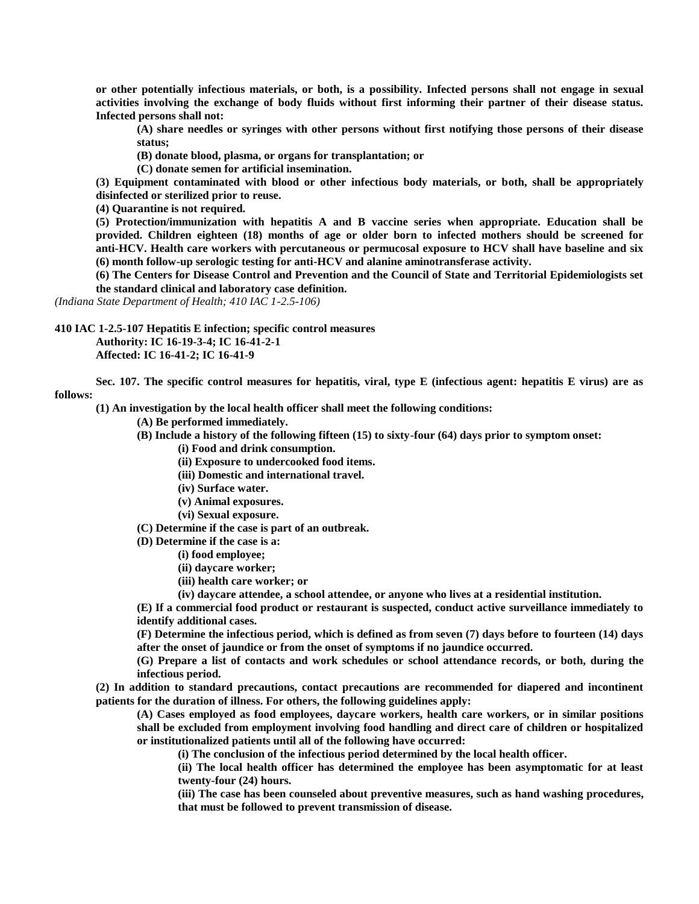**or other potentially infectious materials, or both, is a possibility. Infected persons shall not engage in sexual activities involving the exchange of body fluids without first informing their partner of their disease status. Infected persons shall not:**

**(A) share needles or syringes with other persons without first notifying those persons of their disease status;**

**(B) donate blood, plasma, or organs for transplantation; or**

**(C) donate semen for artificial insemination.**

**(3) Equipment contaminated with blood or other infectious body materials, or both, shall be appropriately disinfected or sterilized prior to reuse.**

**(4) Quarantine is not required.**

**(5) Protection/immunization with hepatitis A and B vaccine series when appropriate. Education shall be provided. Children eighteen (18) months of age or older born to infected mothers should be screened for anti-HCV. Health care workers with percutaneous or permucosal exposure to HCV shall have baseline and six (6) month follow-up serologic testing for anti-HCV and alanine aminotransferase activity.**

**(6) The Centers for Disease Control and Prevention and the Council of State and Territorial Epidemiologists set the standard clinical and laboratory case definition.**

*(Indiana State Department of Health; 410 IAC 1-2.5-106)*

**410 IAC 1-2.5-107 Hepatitis E infection; specific control measures**

**Authority: IC 16-19-3-4; IC 16-41-2-1 Affected: IC 16-41-2; IC 16-41-9**

**Sec. 107. The specific control measures for hepatitis, viral, type E (infectious agent: hepatitis E virus) are as follows:**

**(1) An investigation by the local health officer shall meet the following conditions:**

**(A) Be performed immediately.**

**(B) Include a history of the following fifteen (15) to sixty-four (64) days prior to symptom onset:**

**(i) Food and drink consumption.**

**(ii) Exposure to undercooked food items.**

**(iii) Domestic and international travel.**

**(iv) Surface water.**

**(v) Animal exposures.**

**(vi) Sexual exposure.**

**(C) Determine if the case is part of an outbreak.**

**(D) Determine if the case is a:**

**(i) food employee;**

**(ii) daycare worker;**

**(iii) health care worker; or**

**(iv) daycare attendee, a school attendee, or anyone who lives at a residential institution.**

**(E) If a commercial food product or restaurant is suspected, conduct active surveillance immediately to identify additional cases.**

**(F) Determine the infectious period, which is defined as from seven (7) days before to fourteen (14) days after the onset of jaundice or from the onset of symptoms if no jaundice occurred.**

**(G) Prepare a list of contacts and work schedules or school attendance records, or both, during the infectious period.**

**(2) In addition to standard precautions, contact precautions are recommended for diapered and incontinent patients for the duration of illness. For others, the following guidelines apply:**

**(A) Cases employed as food employees, daycare workers, health care workers, or in similar positions shall be excluded from employment involving food handling and direct care of children or hospitalized or institutionalized patients until all of the following have occurred:**

**(i) The conclusion of the infectious period determined by the local health officer.**

**(ii) The local health officer has determined the employee has been asymptomatic for at least twenty-four (24) hours.**

**(iii) The case has been counseled about preventive measures, such as hand washing procedures, that must be followed to prevent transmission of disease.**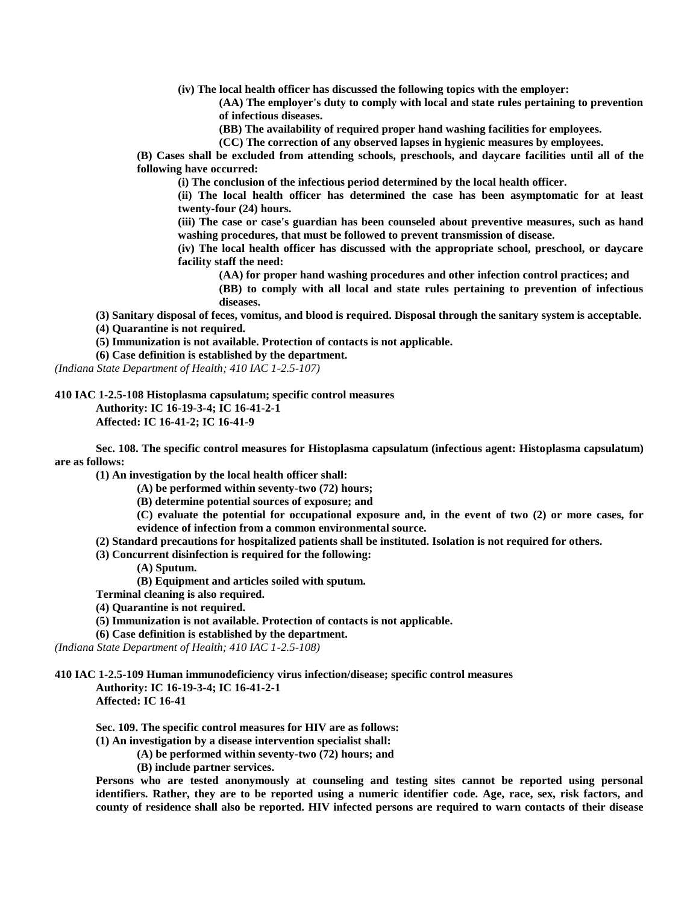**(iv) The local health officer has discussed the following topics with the employer:**

**(AA) The employer's duty to comply with local and state rules pertaining to prevention of infectious diseases.**

**(BB) The availability of required proper hand washing facilities for employees.**

**(CC) The correction of any observed lapses in hygienic measures by employees.**

**(B) Cases shall be excluded from attending schools, preschools, and daycare facilities until all of the following have occurred:**

**(i) The conclusion of the infectious period determined by the local health officer.**

**(ii) The local health officer has determined the case has been asymptomatic for at least twenty-four (24) hours.**

**(iii) The case or case's guardian has been counseled about preventive measures, such as hand washing procedures, that must be followed to prevent transmission of disease.**

**(iv) The local health officer has discussed with the appropriate school, preschool, or daycare facility staff the need:**

**(AA) for proper hand washing procedures and other infection control practices; and**

**(BB) to comply with all local and state rules pertaining to prevention of infectious diseases.**

**(3) Sanitary disposal of feces, vomitus, and blood is required. Disposal through the sanitary system is acceptable.**

**(4) Quarantine is not required.**

**(5) Immunization is not available. Protection of contacts is not applicable.**

**(6) Case definition is established by the department.**

*(Indiana State Department of Health; 410 IAC 1-2.5-107)*

**410 IAC 1-2.5-108 Histoplasma capsulatum; specific control measures**

**Authority: IC 16-19-3-4; IC 16-41-2-1**

**Affected: IC 16-41-2; IC 16-41-9**

**Sec. 108. The specific control measures for Histoplasma capsulatum (infectious agent: Histoplasma capsulatum) are as follows:**

**(1) An investigation by the local health officer shall:**

**(A) be performed within seventy-two (72) hours;**

**(B) determine potential sources of exposure; and**

**(C) evaluate the potential for occupational exposure and, in the event of two (2) or more cases, for evidence of infection from a common environmental source.**

- **(2) Standard precautions for hospitalized patients shall be instituted. Isolation is not required for others.**
- **(3) Concurrent disinfection is required for the following:**
	- **(A) Sputum.**

**(B) Equipment and articles soiled with sputum.**

**Terminal cleaning is also required.**

**(4) Quarantine is not required.**

**(5) Immunization is not available. Protection of contacts is not applicable.**

**(6) Case definition is established by the department.**

*(Indiana State Department of Health; 410 IAC 1-2.5-108)*

**410 IAC 1-2.5-109 Human immunodeficiency virus infection/disease; specific control measures**

**Authority: IC 16-19-3-4; IC 16-41-2-1 Affected: IC 16-41**

**Sec. 109. The specific control measures for HIV are as follows:**

**(1) An investigation by a disease intervention specialist shall:**

**(A) be performed within seventy-two (72) hours; and**

**(B) include partner services.**

**Persons who are tested anonymously at counseling and testing sites cannot be reported using personal identifiers. Rather, they are to be reported using a numeric identifier code. Age, race, sex, risk factors, and county of residence shall also be reported. HIV infected persons are required to warn contacts of their disease**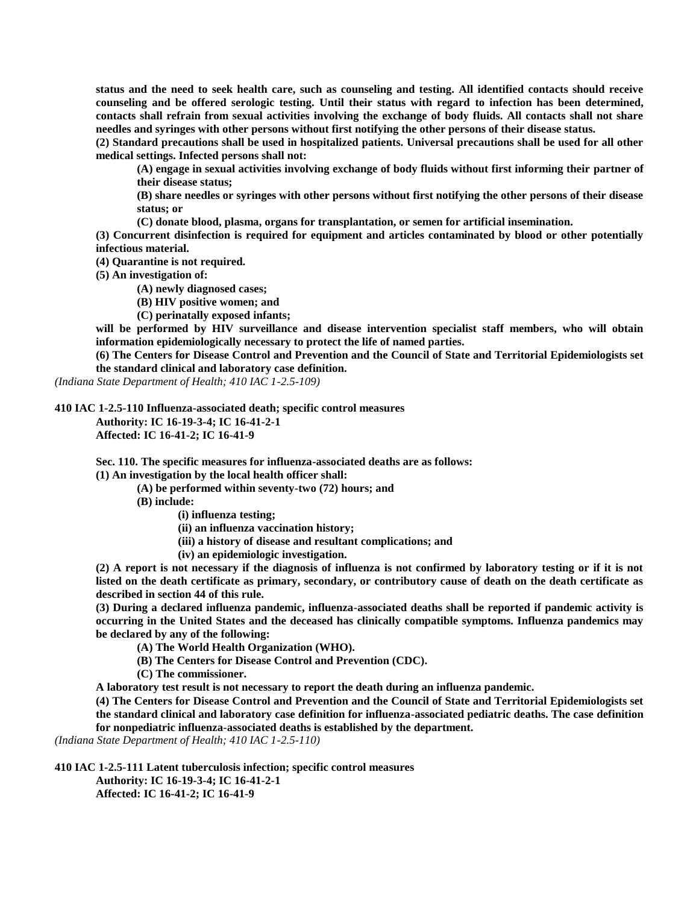**status and the need to seek health care, such as counseling and testing. All identified contacts should receive counseling and be offered serologic testing. Until their status with regard to infection has been determined, contacts shall refrain from sexual activities involving the exchange of body fluids. All contacts shall not share needles and syringes with other persons without first notifying the other persons of their disease status.**

**(2) Standard precautions shall be used in hospitalized patients. Universal precautions shall be used for all other medical settings. Infected persons shall not:**

**(A) engage in sexual activities involving exchange of body fluids without first informing their partner of their disease status;**

**(B) share needles or syringes with other persons without first notifying the other persons of their disease status; or**

**(C) donate blood, plasma, organs for transplantation, or semen for artificial insemination.**

**(3) Concurrent disinfection is required for equipment and articles contaminated by blood or other potentially infectious material.**

**(4) Quarantine is not required.**

**(5) An investigation of:**

**(A) newly diagnosed cases;**

**(B) HIV positive women; and**

**(C) perinatally exposed infants;**

**will be performed by HIV surveillance and disease intervention specialist staff members, who will obtain information epidemiologically necessary to protect the life of named parties.**

**(6) The Centers for Disease Control and Prevention and the Council of State and Territorial Epidemiologists set the standard clinical and laboratory case definition.**

*(Indiana State Department of Health; 410 IAC 1-2.5-109)*

**410 IAC 1-2.5-110 Influenza-associated death; specific control measures**

**Authority: IC 16-19-3-4; IC 16-41-2-1 Affected: IC 16-41-2; IC 16-41-9**

**Sec. 110. The specific measures for influenza-associated deaths are as follows:**

**(1) An investigation by the local health officer shall:**

**(A) be performed within seventy-two (72) hours; and**

**(B) include:**

**(i) influenza testing;**

**(ii) an influenza vaccination history;**

**(iii) a history of disease and resultant complications; and**

**(iv) an epidemiologic investigation.**

**(2) A report is not necessary if the diagnosis of influenza is not confirmed by laboratory testing or if it is not listed on the death certificate as primary, secondary, or contributory cause of death on the death certificate as described in section 44 of this rule.**

**(3) During a declared influenza pandemic, influenza-associated deaths shall be reported if pandemic activity is occurring in the United States and the deceased has clinically compatible symptoms. Influenza pandemics may be declared by any of the following:**

**(A) The World Health Organization (WHO).**

**(B) The Centers for Disease Control and Prevention (CDC).**

**(C) The commissioner.**

**A laboratory test result is not necessary to report the death during an influenza pandemic.**

**(4) The Centers for Disease Control and Prevention and the Council of State and Territorial Epidemiologists set the standard clinical and laboratory case definition for influenza-associated pediatric deaths. The case definition for nonpediatric influenza-associated deaths is established by the department.**

*(Indiana State Department of Health; 410 IAC 1-2.5-110)*

**410 IAC 1-2.5-111 Latent tuberculosis infection; specific control measures Authority: IC 16-19-3-4; IC 16-41-2-1 Affected: IC 16-41-2; IC 16-41-9**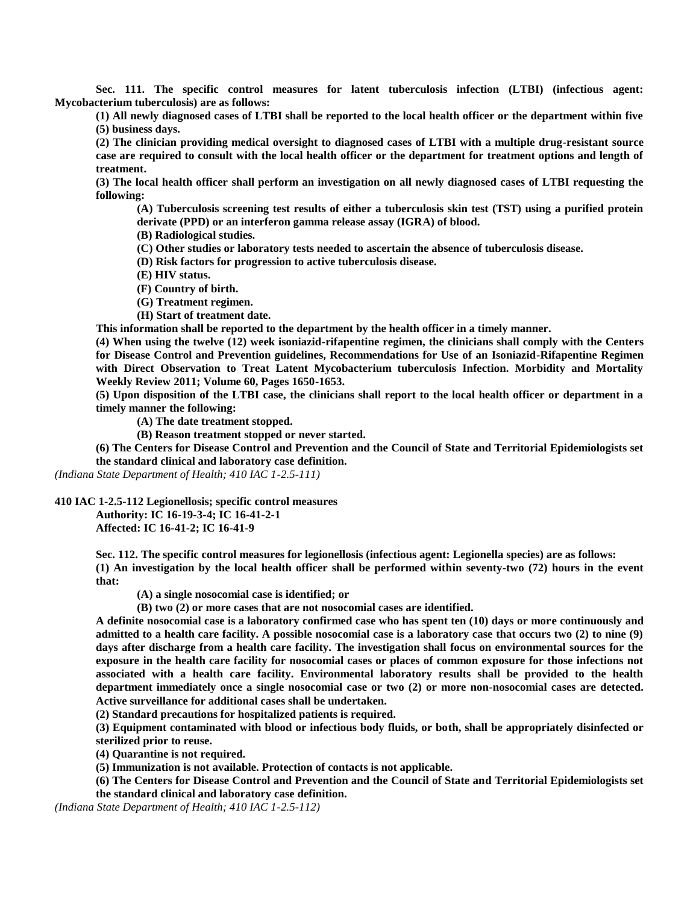**Sec. 111. The specific control measures for latent tuberculosis infection (LTBI) (infectious agent: Mycobacterium tuberculosis) are as follows:**

**(1) All newly diagnosed cases of LTBI shall be reported to the local health officer or the department within five (5) business days.**

**(2) The clinician providing medical oversight to diagnosed cases of LTBI with a multiple drug-resistant source case are required to consult with the local health officer or the department for treatment options and length of treatment.**

**(3) The local health officer shall perform an investigation on all newly diagnosed cases of LTBI requesting the following:**

**(A) Tuberculosis screening test results of either a tuberculosis skin test (TST) using a purified protein derivate (PPD) or an interferon gamma release assay (IGRA) of blood.**

**(B) Radiological studies.**

**(C) Other studies or laboratory tests needed to ascertain the absence of tuberculosis disease.**

**(D) Risk factors for progression to active tuberculosis disease.**

**(E) HIV status.**

**(F) Country of birth.**

**(G) Treatment regimen.**

**(H) Start of treatment date.**

**This information shall be reported to the department by the health officer in a timely manner.**

**(4) When using the twelve (12) week isoniazid-rifapentine regimen, the clinicians shall comply with the Centers for Disease Control and Prevention guidelines, Recommendations for Use of an Isoniazid-Rifapentine Regimen with Direct Observation to Treat Latent Mycobacterium tuberculosis Infection. Morbidity and Mortality Weekly Review 2011; Volume 60, Pages 1650-1653.**

**(5) Upon disposition of the LTBI case, the clinicians shall report to the local health officer or department in a timely manner the following:**

**(A) The date treatment stopped.**

**(B) Reason treatment stopped or never started.**

**(6) The Centers for Disease Control and Prevention and the Council of State and Territorial Epidemiologists set the standard clinical and laboratory case definition.**

*(Indiana State Department of Health; 410 IAC 1-2.5-111)*

**410 IAC 1-2.5-112 Legionellosis; specific control measures**

**Authority: IC 16-19-3-4; IC 16-41-2-1 Affected: IC 16-41-2; IC 16-41-9**

**Sec. 112. The specific control measures for legionellosis (infectious agent: Legionella species) are as follows: (1) An investigation by the local health officer shall be performed within seventy-two (72) hours in the event that:**

**(A) a single nosocomial case is identified; or**

**(B) two (2) or more cases that are not nosocomial cases are identified.**

**A definite nosocomial case is a laboratory confirmed case who has spent ten (10) days or more continuously and admitted to a health care facility. A possible nosocomial case is a laboratory case that occurs two (2) to nine (9) days after discharge from a health care facility. The investigation shall focus on environmental sources for the exposure in the health care facility for nosocomial cases or places of common exposure for those infections not associated with a health care facility. Environmental laboratory results shall be provided to the health department immediately once a single nosocomial case or two (2) or more non-nosocomial cases are detected. Active surveillance for additional cases shall be undertaken.**

**(2) Standard precautions for hospitalized patients is required.**

**(3) Equipment contaminated with blood or infectious body fluids, or both, shall be appropriately disinfected or sterilized prior to reuse.**

**(4) Quarantine is not required.**

**(5) Immunization is not available. Protection of contacts is not applicable.**

**(6) The Centers for Disease Control and Prevention and the Council of State and Territorial Epidemiologists set the standard clinical and laboratory case definition.**

*(Indiana State Department of Health; 410 IAC 1-2.5-112)*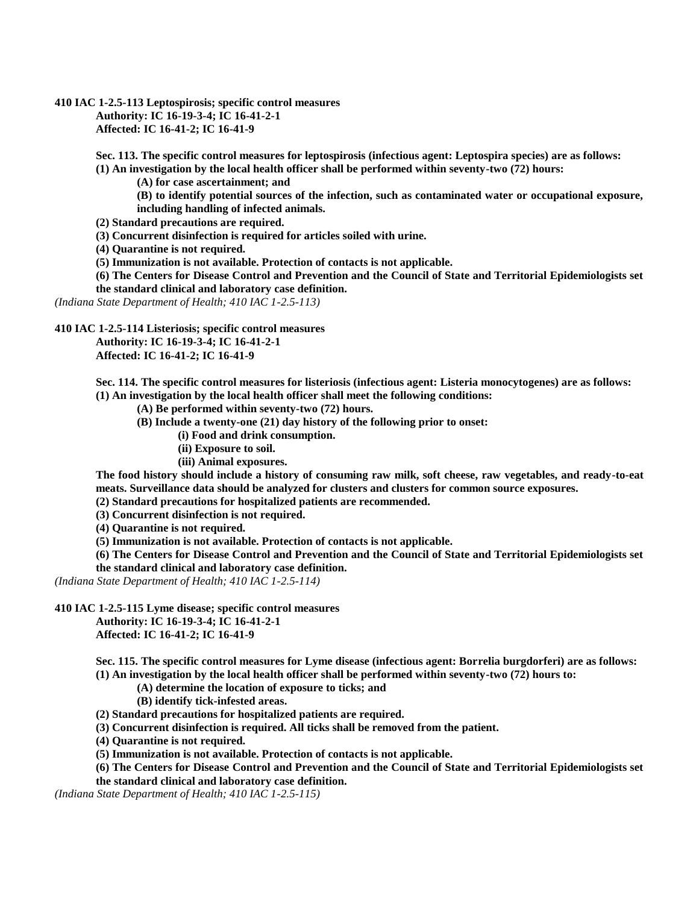**410 IAC 1-2.5-113 Leptospirosis; specific control measures**

**Authority: IC 16-19-3-4; IC 16-41-2-1 Affected: IC 16-41-2; IC 16-41-9**

**Sec. 113. The specific control measures for leptospirosis (infectious agent: Leptospira species) are as follows:**

**(1) An investigation by the local health officer shall be performed within seventy-two (72) hours:**

**(A) for case ascertainment; and**

**(B) to identify potential sources of the infection, such as contaminated water or occupational exposure, including handling of infected animals.**

**(2) Standard precautions are required.**

**(3) Concurrent disinfection is required for articles soiled with urine.**

**(4) Quarantine is not required.**

**(5) Immunization is not available. Protection of contacts is not applicable.**

**(6) The Centers for Disease Control and Prevention and the Council of State and Territorial Epidemiologists set the standard clinical and laboratory case definition.**

*(Indiana State Department of Health; 410 IAC 1-2.5-113)*

**410 IAC 1-2.5-114 Listeriosis; specific control measures**

**Authority: IC 16-19-3-4; IC 16-41-2-1**

**Affected: IC 16-41-2; IC 16-41-9**

**Sec. 114. The specific control measures for listeriosis (infectious agent: Listeria monocytogenes) are as follows: (1) An investigation by the local health officer shall meet the following conditions:**

**(A) Be performed within seventy-two (72) hours.**

**(B) Include a twenty-one (21) day history of the following prior to onset:**

**(i) Food and drink consumption.**

**(ii) Exposure to soil.**

**(iii) Animal exposures.**

**The food history should include a history of consuming raw milk, soft cheese, raw vegetables, and ready-to-eat meats. Surveillance data should be analyzed for clusters and clusters for common source exposures.**

**(2) Standard precautions for hospitalized patients are recommended.**

**(3) Concurrent disinfection is not required.**

**(4) Quarantine is not required.**

**(5) Immunization is not available. Protection of contacts is not applicable.**

**(6) The Centers for Disease Control and Prevention and the Council of State and Territorial Epidemiologists set the standard clinical and laboratory case definition.**

*(Indiana State Department of Health; 410 IAC 1-2.5-114)*

**410 IAC 1-2.5-115 Lyme disease; specific control measures**

**Authority: IC 16-19-3-4; IC 16-41-2-1 Affected: IC 16-41-2; IC 16-41-9**

**Sec. 115. The specific control measures for Lyme disease (infectious agent: Borrelia burgdorferi) are as follows: (1) An investigation by the local health officer shall be performed within seventy-two (72) hours to:**

**(A) determine the location of exposure to ticks; and**

**(B) identify tick-infested areas.**

**(2) Standard precautions for hospitalized patients are required.**

**(3) Concurrent disinfection is required. All ticks shall be removed from the patient.**

**(4) Quarantine is not required.**

**(5) Immunization is not available. Protection of contacts is not applicable.**

**(6) The Centers for Disease Control and Prevention and the Council of State and Territorial Epidemiologists set the standard clinical and laboratory case definition.**

*(Indiana State Department of Health; 410 IAC 1-2.5-115)*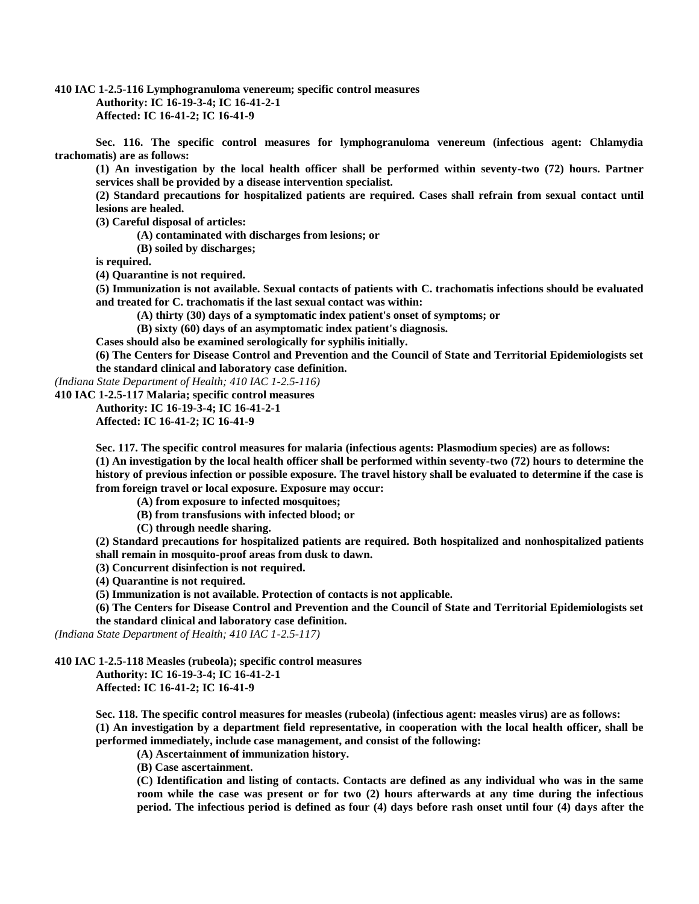**410 IAC 1-2.5-116 Lymphogranuloma venereum; specific control measures Authority: IC 16-19-3-4; IC 16-41-2-1 Affected: IC 16-41-2; IC 16-41-9**

**Sec. 116. The specific control measures for lymphogranuloma venereum (infectious agent: Chlamydia trachomatis) are as follows:**

**(1) An investigation by the local health officer shall be performed within seventy-two (72) hours. Partner services shall be provided by a disease intervention specialist.**

**(2) Standard precautions for hospitalized patients are required. Cases shall refrain from sexual contact until lesions are healed.**

**(3) Careful disposal of articles:**

**(A) contaminated with discharges from lesions; or**

**(B) soiled by discharges;**

**is required.**

**(4) Quarantine is not required.**

**(5) Immunization is not available. Sexual contacts of patients with C. trachomatis infections should be evaluated and treated for C. trachomatis if the last sexual contact was within:**

**(A) thirty (30) days of a symptomatic index patient's onset of symptoms; or**

**(B) sixty (60) days of an asymptomatic index patient's diagnosis.**

**Cases should also be examined serologically for syphilis initially.**

**(6) The Centers for Disease Control and Prevention and the Council of State and Territorial Epidemiologists set the standard clinical and laboratory case definition.**

*(Indiana State Department of Health; 410 IAC 1-2.5-116)*

**410 IAC 1-2.5-117 Malaria; specific control measures**

**Authority: IC 16-19-3-4; IC 16-41-2-1**

**Affected: IC 16-41-2; IC 16-41-9**

**Sec. 117. The specific control measures for malaria (infectious agents: Plasmodium species) are as follows: (1) An investigation by the local health officer shall be performed within seventy-two (72) hours to determine the history of previous infection or possible exposure. The travel history shall be evaluated to determine if the case is from foreign travel or local exposure. Exposure may occur:**

**(A) from exposure to infected mosquitoes;**

**(B) from transfusions with infected blood; or**

**(C) through needle sharing.**

**(2) Standard precautions for hospitalized patients are required. Both hospitalized and nonhospitalized patients shall remain in mosquito-proof areas from dusk to dawn.**

**(3) Concurrent disinfection is not required.**

**(4) Quarantine is not required.**

**(5) Immunization is not available. Protection of contacts is not applicable.**

**(6) The Centers for Disease Control and Prevention and the Council of State and Territorial Epidemiologists set the standard clinical and laboratory case definition.**

*(Indiana State Department of Health; 410 IAC 1-2.5-117)*

**410 IAC 1-2.5-118 Measles (rubeola); specific control measures**

**Authority: IC 16-19-3-4; IC 16-41-2-1**

**Affected: IC 16-41-2; IC 16-41-9**

**Sec. 118. The specific control measures for measles (rubeola) (infectious agent: measles virus) are as follows: (1) An investigation by a department field representative, in cooperation with the local health officer, shall be performed immediately, include case management, and consist of the following:**

**(A) Ascertainment of immunization history.**

**(B) Case ascertainment.**

**(C) Identification and listing of contacts. Contacts are defined as any individual who was in the same room while the case was present or for two (2) hours afterwards at any time during the infectious period. The infectious period is defined as four (4) days before rash onset until four (4) days after the**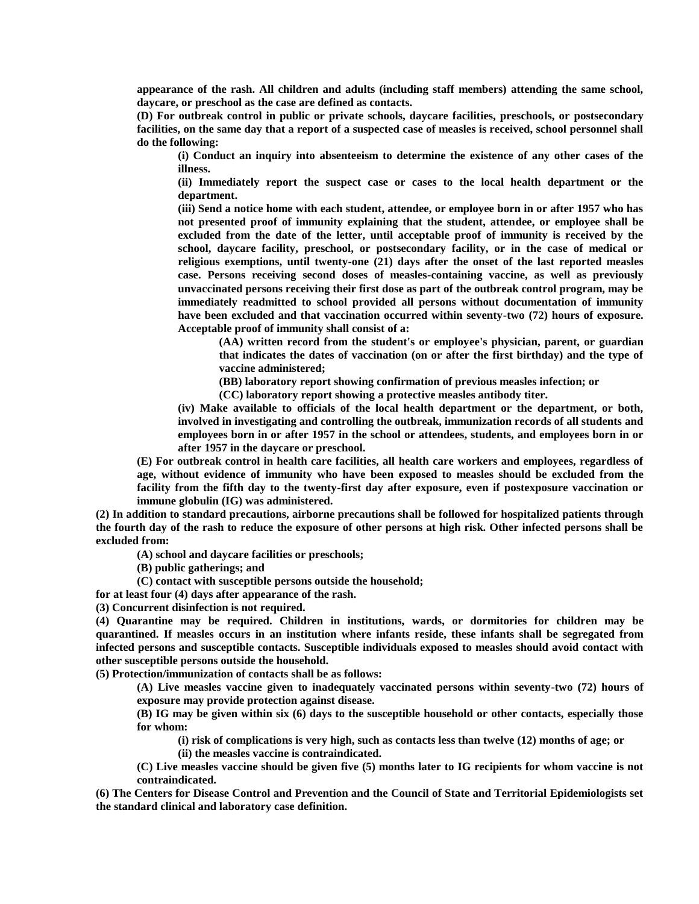**appearance of the rash. All children and adults (including staff members) attending the same school, daycare, or preschool as the case are defined as contacts.**

**(D) For outbreak control in public or private schools, daycare facilities, preschools, or postsecondary facilities, on the same day that a report of a suspected case of measles is received, school personnel shall do the following:**

**(i) Conduct an inquiry into absenteeism to determine the existence of any other cases of the illness.**

**(ii) Immediately report the suspect case or cases to the local health department or the department.**

**(iii) Send a notice home with each student, attendee, or employee born in or after 1957 who has not presented proof of immunity explaining that the student, attendee, or employee shall be excluded from the date of the letter, until acceptable proof of immunity is received by the school, daycare facility, preschool, or postsecondary facility, or in the case of medical or religious exemptions, until twenty-one (21) days after the onset of the last reported measles case. Persons receiving second doses of measles-containing vaccine, as well as previously unvaccinated persons receiving their first dose as part of the outbreak control program, may be immediately readmitted to school provided all persons without documentation of immunity have been excluded and that vaccination occurred within seventy-two (72) hours of exposure. Acceptable proof of immunity shall consist of a:**

**(AA) written record from the student's or employee's physician, parent, or guardian that indicates the dates of vaccination (on or after the first birthday) and the type of vaccine administered;**

**(BB) laboratory report showing confirmation of previous measles infection; or**

**(CC) laboratory report showing a protective measles antibody titer.**

**(iv) Make available to officials of the local health department or the department, or both, involved in investigating and controlling the outbreak, immunization records of all students and employees born in or after 1957 in the school or attendees, students, and employees born in or after 1957 in the daycare or preschool.**

**(E) For outbreak control in health care facilities, all health care workers and employees, regardless of age, without evidence of immunity who have been exposed to measles should be excluded from the facility from the fifth day to the twenty-first day after exposure, even if postexposure vaccination or immune globulin (IG) was administered.**

**(2) In addition to standard precautions, airborne precautions shall be followed for hospitalized patients through the fourth day of the rash to reduce the exposure of other persons at high risk. Other infected persons shall be excluded from:**

**(A) school and daycare facilities or preschools;**

**(B) public gatherings; and**

**(C) contact with susceptible persons outside the household;**

**for at least four (4) days after appearance of the rash.**

**(3) Concurrent disinfection is not required.**

**(4) Quarantine may be required. Children in institutions, wards, or dormitories for children may be quarantined. If measles occurs in an institution where infants reside, these infants shall be segregated from infected persons and susceptible contacts. Susceptible individuals exposed to measles should avoid contact with other susceptible persons outside the household.**

**(5) Protection/immunization of contacts shall be as follows:**

**(A) Live measles vaccine given to inadequately vaccinated persons within seventy-two (72) hours of exposure may provide protection against disease.**

**(B) IG may be given within six (6) days to the susceptible household or other contacts, especially those for whom:**

**(i) risk of complications is very high, such as contacts less than twelve (12) months of age; or**

**(ii) the measles vaccine is contraindicated.**

**(C) Live measles vaccine should be given five (5) months later to IG recipients for whom vaccine is not contraindicated.**

**(6) The Centers for Disease Control and Prevention and the Council of State and Territorial Epidemiologists set the standard clinical and laboratory case definition.**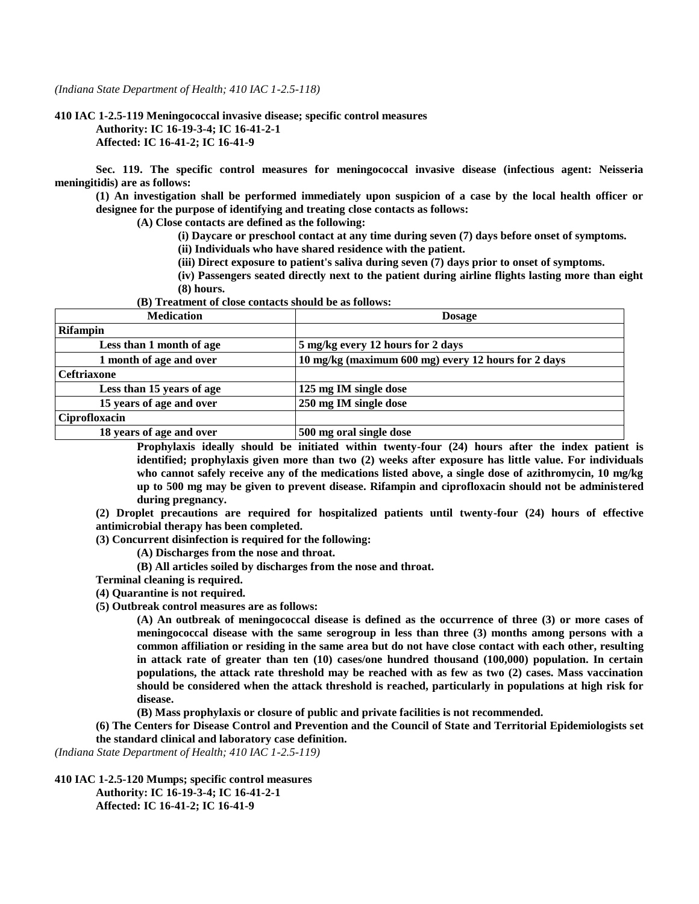*(Indiana State Department of Health; 410 IAC 1-2.5-118)*

**410 IAC 1-2.5-119 Meningococcal invasive disease; specific control measures Authority: IC 16-19-3-4; IC 16-41-2-1 Affected: IC 16-41-2; IC 16-41-9**

**Sec. 119. The specific control measures for meningococcal invasive disease (infectious agent: Neisseria meningitidis) are as follows:**

**(1) An investigation shall be performed immediately upon suspicion of a case by the local health officer or designee for the purpose of identifying and treating close contacts as follows:**

**(A) Close contacts are defined as the following:**

- **(i) Daycare or preschool contact at any time during seven (7) days before onset of symptoms.**
- **(ii) Individuals who have shared residence with the patient.**
- **(iii) Direct exposure to patient's saliva during seven (7) days prior to onset of symptoms.**
- **(iv) Passengers seated directly next to the patient during airline flights lasting more than eight (8) hours.**

**(B) Treatment of close contacts should be as follows:**

| <b>Medication</b>         | <b>Dosage</b>                                       |  |  |
|---------------------------|-----------------------------------------------------|--|--|
| <b>Rifampin</b>           |                                                     |  |  |
| Less than 1 month of age  | 5 mg/kg every 12 hours for 2 days                   |  |  |
| 1 month of age and over   | 10 mg/kg (maximum 600 mg) every 12 hours for 2 days |  |  |
| <b>Ceftriaxone</b>        |                                                     |  |  |
| Less than 15 years of age | 125 mg IM single dose                               |  |  |
| 15 years of age and over  | 250 mg IM single dose                               |  |  |
| Ciprofloxacin             |                                                     |  |  |
| 18 years of age and over  | 500 mg oral single dose                             |  |  |

**Prophylaxis ideally should be initiated within twenty-four (24) hours after the index patient is identified; prophylaxis given more than two (2) weeks after exposure has little value. For individuals who cannot safely receive any of the medications listed above, a single dose of azithromycin, 10 mg/kg up to 500 mg may be given to prevent disease. Rifampin and ciprofloxacin should not be administered during pregnancy.**

**(2) Droplet precautions are required for hospitalized patients until twenty-four (24) hours of effective antimicrobial therapy has been completed.**

**(3) Concurrent disinfection is required for the following:**

**(A) Discharges from the nose and throat.**

- **(B) All articles soiled by discharges from the nose and throat.**
- **Terminal cleaning is required.**

**(4) Quarantine is not required.**

**(5) Outbreak control measures are as follows:**

**(A) An outbreak of meningococcal disease is defined as the occurrence of three (3) or more cases of meningococcal disease with the same serogroup in less than three (3) months among persons with a common affiliation or residing in the same area but do not have close contact with each other, resulting in attack rate of greater than ten (10) cases/one hundred thousand (100,000) population. In certain populations, the attack rate threshold may be reached with as few as two (2) cases. Mass vaccination should be considered when the attack threshold is reached, particularly in populations at high risk for disease.**

**(B) Mass prophylaxis or closure of public and private facilities is not recommended.**

**(6) The Centers for Disease Control and Prevention and the Council of State and Territorial Epidemiologists set the standard clinical and laboratory case definition.**

*(Indiana State Department of Health; 410 IAC 1-2.5-119)*

**410 IAC 1-2.5-120 Mumps; specific control measures Authority: IC 16-19-3-4; IC 16-41-2-1 Affected: IC 16-41-2; IC 16-41-9**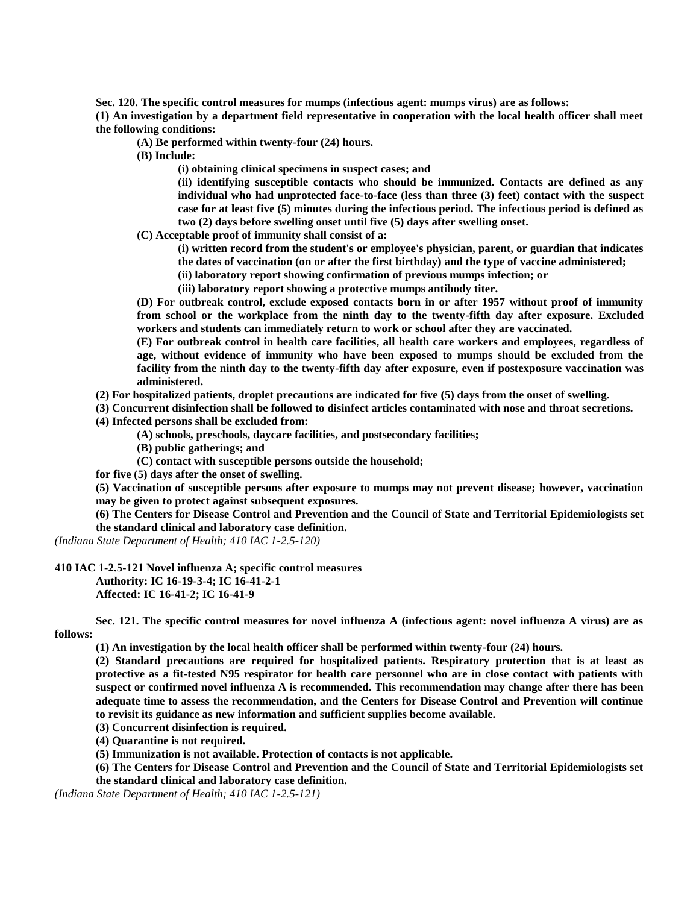**Sec. 120. The specific control measures for mumps (infectious agent: mumps virus) are as follows:**

**(1) An investigation by a department field representative in cooperation with the local health officer shall meet the following conditions:**

**(A) Be performed within twenty-four (24) hours.**

**(B) Include:**

**(i) obtaining clinical specimens in suspect cases; and**

**(ii) identifying susceptible contacts who should be immunized. Contacts are defined as any individual who had unprotected face-to-face (less than three (3) feet) contact with the suspect case for at least five (5) minutes during the infectious period. The infectious period is defined as two (2) days before swelling onset until five (5) days after swelling onset.**

**(C) Acceptable proof of immunity shall consist of a:**

**(i) written record from the student's or employee's physician, parent, or guardian that indicates** 

**the dates of vaccination (on or after the first birthday) and the type of vaccine administered;**

**(ii) laboratory report showing confirmation of previous mumps infection; or**

**(iii) laboratory report showing a protective mumps antibody titer.**

**(D) For outbreak control, exclude exposed contacts born in or after 1957 without proof of immunity from school or the workplace from the ninth day to the twenty-fifth day after exposure. Excluded workers and students can immediately return to work or school after they are vaccinated.**

**(E) For outbreak control in health care facilities, all health care workers and employees, regardless of age, without evidence of immunity who have been exposed to mumps should be excluded from the facility from the ninth day to the twenty-fifth day after exposure, even if postexposure vaccination was administered.**

**(2) For hospitalized patients, droplet precautions are indicated for five (5) days from the onset of swelling.**

**(3) Concurrent disinfection shall be followed to disinfect articles contaminated with nose and throat secretions. (4) Infected persons shall be excluded from:**

**(A) schools, preschools, daycare facilities, and postsecondary facilities;**

**(B) public gatherings; and**

**(C) contact with susceptible persons outside the household;**

**for five (5) days after the onset of swelling.**

**(5) Vaccination of susceptible persons after exposure to mumps may not prevent disease; however, vaccination may be given to protect against subsequent exposures.**

**(6) The Centers for Disease Control and Prevention and the Council of State and Territorial Epidemiologists set the standard clinical and laboratory case definition.**

*(Indiana State Department of Health; 410 IAC 1-2.5-120)*

**410 IAC 1-2.5-121 Novel influenza A; specific control measures**

**Authority: IC 16-19-3-4; IC 16-41-2-1**

**Affected: IC 16-41-2; IC 16-41-9**

**Sec. 121. The specific control measures for novel influenza A (infectious agent: novel influenza A virus) are as follows:**

**(1) An investigation by the local health officer shall be performed within twenty-four (24) hours.**

**(2) Standard precautions are required for hospitalized patients. Respiratory protection that is at least as protective as a fit-tested N95 respirator for health care personnel who are in close contact with patients with suspect or confirmed novel influenza A is recommended. This recommendation may change after there has been adequate time to assess the recommendation, and the Centers for Disease Control and Prevention will continue to revisit its guidance as new information and sufficient supplies become available.**

**(3) Concurrent disinfection is required.**

**(4) Quarantine is not required.**

**(5) Immunization is not available. Protection of contacts is not applicable.**

**(6) The Centers for Disease Control and Prevention and the Council of State and Territorial Epidemiologists set the standard clinical and laboratory case definition.**

*(Indiana State Department of Health; 410 IAC 1-2.5-121)*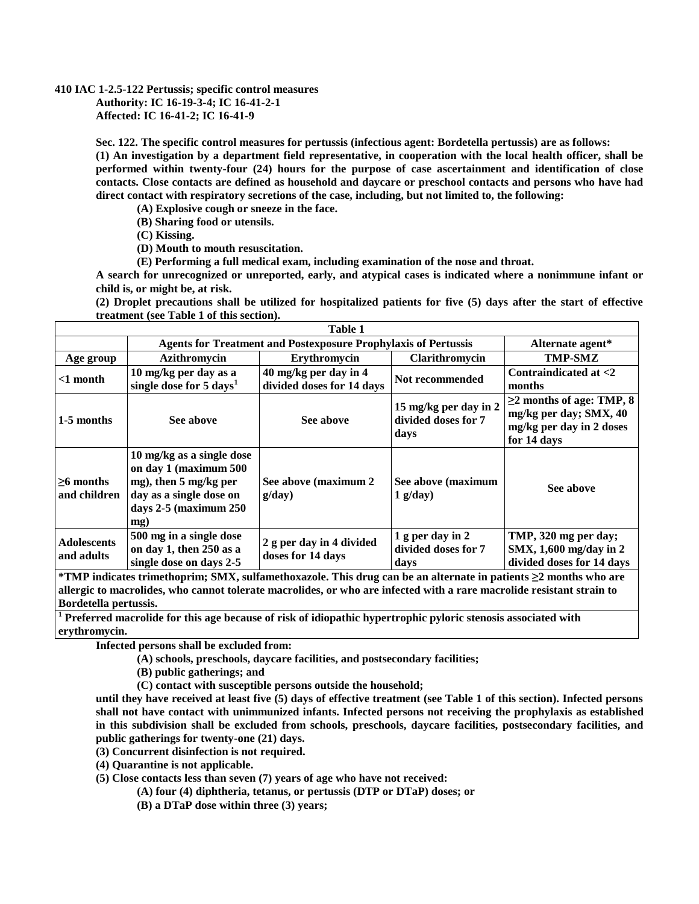## **410 IAC 1-2.5-122 Pertussis; specific control measures Authority: IC 16-19-3-4; IC 16-41-2-1 Affected: IC 16-41-2; IC 16-41-9**

**Sec. 122. The specific control measures for pertussis (infectious agent: Bordetella pertussis) are as follows: (1) An investigation by a department field representative, in cooperation with the local health officer, shall be performed within twenty-four (24) hours for the purpose of case ascertainment and identification of close contacts. Close contacts are defined as household and daycare or preschool contacts and persons who have had direct contact with respiratory secretions of the case, including, but not limited to, the following:**

**(A) Explosive cough or sneeze in the face.**

**(B) Sharing food or utensils.**

**(C) Kissing.**

**(D) Mouth to mouth resuscitation.**

**(E) Performing a full medical exam, including examination of the nose and throat.**

**A search for unrecognized or unreported, early, and atypical cases is indicated where a nonimmune infant or child is, or might be, at risk.**

**(2) Droplet precautions shall be utilized for hospitalized patients for five (5) days after the start of effective treatment (see Table 1 of this section).**

| Table 1                          |                                                                                                                                              |                                                    |                                                      |                                                                                                     |  |
|----------------------------------|----------------------------------------------------------------------------------------------------------------------------------------------|----------------------------------------------------|------------------------------------------------------|-----------------------------------------------------------------------------------------------------|--|
|                                  | <b>Agents for Treatment and Postexposure Prophylaxis of Pertussis</b>                                                                        |                                                    |                                                      | Alternate agent*                                                                                    |  |
| Age group                        | Azithromycin                                                                                                                                 | Erythromycin                                       | Clarithromycin                                       | <b>TMP-SMZ</b>                                                                                      |  |
| $<$ 1 month                      | 10 mg/kg per day as a<br>single dose for 5 days <sup>1</sup>                                                                                 | 40 mg/kg per day in 4<br>divided doses for 14 days | Not recommended                                      | Contraindicated at $<$ 2<br>months                                                                  |  |
| 1-5 months                       | See above                                                                                                                                    | See above                                          | 15 mg/kg per day in 2<br>divided doses for 7<br>days | $\geq$ 2 months of age: TMP, 8<br>mg/kg per day; SMX, 40<br>mg/kg per day in 2 doses<br>for 14 days |  |
| $>6$ months<br>and children      | 10 mg/kg as a single dose<br>on day 1 (maximum 500<br>mg), then 5 mg/kg per<br>day as a single dose on<br>days $2-5$ (maximum $250$ )<br>mg) | See above (maximum 2<br>g/day)                     | See above (maximum<br>$1$ g/day)                     | See above                                                                                           |  |
| <b>Adolescents</b><br>and adults | 500 mg in a single dose<br>on day 1, then 250 as a<br>single dose on days 2-5                                                                | 2 g per day in 4 divided<br>doses for 14 days      | 1 g per day in 2<br>divided doses for 7<br>days      | TMP, 320 mg per day;<br>SMX, 1,600 mg/day in 2<br>divided doses for 14 days                         |  |

**\*TMP indicates trimethoprim; SMX, sulfamethoxazole. This drug can be an alternate in patients ≥2 months who are allergic to macrolides, who cannot tolerate macrolides, or who are infected with a rare macrolide resistant strain to Bordetella pertussis.**

**<sup>1</sup> Preferred macrolide for this age because of risk of idiopathic hypertrophic pyloric stenosis associated with erythromycin.**

**Infected persons shall be excluded from:**

**(A) schools, preschools, daycare facilities, and postsecondary facilities;**

**(B) public gatherings; and**

**(C) contact with susceptible persons outside the household;**

**until they have received at least five (5) days of effective treatment (see Table 1 of this section). Infected persons shall not have contact with unimmunized infants. Infected persons not receiving the prophylaxis as established in this subdivision shall be excluded from schools, preschools, daycare facilities, postsecondary facilities, and public gatherings for twenty-one (21) days.**

**(3) Concurrent disinfection is not required.**

**(4) Quarantine is not applicable.**

**(5) Close contacts less than seven (7) years of age who have not received:**

**(A) four (4) diphtheria, tetanus, or pertussis (DTP or DTaP) doses; or**

**(B) a DTaP dose within three (3) years;**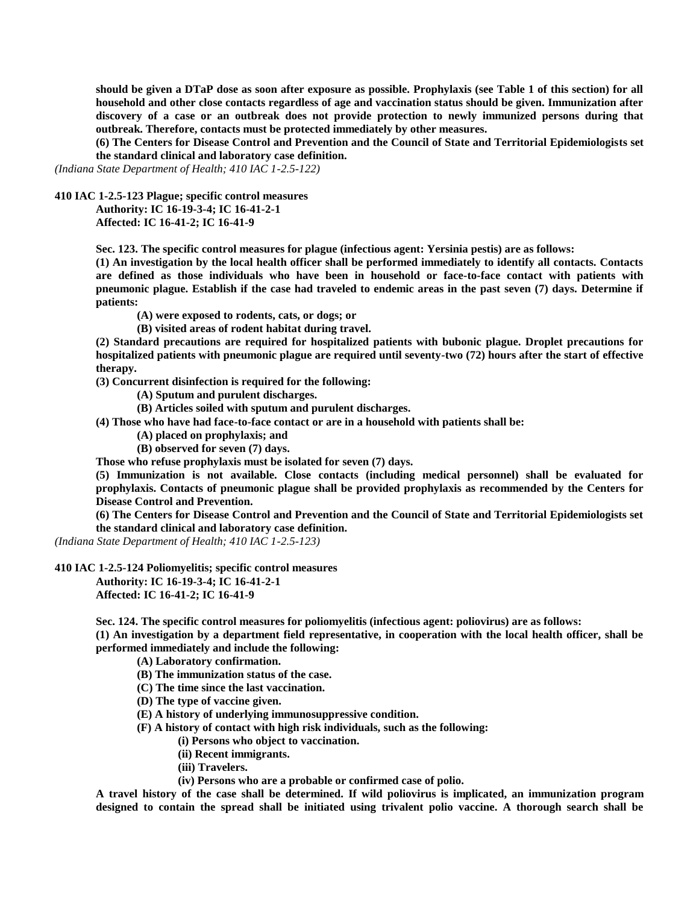**should be given a DTaP dose as soon after exposure as possible. Prophylaxis (see Table 1 of this section) for all household and other close contacts regardless of age and vaccination status should be given. Immunization after discovery of a case or an outbreak does not provide protection to newly immunized persons during that outbreak. Therefore, contacts must be protected immediately by other measures.**

**(6) The Centers for Disease Control and Prevention and the Council of State and Territorial Epidemiologists set the standard clinical and laboratory case definition.**

*(Indiana State Department of Health; 410 IAC 1-2.5-122)*

**410 IAC 1-2.5-123 Plague; specific control measures**

**Authority: IC 16-19-3-4; IC 16-41-2-1 Affected: IC 16-41-2; IC 16-41-9**

**Sec. 123. The specific control measures for plague (infectious agent: Yersinia pestis) are as follows:**

**(1) An investigation by the local health officer shall be performed immediately to identify all contacts. Contacts are defined as those individuals who have been in household or face-to-face contact with patients with pneumonic plague. Establish if the case had traveled to endemic areas in the past seven (7) days. Determine if patients:**

**(A) were exposed to rodents, cats, or dogs; or**

**(B) visited areas of rodent habitat during travel.**

**(2) Standard precautions are required for hospitalized patients with bubonic plague. Droplet precautions for hospitalized patients with pneumonic plague are required until seventy-two (72) hours after the start of effective therapy.**

**(3) Concurrent disinfection is required for the following:**

**(A) Sputum and purulent discharges.**

**(B) Articles soiled with sputum and purulent discharges.**

**(4) Those who have had face-to-face contact or are in a household with patients shall be:**

**(A) placed on prophylaxis; and**

**(B) observed for seven (7) days.**

**Those who refuse prophylaxis must be isolated for seven (7) days.**

**(5) Immunization is not available. Close contacts (including medical personnel) shall be evaluated for prophylaxis. Contacts of pneumonic plague shall be provided prophylaxis as recommended by the Centers for Disease Control and Prevention.**

**(6) The Centers for Disease Control and Prevention and the Council of State and Territorial Epidemiologists set the standard clinical and laboratory case definition.**

*(Indiana State Department of Health; 410 IAC 1-2.5-123)*

**410 IAC 1-2.5-124 Poliomyelitis; specific control measures**

**Authority: IC 16-19-3-4; IC 16-41-2-1 Affected: IC 16-41-2; IC 16-41-9**

**Sec. 124. The specific control measures for poliomyelitis (infectious agent: poliovirus) are as follows:**

**(1) An investigation by a department field representative, in cooperation with the local health officer, shall be performed immediately and include the following:**

**(A) Laboratory confirmation.**

- **(B) The immunization status of the case.**
- **(C) The time since the last vaccination.**
- **(D) The type of vaccine given.**

**(E) A history of underlying immunosuppressive condition.**

**(F) A history of contact with high risk individuals, such as the following:**

**(i) Persons who object to vaccination.**

- **(ii) Recent immigrants.**
- **(iii) Travelers.**
- **(iv) Persons who are a probable or confirmed case of polio.**

**A travel history of the case shall be determined. If wild poliovirus is implicated, an immunization program designed to contain the spread shall be initiated using trivalent polio vaccine. A thorough search shall be**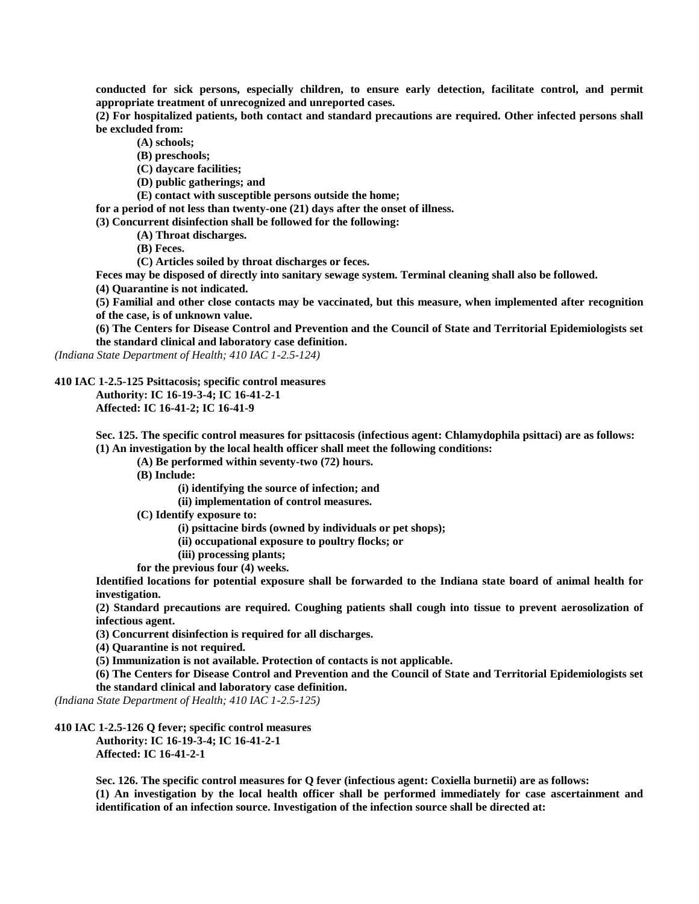**conducted for sick persons, especially children, to ensure early detection, facilitate control, and permit appropriate treatment of unrecognized and unreported cases.**

**(2) For hospitalized patients, both contact and standard precautions are required. Other infected persons shall be excluded from:**

**(A) schools;**

**(B) preschools;**

**(C) daycare facilities;**

**(D) public gatherings; and**

**(E) contact with susceptible persons outside the home;**

**for a period of not less than twenty-one (21) days after the onset of illness.**

**(3) Concurrent disinfection shall be followed for the following:**

**(A) Throat discharges.**

**(B) Feces.**

**(C) Articles soiled by throat discharges or feces.**

**Feces may be disposed of directly into sanitary sewage system. Terminal cleaning shall also be followed.**

**(4) Quarantine is not indicated.**

**(5) Familial and other close contacts may be vaccinated, but this measure, when implemented after recognition of the case, is of unknown value.**

**(6) The Centers for Disease Control and Prevention and the Council of State and Territorial Epidemiologists set the standard clinical and laboratory case definition.**

*(Indiana State Department of Health; 410 IAC 1-2.5-124)*

**410 IAC 1-2.5-125 Psittacosis; specific control measures**

**Authority: IC 16-19-3-4; IC 16-41-2-1**

**Affected: IC 16-41-2; IC 16-41-9**

**Sec. 125. The specific control measures for psittacosis (infectious agent: Chlamydophila psittaci) are as follows: (1) An investigation by the local health officer shall meet the following conditions:**

**(A) Be performed within seventy-two (72) hours.**

**(B) Include:**

**(i) identifying the source of infection; and**

**(ii) implementation of control measures.**

**(C) Identify exposure to:**

**(i) psittacine birds (owned by individuals or pet shops);**

**(ii) occupational exposure to poultry flocks; or**

**(iii) processing plants;**

**for the previous four (4) weeks.**

**Identified locations for potential exposure shall be forwarded to the Indiana state board of animal health for investigation.**

**(2) Standard precautions are required. Coughing patients shall cough into tissue to prevent aerosolization of infectious agent.**

**(3) Concurrent disinfection is required for all discharges.**

**(4) Quarantine is not required.**

**(5) Immunization is not available. Protection of contacts is not applicable.**

**(6) The Centers for Disease Control and Prevention and the Council of State and Territorial Epidemiologists set the standard clinical and laboratory case definition.**

*(Indiana State Department of Health; 410 IAC 1-2.5-125)*

## **410 IAC 1-2.5-126 Q fever; specific control measures**

**Authority: IC 16-19-3-4; IC 16-41-2-1 Affected: IC 16-41-2-1**

**Sec. 126. The specific control measures for Q fever (infectious agent: Coxiella burnetii) are as follows: (1) An investigation by the local health officer shall be performed immediately for case ascertainment and identification of an infection source. Investigation of the infection source shall be directed at:**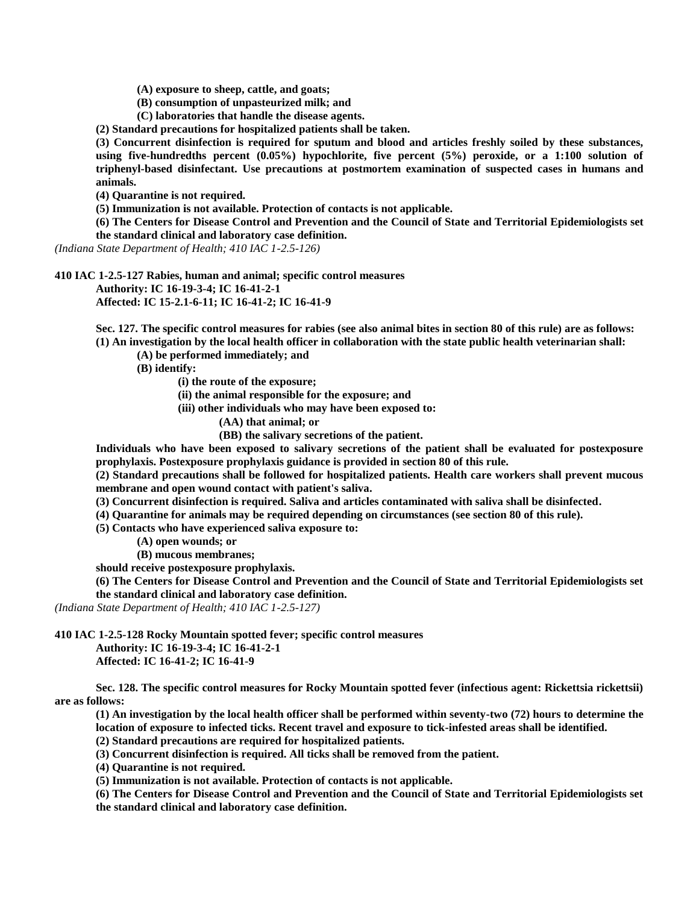**(A) exposure to sheep, cattle, and goats;**

**(B) consumption of unpasteurized milk; and**

**(C) laboratories that handle the disease agents.**

**(2) Standard precautions for hospitalized patients shall be taken.**

**(3) Concurrent disinfection is required for sputum and blood and articles freshly soiled by these substances,**  using five-hundredths percent (0.05%) hypochlorite, five percent (5%) peroxide, or a 1:100 solution of **triphenyl-based disinfectant. Use precautions at postmortem examination of suspected cases in humans and animals.**

**(4) Quarantine is not required.**

**(5) Immunization is not available. Protection of contacts is not applicable.**

**(6) The Centers for Disease Control and Prevention and the Council of State and Territorial Epidemiologists set the standard clinical and laboratory case definition.**

*(Indiana State Department of Health; 410 IAC 1-2.5-126)*

**410 IAC 1-2.5-127 Rabies, human and animal; specific control measures**

**Authority: IC 16-19-3-4; IC 16-41-2-1**

**Affected: IC 15-2.1-6-11; IC 16-41-2; IC 16-41-9**

**Sec. 127. The specific control measures for rabies (see also animal bites in section 80 of this rule) are as follows: (1) An investigation by the local health officer in collaboration with the state public health veterinarian shall:**

**(A) be performed immediately; and**

**(B) identify:**

**(i) the route of the exposure;**

**(ii) the animal responsible for the exposure; and**

**(iii) other individuals who may have been exposed to:**

**(AA) that animal; or**

**(BB) the salivary secretions of the patient.**

**Individuals who have been exposed to salivary secretions of the patient shall be evaluated for postexposure prophylaxis. Postexposure prophylaxis guidance is provided in section 80 of this rule.**

**(2) Standard precautions shall be followed for hospitalized patients. Health care workers shall prevent mucous membrane and open wound contact with patient's saliva.**

**(3) Concurrent disinfection is required. Saliva and articles contaminated with saliva shall be disinfected.**

**(4) Quarantine for animals may be required depending on circumstances (see section 80 of this rule).**

**(5) Contacts who have experienced saliva exposure to:**

**(A) open wounds; or**

**(B) mucous membranes;**

**should receive postexposure prophylaxis.**

**(6) The Centers for Disease Control and Prevention and the Council of State and Territorial Epidemiologists set the standard clinical and laboratory case definition.**

*(Indiana State Department of Health; 410 IAC 1-2.5-127)*

**410 IAC 1-2.5-128 Rocky Mountain spotted fever; specific control measures**

**Authority: IC 16-19-3-4; IC 16-41-2-1**

**Affected: IC 16-41-2; IC 16-41-9**

**Sec. 128. The specific control measures for Rocky Mountain spotted fever (infectious agent: Rickettsia rickettsii) are as follows:**

**(1) An investigation by the local health officer shall be performed within seventy-two (72) hours to determine the location of exposure to infected ticks. Recent travel and exposure to tick-infested areas shall be identified.**

**(2) Standard precautions are required for hospitalized patients.**

**(3) Concurrent disinfection is required. All ticks shall be removed from the patient.**

**(4) Quarantine is not required.**

**(5) Immunization is not available. Protection of contacts is not applicable.**

**(6) The Centers for Disease Control and Prevention and the Council of State and Territorial Epidemiologists set the standard clinical and laboratory case definition.**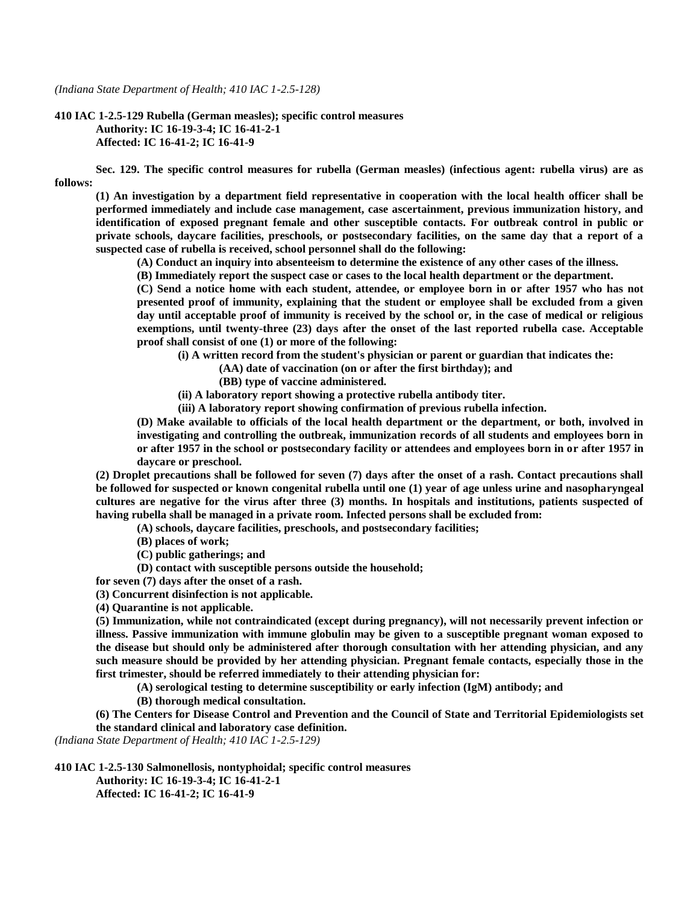*(Indiana State Department of Health; 410 IAC 1-2.5-128)*

**410 IAC 1-2.5-129 Rubella (German measles); specific control measures Authority: IC 16-19-3-4; IC 16-41-2-1 Affected: IC 16-41-2; IC 16-41-9**

**Sec. 129. The specific control measures for rubella (German measles) (infectious agent: rubella virus) are as follows:**

**(1) An investigation by a department field representative in cooperation with the local health officer shall be performed immediately and include case management, case ascertainment, previous immunization history, and identification of exposed pregnant female and other susceptible contacts. For outbreak control in public or private schools, daycare facilities, preschools, or postsecondary facilities, on the same day that a report of a suspected case of rubella is received, school personnel shall do the following:**

**(A) Conduct an inquiry into absenteeism to determine the existence of any other cases of the illness.**

**(B) Immediately report the suspect case or cases to the local health department or the department.**

**(C) Send a notice home with each student, attendee, or employee born in or after 1957 who has not presented proof of immunity, explaining that the student or employee shall be excluded from a given day until acceptable proof of immunity is received by the school or, in the case of medical or religious exemptions, until twenty-three (23) days after the onset of the last reported rubella case. Acceptable proof shall consist of one (1) or more of the following:**

**(i) A written record from the student's physician or parent or guardian that indicates the:**

**(AA) date of vaccination (on or after the first birthday); and**

**(BB) type of vaccine administered.**

**(ii) A laboratory report showing a protective rubella antibody titer.**

**(iii) A laboratory report showing confirmation of previous rubella infection.**

**(D) Make available to officials of the local health department or the department, or both, involved in investigating and controlling the outbreak, immunization records of all students and employees born in or after 1957 in the school or postsecondary facility or attendees and employees born in or after 1957 in daycare or preschool.**

**(2) Droplet precautions shall be followed for seven (7) days after the onset of a rash. Contact precautions shall be followed for suspected or known congenital rubella until one (1) year of age unless urine and nasopharyngeal cultures are negative for the virus after three (3) months. In hospitals and institutions, patients suspected of having rubella shall be managed in a private room. Infected persons shall be excluded from:**

**(A) schools, daycare facilities, preschools, and postsecondary facilities;**

**(B) places of work;**

**(C) public gatherings; and**

**(D) contact with susceptible persons outside the household;**

**for seven (7) days after the onset of a rash.**

**(3) Concurrent disinfection is not applicable.**

**(4) Quarantine is not applicable.**

**(5) Immunization, while not contraindicated (except during pregnancy), will not necessarily prevent infection or illness. Passive immunization with immune globulin may be given to a susceptible pregnant woman exposed to the disease but should only be administered after thorough consultation with her attending physician, and any such measure should be provided by her attending physician. Pregnant female contacts, especially those in the first trimester, should be referred immediately to their attending physician for:**

**(A) serological testing to determine susceptibility or early infection (IgM) antibody; and**

**(B) thorough medical consultation.**

**(6) The Centers for Disease Control and Prevention and the Council of State and Territorial Epidemiologists set the standard clinical and laboratory case definition.**

*(Indiana State Department of Health; 410 IAC 1-2.5-129)*

**410 IAC 1-2.5-130 Salmonellosis, nontyphoidal; specific control measures Authority: IC 16-19-3-4; IC 16-41-2-1 Affected: IC 16-41-2; IC 16-41-9**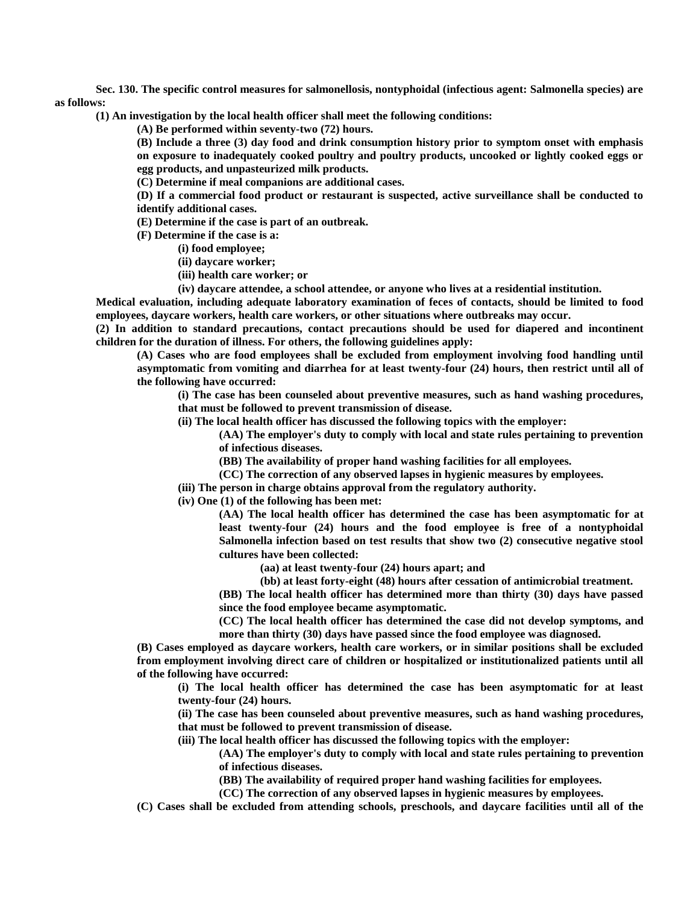**Sec. 130. The specific control measures for salmonellosis, nontyphoidal (infectious agent: Salmonella species) are as follows:**

**(1) An investigation by the local health officer shall meet the following conditions:**

**(A) Be performed within seventy-two (72) hours.**

**(B) Include a three (3) day food and drink consumption history prior to symptom onset with emphasis on exposure to inadequately cooked poultry and poultry products, uncooked or lightly cooked eggs or egg products, and unpasteurized milk products.**

**(C) Determine if meal companions are additional cases.**

**(D) If a commercial food product or restaurant is suspected, active surveillance shall be conducted to identify additional cases.**

**(E) Determine if the case is part of an outbreak.**

**(F) Determine if the case is a:**

- **(i) food employee;**
- **(ii) daycare worker;**
- **(iii) health care worker; or**
- **(iv) daycare attendee, a school attendee, or anyone who lives at a residential institution.**

**Medical evaluation, including adequate laboratory examination of feces of contacts, should be limited to food employees, daycare workers, health care workers, or other situations where outbreaks may occur.**

**(2) In addition to standard precautions, contact precautions should be used for diapered and incontinent children for the duration of illness. For others, the following guidelines apply:**

**(A) Cases who are food employees shall be excluded from employment involving food handling until asymptomatic from vomiting and diarrhea for at least twenty-four (24) hours, then restrict until all of the following have occurred:**

**(i) The case has been counseled about preventive measures, such as hand washing procedures, that must be followed to prevent transmission of disease.**

**(ii) The local health officer has discussed the following topics with the employer:**

**(AA) The employer's duty to comply with local and state rules pertaining to prevention of infectious diseases.**

**(BB) The availability of proper hand washing facilities for all employees.**

**(CC) The correction of any observed lapses in hygienic measures by employees.**

**(iii) The person in charge obtains approval from the regulatory authority.**

**(iv) One (1) of the following has been met:**

**(AA) The local health officer has determined the case has been asymptomatic for at least twenty-four (24) hours and the food employee is free of a nontyphoidal Salmonella infection based on test results that show two (2) consecutive negative stool cultures have been collected:**

**(aa) at least twenty-four (24) hours apart; and**

**(bb) at least forty-eight (48) hours after cessation of antimicrobial treatment.**

**(BB) The local health officer has determined more than thirty (30) days have passed since the food employee became asymptomatic.**

**(CC) The local health officer has determined the case did not develop symptoms, and more than thirty (30) days have passed since the food employee was diagnosed.**

**(B) Cases employed as daycare workers, health care workers, or in similar positions shall be excluded from employment involving direct care of children or hospitalized or institutionalized patients until all of the following have occurred:**

**(i) The local health officer has determined the case has been asymptomatic for at least twenty-four (24) hours.**

**(ii) The case has been counseled about preventive measures, such as hand washing procedures, that must be followed to prevent transmission of disease.**

**(iii) The local health officer has discussed the following topics with the employer:**

**(AA) The employer's duty to comply with local and state rules pertaining to prevention of infectious diseases.**

**(BB) The availability of required proper hand washing facilities for employees.**

**(CC) The correction of any observed lapses in hygienic measures by employees.**

**(C) Cases shall be excluded from attending schools, preschools, and daycare facilities until all of the**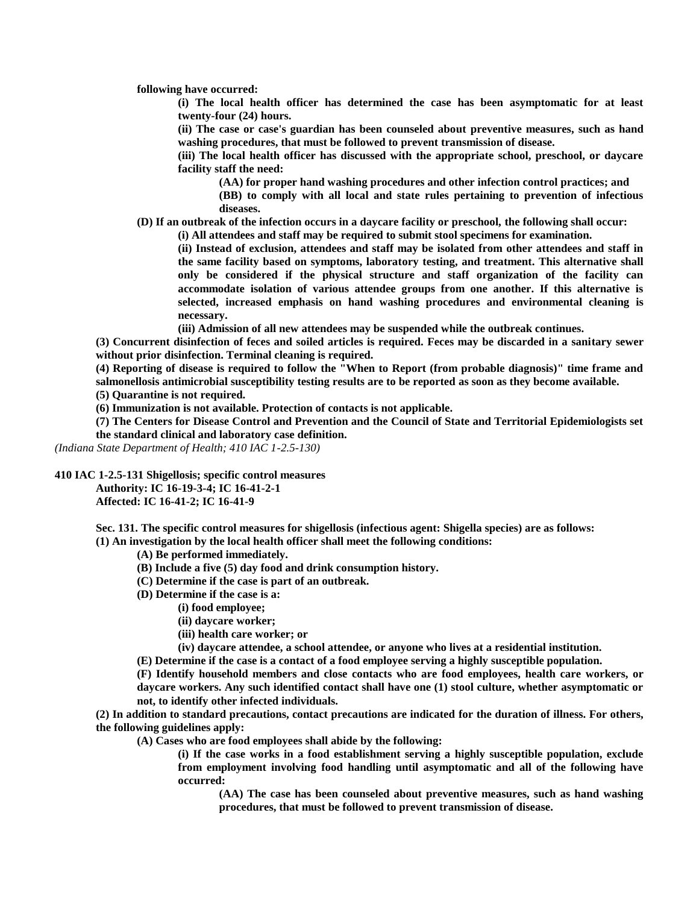**following have occurred:**

**(i) The local health officer has determined the case has been asymptomatic for at least twenty-four (24) hours.**

**(ii) The case or case's guardian has been counseled about preventive measures, such as hand washing procedures, that must be followed to prevent transmission of disease.**

**(iii) The local health officer has discussed with the appropriate school, preschool, or daycare facility staff the need:**

**(AA) for proper hand washing procedures and other infection control practices; and**

**(BB) to comply with all local and state rules pertaining to prevention of infectious diseases.**

**(D) If an outbreak of the infection occurs in a daycare facility or preschool, the following shall occur:**

**(i) All attendees and staff may be required to submit stool specimens for examination.**

**(ii) Instead of exclusion, attendees and staff may be isolated from other attendees and staff in the same facility based on symptoms, laboratory testing, and treatment. This alternative shall only be considered if the physical structure and staff organization of the facility can accommodate isolation of various attendee groups from one another. If this alternative is selected, increased emphasis on hand washing procedures and environmental cleaning is necessary.**

**(iii) Admission of all new attendees may be suspended while the outbreak continues.**

**(3) Concurrent disinfection of feces and soiled articles is required. Feces may be discarded in a sanitary sewer without prior disinfection. Terminal cleaning is required.**

**(4) Reporting of disease is required to follow the "When to Report (from probable diagnosis)" time frame and salmonellosis antimicrobial susceptibility testing results are to be reported as soon as they become available.**

**(5) Quarantine is not required.**

**(6) Immunization is not available. Protection of contacts is not applicable.**

**(7) The Centers for Disease Control and Prevention and the Council of State and Territorial Epidemiologists set the standard clinical and laboratory case definition.**

*(Indiana State Department of Health; 410 IAC 1-2.5-130)*

**410 IAC 1-2.5-131 Shigellosis; specific control measures**

**Authority: IC 16-19-3-4; IC 16-41-2-1 Affected: IC 16-41-2; IC 16-41-9**

**Sec. 131. The specific control measures for shigellosis (infectious agent: Shigella species) are as follows: (1) An investigation by the local health officer shall meet the following conditions:**

**(A) Be performed immediately.**

- **(B) Include a five (5) day food and drink consumption history.**
- **(C) Determine if the case is part of an outbreak.**
- **(D) Determine if the case is a:**
	- **(i) food employee;**
	- **(ii) daycare worker;**
	- **(iii) health care worker; or**
	- **(iv) daycare attendee, a school attendee, or anyone who lives at a residential institution.**

**(E) Determine if the case is a contact of a food employee serving a highly susceptible population.**

**(F) Identify household members and close contacts who are food employees, health care workers, or daycare workers. Any such identified contact shall have one (1) stool culture, whether asymptomatic or not, to identify other infected individuals.**

**(2) In addition to standard precautions, contact precautions are indicated for the duration of illness. For others, the following guidelines apply:**

**(A) Cases who are food employees shall abide by the following:**

**(i) If the case works in a food establishment serving a highly susceptible population, exclude from employment involving food handling until asymptomatic and all of the following have occurred:**

**(AA) The case has been counseled about preventive measures, such as hand washing procedures, that must be followed to prevent transmission of disease.**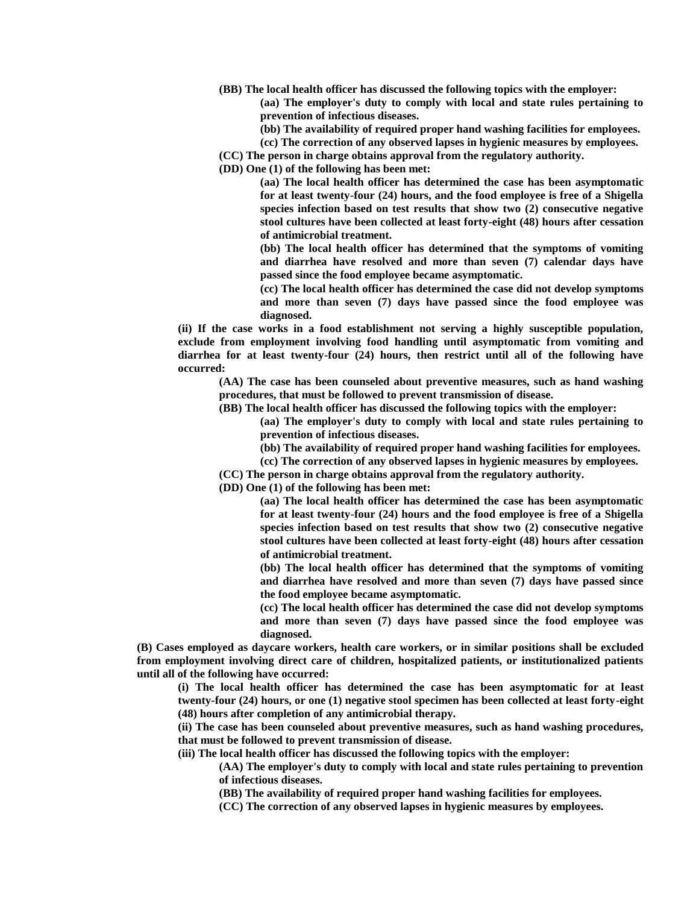**(BB) The local health officer has discussed the following topics with the employer:**

**(aa) The employer's duty to comply with local and state rules pertaining to prevention of infectious diseases.**

- **(bb) The availability of required proper hand washing facilities for employees.**
- **(cc) The correction of any observed lapses in hygienic measures by employees.**
- **(CC) The person in charge obtains approval from the regulatory authority.**

**(DD) One (1) of the following has been met:**

**(aa) The local health officer has determined the case has been asymptomatic for at least twenty-four (24) hours, and the food employee is free of a Shigella species infection based on test results that show two (2) consecutive negative stool cultures have been collected at least forty-eight (48) hours after cessation of antimicrobial treatment.**

**(bb) The local health officer has determined that the symptoms of vomiting and diarrhea have resolved and more than seven (7) calendar days have passed since the food employee became asymptomatic.**

**(cc) The local health officer has determined the case did not develop symptoms and more than seven (7) days have passed since the food employee was diagnosed.**

**(ii) If the case works in a food establishment not serving a highly susceptible population, exclude from employment involving food handling until asymptomatic from vomiting and diarrhea for at least twenty-four (24) hours, then restrict until all of the following have occurred:**

**(AA) The case has been counseled about preventive measures, such as hand washing procedures, that must be followed to prevent transmission of disease.**

**(BB) The local health officer has discussed the following topics with the employer:**

**(aa) The employer's duty to comply with local and state rules pertaining to prevention of infectious diseases.**

**(bb) The availability of required proper hand washing facilities for employees.**

**(cc) The correction of any observed lapses in hygienic measures by employees.**

**(CC) The person in charge obtains approval from the regulatory authority.**

**(DD) One (1) of the following has been met:**

**(aa) The local health officer has determined the case has been asymptomatic for at least twenty-four (24) hours and the food employee is free of a Shigella species infection based on test results that show two (2) consecutive negative stool cultures have been collected at least forty-eight (48) hours after cessation of antimicrobial treatment.**

**(bb) The local health officer has determined that the symptoms of vomiting and diarrhea have resolved and more than seven (7) days have passed since the food employee became asymptomatic.**

**(cc) The local health officer has determined the case did not develop symptoms and more than seven (7) days have passed since the food employee was diagnosed.**

**(B) Cases employed as daycare workers, health care workers, or in similar positions shall be excluded from employment involving direct care of children, hospitalized patients, or institutionalized patients until all of the following have occurred:**

**(i) The local health officer has determined the case has been asymptomatic for at least twenty-four (24) hours, or one (1) negative stool specimen has been collected at least forty-eight (48) hours after completion of any antimicrobial therapy.**

**(ii) The case has been counseled about preventive measures, such as hand washing procedures, that must be followed to prevent transmission of disease.**

**(iii) The local health officer has discussed the following topics with the employer:**

**(AA) The employer's duty to comply with local and state rules pertaining to prevention of infectious diseases.**

**(BB) The availability of required proper hand washing facilities for employees.**

**(CC) The correction of any observed lapses in hygienic measures by employees.**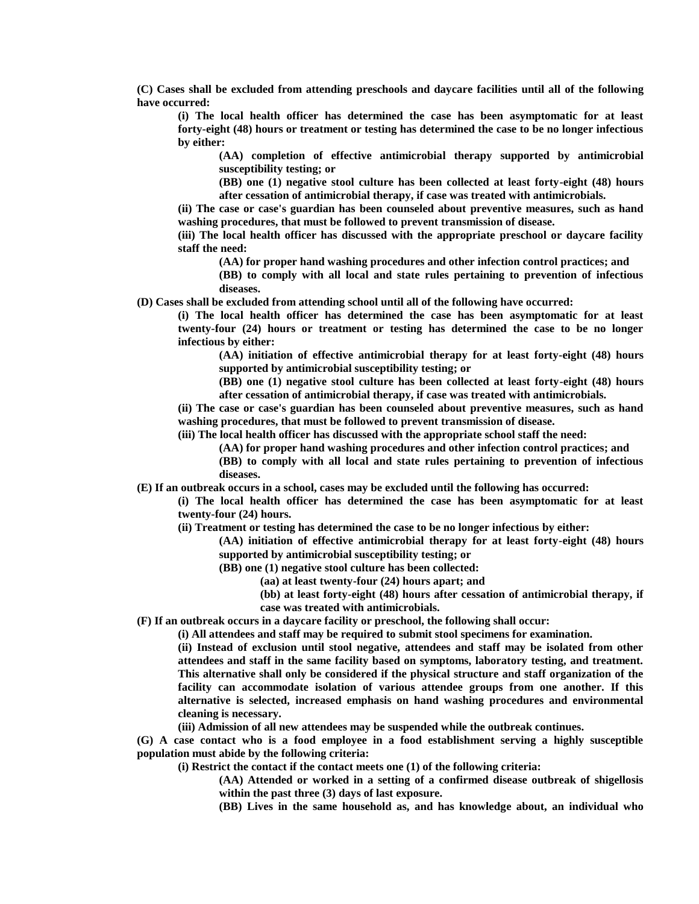**(C) Cases shall be excluded from attending preschools and daycare facilities until all of the following have occurred:**

**(i) The local health officer has determined the case has been asymptomatic for at least forty-eight (48) hours or treatment or testing has determined the case to be no longer infectious by either:**

**(AA) completion of effective antimicrobial therapy supported by antimicrobial susceptibility testing; or**

**(BB) one (1) negative stool culture has been collected at least forty-eight (48) hours after cessation of antimicrobial therapy, if case was treated with antimicrobials.**

**(ii) The case or case's guardian has been counseled about preventive measures, such as hand washing procedures, that must be followed to prevent transmission of disease.**

**(iii) The local health officer has discussed with the appropriate preschool or daycare facility staff the need:**

**(AA) for proper hand washing procedures and other infection control practices; and**

**(BB) to comply with all local and state rules pertaining to prevention of infectious diseases.**

**(D) Cases shall be excluded from attending school until all of the following have occurred:**

**(i) The local health officer has determined the case has been asymptomatic for at least twenty-four (24) hours or treatment or testing has determined the case to be no longer infectious by either:**

**(AA) initiation of effective antimicrobial therapy for at least forty-eight (48) hours supported by antimicrobial susceptibility testing; or**

**(BB) one (1) negative stool culture has been collected at least forty-eight (48) hours after cessation of antimicrobial therapy, if case was treated with antimicrobials.**

**(ii) The case or case's guardian has been counseled about preventive measures, such as hand washing procedures, that must be followed to prevent transmission of disease.**

**(iii) The local health officer has discussed with the appropriate school staff the need:**

**(AA) for proper hand washing procedures and other infection control practices; and**

**(BB) to comply with all local and state rules pertaining to prevention of infectious diseases.**

**(E) If an outbreak occurs in a school, cases may be excluded until the following has occurred:**

**(i) The local health officer has determined the case has been asymptomatic for at least twenty-four (24) hours.**

**(ii) Treatment or testing has determined the case to be no longer infectious by either:**

**(AA) initiation of effective antimicrobial therapy for at least forty-eight (48) hours supported by antimicrobial susceptibility testing; or**

**(BB) one (1) negative stool culture has been collected:**

**(aa) at least twenty-four (24) hours apart; and**

**(bb) at least forty-eight (48) hours after cessation of antimicrobial therapy, if case was treated with antimicrobials.**

**(F) If an outbreak occurs in a daycare facility or preschool, the following shall occur:**

**(i) All attendees and staff may be required to submit stool specimens for examination.**

**(ii) Instead of exclusion until stool negative, attendees and staff may be isolated from other attendees and staff in the same facility based on symptoms, laboratory testing, and treatment. This alternative shall only be considered if the physical structure and staff organization of the facility can accommodate isolation of various attendee groups from one another. If this alternative is selected, increased emphasis on hand washing procedures and environmental cleaning is necessary.**

**(iii) Admission of all new attendees may be suspended while the outbreak continues.**

**(G) A case contact who is a food employee in a food establishment serving a highly susceptible population must abide by the following criteria:**

**(i) Restrict the contact if the contact meets one (1) of the following criteria:**

**(AA) Attended or worked in a setting of a confirmed disease outbreak of shigellosis within the past three (3) days of last exposure.**

**(BB) Lives in the same household as, and has knowledge about, an individual who**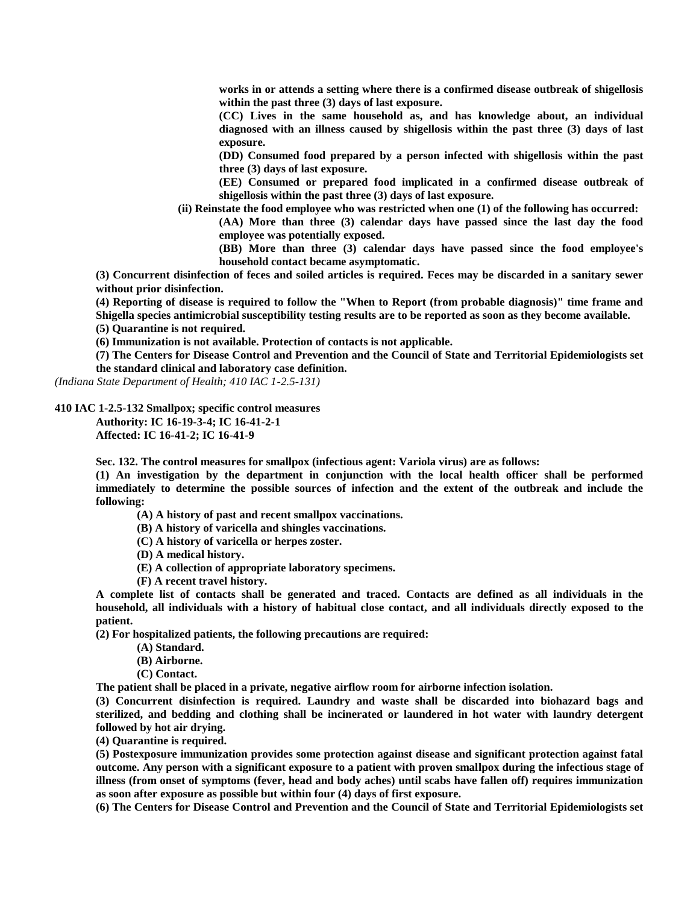**works in or attends a setting where there is a confirmed disease outbreak of shigellosis within the past three (3) days of last exposure.**

**(CC) Lives in the same household as, and has knowledge about, an individual diagnosed with an illness caused by shigellosis within the past three (3) days of last exposure.**

**(DD) Consumed food prepared by a person infected with shigellosis within the past three (3) days of last exposure.**

**(EE) Consumed or prepared food implicated in a confirmed disease outbreak of shigellosis within the past three (3) days of last exposure.**

**(ii) Reinstate the food employee who was restricted when one (1) of the following has occurred:**

**(AA) More than three (3) calendar days have passed since the last day the food employee was potentially exposed.**

**(BB) More than three (3) calendar days have passed since the food employee's household contact became asymptomatic.**

**(3) Concurrent disinfection of feces and soiled articles is required. Feces may be discarded in a sanitary sewer without prior disinfection.**

**(4) Reporting of disease is required to follow the "When to Report (from probable diagnosis)" time frame and Shigella species antimicrobial susceptibility testing results are to be reported as soon as they become available.**

**(5) Quarantine is not required.**

**(6) Immunization is not available. Protection of contacts is not applicable.**

**(7) The Centers for Disease Control and Prevention and the Council of State and Territorial Epidemiologists set the standard clinical and laboratory case definition.**

*(Indiana State Department of Health; 410 IAC 1-2.5-131)*

**410 IAC 1-2.5-132 Smallpox; specific control measures**

**Authority: IC 16-19-3-4; IC 16-41-2-1 Affected: IC 16-41-2; IC 16-41-9**

**Sec. 132. The control measures for smallpox (infectious agent: Variola virus) are as follows:**

**(1) An investigation by the department in conjunction with the local health officer shall be performed immediately to determine the possible sources of infection and the extent of the outbreak and include the following:**

- **(A) A history of past and recent smallpox vaccinations.**
- **(B) A history of varicella and shingles vaccinations.**
- **(C) A history of varicella or herpes zoster.**
- **(D) A medical history.**
- **(E) A collection of appropriate laboratory specimens.**
- **(F) A recent travel history.**

**A complete list of contacts shall be generated and traced. Contacts are defined as all individuals in the household, all individuals with a history of habitual close contact, and all individuals directly exposed to the patient.**

**(2) For hospitalized patients, the following precautions are required:**

- **(A) Standard.**
- **(B) Airborne.**
- **(C) Contact.**

**The patient shall be placed in a private, negative airflow room for airborne infection isolation.**

**(3) Concurrent disinfection is required. Laundry and waste shall be discarded into biohazard bags and sterilized, and bedding and clothing shall be incinerated or laundered in hot water with laundry detergent followed by hot air drying.**

**(4) Quarantine is required.**

**(5) Postexposure immunization provides some protection against disease and significant protection against fatal outcome. Any person with a significant exposure to a patient with proven smallpox during the infectious stage of illness (from onset of symptoms (fever, head and body aches) until scabs have fallen off) requires immunization as soon after exposure as possible but within four (4) days of first exposure.**

**(6) The Centers for Disease Control and Prevention and the Council of State and Territorial Epidemiologists set**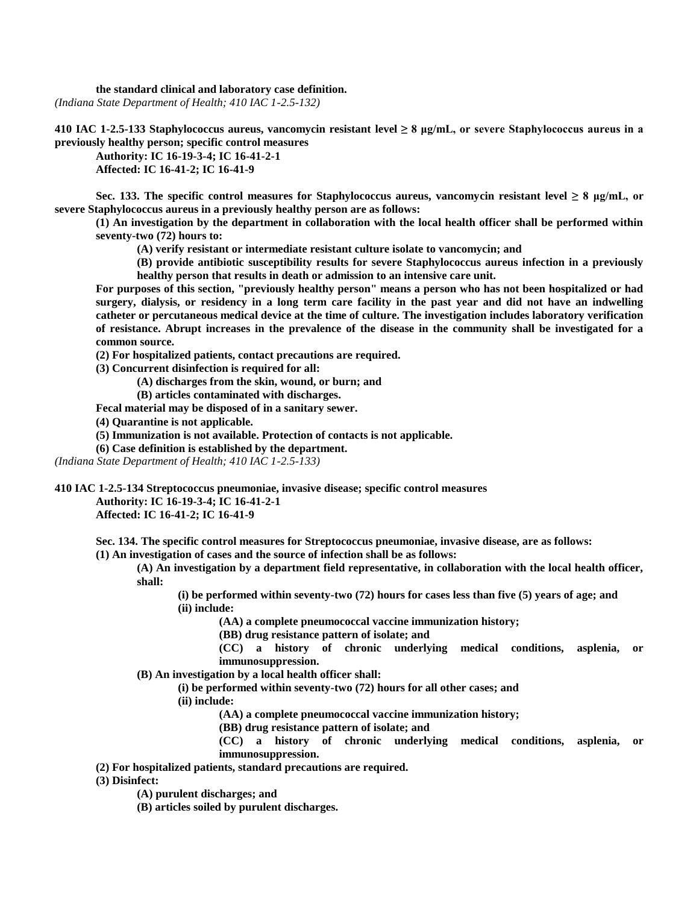**the standard clinical and laboratory case definition.** *(Indiana State Department of Health; 410 IAC 1-2.5-132)*

**410 IAC 1-2.5-133 Staphylococcus aureus, vancomycin resistant level ≥ 8 μg/mL, or severe Staphylococcus aureus in a previously healthy person; specific control measures**

**Authority: IC 16-19-3-4; IC 16-41-2-1 Affected: IC 16-41-2; IC 16-41-9**

**Sec. 133. The specific control measures for Staphylococcus aureus, vancomycin resistant level ≥ 8 μg/mL, or severe Staphylococcus aureus in a previously healthy person are as follows:**

**(1) An investigation by the department in collaboration with the local health officer shall be performed within seventy-two (72) hours to:**

**(A) verify resistant or intermediate resistant culture isolate to vancomycin; and**

**(B) provide antibiotic susceptibility results for severe Staphylococcus aureus infection in a previously healthy person that results in death or admission to an intensive care unit.**

**For purposes of this section, "previously healthy person" means a person who has not been hospitalized or had surgery, dialysis, or residency in a long term care facility in the past year and did not have an indwelling catheter or percutaneous medical device at the time of culture. The investigation includes laboratory verification of resistance. Abrupt increases in the prevalence of the disease in the community shall be investigated for a common source.**

**(2) For hospitalized patients, contact precautions are required.**

**(3) Concurrent disinfection is required for all:**

**(A) discharges from the skin, wound, or burn; and**

**(B) articles contaminated with discharges.**

**Fecal material may be disposed of in a sanitary sewer.**

**(4) Quarantine is not applicable.**

**(5) Immunization is not available. Protection of contacts is not applicable.**

**(6) Case definition is established by the department.**

*(Indiana State Department of Health; 410 IAC 1-2.5-133)*

**410 IAC 1-2.5-134 Streptococcus pneumoniae, invasive disease; specific control measures**

**Authority: IC 16-19-3-4; IC 16-41-2-1**

**Affected: IC 16-41-2; IC 16-41-9**

**Sec. 134. The specific control measures for Streptococcus pneumoniae, invasive disease, are as follows:**

**(1) An investigation of cases and the source of infection shall be as follows:**

**(A) An investigation by a department field representative, in collaboration with the local health officer, shall:**

**(i) be performed within seventy-two (72) hours for cases less than five (5) years of age; and (ii) include:**

**(AA) a complete pneumococcal vaccine immunization history;**

**(BB) drug resistance pattern of isolate; and**

**(CC) a history of chronic underlying medical conditions, asplenia, or immunosuppression.**

**(B) An investigation by a local health officer shall:**

**(i) be performed within seventy-two (72) hours for all other cases; and**

**(ii) include:**

**(AA) a complete pneumococcal vaccine immunization history;**

**(BB) drug resistance pattern of isolate; and**

**(CC) a history of chronic underlying medical conditions, asplenia, or immunosuppression.**

**(2) For hospitalized patients, standard precautions are required.**

**(3) Disinfect:**

**(A) purulent discharges; and**

**(B) articles soiled by purulent discharges.**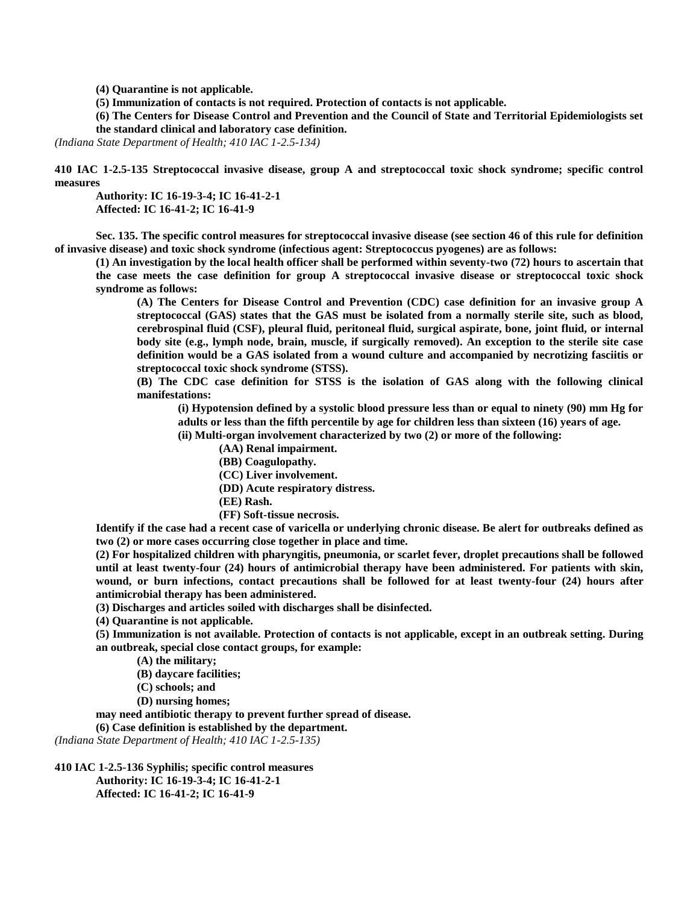**(4) Quarantine is not applicable.**

**(5) Immunization of contacts is not required. Protection of contacts is not applicable.**

**(6) The Centers for Disease Control and Prevention and the Council of State and Territorial Epidemiologists set the standard clinical and laboratory case definition.**

*(Indiana State Department of Health; 410 IAC 1-2.5-134)*

**410 IAC 1-2.5-135 Streptococcal invasive disease, group A and streptococcal toxic shock syndrome; specific control measures**

**Authority: IC 16-19-3-4; IC 16-41-2-1 Affected: IC 16-41-2; IC 16-41-9**

**Sec. 135. The specific control measures for streptococcal invasive disease (see section 46 of this rule for definition of invasive disease) and toxic shock syndrome (infectious agent: Streptococcus pyogenes) are as follows:**

**(1) An investigation by the local health officer shall be performed within seventy-two (72) hours to ascertain that the case meets the case definition for group A streptococcal invasive disease or streptococcal toxic shock syndrome as follows:**

**(A) The Centers for Disease Control and Prevention (CDC) case definition for an invasive group A streptococcal (GAS) states that the GAS must be isolated from a normally sterile site, such as blood, cerebrospinal fluid (CSF), pleural fluid, peritoneal fluid, surgical aspirate, bone, joint fluid, or internal body site (e.g., lymph node, brain, muscle, if surgically removed). An exception to the sterile site case definition would be a GAS isolated from a wound culture and accompanied by necrotizing fasciitis or streptococcal toxic shock syndrome (STSS).**

**(B) The CDC case definition for STSS is the isolation of GAS along with the following clinical manifestations:**

**(i) Hypotension defined by a systolic blood pressure less than or equal to ninety (90) mm Hg for adults or less than the fifth percentile by age for children less than sixteen (16) years of age.**

**(ii) Multi-organ involvement characterized by two (2) or more of the following:**

**(AA) Renal impairment.**

- **(BB) Coagulopathy.**
- **(CC) Liver involvement.**
- **(DD) Acute respiratory distress.**
- **(EE) Rash.**
- **(FF) Soft-tissue necrosis.**

**Identify if the case had a recent case of varicella or underlying chronic disease. Be alert for outbreaks defined as two (2) or more cases occurring close together in place and time.**

**(2) For hospitalized children with pharyngitis, pneumonia, or scarlet fever, droplet precautions shall be followed until at least twenty-four (24) hours of antimicrobial therapy have been administered. For patients with skin, wound, or burn infections, contact precautions shall be followed for at least twenty-four (24) hours after antimicrobial therapy has been administered.**

**(3) Discharges and articles soiled with discharges shall be disinfected.**

**(4) Quarantine is not applicable.**

**(5) Immunization is not available. Protection of contacts is not applicable, except in an outbreak setting. During an outbreak, special close contact groups, for example:**

**(A) the military;**

**(B) daycare facilities;**

**(C) schools; and**

**(D) nursing homes;**

**may need antibiotic therapy to prevent further spread of disease.**

**(6) Case definition is established by the department.**

*(Indiana State Department of Health; 410 IAC 1-2.5-135)*

**410 IAC 1-2.5-136 Syphilis; specific control measures Authority: IC 16-19-3-4; IC 16-41-2-1 Affected: IC 16-41-2; IC 16-41-9**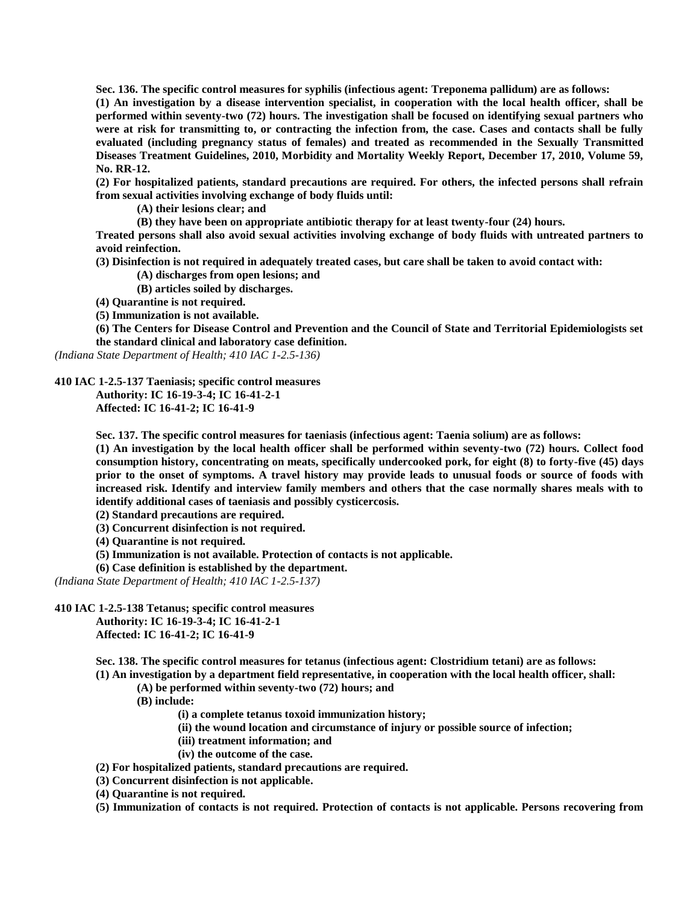**Sec. 136. The specific control measures for syphilis (infectious agent: Treponema pallidum) are as follows: (1) An investigation by a disease intervention specialist, in cooperation with the local health officer, shall be performed within seventy-two (72) hours. The investigation shall be focused on identifying sexual partners who were at risk for transmitting to, or contracting the infection from, the case. Cases and contacts shall be fully evaluated (including pregnancy status of females) and treated as recommended in the Sexually Transmitted Diseases Treatment Guidelines, 2010, Morbidity and Mortality Weekly Report, December 17, 2010, Volume 59, No. RR-12.**

**(2) For hospitalized patients, standard precautions are required. For others, the infected persons shall refrain from sexual activities involving exchange of body fluids until:**

**(A) their lesions clear; and**

**(B) they have been on appropriate antibiotic therapy for at least twenty-four (24) hours.**

**Treated persons shall also avoid sexual activities involving exchange of body fluids with untreated partners to avoid reinfection.**

**(3) Disinfection is not required in adequately treated cases, but care shall be taken to avoid contact with:**

**(A) discharges from open lesions; and**

**(B) articles soiled by discharges.**

**(4) Quarantine is not required.**

**(5) Immunization is not available.**

**(6) The Centers for Disease Control and Prevention and the Council of State and Territorial Epidemiologists set the standard clinical and laboratory case definition.**

*(Indiana State Department of Health; 410 IAC 1-2.5-136)*

**410 IAC 1-2.5-137 Taeniasis; specific control measures**

**Authority: IC 16-19-3-4; IC 16-41-2-1 Affected: IC 16-41-2; IC 16-41-9**

**Sec. 137. The specific control measures for taeniasis (infectious agent: Taenia solium) are as follows:**

**(1) An investigation by the local health officer shall be performed within seventy-two (72) hours. Collect food consumption history, concentrating on meats, specifically undercooked pork, for eight (8) to forty-five (45) days prior to the onset of symptoms. A travel history may provide leads to unusual foods or source of foods with increased risk. Identify and interview family members and others that the case normally shares meals with to identify additional cases of taeniasis and possibly cysticercosis.**

**(2) Standard precautions are required.**

**(3) Concurrent disinfection is not required.**

**(4) Quarantine is not required.**

**(5) Immunization is not available. Protection of contacts is not applicable.**

**(6) Case definition is established by the department.**

*(Indiana State Department of Health; 410 IAC 1-2.5-137)*

**410 IAC 1-2.5-138 Tetanus; specific control measures Authority: IC 16-19-3-4; IC 16-41-2-1**

**Affected: IC 16-41-2; IC 16-41-9**

**Sec. 138. The specific control measures for tetanus (infectious agent: Clostridium tetani) are as follows:**

**(1) An investigation by a department field representative, in cooperation with the local health officer, shall:**

**(A) be performed within seventy-two (72) hours; and**

**(B) include:**

**(i) a complete tetanus toxoid immunization history;**

**(ii) the wound location and circumstance of injury or possible source of infection;**

**(iii) treatment information; and**

**(iv) the outcome of the case.**

**(2) For hospitalized patients, standard precautions are required.**

**(3) Concurrent disinfection is not applicable.**

**(4) Quarantine is not required.**

**(5) Immunization of contacts is not required. Protection of contacts is not applicable. Persons recovering from**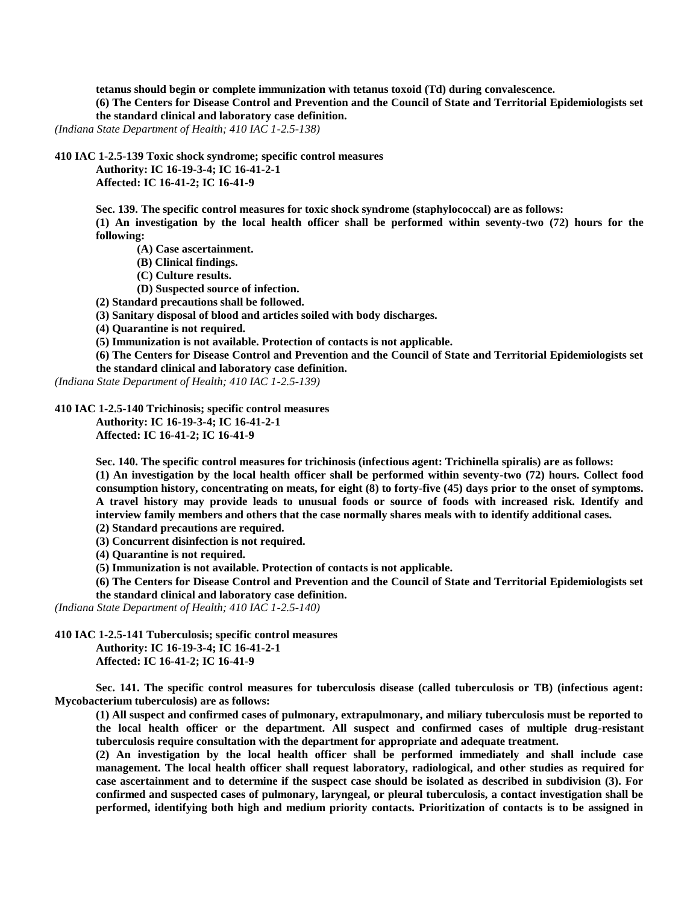**tetanus should begin or complete immunization with tetanus toxoid (Td) during convalescence.**

**(6) The Centers for Disease Control and Prevention and the Council of State and Territorial Epidemiologists set the standard clinical and laboratory case definition.**

*(Indiana State Department of Health; 410 IAC 1-2.5-138)*

**410 IAC 1-2.5-139 Toxic shock syndrome; specific control measures**

**Authority: IC 16-19-3-4; IC 16-41-2-1 Affected: IC 16-41-2; IC 16-41-9**

**Sec. 139. The specific control measures for toxic shock syndrome (staphylococcal) are as follows: (1) An investigation by the local health officer shall be performed within seventy-two (72) hours for the following:**

**(A) Case ascertainment.**

**(B) Clinical findings.**

**(C) Culture results.**

**(D) Suspected source of infection.**

**(2) Standard precautions shall be followed.**

**(3) Sanitary disposal of blood and articles soiled with body discharges.**

**(4) Quarantine is not required.**

**(5) Immunization is not available. Protection of contacts is not applicable.**

**(6) The Centers for Disease Control and Prevention and the Council of State and Territorial Epidemiologists set the standard clinical and laboratory case definition.**

*(Indiana State Department of Health; 410 IAC 1-2.5-139)*

**410 IAC 1-2.5-140 Trichinosis; specific control measures**

**Authority: IC 16-19-3-4; IC 16-41-2-1 Affected: IC 16-41-2; IC 16-41-9**

**Sec. 140. The specific control measures for trichinosis (infectious agent: Trichinella spiralis) are as follows: (1) An investigation by the local health officer shall be performed within seventy-two (72) hours. Collect food consumption history, concentrating on meats, for eight (8) to forty-five (45) days prior to the onset of symptoms. A travel history may provide leads to unusual foods or source of foods with increased risk. Identify and interview family members and others that the case normally shares meals with to identify additional cases. (2) Standard precautions are required.**

**(3) Concurrent disinfection is not required.**

**(4) Quarantine is not required.**

**(5) Immunization is not available. Protection of contacts is not applicable.**

**(6) The Centers for Disease Control and Prevention and the Council of State and Territorial Epidemiologists set the standard clinical and laboratory case definition.**

*(Indiana State Department of Health; 410 IAC 1-2.5-140)*

**410 IAC 1-2.5-141 Tuberculosis; specific control measures**

**Authority: IC 16-19-3-4; IC 16-41-2-1 Affected: IC 16-41-2; IC 16-41-9**

**Sec. 141. The specific control measures for tuberculosis disease (called tuberculosis or TB) (infectious agent: Mycobacterium tuberculosis) are as follows:**

**(1) All suspect and confirmed cases of pulmonary, extrapulmonary, and miliary tuberculosis must be reported to the local health officer or the department. All suspect and confirmed cases of multiple drug-resistant tuberculosis require consultation with the department for appropriate and adequate treatment.**

**(2) An investigation by the local health officer shall be performed immediately and shall include case management. The local health officer shall request laboratory, radiological, and other studies as required for case ascertainment and to determine if the suspect case should be isolated as described in subdivision (3). For confirmed and suspected cases of pulmonary, laryngeal, or pleural tuberculosis, a contact investigation shall be performed, identifying both high and medium priority contacts. Prioritization of contacts is to be assigned in**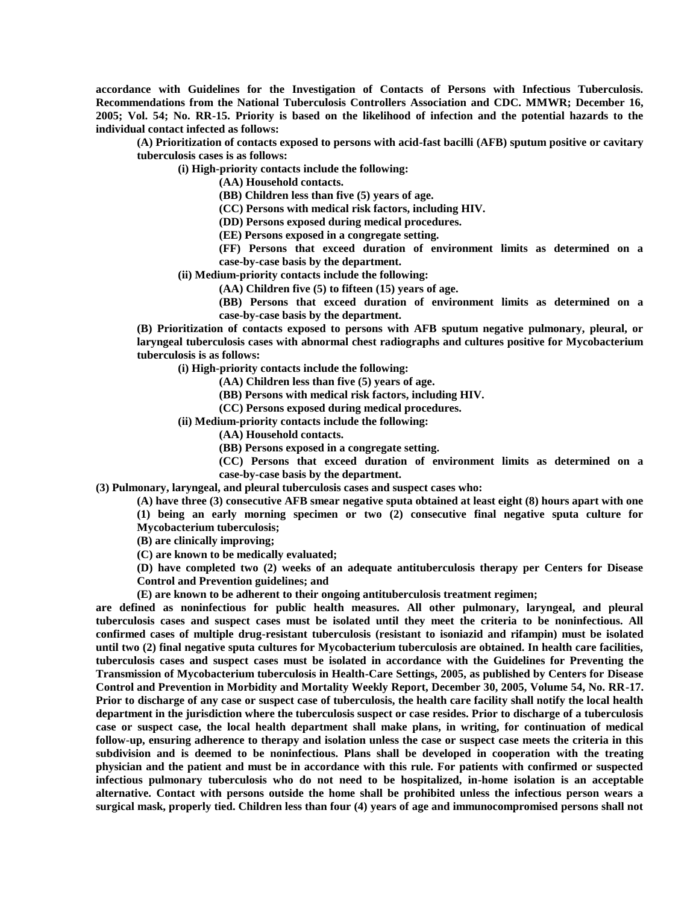**accordance with Guidelines for the Investigation of Contacts of Persons with Infectious Tuberculosis. Recommendations from the National Tuberculosis Controllers Association and CDC. MMWR; December 16, 2005; Vol. 54; No. RR-15. Priority is based on the likelihood of infection and the potential hazards to the individual contact infected as follows:**

**(A) Prioritization of contacts exposed to persons with acid-fast bacilli (AFB) sputum positive or cavitary tuberculosis cases is as follows:**

**(i) High-priority contacts include the following:**

**(AA) Household contacts.**

**(BB) Children less than five (5) years of age.**

**(CC) Persons with medical risk factors, including HIV.**

**(DD) Persons exposed during medical procedures.**

**(EE) Persons exposed in a congregate setting.**

**(FF) Persons that exceed duration of environment limits as determined on a case-by-case basis by the department.**

**(ii) Medium-priority contacts include the following:**

**(AA) Children five (5) to fifteen (15) years of age.**

**(BB) Persons that exceed duration of environment limits as determined on a case-by-case basis by the department.**

**(B) Prioritization of contacts exposed to persons with AFB sputum negative pulmonary, pleural, or laryngeal tuberculosis cases with abnormal chest radiographs and cultures positive for Mycobacterium tuberculosis is as follows:**

**(i) High-priority contacts include the following:**

**(AA) Children less than five (5) years of age.**

**(BB) Persons with medical risk factors, including HIV.**

**(CC) Persons exposed during medical procedures.**

**(ii) Medium-priority contacts include the following:**

**(AA) Household contacts.**

**(BB) Persons exposed in a congregate setting.**

**(CC) Persons that exceed duration of environment limits as determined on a case-by-case basis by the department.**

**(3) Pulmonary, laryngeal, and pleural tuberculosis cases and suspect cases who:**

**(A) have three (3) consecutive AFB smear negative sputa obtained at least eight (8) hours apart with one** 

**(1) being an early morning specimen or two (2) consecutive final negative sputa culture for Mycobacterium tuberculosis;**

**(B) are clinically improving;**

**(C) are known to be medically evaluated;**

**(D) have completed two (2) weeks of an adequate antituberculosis therapy per Centers for Disease Control and Prevention guidelines; and**

**(E) are known to be adherent to their ongoing antituberculosis treatment regimen;**

**are defined as noninfectious for public health measures. All other pulmonary, laryngeal, and pleural tuberculosis cases and suspect cases must be isolated until they meet the criteria to be noninfectious. All confirmed cases of multiple drug-resistant tuberculosis (resistant to isoniazid and rifampin) must be isolated until two (2) final negative sputa cultures for Mycobacterium tuberculosis are obtained. In health care facilities, tuberculosis cases and suspect cases must be isolated in accordance with the Guidelines for Preventing the Transmission of Mycobacterium tuberculosis in Health-Care Settings, 2005, as published by Centers for Disease Control and Prevention in Morbidity and Mortality Weekly Report, December 30, 2005, Volume 54, No. RR-17. Prior to discharge of any case or suspect case of tuberculosis, the health care facility shall notify the local health department in the jurisdiction where the tuberculosis suspect or case resides. Prior to discharge of a tuberculosis case or suspect case, the local health department shall make plans, in writing, for continuation of medical follow-up, ensuring adherence to therapy and isolation unless the case or suspect case meets the criteria in this subdivision and is deemed to be noninfectious. Plans shall be developed in cooperation with the treating physician and the patient and must be in accordance with this rule. For patients with confirmed or suspected infectious pulmonary tuberculosis who do not need to be hospitalized, in-home isolation is an acceptable alternative. Contact with persons outside the home shall be prohibited unless the infectious person wears a surgical mask, properly tied. Children less than four (4) years of age and immunocompromised persons shall not**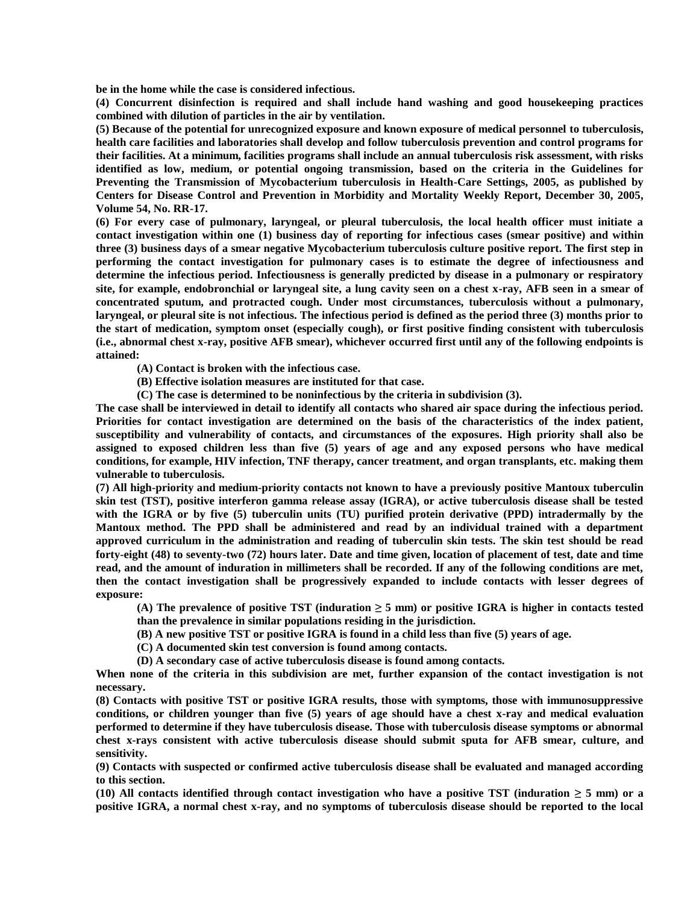**be in the home while the case is considered infectious.**

**(4) Concurrent disinfection is required and shall include hand washing and good housekeeping practices combined with dilution of particles in the air by ventilation.**

**(5) Because of the potential for unrecognized exposure and known exposure of medical personnel to tuberculosis, health care facilities and laboratories shall develop and follow tuberculosis prevention and control programs for their facilities. At a minimum, facilities programs shall include an annual tuberculosis risk assessment, with risks identified as low, medium, or potential ongoing transmission, based on the criteria in the Guidelines for Preventing the Transmission of Mycobacterium tuberculosis in Health-Care Settings, 2005, as published by Centers for Disease Control and Prevention in Morbidity and Mortality Weekly Report, December 30, 2005, Volume 54, No. RR-17.**

**(6) For every case of pulmonary, laryngeal, or pleural tuberculosis, the local health officer must initiate a contact investigation within one (1) business day of reporting for infectious cases (smear positive) and within three (3) business days of a smear negative Mycobacterium tuberculosis culture positive report. The first step in performing the contact investigation for pulmonary cases is to estimate the degree of infectiousness and determine the infectious period. Infectiousness is generally predicted by disease in a pulmonary or respiratory site, for example, endobronchial or laryngeal site, a lung cavity seen on a chest x-ray, AFB seen in a smear of concentrated sputum, and protracted cough. Under most circumstances, tuberculosis without a pulmonary, laryngeal, or pleural site is not infectious. The infectious period is defined as the period three (3) months prior to the start of medication, symptom onset (especially cough), or first positive finding consistent with tuberculosis (i.e., abnormal chest x-ray, positive AFB smear), whichever occurred first until any of the following endpoints is attained:**

**(A) Contact is broken with the infectious case.**

- **(B) Effective isolation measures are instituted for that case.**
- **(C) The case is determined to be noninfectious by the criteria in subdivision (3).**

**The case shall be interviewed in detail to identify all contacts who shared air space during the infectious period. Priorities for contact investigation are determined on the basis of the characteristics of the index patient, susceptibility and vulnerability of contacts, and circumstances of the exposures. High priority shall also be assigned to exposed children less than five (5) years of age and any exposed persons who have medical conditions, for example, HIV infection, TNF therapy, cancer treatment, and organ transplants, etc. making them vulnerable to tuberculosis.**

**(7) All high-priority and medium-priority contacts not known to have a previously positive Mantoux tuberculin skin test (TST), positive interferon gamma release assay (IGRA), or active tuberculosis disease shall be tested with the IGRA or by five (5) tuberculin units (TU) purified protein derivative (PPD) intradermally by the Mantoux method. The PPD shall be administered and read by an individual trained with a department approved curriculum in the administration and reading of tuberculin skin tests. The skin test should be read forty-eight (48) to seventy-two (72) hours later. Date and time given, location of placement of test, date and time read, and the amount of induration in millimeters shall be recorded. If any of the following conditions are met, then the contact investigation shall be progressively expanded to include contacts with lesser degrees of exposure:**

**(A) The prevalence of positive TST (induration ≥ 5 mm) or positive IGRA is higher in contacts tested than the prevalence in similar populations residing in the jurisdiction.**

**(B) A new positive TST or positive IGRA is found in a child less than five (5) years of age.**

**(C) A documented skin test conversion is found among contacts.**

**(D) A secondary case of active tuberculosis disease is found among contacts.**

**When none of the criteria in this subdivision are met, further expansion of the contact investigation is not necessary.**

**(8) Contacts with positive TST or positive IGRA results, those with symptoms, those with immunosuppressive conditions, or children younger than five (5) years of age should have a chest x-ray and medical evaluation performed to determine if they have tuberculosis disease. Those with tuberculosis disease symptoms or abnormal chest x-rays consistent with active tuberculosis disease should submit sputa for AFB smear, culture, and sensitivity.**

**(9) Contacts with suspected or confirmed active tuberculosis disease shall be evaluated and managed according to this section.**

**(10) All contacts identified through contact investigation who have a positive TST (induration ≥ 5 mm) or a positive IGRA, a normal chest x-ray, and no symptoms of tuberculosis disease should be reported to the local**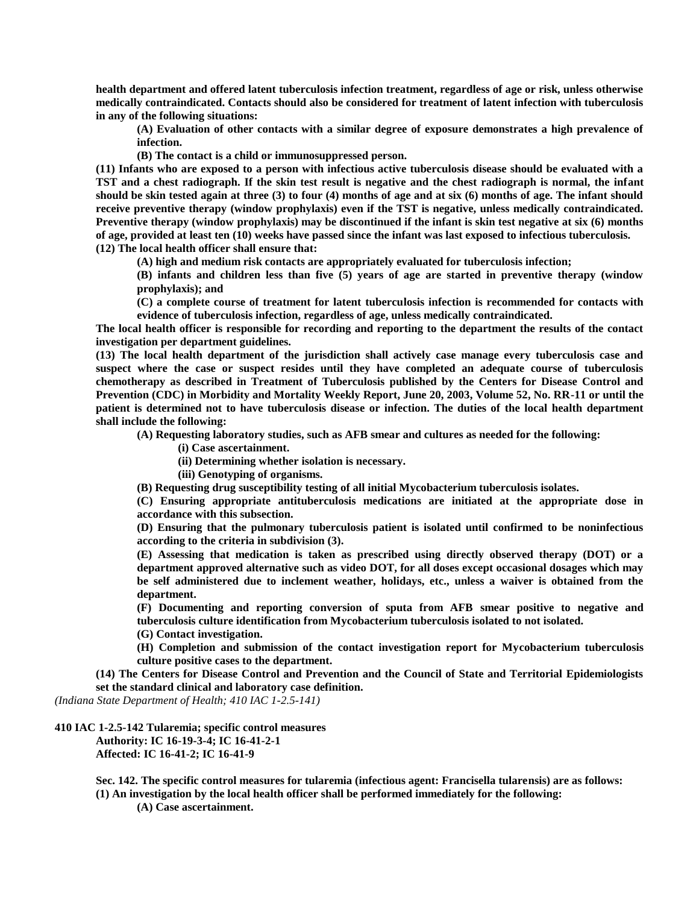**health department and offered latent tuberculosis infection treatment, regardless of age or risk, unless otherwise medically contraindicated. Contacts should also be considered for treatment of latent infection with tuberculosis in any of the following situations:**

**(A) Evaluation of other contacts with a similar degree of exposure demonstrates a high prevalence of infection.**

**(B) The contact is a child or immunosuppressed person.**

**(11) Infants who are exposed to a person with infectious active tuberculosis disease should be evaluated with a TST and a chest radiograph. If the skin test result is negative and the chest radiograph is normal, the infant should be skin tested again at three (3) to four (4) months of age and at six (6) months of age. The infant should receive preventive therapy (window prophylaxis) even if the TST is negative, unless medically contraindicated. Preventive therapy (window prophylaxis) may be discontinued if the infant is skin test negative at six (6) months of age, provided at least ten (10) weeks have passed since the infant was last exposed to infectious tuberculosis. (12) The local health officer shall ensure that:**

**(A) high and medium risk contacts are appropriately evaluated for tuberculosis infection;**

**(B) infants and children less than five (5) years of age are started in preventive therapy (window prophylaxis); and**

**(C) a complete course of treatment for latent tuberculosis infection is recommended for contacts with evidence of tuberculosis infection, regardless of age, unless medically contraindicated.**

**The local health officer is responsible for recording and reporting to the department the results of the contact investigation per department guidelines.**

**(13) The local health department of the jurisdiction shall actively case manage every tuberculosis case and suspect where the case or suspect resides until they have completed an adequate course of tuberculosis chemotherapy as described in Treatment of Tuberculosis published by the Centers for Disease Control and Prevention (CDC) in Morbidity and Mortality Weekly Report, June 20, 2003, Volume 52, No. RR-11 or until the patient is determined not to have tuberculosis disease or infection. The duties of the local health department shall include the following:**

**(A) Requesting laboratory studies, such as AFB smear and cultures as needed for the following:**

- **(i) Case ascertainment.**
- **(ii) Determining whether isolation is necessary.**
- **(iii) Genotyping of organisms.**

**(B) Requesting drug susceptibility testing of all initial Mycobacterium tuberculosis isolates.**

**(C) Ensuring appropriate antituberculosis medications are initiated at the appropriate dose in accordance with this subsection.**

**(D) Ensuring that the pulmonary tuberculosis patient is isolated until confirmed to be noninfectious according to the criteria in subdivision (3).**

**(E) Assessing that medication is taken as prescribed using directly observed therapy (DOT) or a department approved alternative such as video DOT, for all doses except occasional dosages which may be self administered due to inclement weather, holidays, etc., unless a waiver is obtained from the department.**

**(F) Documenting and reporting conversion of sputa from AFB smear positive to negative and tuberculosis culture identification from Mycobacterium tuberculosis isolated to not isolated. (G) Contact investigation.**

**(H) Completion and submission of the contact investigation report for Mycobacterium tuberculosis** 

**culture positive cases to the department.**

**(14) The Centers for Disease Control and Prevention and the Council of State and Territorial Epidemiologists set the standard clinical and laboratory case definition.**

*(Indiana State Department of Health; 410 IAC 1-2.5-141)*

## **410 IAC 1-2.5-142 Tularemia; specific control measures**

**Authority: IC 16-19-3-4; IC 16-41-2-1 Affected: IC 16-41-2; IC 16-41-9**

**Sec. 142. The specific control measures for tularemia (infectious agent: Francisella tularensis) are as follows: (1) An investigation by the local health officer shall be performed immediately for the following:**

**(A) Case ascertainment.**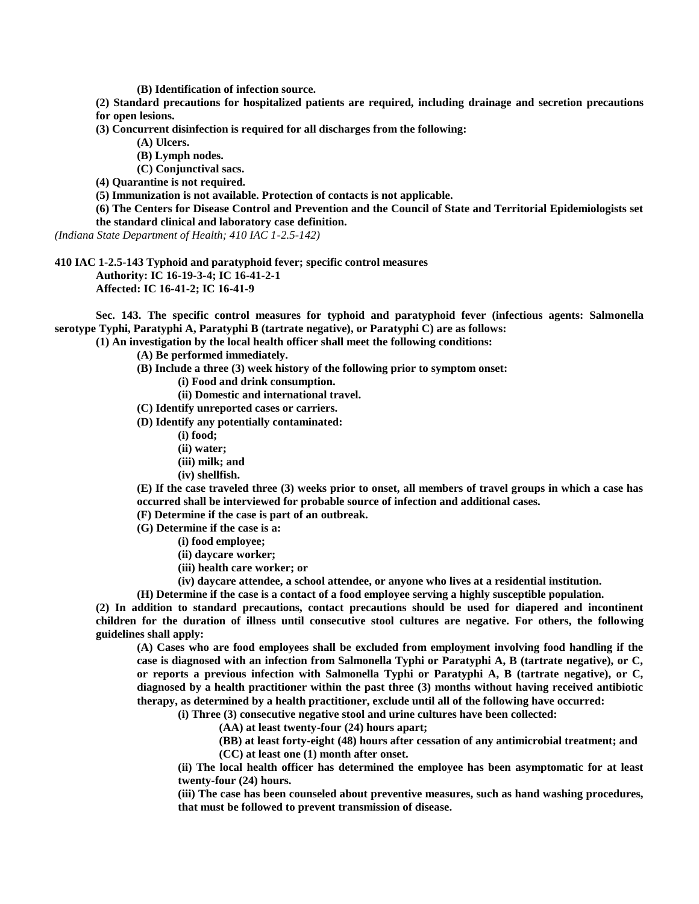**(B) Identification of infection source.**

**(2) Standard precautions for hospitalized patients are required, including drainage and secretion precautions for open lesions.**

**(3) Concurrent disinfection is required for all discharges from the following:**

**(A) Ulcers.**

**(B) Lymph nodes.**

**(C) Conjunctival sacs.**

**(4) Quarantine is not required.**

**(5) Immunization is not available. Protection of contacts is not applicable.**

**(6) The Centers for Disease Control and Prevention and the Council of State and Territorial Epidemiologists set** 

**the standard clinical and laboratory case definition.**

*(Indiana State Department of Health; 410 IAC 1-2.5-142)*

**410 IAC 1-2.5-143 Typhoid and paratyphoid fever; specific control measures Authority: IC 16-19-3-4; IC 16-41-2-1 Affected: IC 16-41-2; IC 16-41-9**

**Sec. 143. The specific control measures for typhoid and paratyphoid fever (infectious agents: Salmonella serotype Typhi, Paratyphi A, Paratyphi B (tartrate negative), or Paratyphi C) are as follows:**

**(1) An investigation by the local health officer shall meet the following conditions:**

**(A) Be performed immediately.**

- **(B) Include a three (3) week history of the following prior to symptom onset:**
	- **(i) Food and drink consumption.**

**(ii) Domestic and international travel.**

**(C) Identify unreported cases or carriers.**

**(D) Identify any potentially contaminated:**

- **(i) food;**
- **(ii) water;**
- **(iii) milk; and**
- **(iv) shellfish.**

**(E) If the case traveled three (3) weeks prior to onset, all members of travel groups in which a case has occurred shall be interviewed for probable source of infection and additional cases.**

**(F) Determine if the case is part of an outbreak.**

**(G) Determine if the case is a:**

- **(i) food employee;**
- **(ii) daycare worker;**
- **(iii) health care worker; or**

**(iv) daycare attendee, a school attendee, or anyone who lives at a residential institution.**

**(H) Determine if the case is a contact of a food employee serving a highly susceptible population.**

**(2) In addition to standard precautions, contact precautions should be used for diapered and incontinent children for the duration of illness until consecutive stool cultures are negative. For others, the following guidelines shall apply:**

**(A) Cases who are food employees shall be excluded from employment involving food handling if the case is diagnosed with an infection from Salmonella Typhi or Paratyphi A, B (tartrate negative), or C, or reports a previous infection with Salmonella Typhi or Paratyphi A, B (tartrate negative), or C, diagnosed by a health practitioner within the past three (3) months without having received antibiotic therapy, as determined by a health practitioner, exclude until all of the following have occurred:**

**(i) Three (3) consecutive negative stool and urine cultures have been collected:**

**(AA) at least twenty-four (24) hours apart;**

**(BB) at least forty-eight (48) hours after cessation of any antimicrobial treatment; and**

**(CC) at least one (1) month after onset.**

**(ii) The local health officer has determined the employee has been asymptomatic for at least twenty-four (24) hours.**

**(iii) The case has been counseled about preventive measures, such as hand washing procedures, that must be followed to prevent transmission of disease.**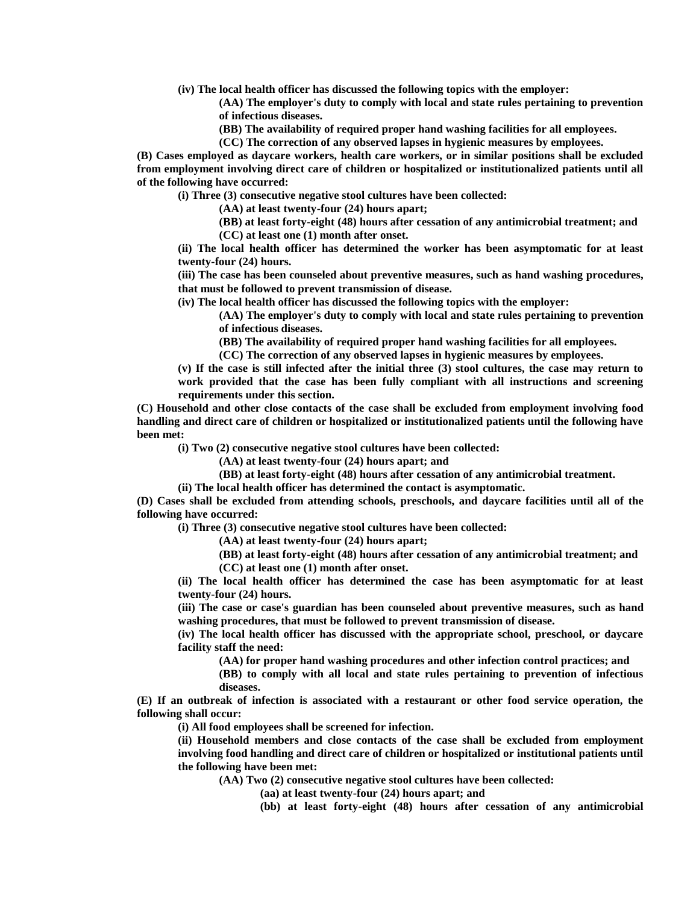**(iv) The local health officer has discussed the following topics with the employer:**

**(AA) The employer's duty to comply with local and state rules pertaining to prevention of infectious diseases.**

**(BB) The availability of required proper hand washing facilities for all employees.**

**(CC) The correction of any observed lapses in hygienic measures by employees.**

**(B) Cases employed as daycare workers, health care workers, or in similar positions shall be excluded from employment involving direct care of children or hospitalized or institutionalized patients until all of the following have occurred:**

**(i) Three (3) consecutive negative stool cultures have been collected:**

**(AA) at least twenty-four (24) hours apart;**

**(BB) at least forty-eight (48) hours after cessation of any antimicrobial treatment; and (CC) at least one (1) month after onset.**

**(ii) The local health officer has determined the worker has been asymptomatic for at least twenty-four (24) hours.**

**(iii) The case has been counseled about preventive measures, such as hand washing procedures, that must be followed to prevent transmission of disease.**

**(iv) The local health officer has discussed the following topics with the employer:**

**(AA) The employer's duty to comply with local and state rules pertaining to prevention of infectious diseases.**

**(BB) The availability of required proper hand washing facilities for all employees.**

**(CC) The correction of any observed lapses in hygienic measures by employees.**

**(v) If the case is still infected after the initial three (3) stool cultures, the case may return to work provided that the case has been fully compliant with all instructions and screening requirements under this section.**

**(C) Household and other close contacts of the case shall be excluded from employment involving food handling and direct care of children or hospitalized or institutionalized patients until the following have been met:**

**(i) Two (2) consecutive negative stool cultures have been collected:**

**(AA) at least twenty-four (24) hours apart; and**

**(BB) at least forty-eight (48) hours after cessation of any antimicrobial treatment.**

**(ii) The local health officer has determined the contact is asymptomatic.**

**(D) Cases shall be excluded from attending schools, preschools, and daycare facilities until all of the following have occurred:**

**(i) Three (3) consecutive negative stool cultures have been collected:**

**(AA) at least twenty-four (24) hours apart;**

**(BB) at least forty-eight (48) hours after cessation of any antimicrobial treatment; and (CC) at least one (1) month after onset.**

**(ii) The local health officer has determined the case has been asymptomatic for at least twenty-four (24) hours.**

**(iii) The case or case's guardian has been counseled about preventive measures, such as hand washing procedures, that must be followed to prevent transmission of disease.**

**(iv) The local health officer has discussed with the appropriate school, preschool, or daycare facility staff the need:**

**(AA) for proper hand washing procedures and other infection control practices; and**

**(BB) to comply with all local and state rules pertaining to prevention of infectious diseases.**

**(E) If an outbreak of infection is associated with a restaurant or other food service operation, the following shall occur:**

**(i) All food employees shall be screened for infection.**

**(ii) Household members and close contacts of the case shall be excluded from employment involving food handling and direct care of children or hospitalized or institutional patients until the following have been met:**

**(AA) Two (2) consecutive negative stool cultures have been collected:**

**(aa) at least twenty-four (24) hours apart; and**

**(bb) at least forty-eight (48) hours after cessation of any antimicrobial**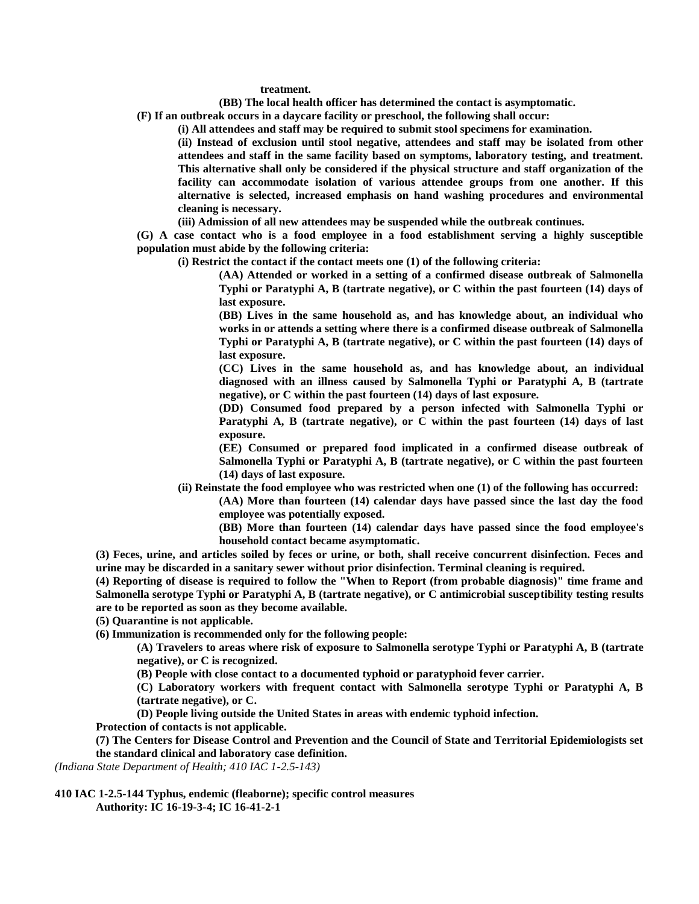**treatment.**

**(BB) The local health officer has determined the contact is asymptomatic.**

**(F) If an outbreak occurs in a daycare facility or preschool, the following shall occur:**

**(i) All attendees and staff may be required to submit stool specimens for examination.**

**(ii) Instead of exclusion until stool negative, attendees and staff may be isolated from other attendees and staff in the same facility based on symptoms, laboratory testing, and treatment. This alternative shall only be considered if the physical structure and staff organization of the facility can accommodate isolation of various attendee groups from one another. If this alternative is selected, increased emphasis on hand washing procedures and environmental cleaning is necessary.**

**(iii) Admission of all new attendees may be suspended while the outbreak continues.**

**(G) A case contact who is a food employee in a food establishment serving a highly susceptible population must abide by the following criteria:**

**(i) Restrict the contact if the contact meets one (1) of the following criteria:**

**(AA) Attended or worked in a setting of a confirmed disease outbreak of Salmonella Typhi or Paratyphi A, B (tartrate negative), or C within the past fourteen (14) days of last exposure.**

**(BB) Lives in the same household as, and has knowledge about, an individual who works in or attends a setting where there is a confirmed disease outbreak of Salmonella Typhi or Paratyphi A, B (tartrate negative), or C within the past fourteen (14) days of last exposure.**

**(CC) Lives in the same household as, and has knowledge about, an individual diagnosed with an illness caused by Salmonella Typhi or Paratyphi A, B (tartrate negative), or C within the past fourteen (14) days of last exposure.**

**(DD) Consumed food prepared by a person infected with Salmonella Typhi or Paratyphi A, B (tartrate negative), or C within the past fourteen (14) days of last exposure.**

**(EE) Consumed or prepared food implicated in a confirmed disease outbreak of Salmonella Typhi or Paratyphi A, B (tartrate negative), or C within the past fourteen (14) days of last exposure.**

**(ii) Reinstate the food employee who was restricted when one (1) of the following has occurred:**

**(AA) More than fourteen (14) calendar days have passed since the last day the food employee was potentially exposed.**

**(BB) More than fourteen (14) calendar days have passed since the food employee's household contact became asymptomatic.**

**(3) Feces, urine, and articles soiled by feces or urine, or both, shall receive concurrent disinfection. Feces and urine may be discarded in a sanitary sewer without prior disinfection. Terminal cleaning is required.**

**(4) Reporting of disease is required to follow the "When to Report (from probable diagnosis)" time frame and Salmonella serotype Typhi or Paratyphi A, B (tartrate negative), or C antimicrobial susceptibility testing results are to be reported as soon as they become available.**

**(5) Quarantine is not applicable.**

**(6) Immunization is recommended only for the following people:**

**(A) Travelers to areas where risk of exposure to Salmonella serotype Typhi or Paratyphi A, B (tartrate negative), or C is recognized.**

**(B) People with close contact to a documented typhoid or paratyphoid fever carrier.**

**(C) Laboratory workers with frequent contact with Salmonella serotype Typhi or Paratyphi A, B (tartrate negative), or C.**

**(D) People living outside the United States in areas with endemic typhoid infection.**

**Protection of contacts is not applicable.**

**(7) The Centers for Disease Control and Prevention and the Council of State and Territorial Epidemiologists set the standard clinical and laboratory case definition.**

*(Indiana State Department of Health; 410 IAC 1-2.5-143)*

**410 IAC 1-2.5-144 Typhus, endemic (fleaborne); specific control measures Authority: IC 16-19-3-4; IC 16-41-2-1**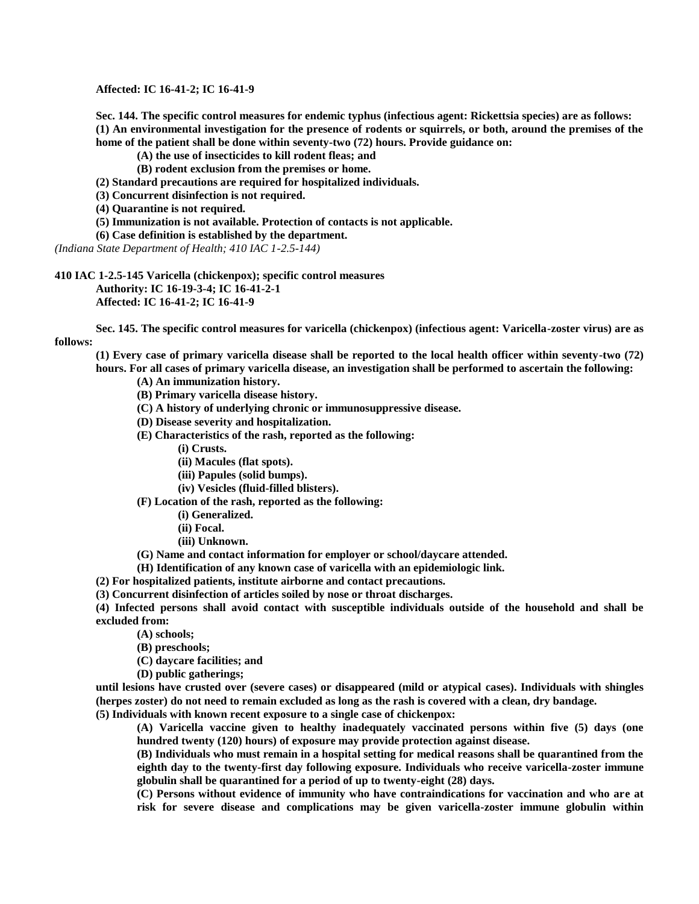**Affected: IC 16-41-2; IC 16-41-9**

**Sec. 144. The specific control measures for endemic typhus (infectious agent: Rickettsia species) are as follows: (1) An environmental investigation for the presence of rodents or squirrels, or both, around the premises of the home of the patient shall be done within seventy-two (72) hours. Provide guidance on:**

**(A) the use of insecticides to kill rodent fleas; and**

**(B) rodent exclusion from the premises or home.**

**(2) Standard precautions are required for hospitalized individuals.**

**(3) Concurrent disinfection is not required.**

**(4) Quarantine is not required.**

**(5) Immunization is not available. Protection of contacts is not applicable.**

**(6) Case definition is established by the department.**

*(Indiana State Department of Health; 410 IAC 1-2.5-144)*

**410 IAC 1-2.5-145 Varicella (chickenpox); specific control measures Authority: IC 16-19-3-4; IC 16-41-2-1 Affected: IC 16-41-2; IC 16-41-9**

**Sec. 145. The specific control measures for varicella (chickenpox) (infectious agent: Varicella-zoster virus) are as follows:**

**(1) Every case of primary varicella disease shall be reported to the local health officer within seventy-two (72) hours. For all cases of primary varicella disease, an investigation shall be performed to ascertain the following:**

**(A) An immunization history.**

**(B) Primary varicella disease history.**

**(C) A history of underlying chronic or immunosuppressive disease.**

**(D) Disease severity and hospitalization.**

**(E) Characteristics of the rash, reported as the following:**

**(i) Crusts.**

**(ii) Macules (flat spots).**

**(iii) Papules (solid bumps).**

**(iv) Vesicles (fluid-filled blisters).**

**(F) Location of the rash, reported as the following:**

**(i) Generalized.**

**(ii) Focal.**

**(iii) Unknown.**

**(G) Name and contact information for employer or school/daycare attended.**

**(H) Identification of any known case of varicella with an epidemiologic link.**

**(2) For hospitalized patients, institute airborne and contact precautions.**

**(3) Concurrent disinfection of articles soiled by nose or throat discharges.**

**(4) Infected persons shall avoid contact with susceptible individuals outside of the household and shall be excluded from:**

**(A) schools;**

**(B) preschools;**

**(C) daycare facilities; and**

**(D) public gatherings;**

**until lesions have crusted over (severe cases) or disappeared (mild or atypical cases). Individuals with shingles (herpes zoster) do not need to remain excluded as long as the rash is covered with a clean, dry bandage.**

**(5) Individuals with known recent exposure to a single case of chickenpox:**

**(A) Varicella vaccine given to healthy inadequately vaccinated persons within five (5) days (one hundred twenty (120) hours) of exposure may provide protection against disease.**

**(B) Individuals who must remain in a hospital setting for medical reasons shall be quarantined from the eighth day to the twenty-first day following exposure. Individuals who receive varicella-zoster immune globulin shall be quarantined for a period of up to twenty-eight (28) days.**

**(C) Persons without evidence of immunity who have contraindications for vaccination and who are at risk for severe disease and complications may be given varicella-zoster immune globulin within**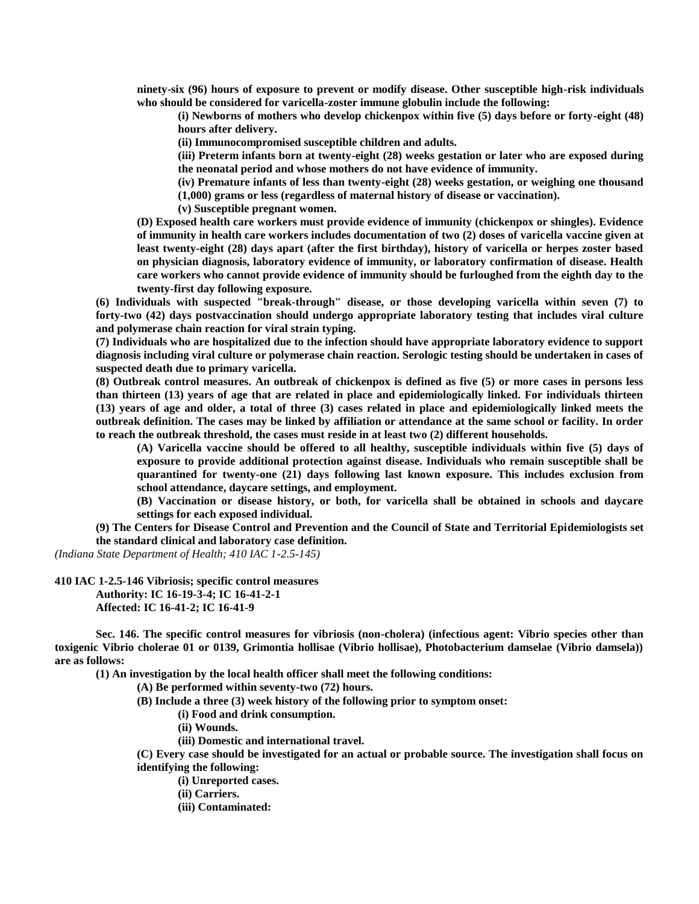**ninety-six (96) hours of exposure to prevent or modify disease. Other susceptible high-risk individuals who should be considered for varicella-zoster immune globulin include the following:**

**(i) Newborns of mothers who develop chickenpox within five (5) days before or forty-eight (48) hours after delivery.**

**(ii) Immunocompromised susceptible children and adults.**

**(iii) Preterm infants born at twenty-eight (28) weeks gestation or later who are exposed during the neonatal period and whose mothers do not have evidence of immunity.**

**(iv) Premature infants of less than twenty-eight (28) weeks gestation, or weighing one thousand (1,000) grams or less (regardless of maternal history of disease or vaccination).**

**(v) Susceptible pregnant women.**

**(D) Exposed health care workers must provide evidence of immunity (chickenpox or shingles). Evidence of immunity in health care workers includes documentation of two (2) doses of varicella vaccine given at least twenty-eight (28) days apart (after the first birthday), history of varicella or herpes zoster based on physician diagnosis, laboratory evidence of immunity, or laboratory confirmation of disease. Health care workers who cannot provide evidence of immunity should be furloughed from the eighth day to the twenty-first day following exposure.**

**(6) Individuals with suspected "break-through" disease, or those developing varicella within seven (7) to forty-two (42) days postvaccination should undergo appropriate laboratory testing that includes viral culture and polymerase chain reaction for viral strain typing.**

**(7) Individuals who are hospitalized due to the infection should have appropriate laboratory evidence to support diagnosis including viral culture or polymerase chain reaction. Serologic testing should be undertaken in cases of suspected death due to primary varicella.**

**(8) Outbreak control measures. An outbreak of chickenpox is defined as five (5) or more cases in persons less than thirteen (13) years of age that are related in place and epidemiologically linked. For individuals thirteen (13) years of age and older, a total of three (3) cases related in place and epidemiologically linked meets the outbreak definition. The cases may be linked by affiliation or attendance at the same school or facility. In order to reach the outbreak threshold, the cases must reside in at least two (2) different households.**

**(A) Varicella vaccine should be offered to all healthy, susceptible individuals within five (5) days of exposure to provide additional protection against disease. Individuals who remain susceptible shall be quarantined for twenty-one (21) days following last known exposure. This includes exclusion from school attendance, daycare settings, and employment.**

**(B) Vaccination or disease history, or both, for varicella shall be obtained in schools and daycare settings for each exposed individual.**

**(9) The Centers for Disease Control and Prevention and the Council of State and Territorial Epidemiologists set the standard clinical and laboratory case definition.**

*(Indiana State Department of Health; 410 IAC 1-2.5-145)*

**410 IAC 1-2.5-146 Vibriosis; specific control measures Authority: IC 16-19-3-4; IC 16-41-2-1 Affected: IC 16-41-2; IC 16-41-9**

**Sec. 146. The specific control measures for vibriosis (non-cholera) (infectious agent: Vibrio species other than toxigenic Vibrio cholerae 01 or 0139, Grimontia hollisae (Vibrio hollisae), Photobacterium damselae (Vibrio damsela)) are as follows:**

**(1) An investigation by the local health officer shall meet the following conditions:**

**(A) Be performed within seventy-two (72) hours.**

**(B) Include a three (3) week history of the following prior to symptom onset:**

**(i) Food and drink consumption.**

**(ii) Wounds.**

**(iii) Domestic and international travel.**

**(C) Every case should be investigated for an actual or probable source. The investigation shall focus on identifying the following:**

**(i) Unreported cases.**

**(ii) Carriers.**

**(iii) Contaminated:**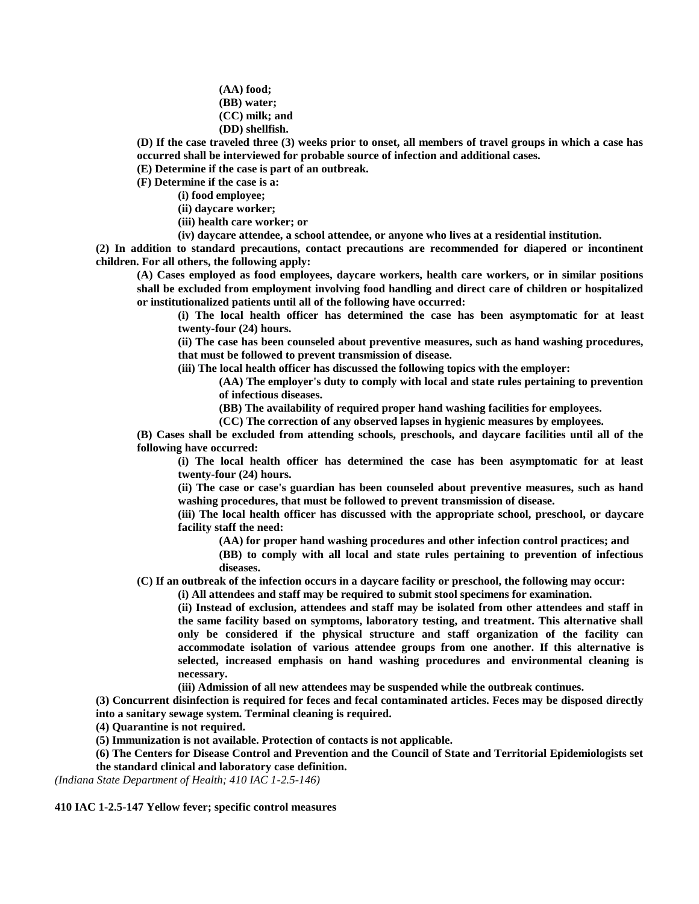**(AA) food; (BB) water; (CC) milk; and (DD) shellfish.**

**(D) If the case traveled three (3) weeks prior to onset, all members of travel groups in which a case has occurred shall be interviewed for probable source of infection and additional cases.**

**(E) Determine if the case is part of an outbreak.**

**(F) Determine if the case is a:**

**(i) food employee;**

**(ii) daycare worker;**

**(iii) health care worker; or**

**(iv) daycare attendee, a school attendee, or anyone who lives at a residential institution.**

**(2) In addition to standard precautions, contact precautions are recommended for diapered or incontinent children. For all others, the following apply:**

**(A) Cases employed as food employees, daycare workers, health care workers, or in similar positions shall be excluded from employment involving food handling and direct care of children or hospitalized or institutionalized patients until all of the following have occurred:**

**(i) The local health officer has determined the case has been asymptomatic for at least twenty-four (24) hours.**

**(ii) The case has been counseled about preventive measures, such as hand washing procedures, that must be followed to prevent transmission of disease.**

**(iii) The local health officer has discussed the following topics with the employer:**

**(AA) The employer's duty to comply with local and state rules pertaining to prevention of infectious diseases.**

**(BB) The availability of required proper hand washing facilities for employees.**

**(CC) The correction of any observed lapses in hygienic measures by employees.**

**(B) Cases shall be excluded from attending schools, preschools, and daycare facilities until all of the following have occurred:**

**(i) The local health officer has determined the case has been asymptomatic for at least twenty-four (24) hours.**

**(ii) The case or case's guardian has been counseled about preventive measures, such as hand washing procedures, that must be followed to prevent transmission of disease.**

**(iii) The local health officer has discussed with the appropriate school, preschool, or daycare facility staff the need:**

**(AA) for proper hand washing procedures and other infection control practices; and**

**(BB) to comply with all local and state rules pertaining to prevention of infectious diseases.**

**(C) If an outbreak of the infection occurs in a daycare facility or preschool, the following may occur:**

**(i) All attendees and staff may be required to submit stool specimens for examination.**

**(ii) Instead of exclusion, attendees and staff may be isolated from other attendees and staff in the same facility based on symptoms, laboratory testing, and treatment. This alternative shall only be considered if the physical structure and staff organization of the facility can accommodate isolation of various attendee groups from one another. If this alternative is selected, increased emphasis on hand washing procedures and environmental cleaning is necessary.**

**(iii) Admission of all new attendees may be suspended while the outbreak continues.**

**(3) Concurrent disinfection is required for feces and fecal contaminated articles. Feces may be disposed directly into a sanitary sewage system. Terminal cleaning is required.**

**(4) Quarantine is not required.**

**(5) Immunization is not available. Protection of contacts is not applicable.**

**(6) The Centers for Disease Control and Prevention and the Council of State and Territorial Epidemiologists set the standard clinical and laboratory case definition.**

*(Indiana State Department of Health; 410 IAC 1-2.5-146)*

**410 IAC 1-2.5-147 Yellow fever; specific control measures**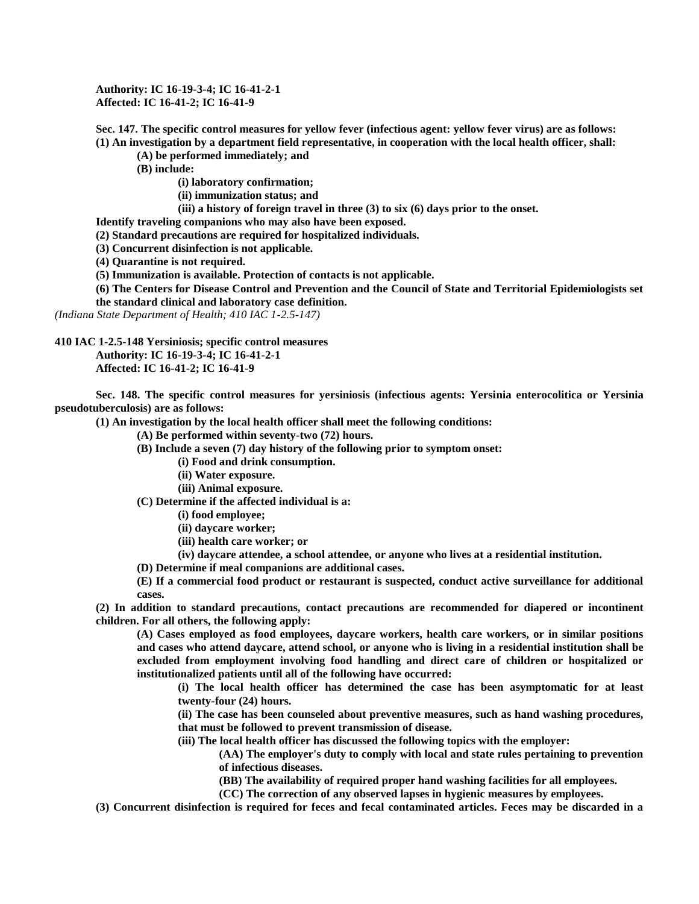**Authority: IC 16-19-3-4; IC 16-41-2-1 Affected: IC 16-41-2; IC 16-41-9**

**Sec. 147. The specific control measures for yellow fever (infectious agent: yellow fever virus) are as follows: (1) An investigation by a department field representative, in cooperation with the local health officer, shall:**

**(A) be performed immediately; and**

**(B) include:**

**(i) laboratory confirmation;**

**(ii) immunization status; and**

**(iii) a history of foreign travel in three (3) to six (6) days prior to the onset.**

**Identify traveling companions who may also have been exposed.**

**(2) Standard precautions are required for hospitalized individuals.**

**(3) Concurrent disinfection is not applicable.**

**(4) Quarantine is not required.**

**(5) Immunization is available. Protection of contacts is not applicable.**

**(6) The Centers for Disease Control and Prevention and the Council of State and Territorial Epidemiologists set the standard clinical and laboratory case definition.**

*(Indiana State Department of Health; 410 IAC 1-2.5-147)*

**410 IAC 1-2.5-148 Yersiniosis; specific control measures Authority: IC 16-19-3-4; IC 16-41-2-1**

**Affected: IC 16-41-2; IC 16-41-9**

**Sec. 148. The specific control measures for yersiniosis (infectious agents: Yersinia enterocolitica or Yersinia pseudotuberculosis) are as follows:**

**(1) An investigation by the local health officer shall meet the following conditions:**

**(A) Be performed within seventy-two (72) hours.**

**(B) Include a seven (7) day history of the following prior to symptom onset:**

**(i) Food and drink consumption.**

**(ii) Water exposure.**

**(iii) Animal exposure.**

**(C) Determine if the affected individual is a:**

**(i) food employee;**

**(ii) daycare worker;**

- **(iii) health care worker; or**
- **(iv) daycare attendee, a school attendee, or anyone who lives at a residential institution.**

**(D) Determine if meal companions are additional cases.**

**(E) If a commercial food product or restaurant is suspected, conduct active surveillance for additional cases.**

**(2) In addition to standard precautions, contact precautions are recommended for diapered or incontinent children. For all others, the following apply:**

**(A) Cases employed as food employees, daycare workers, health care workers, or in similar positions and cases who attend daycare, attend school, or anyone who is living in a residential institution shall be excluded from employment involving food handling and direct care of children or hospitalized or institutionalized patients until all of the following have occurred:**

**(i) The local health officer has determined the case has been asymptomatic for at least twenty-four (24) hours.**

**(ii) The case has been counseled about preventive measures, such as hand washing procedures, that must be followed to prevent transmission of disease.**

**(iii) The local health officer has discussed the following topics with the employer:**

**(AA) The employer's duty to comply with local and state rules pertaining to prevention of infectious diseases.**

**(BB) The availability of required proper hand washing facilities for all employees.**

**(CC) The correction of any observed lapses in hygienic measures by employees.**

**(3) Concurrent disinfection is required for feces and fecal contaminated articles. Feces may be discarded in a**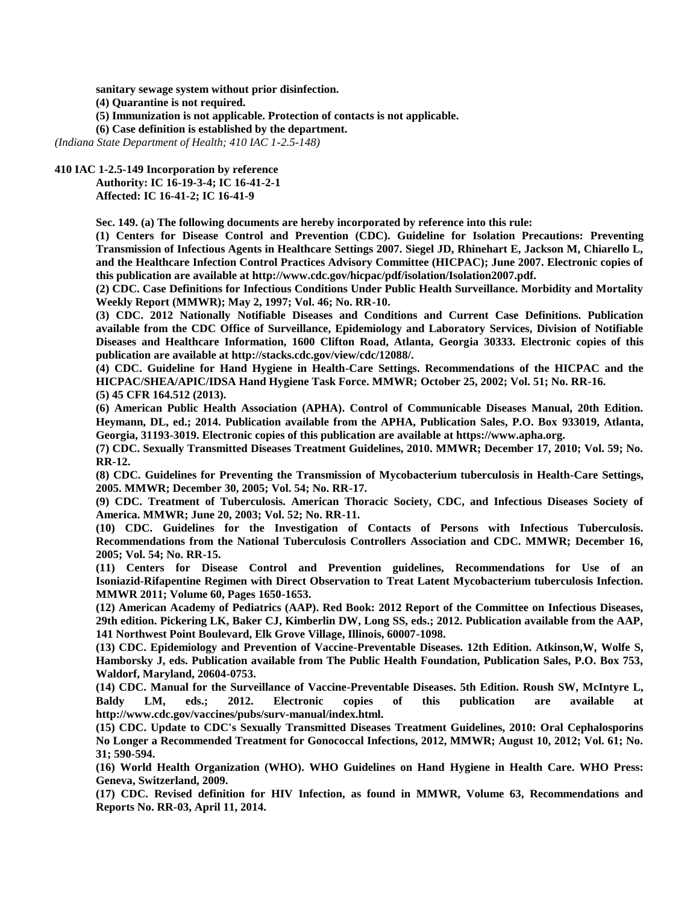**sanitary sewage system without prior disinfection.**

**(4) Quarantine is not required.**

**(5) Immunization is not applicable. Protection of contacts is not applicable.**

**(6) Case definition is established by the department.**

*(Indiana State Department of Health; 410 IAC 1-2.5-148)*

## **410 IAC 1-2.5-149 Incorporation by reference**

**Authority: IC 16-19-3-4; IC 16-41-2-1 Affected: IC 16-41-2; IC 16-41-9**

**Sec. 149. (a) The following documents are hereby incorporated by reference into this rule:**

**(1) Centers for Disease Control and Prevention (CDC). Guideline for Isolation Precautions: Preventing Transmission of Infectious Agents in Healthcare Settings 2007. Siegel JD, Rhinehart E, Jackson M, Chiarello L, and the Healthcare Infection Control Practices Advisory Committee (HICPAC); June 2007. Electronic copies of this publication are available at http://www.cdc.gov/hicpac/pdf/isolation/Isolation2007.pdf.**

**(2) CDC. Case Definitions for Infectious Conditions Under Public Health Surveillance. Morbidity and Mortality Weekly Report (MMWR); May 2, 1997; Vol. 46; No. RR-10.**

**(3) CDC. 2012 Nationally Notifiable Diseases and Conditions and Current Case Definitions. Publication available from the CDC Office of Surveillance, Epidemiology and Laboratory Services, Division of Notifiable Diseases and Healthcare Information, 1600 Clifton Road, Atlanta, Georgia 30333. Electronic copies of this publication are available at http://stacks.cdc.gov/view/cdc/12088/.**

**(4) CDC. Guideline for Hand Hygiene in Health-Care Settings. Recommendations of the HICPAC and the HICPAC/SHEA/APIC/IDSA Hand Hygiene Task Force. MMWR; October 25, 2002; Vol. 51; No. RR-16. (5) 45 CFR 164.512 (2013).**

**(6) American Public Health Association (APHA). Control of Communicable Diseases Manual, 20th Edition. Heymann, DL, ed.; 2014. Publication available from the APHA, Publication Sales, P.O. Box 933019, Atlanta, Georgia, 31193-3019. Electronic copies of this publication are available at https://www.apha.org.**

**(7) CDC. Sexually Transmitted Diseases Treatment Guidelines, 2010. MMWR; December 17, 2010; Vol. 59; No. RR-12.**

**(8) CDC. Guidelines for Preventing the Transmission of Mycobacterium tuberculosis in Health-Care Settings, 2005. MMWR; December 30, 2005; Vol. 54; No. RR-17.**

**(9) CDC. Treatment of Tuberculosis. American Thoracic Society, CDC, and Infectious Diseases Society of America. MMWR; June 20, 2003; Vol. 52; No. RR-11.**

**(10) CDC. Guidelines for the Investigation of Contacts of Persons with Infectious Tuberculosis. Recommendations from the National Tuberculosis Controllers Association and CDC. MMWR; December 16, 2005; Vol. 54; No. RR-15.**

**(11) Centers for Disease Control and Prevention guidelines, Recommendations for Use of an Isoniazid-Rifapentine Regimen with Direct Observation to Treat Latent Mycobacterium tuberculosis Infection. MMWR 2011; Volume 60, Pages 1650-1653.**

**(12) American Academy of Pediatrics (AAP). Red Book: 2012 Report of the Committee on Infectious Diseases, 29th edition. Pickering LK, Baker CJ, Kimberlin DW, Long SS, eds.; 2012. Publication available from the AAP, 141 Northwest Point Boulevard, Elk Grove Village, Illinois, 60007-1098.**

**(13) CDC. Epidemiology and Prevention of Vaccine-Preventable Diseases. 12th Edition. Atkinson,W, Wolfe S, Hamborsky J, eds. Publication available from The Public Health Foundation, Publication Sales, P.O. Box 753, Waldorf, Maryland, 20604-0753.**

**(14) CDC. Manual for the Surveillance of Vaccine-Preventable Diseases. 5th Edition. Roush SW, McIntyre L, Baldy LM, eds.; 2012. Electronic copies of this publication are available at http://www.cdc.gov/vaccines/pubs/surv-manual/index.html.**

**(15) CDC. Update to CDC's Sexually Transmitted Diseases Treatment Guidelines, 2010: Oral Cephalosporins No Longer a Recommended Treatment for Gonococcal Infections, 2012, MMWR; August 10, 2012; Vol. 61; No. 31; 590-594.**

**(16) World Health Organization (WHO). WHO Guidelines on Hand Hygiene in Health Care. WHO Press: Geneva, Switzerland, 2009.**

**(17) CDC. Revised definition for HIV Infection, as found in MMWR, Volume 63, Recommendations and Reports No. RR-03, April 11, 2014.**